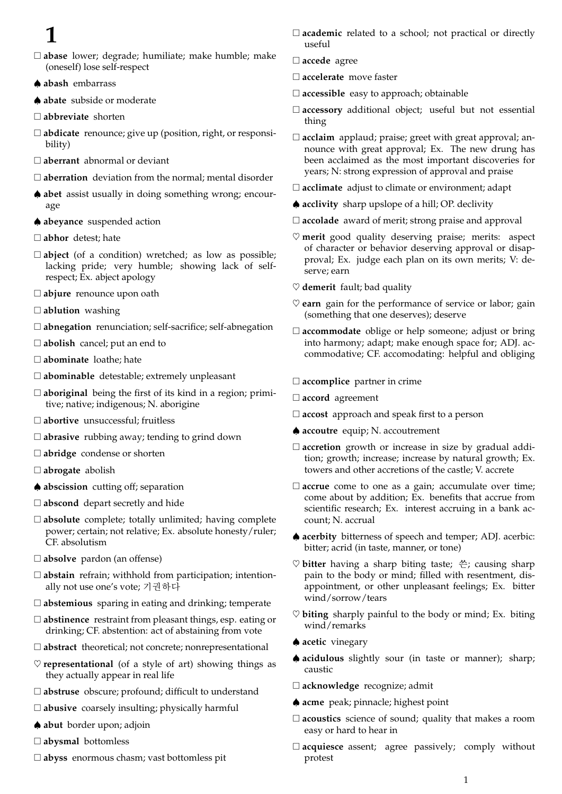- **abase** lower; degrade; humiliate; make humble; make (oneself) lose self-respect
- ♠ **abash** embarrass
- ♠ **abate** subside or moderate
- **abbreviate** shorten
- **abdicate** renounce; give up (position, right, or responsibility)
- **aberrant** abnormal or deviant
- **aberration** deviation from the normal; mental disorder
- ♠ **abet** assist usually in doing something wrong; encourage
- ♠ **abeyance** suspended action
- **abhor** detest; hate
- □ **abject** (of a condition) wretched; as low as possible; lacking pride; very humble; showing lack of selfrespect; Ex. abject apology
- **abjure** renounce upon oath
- **ablution** washing
- **abnegation** renunciation; self-sacrifice; self-abnegation
- □ **abolish** cancel; put an end to
- **abominate** loathe; hate
- **abominable** detestable; extremely unpleasant
- **aboriginal** being the first of its kind in a region; primitive; native; indigenous; N. aborigine
- **abortive** unsuccessful; fruitless
- **abrasive** rubbing away; tending to grind down
- **abridge** condense or shorten
- **abrogate** abolish
- ♠ **abscission** cutting off; separation
- □ **abscond** depart secretly and hide
- □ **absolute** complete; totally unlimited; having complete power; certain; not relative; Ex. absolute honesty/ruler; CF. absolutism
- **absolve** pardon (an offense)
- **abstain** refrain; withhold from participation; intentionally not use one's vote; 기권하다
- **abstemious** sparing in eating and drinking; temperate
- **abstinence** restraint from pleasant things, esp. eating or drinking; CF. abstention: act of abstaining from vote
- □ **abstract** theoretical; not concrete; nonrepresentational
- $\heartsuit$  **representational** (of a style of art) showing things as they actually appear in real life
- □ **abstruse** obscure; profound; difficult to understand
- □ **abusive** coarsely insulting; physically harmful
- ♠ **abut** border upon; adjoin
- **abysmal** bottomless
- **abyss** enormous chasm; vast bottomless pit
- □ **academic** related to a school; not practical or directly useful
- **accede** agree
- **accelerate** move faster
- □ **accessible** easy to approach; obtainable
- **accessory** additional object; useful but not essential thing
- **acclaim** applaud; praise; greet with great approval; announce with great approval; Ex. The new drung has been acclaimed as the most important discoveries for years; N: strong expression of approval and praise
- □ **acclimate** adjust to climate or environment; adapt
- ♠ **acclivity** sharp upslope of a hill; OP. declivity
- **accolade** award of merit; strong praise and approval
- ♥ **merit** good quality deserving praise; merits: aspect of character or behavior deserving approval or disapproval; Ex. judge each plan on its own merits; V: deserve; earn
- $\heartsuit$  **demerit** fault; bad quality
- $\heartsuit$  **earn** gain for the performance of service or labor; gain (something that one deserves); deserve
- **accommodate** oblige or help someone; adjust or bring into harmony; adapt; make enough space for; ADJ. accommodative; CF. accomodating: helpful and obliging
- **accomplice** partner in crime
- **accord** agreement
- □ **accost** approach and speak first to a person
- ♠ **accoutre** equip; N. accoutrement
- □ **accretion** growth or increase in size by gradual addition; growth; increase; increase by natural growth; Ex. towers and other accretions of the castle; V. accrete
- □ **accrue** come to one as a gain; accumulate over time; come about by addition; Ex. benefits that accrue from scientific research; Ex. interest accruing in a bank account; N. accrual
- ♠ **acerbity** bitterness of speech and temper; ADJ. acerbic: bitter; acrid (in taste, manner, or tone)
- ♡ **bitter** having a sharp biting taste; 쓴; causing sharp pain to the body or mind; filled with resentment, disappointment, or other unpleasant feelings; Ex. bitter wind/sorrow/tears
- $\heartsuit$  **biting** sharply painful to the body or mind; Ex. biting wind/remarks
- ♠ **acetic** vinegary
- ♠ **acidulous** slightly sour (in taste or manner); sharp; caustic
- **acknowledge** recognize; admit
- ♠ **acme** peak; pinnacle; highest point
- □ **acoustics** science of sound; quality that makes a room easy or hard to hear in
- **acquiesce** assent; agree passively; comply without protest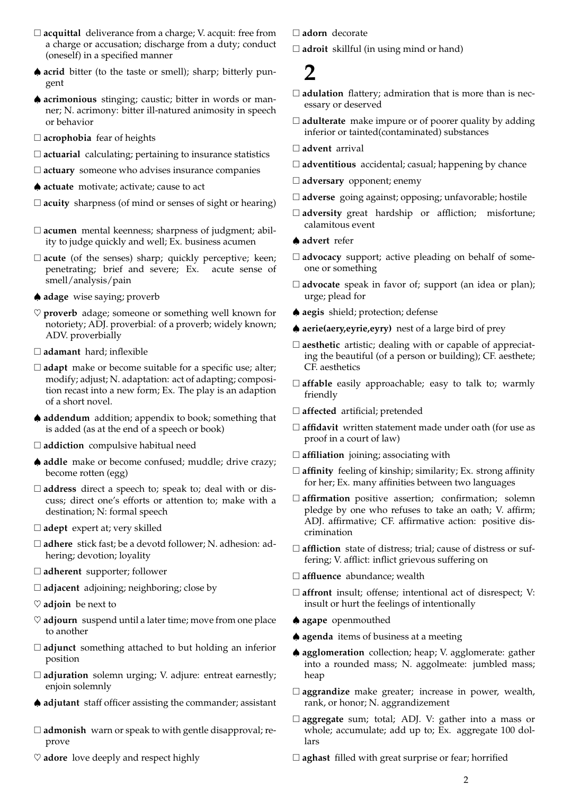- □ **acquittal** deliverance from a charge; V. acquit: free from a charge or accusation; discharge from a duty; conduct (oneself) in a specified manner
- ♠ **acrid** bitter (to the taste or smell); sharp; bitterly pungent
- ♠ **acrimonious** stinging; caustic; bitter in words or manner; N. acrimony: bitter ill-natured animosity in speech or behavior
- **acrophobia** fear of heights
- **actuarial** calculating; pertaining to insurance statistics
- □ **actuary** someone who advises insurance companies
- ♠ **actuate** motivate; activate; cause to act
- $\Box$  **acuity** sharpness (of mind or senses of sight or hearing)
- **acumen** mental keenness; sharpness of judgment; ability to judge quickly and well; Ex. business acumen
- □ **acute** (of the senses) sharp; quickly perceptive; keen; penetrating; brief and severe; Ex. acute sense of smell/analysis/pain
- ♠ **adage** wise saying; proverb
- $\heartsuit$  **proverb** adage; someone or something well known for notoriety; ADJ. proverbial: of a proverb; widely known; ADV. proverbially
- **adamant** hard; inflexible
- □ **adapt** make or become suitable for a specific use; alter; modify; adjust; N. adaptation: act of adapting; composition recast into a new form; Ex. The play is an adaption of a short novel.
- ♠ **addendum** addition; appendix to book; something that is added (as at the end of a speech or book)
- **addiction** compulsive habitual need
- ♠ **addle** make or become confused; muddle; drive crazy; become rotten (egg)
- **address** direct a speech to; speak to; deal with or discuss; direct one's efforts or attention to; make with a destination; N: formal speech
- **adept** expert at; very skilled
- □ **adhere** stick fast; be a devotd follower; N. adhesion: adhering; devotion; loyality
- **adherent** supporter; follower
- **adjacent** adjoining; neighboring; close by
- ♥ **adjoin** be next to
- $\heartsuit$  **adjourn** suspend until a later time; move from one place to another
- □ **adjunct** something attached to but holding an inferior position
- □ **adjuration** solemn urging; V. adjure: entreat earnestly; enjoin solemnly
- ♠ **adjutant** staff officer assisting the commander; assistant
- **admonish** warn or speak to with gentle disapproval; reprove
- ♥ **adore** love deeply and respect highly
- **adorn** decorate
- **adroit** skillful (in using mind or hand)

- **adulation** flattery; admiration that is more than is necessary or deserved
- □ **adulterate** make impure or of poorer quality by adding inferior or tainted(contaminated) substances
- **advent** arrival
- □ **adventitious** accidental; casual; happening by chance
- **adversary** opponent; enemy
- **adverse** going against; opposing; unfavorable; hostile
- **adversity** great hardship or affliction; misfortune; calamitous event
- ♠ **advert** refer
- **advocacy** support; active pleading on behalf of someone or something
- □ **advocate** speak in favor of; support (an idea or plan); urge; plead for
- ♠ **aegis** shield; protection; defense
- ♠ **aerie(aery,eyrie,eyry)** nest of a large bird of prey
- **aesthetic** artistic; dealing with or capable of appreciating the beautiful (of a person or building); CF. aesthete; CF. aesthetics
- **affable** easily approachable; easy to talk to; warmly friendly
- **affected** artificial; pretended
- **affidavit** written statement made under oath (for use as proof in a court of law)
- **affiliation** joining; associating with
- □ **affinity** feeling of kinship; similarity; Ex. strong affinity for her; Ex. many affinities between two languages
- **affirmation** positive assertion; confirmation; solemn pledge by one who refuses to take an oath; V. affirm; ADJ. affirmative; CF. affirmative action: positive discrimination
- □ **affliction** state of distress; trial; cause of distress or suffering; V. afflict: inflict grievous suffering on
- **affluence** abundance; wealth
- □ **affront** insult; offense; intentional act of disrespect; V: insult or hurt the feelings of intentionally
- ♠ **agape** openmouthed
- ♠ **agenda** items of business at a meeting
- ♠ **agglomeration** collection; heap; V. agglomerate: gather into a rounded mass; N. aggolmeate: jumbled mass; heap
- □ **aggrandize** make greater; increase in power, wealth, rank, or honor; N. aggrandizement
- □ **aggregate** sum; total; ADJ. V: gather into a mass or whole; accumulate; add up to; Ex. aggregate 100 dollars
- **aghast** filled with great surprise or fear; horrified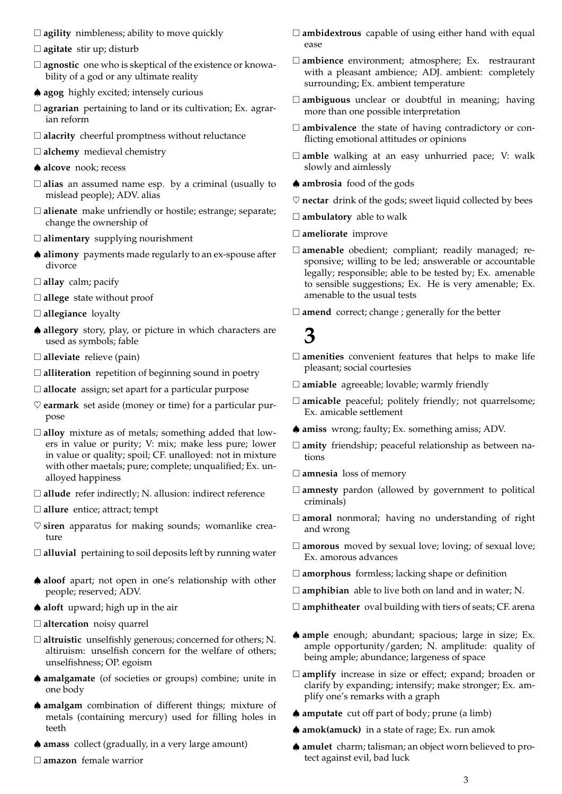- **agility** nimbleness; ability to move quickly
- **agitate** stir up; disturb
- □ **agnostic** one who is skeptical of the existence or knowability of a god or any ultimate reality
- ♠ **agog** highly excited; intensely curious
- **agrarian** pertaining to land or its cultivation; Ex. agrarian reform
- **alacrity** cheerful promptness without reluctance
- **alchemy** medieval chemistry
- ♠ **alcove** nook; recess
- □ **alias** an assumed name esp. by a criminal (usually to mislead people); ADV. alias
- □ **alienate** make unfriendly or hostile; estrange; separate; change the ownership of
- **alimentary** supplying nourishment
- ♠ **alimony** payments made regularly to an ex-spouse after divorce
- **allay** calm; pacify
- **allege** state without proof
- **allegiance** loyalty
- ♠ **allegory** story, play, or picture in which characters are used as symbols; fable
- **alleviate** relieve (pain)
- **alliteration** repetition of beginning sound in poetry
- **allocate** assign; set apart for a particular purpose
- $\heartsuit$  **earmark** set aside (money or time) for a particular purpose
- □ **alloy** mixture as of metals; something added that lowers in value or purity; V: mix; make less pure; lower in value or quality; spoil; CF. unalloyed: not in mixture with other maetals; pure; complete; unqualified; Ex. unalloyed happiness
- □ **allude** refer indirectly; N. allusion: indirect reference
- **allure** entice; attract; tempt
- $\heartsuit$  siren apparatus for making sounds; womanlike creature
- □ **alluvial** pertaining to soil deposits left by running water
- ♠ **aloof** apart; not open in one's relationship with other people; reserved; ADV.
- ♠ **aloft** upward; high up in the air
- **altercation** noisy quarrel
- □ **altruistic** unselfishly generous; concerned for others; N. altiruism: unselfish concern for the welfare of others; unselfishness; OP. egoism
- ♠ **amalgamate** (of societies or groups) combine; unite in one body
- ♠ **amalgam** combination of different things; mixture of metals (containing mercury) used for filling holes in teeth
- ♠ **amass** collect (gradually, in a very large amount)
- **amazon** female warrior
- □ **ambidextrous** capable of using either hand with equal ease
- □ **ambience** environment; atmosphere; Ex. restraurant with a pleasant ambience; ADJ. ambient: completely surrounding; Ex. ambient temperature
- **ambiguous** unclear or doubtful in meaning; having more than one possible interpretation
- □ **ambivalence** the state of having contradictory or conflicting emotional attitudes or opinions
- □ **amble** walking at an easy unhurried pace; V: walk slowly and aimlessly
- ♠ **ambrosia** food of the gods
- $\heartsuit$  **nectar** drink of the gods; sweet liquid collected by bees
- **ambulatory** able to walk
- **ameliorate** improve
- □ **amenable** obedient; compliant; readily managed; responsive; willing to be led; answerable or accountable legally; responsible; able to be tested by; Ex. amenable to sensible suggestions; Ex. He is very amenable; Ex. amenable to the usual tests
- **amend** correct; change ; generally for the better

- **amenities** convenient features that helps to make life pleasant; social courtesies
- **amiable** agreeable; lovable; warmly friendly
- □ **amicable** peaceful; politely friendly; not quarrelsome; Ex. amicable settlement
- ♠ **amiss** wrong; faulty; Ex. something amiss; ADV.
- **amity** friendship; peaceful relationship as between nations
- **amnesia** loss of memory
- **amnesty** pardon (allowed by government to political criminals)
- **amoral** nonmoral; having no understanding of right and wrong
- **amorous** moved by sexual love; loving; of sexual love; Ex. amorous advances
- □ **amorphous** formless; lacking shape or definition
- $\square$  **amphibian** able to live both on land and in water; N.
- □ **amphitheater** oval building with tiers of seats; CF. arena
- ♠ **ample** enough; abundant; spacious; large in size; Ex. ample opportunity/garden; N. amplitude: quality of being ample; abundance; largeness of space
- □ **amplify** increase in size or effect; expand; broaden or clarify by expanding; intensify; make stronger; Ex. amplify one's remarks with a graph
- ♠ **amputate** cut off part of body; prune (a limb)
- ♠ **amok(amuck)** in a state of rage; Ex. run amok
- ♠ **amulet** charm; talisman; an object worn believed to protect against evil, bad luck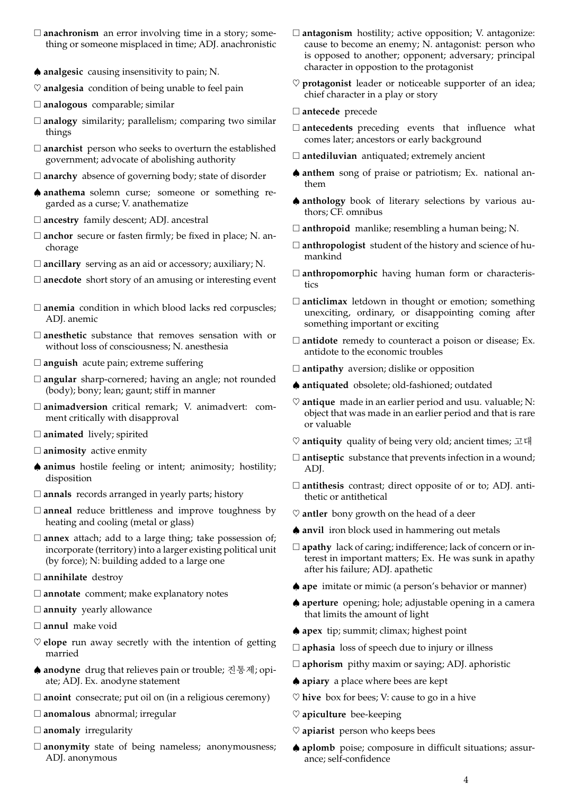- □ **anachronism** an error involving time in a story; something or someone misplaced in time; ADJ. anachronistic
- ♠ **analgesic** causing insensitivity to pain; N.
- $\heartsuit$  **analgesia** condition of being unable to feel pain
- **analogous** comparable; similar
- **analogy** similarity; parallelism; comparing two similar things
- **anarchist** person who seeks to overturn the established government; advocate of abolishing authority
- □ **anarchy** absence of governing body; state of disorder
- ♠ **anathema** solemn curse; someone or something regarded as a curse; V. anathematize
- **ancestry** family descent; ADJ. ancestral
- □ **anchor** secure or fasten firmly; be fixed in place; N. anchorage
- **ancillary** serving as an aid or accessory; auxiliary; N.
- □ **anecdote** short story of an amusing or interesting event
- **anemia** condition in which blood lacks red corpuscles; ADJ. anemic
- **anesthetic** substance that removes sensation with or without loss of consciousness; N. anesthesia
- **anguish** acute pain; extreme suffering
- □ **angular** sharp-cornered; having an angle; not rounded (body); bony; lean; gaunt; stiff in manner
- **animadversion** critical remark; V. animadvert: comment critically with disapproval
- **animated** lively; spirited
- **animosity** active enmity
- ♠ **animus** hostile feeling or intent; animosity; hostility; disposition
- □ **annals** records arranged in yearly parts; history
- □ **anneal** reduce brittleness and improve toughness by heating and cooling (metal or glass)
- **annex** attach; add to a large thing; take possession of; incorporate (territory) into a larger existing political unit (by force); N: building added to a large one
- **annihilate** destroy
- **annotate** comment; make explanatory notes
- **annuity** yearly allowance
- **annul** make void
- $\heartsuit$  **elope** run away secretly with the intention of getting married
- **♦ anodyne** drug that relieves pain or trouble; 진통제; opiate; ADJ. Ex. anodyne statement
- $\Box$  anoint consecrate; put oil on (in a religious ceremony)
- **anomalous** abnormal; irregular
- **anomaly** irregularity
- **anonymity** state of being nameless; anonymousness; ADJ. anonymous
- **antagonism** hostility; active opposition; V. antagonize: cause to become an enemy; N. antagonist: person who is opposed to another; opponent; adversary; principal character in oppostion to the protagonist
- $\heartsuit$  **protagonist** leader or noticeable supporter of an idea; chief character in a play or story
- **antecede** precede
- **antecedents** preceding events that influence what comes later; ancestors or early background
- □ **antediluvian** antiquated; extremely ancient
- ♠ **anthem** song of praise or patriotism; Ex. national anthem
- ♠ **anthology** book of literary selections by various authors; CF. omnibus
- □ **anthropoid** manlike; resembling a human being; N.
- **anthropologist** student of the history and science of humankind
- **anthropomorphic** having human form or characteristics
- **anticlimax** letdown in thought or emotion; something unexciting, ordinary, or disappointing coming after something important or exciting
- □ **antidote** remedy to counteract a poison or disease; Ex. antidote to the economic troubles
- **antipathy** aversion; dislike or opposition
- ♠ **antiquated** obsolete; old-fashioned; outdated
- ♥ **antique** made in an earlier period and usu. valuable; N: object that was made in an earlier period and that is rare or valuable
- $\heartsuit$  **antiquity** quality of being very old; ancient times;  $\Box$  대
- **antiseptic** substance that prevents infection in a wound; ADJ.
- □ **antithesis** contrast; direct opposite of or to; ADJ. antithetic or antithetical
- $\heartsuit$  **antler** bony growth on the head of a deer
- ♠ **anvil** iron block used in hammering out metals
- □ **apathy** lack of caring; indifference; lack of concern or interest in important matters; Ex. He was sunk in apathy after his failure; ADJ. apathetic
- ♠ **ape** imitate or mimic (a person's behavior or manner)
- ♠ **aperture** opening; hole; adjustable opening in a camera that limits the amount of light
- ♠ **apex** tip; summit; climax; highest point
- □ **aphasia** loss of speech due to injury or illness
- **aphorism** pithy maxim or saying; ADJ. aphoristic
- ♠ **apiary** a place where bees are kept
- $\heartsuit$  **hive** box for bees; V: cause to go in a hive
- ♥ **apiculture** bee-keeping
- ♥ **apiarist** person who keeps bees
- ♠ **aplomb** poise; composure in difficult situations; assurance; self-confidence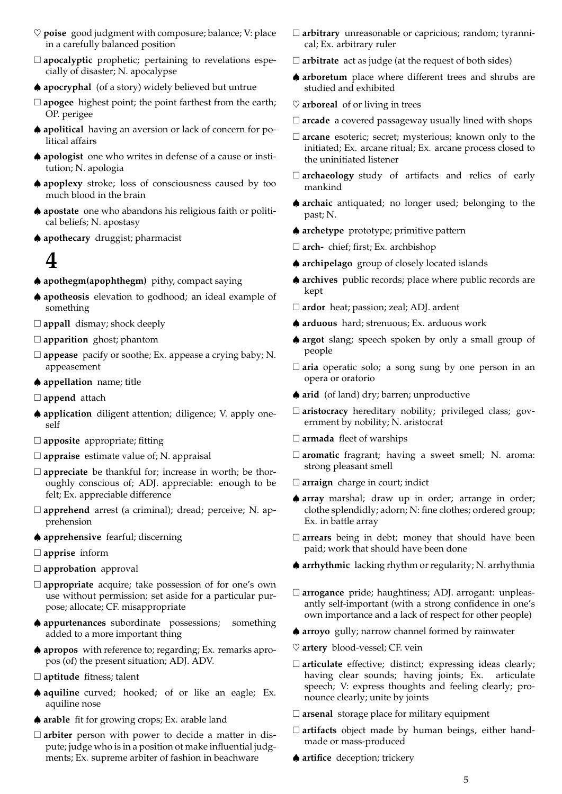- $\heartsuit$  **poise** good judgment with composure; balance; V: place in a carefully balanced position
- $\Box$  **apocalyptic** prophetic; pertaining to revelations especially of disaster; N. apocalypse
- ♠ **apocryphal** (of a story) widely believed but untrue
- □ **apogee** highest point; the point farthest from the earth; OP. perigee
- ♠ **apolitical** having an aversion or lack of concern for political affairs
- ♠ **apologist** one who writes in defense of a cause or institution; N. apologia
- ♠ **apoplexy** stroke; loss of consciousness caused by too much blood in the brain
- ♠ **apostate** one who abandons his religious faith or political beliefs; N. apostasy
- ♠ **apothecary** druggist; pharmacist

- ♠ **apothegm(apophthegm)** pithy, compact saying
- ♠ **apotheosis** elevation to godhood; an ideal example of something
- **appall** dismay; shock deeply
- **apparition** ghost; phantom
- **appease** pacify or soothe; Ex. appease a crying baby; N. appeasement
- ♠ **appellation** name; title
- **append** attach
- ♠ **application** diligent attention; diligence; V. apply oneself
- **apposite** appropriate; fitting
- □ **appraise** estimate value of; N. appraisal
- □ **appreciate** be thankful for; increase in worth; be thoroughly conscious of; ADJ. appreciable: enough to be felt; Ex. appreciable difference
- **apprehend** arrest (a criminal); dread; perceive; N. apprehension
- ♠ **apprehensive** fearful; discerning
- **apprise** inform
- **approbation** approval
- □ **appropriate** acquire; take possession of for one's own use without permission; set aside for a particular purpose; allocate; CF. misappropriate
- ♠ **appurtenances** subordinate possessions; something added to a more important thing
- ♠ **apropos** with reference to; regarding; Ex. remarks apropos (of) the present situation; ADJ. ADV.
- **aptitude** fitness; talent
- ♠ **aquiline** curved; hooked; of or like an eagle; Ex. aquiline nose
- ♠ **arable** fit for growing crops; Ex. arable land
- **arbiter** person with power to decide a matter in dispute; judge who is in a position ot make influential judgments; Ex. supreme arbiter of fashion in beachware
- □ arbitrary unreasonable or capricious; random; tyrannical; Ex. arbitrary ruler
- □ **arbitrate** act as judge (at the request of both sides)
- ♠ **arboretum** place where different trees and shrubs are studied and exhibited
- $\heartsuit$  **arboreal** of or living in trees
- □ **arcade** a covered passageway usually lined with shops
- □ **arcane** esoteric; secret; mysterious; known only to the initiated; Ex. arcane ritual; Ex. arcane process closed to the uninitiated listener
- □ **archaeology** study of artifacts and relics of early mankind
- ♠ **archaic** antiquated; no longer used; belonging to the past; N.
- ♠ **archetype** prototype; primitive pattern
- **arch-** chief; first; Ex. archbishop
- ♠ **archipelago** group of closely located islands
- ♠ **archives** public records; place where public records are kept
- **ardor** heat; passion; zeal; ADJ. ardent
- ♠ **arduous** hard; strenuous; Ex. arduous work
- ♠ **argot** slang; speech spoken by only a small group of people
- □ aria operatic solo; a song sung by one person in an opera or oratorio
- ♠ **arid** (of land) dry; barren; unproductive
- **aristocracy** hereditary nobility; privileged class; government by nobility; N. aristocrat
- **armada** fleet of warships
- **aromatic** fragrant; having a sweet smell; N. aroma: strong pleasant smell
- **arraign** charge in court; indict
- ♠ **array** marshal; draw up in order; arrange in order; clothe splendidly; adorn; N: fine clothes; ordered group; Ex. in battle array
- **arrears** being in debt; money that should have been paid; work that should have been done
- ♠ **arrhythmic** lacking rhythm or regularity; N. arrhythmia
- **arrogance** pride; haughtiness; ADJ. arrogant: unpleasantly self-important (with a strong confidence in one's own importance and a lack of respect for other people)
- ♠ **arroyo** gully; narrow channel formed by rainwater
- ♥ **artery** blood-vessel; CF. vein
- **articulate** effective; distinct; expressing ideas clearly; having clear sounds; having joints; Ex. articulate speech; V: express thoughts and feeling clearly; pronounce clearly; unite by joints
- □ **arsenal** storage place for military equipment
- **artifacts** object made by human beings, either handmade or mass-produced
- ♠ **artifice** deception; trickery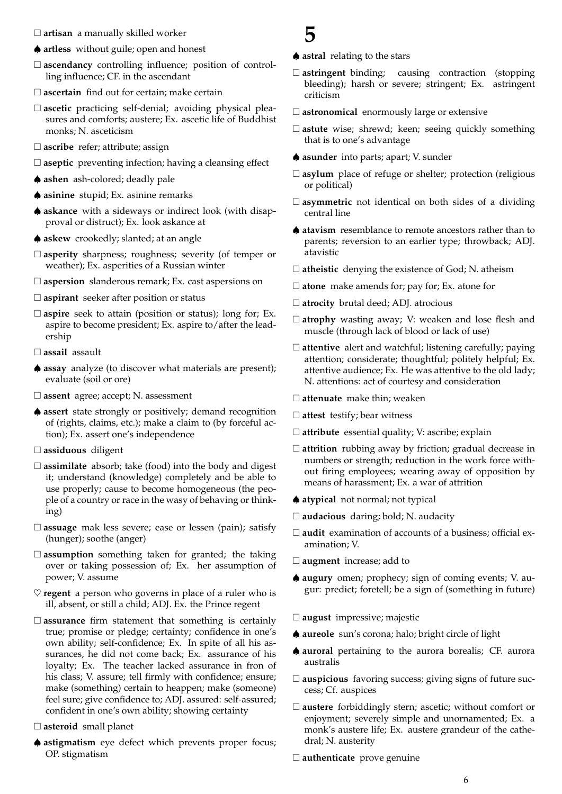- **artisan** a manually skilled worker
- ♠ **artless** without guile; open and honest
- **ascendancy** controlling influence; position of controlling influence; CF. in the ascendant
- **ascertain** find out for certain; make certain
- **ascetic** practicing self-denial; avoiding physical pleasures and comforts; austere; Ex. ascetic life of Buddhist monks; N. asceticism
- **ascribe** refer; attribute; assign
- □ **aseptic** preventing infection; having a cleansing effect
- ♠ **ashen** ash-colored; deadly pale
- ♠ **asinine** stupid; Ex. asinine remarks
- ♠ **askance** with a sideways or indirect look (with disapproval or distruct); Ex. look askance at
- ♠ **askew** crookedly; slanted; at an angle
- □ **asperity** sharpness; roughness; severity (of temper or weather); Ex. asperities of a Russian winter
- □ **aspersion** slanderous remark; Ex. cast aspersions on
- **aspirant** seeker after position or status
- □ **aspire** seek to attain (position or status); long for; Ex. aspire to become president; Ex. aspire to/after the leadership
- **assail** assault
- ♠ **assay** analyze (to discover what materials are present); evaluate (soil or ore)
- **assent** agree; accept; N. assessment
- ♠ **assert** state strongly or positively; demand recognition of (rights, claims, etc.); make a claim to (by forceful action); Ex. assert one's independence
- **assiduous** diligent
- **assimilate** absorb; take (food) into the body and digest it; understand (knowledge) completely and be able to use properly; cause to become homogeneous (the people of a country or race in the wasy of behaving or thinking)
- □ **assuage** mak less severe; ease or lessen (pain); satisfy (hunger); soothe (anger)
- **assumption** something taken for granted; the taking over or taking possession of; Ex. her assumption of power; V. assume
- $\heartsuit$  **regent** a person who governs in place of a ruler who is ill, absent, or still a child; ADJ. Ex. the Prince regent
- □ **assurance** firm statement that something is certainly true; promise or pledge; certainty; confidence in one's own ability; self-confidence; Ex. In spite of all his assurances, he did not come back; Ex. assurance of his loyalty; Ex. The teacher lacked assurance in fron of his class; V. assure; tell firmly with confidence; ensure; make (something) certain to heappen; make (someone) feel sure; give confidence to; ADJ. assured: self-assured; confident in one's own ability; showing certainty
- **asteroid** small planet
- ♠ **astigmatism** eye defect which prevents proper focus; OP. stigmatism

- ♠ **astral** relating to the stars
- **astringent** binding; causing contraction (stopping bleeding); harsh or severe; stringent; Ex. astringent criticism
- **astronomical** enormously large or extensive
- □ **astute** wise; shrewd; keen; seeing quickly something that is to one's advantage
- ♠ **asunder** into parts; apart; V. sunder
- □ **asylum** place of refuge or shelter; protection (religious or political)
- □ **asymmetric** not identical on both sides of a dividing central line
- ♠ **atavism** resemblance to remote ancestors rather than to parents; reversion to an earlier type; throwback; ADJ. atavistic
- **atheistic** denying the existence of God; N. atheism
- □ **atone** make amends for; pay for; Ex. atone for
- **atrocity** brutal deed; ADJ. atrocious
- □ **atrophy** wasting away; V: weaken and lose flesh and muscle (through lack of blood or lack of use)
- **attentive** alert and watchful; listening carefully; paying attention; considerate; thoughtful; politely helpful; Ex. attentive audience; Ex. He was attentive to the old lady; N. attentions: act of courtesy and consideration
- **attenuate** make thin; weaken
- **attest** testify; bear witness
- **attribute** essential quality; V: ascribe; explain
- □ **attrition** rubbing away by friction; gradual decrease in numbers or strength; reduction in the work force without firing employees; wearing away of opposition by means of harassment; Ex. a war of attrition
- ♠ **atypical** not normal; not typical
- □ **audacious** daring; bold; N. audacity
- **audit** examination of accounts of a business; official examination; V.
- **augment** increase; add to
- ♠ **augury** omen; prophecy; sign of coming events; V. augur: predict; foretell; be a sign of (something in future)
- **august** impressive; majestic
- ♠ **aureole** sun's corona; halo; bright circle of light
- ♠ **auroral** pertaining to the aurora borealis; CF. aurora australis
- **auspicious** favoring success; giving signs of future success; Cf. auspices
- □ **austere** forbiddingly stern; ascetic; without comfort or enjoyment; severely simple and unornamented; Ex. a monk's austere life; Ex. austere grandeur of the cathedral; N. austerity
- **authenticate** prove genuine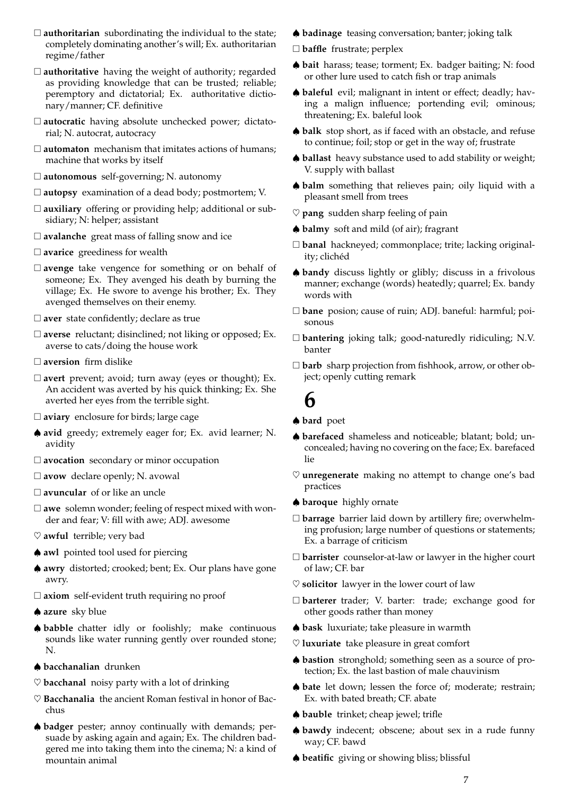- $\Box$  **authoritarian** subordinating the individual to the state; completely dominating another's will; Ex. authoritarian regime/father
- **authoritative** having the weight of authority; regarded as providing knowledge that can be trusted; reliable; peremptory and dictatorial; Ex. authoritative dictionary/manner; CF. definitive
- **autocratic** having absolute unchecked power; dictatorial; N. autocrat, autocracy
- **automaton** mechanism that imitates actions of humans; machine that works by itself
- **autonomous** self-governing; N. autonomy
- □ **autopsy** examination of a dead body; postmortem; V.
- **auxiliary** offering or providing help; additional or subsidiary; N: helper; assistant
- **avalanche** great mass of falling snow and ice
- **avarice** greediness for wealth
- **avenge** take vengence for something or on behalf of someone; Ex. They avenged his death by burning the village; Ex. He swore to avenge his brother; Ex. They avenged themselves on their enemy.
- **aver** state confidently; declare as true
- **averse** reluctant; disinclined; not liking or opposed; Ex. averse to cats/doing the house work
- **aversion** firm dislike
- □ **avert** prevent; avoid; turn away (eyes or thought); Ex. An accident was averted by his quick thinking; Ex. She averted her eyes from the terrible sight.
- **aviary** enclosure for birds; large cage
- ♠ **avid** greedy; extremely eager for; Ex. avid learner; N. avidity
- **avocation** secondary or minor occupation
- □ **avow** declare openly; N. avowal
- **avuncular** of or like an uncle
- □ **awe** solemn wonder; feeling of respect mixed with wonder and fear; V: fill with awe; ADJ. awesome
- $\heartsuit$  **awful** terrible; very bad
- ♠ **awl** pointed tool used for piercing
- ♠ **awry** distorted; crooked; bent; Ex. Our plans have gone awry.
- □ axiom self-evident truth requiring no proof
- ♠ **azure** sky blue
- ♠ **babble** chatter idly or foolishly; make continuous sounds like water running gently over rounded stone; N.
- ♠ **bacchanalian** drunken
- $\heartsuit$  **bacchanal** noisy party with a lot of drinking
- ♥ **Bacchanalia** the ancient Roman festival in honor of Bacchus
- ♠ **badger** pester; annoy continually with demands; persuade by asking again and again; Ex. The children badgered me into taking them into the cinema; N: a kind of mountain animal
- ♠ **badinage** teasing conversation; banter; joking talk
- **baffle** frustrate; perplex
- ♠ **bait** harass; tease; torment; Ex. badger baiting; N: food or other lure used to catch fish or trap animals
- ♠ **baleful** evil; malignant in intent or effect; deadly; having a malign influence; portending evil; ominous; threatening; Ex. baleful look
- ♠ **balk** stop short, as if faced with an obstacle, and refuse to continue; foil; stop or get in the way of; frustrate
- ♠ **ballast** heavy substance used to add stability or weight; V. supply with ballast
- ♠ **balm** something that relieves pain; oily liquid with a pleasant smell from trees
- $\heartsuit$  **pang** sudden sharp feeling of pain
- ♠ **balmy** soft and mild (of air); fragrant
- □ **banal** hackneyed; commonplace; trite; lacking originality; clichéd
- ♠ **bandy** discuss lightly or glibly; discuss in a frivolous manner; exchange (words) heatedly; quarrel; Ex. bandy words with
- □ **bane** posion; cause of ruin; ADJ. baneful: harmful; poisonous
- □ **bantering** joking talk; good-naturedly ridiculing; N.V. banter
- **barb** sharp projection from fishhook, arrow, or other object; openly cutting remark

- ♠ **bard** poet
- ♠ **barefaced** shameless and noticeable; blatant; bold; unconcealed; having no covering on the face; Ex. barefaced lie
- ♥ **unregenerate** making no attempt to change one's bad practices
- ♠ **baroque** highly ornate
- **barrage** barrier laid down by artillery fire; overwhelming profusion; large number of questions or statements; Ex. a barrage of criticism
- **barrister** counselor-at-law or lawyer in the higher court of law; CF. bar
- $\heartsuit$  **solicitor** lawyer in the lower court of law
- □ **barterer** trader; V. barter: trade; exchange good for other goods rather than money
- ♠ **bask** luxuriate; take pleasure in warmth
- ♥ **luxuriate** take pleasure in great comfort
- ♠ **bastion** stronghold; something seen as a source of protection; Ex. the last bastion of male chauvinism
- ♠ **bate** let down; lessen the force of; moderate; restrain; Ex. with bated breath; CF. abate
- ♠ **bauble** trinket; cheap jewel; trifle
- ♠ **bawdy** indecent; obscene; about sex in a rude funny way; CF. bawd
- ♠ **beatific** giving or showing bliss; blissful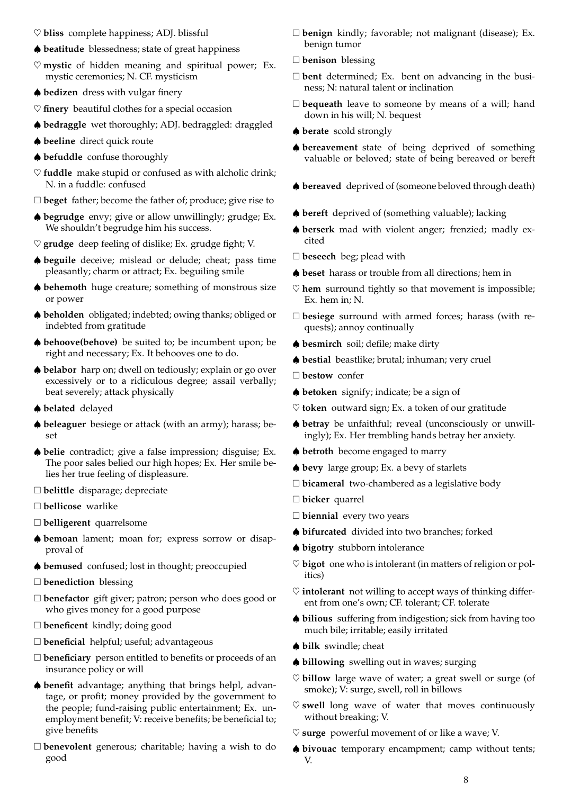- ♥ **bliss** complete happiness; ADJ. blissful
- ♠ **beatitude** blessedness; state of great happiness
- $\heartsuit$  **mystic** of hidden meaning and spiritual power; Ex. mystic ceremonies; N. CF. mysticism
- ♠ **bedizen** dress with vulgar finery
- $\heartsuit$  **finery** beautiful clothes for a special occasion
- ♠ **bedraggle** wet thoroughly; ADJ. bedraggled: draggled
- ♠ **beeline** direct quick route
- ♠ **befuddle** confuse thoroughly
- $\heartsuit$  **fuddle** make stupid or confused as with alcholic drink; N. in a fuddle: confused
- □ **beget** father; become the father of; produce; give rise to
- ♠ **begrudge** envy; give or allow unwillingly; grudge; Ex. We shouldn't begrudge him his success.
- ♥ **grudge** deep feeling of dislike; Ex. grudge fight; V.
- ♠ **beguile** deceive; mislead or delude; cheat; pass time pleasantly; charm or attract; Ex. beguiling smile
- ♠ **behemoth** huge creature; something of monstrous size or power
- ♠ **beholden** obligated; indebted; owing thanks; obliged or indebted from gratitude
- ♠ **behoove(behove)** be suited to; be incumbent upon; be right and necessary; Ex. It behooves one to do.
- ♠ **belabor** harp on; dwell on tediously; explain or go over excessively or to a ridiculous degree; assail verbally; beat severely; attack physically
- ♠ **belated** delayed
- ♠ **beleaguer** besiege or attack (with an army); harass; beset
- ♠ **belie** contradict; give a false impression; disguise; Ex. The poor sales belied our high hopes; Ex. Her smile belies her true feeling of displeasure.
- **belittle** disparage; depreciate
- **bellicose** warlike
- **belligerent** quarrelsome
- ♠ **bemoan** lament; moan for; express sorrow or disapproval of
- ♠ **bemused** confused; lost in thought; preoccupied
- **benediction** blessing
- □ **benefactor** gift giver; patron; person who does good or who gives money for a good purpose
- **beneficent** kindly; doing good
- **beneficial** helpful; useful; advantageous
- □ **beneficiary** person entitled to benefits or proceeds of an insurance policy or will
- ♠ **benefit** advantage; anything that brings helpl, advantage, or profit; money provided by the government to the people; fund-raising public entertainment; Ex. unemployment benefit; V: receive benefits; be beneficial to; give benefits
- **benevolent** generous; charitable; having a wish to do good
- □ **benign** kindly; favorable; not malignant (disease); Ex. benign tumor
- **benison** blessing
- $\square$  **bent** determined; Ex. bent on advancing in the business; N: natural talent or inclination
- □ **bequeath** leave to someone by means of a will; hand down in his will; N. bequest
- ♠ **berate** scold strongly
- ♠ **bereavement** state of being deprived of something valuable or beloved; state of being bereaved or bereft
- ♠ **bereaved** deprived of (someone beloved through death)
- ♠ **bereft** deprived of (something valuable); lacking
- ♠ **berserk** mad with violent anger; frenzied; madly excited
- □ **beseech** beg; plead with
- ♠ **beset** harass or trouble from all directions; hem in
- $\heartsuit$  **hem** surround tightly so that movement is impossible; Ex. hem in; N.
- □ **besiege** surround with armed forces; harass (with requests); annoy continually
- ♠ **besmirch** soil; defile; make dirty
- ♠ **bestial** beastlike; brutal; inhuman; very cruel
- **bestow** confer
- ♠ **betoken** signify; indicate; be a sign of
- $\heartsuit$  **token** outward sign; Ex. a token of our gratitude
- ♠ **betray** be unfaithful; reveal (unconsciously or unwillingly); Ex. Her trembling hands betray her anxiety.
- ♠ **betroth** become engaged to marry
- ♠ **bevy** large group; Ex. a bevy of starlets
- □ **bicameral** two-chambered as a legislative body
- **bicker** quarrel
- **biennial** every two years
- ♠ **bifurcated** divided into two branches; forked
- ♠ **bigotry** stubborn intolerance
- $\heartsuit$  **bigot** one who is intolerant (in matters of religion or politics)
- $\heartsuit$  **intolerant** not willing to accept ways of thinking different from one's own; CF. tolerant; CF. tolerate
- ♠ **bilious** suffering from indigestion; sick from having too much bile; irritable; easily irritated
- ♠ **bilk** swindle; cheat
- ♠ **billowing** swelling out in waves; surging
- ♥ **billow** large wave of water; a great swell or surge (of smoke); V: surge, swell, roll in billows
- $\heartsuit$  swell long wave of water that moves continuously without breaking; V.
- $\heartsuit$  **surge** powerful movement of or like a wave; V.
- ♠ **bivouac** temporary encampment; camp without tents; V.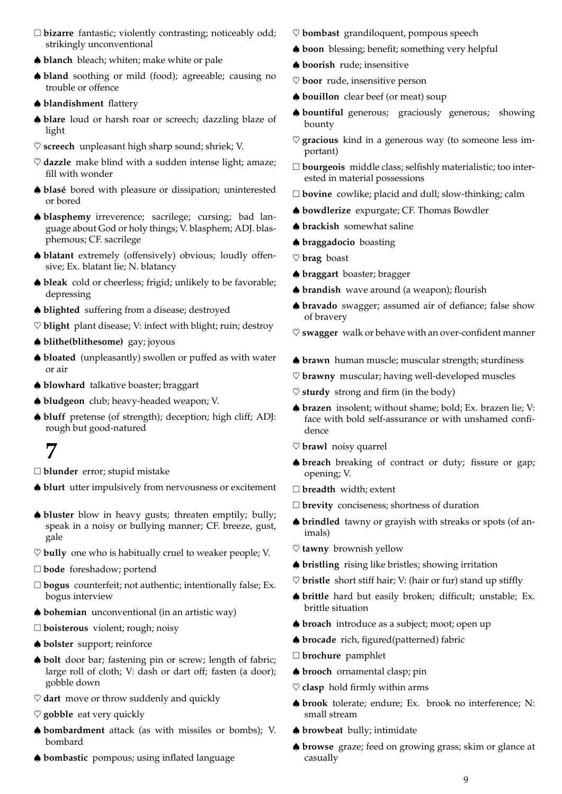- □ **bizarre** fantastic; violently contrasting; noticeably odd; strikingly unconventional
- ♠ **blanch** bleach; whiten; make white or pale
- ♠ **bland** soothing or mild (food); agreeable; causing no trouble or offence
- ♠ **blandishment** flattery
- ♠ **blare** loud or harsh roar or screech; dazzling blaze of light
- ♥ **screech** unpleasant high sharp sound; shriek; V.
- $\heartsuit$  **dazzle** make blind with a sudden intense light; amaze; fill with wonder
- ♠ **blas´e** bored with pleasure or dissipation; uninterested or bored
- ♠ **blasphemy** irreverence; sacrilege; cursing; bad language about God or holy things; V. blasphem; ADJ. blasphemous; CF. sacrilege
- ♠ **blatant** extremely (offensively) obvious; loudly offensive; Ex. blatant lie; N. blatancy
- ♠ **bleak** cold or cheerless; frigid; unlikely to be favorable; depressing
- ♠ **blighted** suffering from a disease; destroyed
- $\heartsuit$  **blight** plant disease; V: infect with blight; ruin; destroy
- ♠ **blithe(blithesome)** gay; joyous
- ♠ **bloated** (unpleasantly) swollen or puffed as with water or air
- ♠ **blowhard** talkative boaster; braggart
- ♠ **bludgeon** club; heavy-headed weapon; V.
- ♠ **bluff** pretense (of strength); deception; high cliff; ADJ: rough but good-natured

- **blunder** error; stupid mistake
- ♠ **blurt** utter impulsively from nervousness or excitement
- ♠ **bluster** blow in heavy gusts; threaten emptily; bully; speak in a noisy or bullying manner; CF. breeze, gust, gale
- $\heartsuit$  **bully** one who is habitually cruel to weaker people; V.
- **bode** foreshadow; portend
- **bogus** counterfeit; not authentic; intentionally false; Ex. bogus interview
- ♠ **bohemian** unconventional (in an artistic way)
- **boisterous** violent; rough; noisy
- ♠ **bolster** support; reinforce
- ♠ **bolt** door bar; fastening pin or screw; length of fabric; large roll of cloth; V: dash or dart off; fasten (a door); gobble down
- $\heartsuit$  **dart** move or throw suddenly and quickly
- $\heartsuit$  **gobble** eat very quickly
- ♠ **bombardment** attack (as with missiles or bombs); V. bombard
- ♠ **bombastic** pompous; using inflated language
- ♥ **bombast** grandiloquent, pompous speech
- ♠ **boon** blessing; benefit; something very helpful
- ♠ **boorish** rude; insensitive
- $\heartsuit$  **boor** rude, insensitive person
- ♠ **bouillon** clear beef (or meat) soup
- ♠ **bountiful** generous; graciously generous; showing bounty
- $\heartsuit$  gracious kind in a generous way (to someone less important)
- **bourgeois** middle class; selfishly materialistic; too interested in material possessions
- □ **bovine** cowlike; placid and dull; slow-thinking; calm
- ♠ **bowdlerize** expurgate; CF. Thomas Bowdler
- ♠ **brackish** somewhat saline
- ♠ **braggadocio** boasting
- ♥ **brag** boast
- ♠ **braggart** boaster; bragger
- ♠ **brandish** wave around (a weapon); flourish
- ♠ **bravado** swagger; assumed air of defiance; false show of bravery
- $\heartsuit$  **swagger** walk or behave with an over-confident manner
- ♠ **brawn** human muscle; muscular strength; sturdiness
- ♥ **brawny** muscular; having well-developed muscles
- $\heartsuit$  **sturdy** strong and firm (in the body)
- ♠ **brazen** insolent; without shame; bold; Ex. brazen lie; V: face with bold self-assurance or with unshamed confidence
- $\heartsuit$  **brawl** noisy quarrel
- ♠ **breach** breaking of contract or duty; fissure or gap; opening; V.
- **breadth** width; extent
- □ **brevity** conciseness; shortness of duration
- ♠ **brindled** tawny or grayish with streaks or spots (of animals)
- ♥ **tawny** brownish yellow
- ♠ **bristling** rising like bristles; showing irritation
- ♥ **bristle** short stiff hair; V: (hair or fur) stand up stiffly
- ♠ **brittle** hard but easily broken; difficult; unstable; Ex. brittle situation
- ♠ **broach** introduce as a subject; moot; open up
- ♠ **brocade** rich, figured(patterned) fabric
- **brochure** pamphlet
- ♠ **brooch** ornamental clasp; pin
- $\heartsuit$  **clasp** hold firmly within arms
- ♠ **brook** tolerate; endure; Ex. brook no interference; N: small stream
- ♠ **browbeat** bully; intimidate
- ♠ **browse** graze; feed on growing grass; skim or glance at casually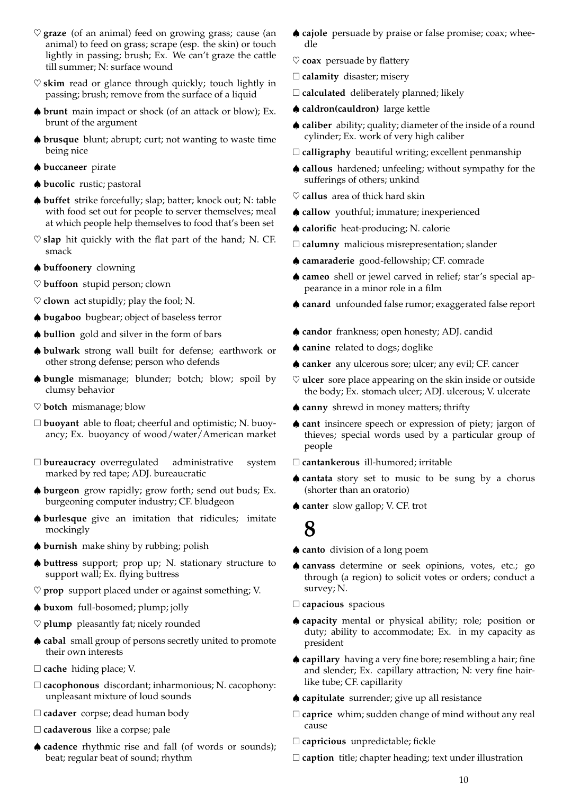- ♥ **graze** (of an animal) feed on growing grass; cause (an animal) to feed on grass; scrape (esp. the skin) or touch lightly in passing; brush; Ex. We can't graze the cattle till summer; N: surface wound
- $\heartsuit$  **skim** read or glance through quickly; touch lightly in passing; brush; remove from the surface of a liquid
- ♠ **brunt** main impact or shock (of an attack or blow); Ex. brunt of the argument
- ♠ **brusque** blunt; abrupt; curt; not wanting to waste time being nice
- ♠ **buccaneer** pirate
- ♠ **bucolic** rustic; pastoral
- ♠ **buffet** strike forcefully; slap; batter; knock out; N: table with food set out for people to server themselves; meal at which people help themselves to food that's been set
- $\heartsuit$  **slap** hit quickly with the flat part of the hand; N. CF. smack
- ♠ **buffoonery** clowning
- ♥ **buffoon** stupid person; clown
- $\heartsuit$  **clown** act stupidly; play the fool; N.
- ♠ **bugaboo** bugbear; object of baseless terror
- ♠ **bullion** gold and silver in the form of bars
- ♠ **bulwark** strong wall built for defense; earthwork or other strong defense; person who defends
- ♠ **bungle** mismanage; blunder; botch; blow; spoil by clumsy behavior
- ♥ **botch** mismanage; blow
- **buoyant** able to float; cheerful and optimistic; N. buoyancy; Ex. buoyancy of wood/water/American market
- **bureaucracy** overregulated administrative system marked by red tape; ADJ. bureaucratic
- ♠ **burgeon** grow rapidly; grow forth; send out buds; Ex. burgeoning computer industry; CF. bludgeon
- ♠ **burlesque** give an imitation that ridicules; imitate mockingly
- ♠ **burnish** make shiny by rubbing; polish
- ♠ **buttress** support; prop up; N. stationary structure to support wall; Ex. flying buttress
- $\heartsuit$  **prop** support placed under or against something; V.
- ♠ **buxom** full-bosomed; plump; jolly
- $\heartsuit$  **plump** pleasantly fat; nicely rounded
- ♠ **cabal** small group of persons secretly united to promote their own interests
- **cache** hiding place; V.
- **cacophonous** discordant; inharmonious; N. cacophony: unpleasant mixture of loud sounds
- **cadaver** corpse; dead human body
- **cadaverous** like a corpse; pale
- ♠ **cadence** rhythmic rise and fall (of words or sounds); beat; regular beat of sound; rhythm
- ♠ **cajole** persuade by praise or false promise; coax; wheedle
- $\heartsuit$  **coax** persuade by flattery
- **calamity** disaster; misery
- **calculated** deliberately planned; likely
- ♠ **caldron(cauldron)** large kettle
- ♠ **caliber** ability; quality; diameter of the inside of a round cylinder; Ex. work of very high caliber
- □ **calligraphy** beautiful writing; excellent penmanship
- ♠ **callous** hardened; unfeeling; without sympathy for the sufferings of others; unkind
- ♥ **callus** area of thick hard skin
- ♠ **callow** youthful; immature; inexperienced
- ♠ **calorific** heat-producing; N. calorie
- □ calumny malicious misrepresentation; slander
- ♠ **camaraderie** good-fellowship; CF. comrade
- ♠ **cameo** shell or jewel carved in relief; star's special appearance in a minor role in a film
- ♠ **canard** unfounded false rumor; exaggerated false report
- ♠ **candor** frankness; open honesty; ADJ. candid
- ♠ **canine** related to dogs; doglike
- ♠ **canker** any ulcerous sore; ulcer; any evil; CF. cancer
- $\heartsuit$  **ulcer** sore place appearing on the skin inside or outside the body; Ex. stomach ulcer; ADJ. ulcerous; V. ulcerate
- ♠ **canny** shrewd in money matters; thrifty
- ♠ **cant** insincere speech or expression of piety; jargon of thieves; special words used by a particular group of people
- **cantankerous** ill-humored; irritable
- ♠ **cantata** story set to music to be sung by a chorus (shorter than an oratorio)
- ♠ **canter** slow gallop; V. CF. trot

- ♠ **canto** division of a long poem
- ♠ **canvass** determine or seek opinions, votes, etc.; go through (a region) to solicit votes or orders; conduct a survey; N.
- **capacious** spacious
- ♠ **capacity** mental or physical ability; role; position or duty; ability to accommodate; Ex. in my capacity as president
- ♠ **capillary** having a very fine bore; resembling a hair; fine and slender; Ex. capillary attraction; N: very fine hairlike tube; CF. capillarity
- ♠ **capitulate** surrender; give up all resistance
- **caprice** whim; sudden change of mind without any real cause
- **capricious** unpredictable; fickle
- **caption** title; chapter heading; text under illustration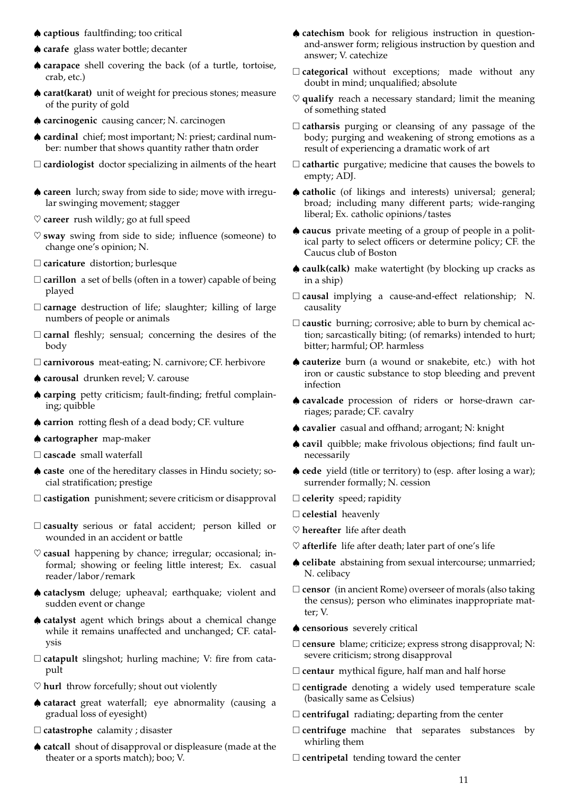- ♠ **captious** faultfinding; too critical
- ♠ **carafe** glass water bottle; decanter
- ♠ **carapace** shell covering the back (of a turtle, tortoise, crab, etc.)
- ♠ **carat(karat)** unit of weight for precious stones; measure of the purity of gold
- ♠ **carcinogenic** causing cancer; N. carcinogen
- ♠ **cardinal** chief; most important; N: priest; cardinal number: number that shows quantity rather thatn order
- **cardiologist** doctor specializing in ailments of the heart
- ♠ **careen** lurch; sway from side to side; move with irregular swinging movement; stagger
- ♥ **career** rush wildly; go at full speed
- ♥ **sway** swing from side to side; influence (someone) to change one's opinion; N.
- **caricature** distortion; burlesque
- □ **carillon** a set of bells (often in a tower) capable of being played
- **carnage** destruction of life; slaughter; killing of large numbers of people or animals
- **carnal** fleshly; sensual; concerning the desires of the body
- □ **carnivorous** meat-eating; N. carnivore; CF. herbivore
- ♠ **carousal** drunken revel; V. carouse
- ♠ **carping** petty criticism; fault-finding; fretful complaining; quibble
- ♠ **carrion** rotting flesh of a dead body; CF. vulture
- ♠ **cartographer** map-maker
- **cascade** small waterfall
- ♠ **caste** one of the hereditary classes in Hindu society; social stratification; prestige
- **castigation** punishment; severe criticism or disapproval
- **casualty** serious or fatal accident; person killed or wounded in an accident or battle
- ♥ **casual** happening by chance; irregular; occasional; informal; showing or feeling little interest; Ex. casual reader/labor/remark
- ♠ **cataclysm** deluge; upheaval; earthquake; violent and sudden event or change
- ♠ **catalyst** agent which brings about a chemical change while it remains unaffected and unchanged; CF. catalysis
- □ **catapult** slingshot; hurling machine; V: fire from catapult
- $\heartsuit$  **hurl** throw forcefully; shout out violently
- ♠ **cataract** great waterfall; eye abnormality (causing a gradual loss of eyesight)
- **catastrophe** calamity ; disaster
- ♠ **catcall** shout of disapproval or displeasure (made at the theater or a sports match); boo; V.
- ♠ **catechism** book for religious instruction in questionand-answer form; religious instruction by question and answer; V. catechize
- **categorical** without exceptions; made without any doubt in mind; unqualified; absolute
- $\heartsuit$  **qualify** reach a necessary standard; limit the meaning of something stated
- **catharsis** purging or cleansing of any passage of the body; purging and weakening of strong emotions as a result of experiencing a dramatic work of art
- **cathartic** purgative; medicine that causes the bowels to empty; ADJ.
- ♠ **catholic** (of likings and interests) universal; general; broad; including many different parts; wide-ranging liberal; Ex. catholic opinions/tastes
- ♠ **caucus** private meeting of a group of people in a political party to select officers or determine policy; CF. the Caucus club of Boston
- ♠ **caulk(calk)** make watertight (by blocking up cracks as in a ship)
- **causal** implying a cause-and-effect relationship; N. causality
- **caustic** burning; corrosive; able to burn by chemical action; sarcastically biting; (of remarks) intended to hurt; bitter; harmful; OP. harmless
- ♠ **cauterize** burn (a wound or snakebite, etc.) with hot iron or caustic substance to stop bleeding and prevent infection
- ♠ **cavalcade** procession of riders or horse-drawn carriages; parade; CF. cavalry
- ♠ **cavalier** casual and offhand; arrogant; N: knight
- ♠ **cavil** quibble; make frivolous objections; find fault unnecessarily
- ♠ **cede** yield (title or territory) to (esp. after losing a war); surrender formally; N. cession
- **celerity** speed; rapidity
- **celestial** heavenly
- ♥ **hereafter** life after death
- $\heartsuit$  **afterlife** life after death; later part of one's life
- ♠ **celibate** abstaining from sexual intercourse; unmarried; N. celibacy
- □ **censor** (in ancient Rome) overseer of morals (also taking the census); person who eliminates inappropriate matter; V.
- ♠ **censorious** severely critical
- **censure** blame; criticize; express strong disapproval; N: severe criticism; strong disapproval
- □ **centaur** mythical figure, half man and half horse
- **centigrade** denoting a widely used temperature scale (basically same as Celsius)
- □ **centrifugal** radiating; departing from the center
- □ **centrifuge** machine that separates substances by whirling them
- **centripetal** tending toward the center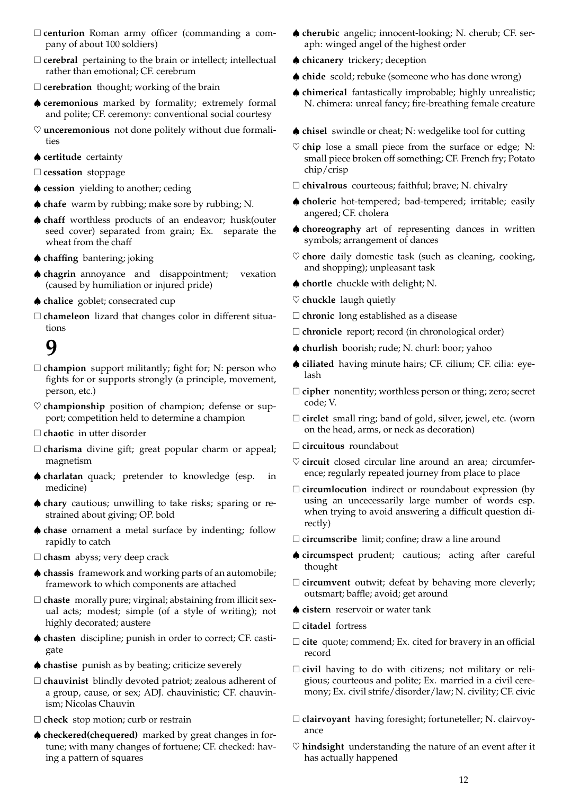- **centurion** Roman army officer (commanding a company of about 100 soldiers)
- $\Box$  **cerebral** pertaining to the brain or intellect; intellectual rather than emotional; CF. cerebrum
- **cerebration** thought; working of the brain
- ♠ **ceremonious** marked by formality; extremely formal and polite; CF. ceremony: conventional social courtesy
- $\heartsuit$  **unceremonious** not done politely without due formalities
- ♠ **certitude** certainty
- **cessation** stoppage
- ♠ **cession** yielding to another; ceding
- ♠ **chafe** warm by rubbing; make sore by rubbing; N.
- ♠ **chaff** worthless products of an endeavor; husk(outer seed cover) separated from grain; Ex. separate the wheat from the chaff
- ♠ **chaffing** bantering; joking
- ♠ **chagrin** annoyance and disappointment; vexation (caused by humiliation or injured pride)
- ♠ **chalice** goblet; consecrated cup
- **chameleon** lizard that changes color in different situations

- $\Box$  **champion** support militantly; fight for; N: person who fights for or supports strongly (a principle, movement, person, etc.)
- ♥ **championship** position of champion; defense or support; competition held to determine a champion
- **chaotic** in utter disorder
- **charisma** divine gift; great popular charm or appeal; magnetism
- ♠ **charlatan** quack; pretender to knowledge (esp. in medicine)
- ♠ **chary** cautious; unwilling to take risks; sparing or restrained about giving; OP. bold
- ♠ **chase** ornament a metal surface by indenting; follow rapidly to catch
- **chasm** abyss; very deep crack
- ♠ **chassis** framework and working parts of an automobile; framework to which components are attached
- **chaste** morally pure; virginal; abstaining from illicit sexual acts; modest; simple (of a style of writing); not highly decorated; austere
- ♠ **chasten** discipline; punish in order to correct; CF. castigate
- ♠ **chastise** punish as by beating; criticize severely
- **chauvinist** blindly devoted patriot; zealous adherent of a group, cause, or sex; ADJ. chauvinistic; CF. chauvinism; Nicolas Chauvin
- □ check stop motion; curb or restrain
- ♠ **checkered(chequered)** marked by great changes in fortune; with many changes of fortuene; CF. checked: having a pattern of squares
- ♠ **cherubic** angelic; innocent-looking; N. cherub; CF. seraph: winged angel of the highest order
- ♠ **chicanery** trickery; deception
- ♠ **chide** scold; rebuke (someone who has done wrong)
- ♠ **chimerical** fantastically improbable; highly unrealistic; N. chimera: unreal fancy; fire-breathing female creature
- ♠ **chisel** swindle or cheat; N: wedgelike tool for cutting
- $\heartsuit$  **chip** lose a small piece from the surface or edge; N: small piece broken off something; CF. French fry; Potato chip/crisp
- **chivalrous** courteous; faithful; brave; N. chivalry
- ♠ **choleric** hot-tempered; bad-tempered; irritable; easily angered; CF. cholera
- ♠ **choreography** art of representing dances in written symbols; arrangement of dances
- ♥ **chore** daily domestic task (such as cleaning, cooking, and shopping); unpleasant task
- ♠ **chortle** chuckle with delight; N.
- $\heartsuit$  **chuckle** laugh quietly
- **chronic** long established as a disease
- □ **chronicle** report; record (in chronological order)
- ♠ **churlish** boorish; rude; N. churl: boor; yahoo
- ♠ **ciliated** having minute hairs; CF. cilium; CF. cilia: eyelash
- □ **cipher** nonentity; worthless person or thing; zero; secret code; V.
- **circlet** small ring; band of gold, silver, jewel, etc. (worn on the head, arms, or neck as decoration)
- **circuitous** roundabout
- ♡ **circuit** closed circular line around an area; circumference; regularly repeated journey from place to place
- □ **circumlocution** indirect or roundabout expression (by using an uncecessarily large number of words esp. when trying to avoid answering a difficult question directly)
- □ **circumscribe** limit; confine; draw a line around
- ♠ **circumspect** prudent; cautious; acting after careful thought
- □ **circumvent** outwit; defeat by behaving more cleverly; outsmart; baffle; avoid; get around
- ♠ **cistern** reservoir or water tank
- **citadel** fortress
- □ **cite** quote; commend; Ex. cited for bravery in an official record
- **civil** having to do with citizens; not military or religious; courteous and polite; Ex. married in a civil ceremony; Ex. civil strife/disorder/law; N. civility; CF. civic
- **clairvoyant** having foresight; fortuneteller; N. clairvoyance
- $\heartsuit$  **hindsight** understanding the nature of an event after it has actually happened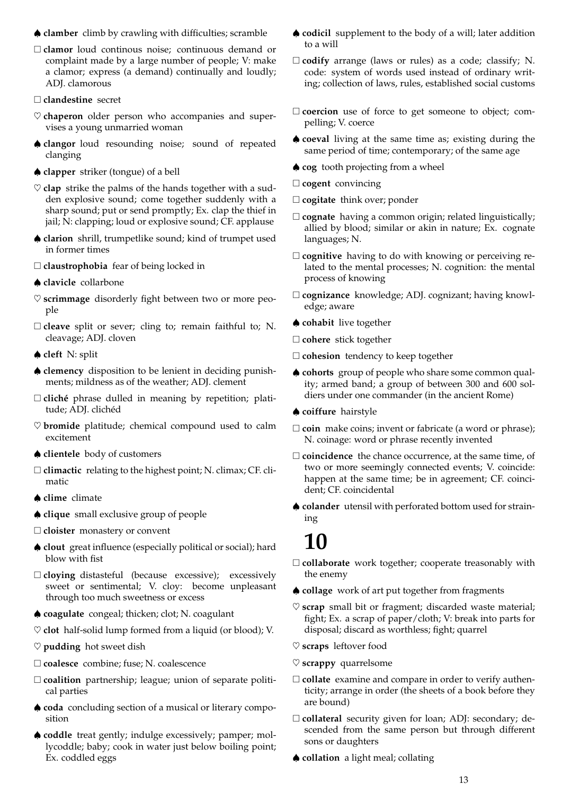- ♠ **clamber** climb by crawling with difficulties; scramble
- **clamor** loud continous noise; continuous demand or complaint made by a large number of people; V: make a clamor; express (a demand) continually and loudly; ADJ. clamorous
- **clandestine** secret
- $\heartsuit$  **chaperon** older person who accompanies and supervises a young unmarried woman
- ♠ **clangor** loud resounding noise; sound of repeated clanging
- ♠ **clapper** striker (tongue) of a bell
- $\heartsuit$  **clap** strike the palms of the hands together with a sudden explosive sound; come together suddenly with a sharp sound; put or send promptly; Ex. clap the thief in jail; N: clapping; loud or explosive sound; CF. applause
- ♠ **clarion** shrill, trumpetlike sound; kind of trumpet used in former times
- **claustrophobia** fear of being locked in
- ♠ **clavicle** collarbone
- ♥ **scrimmage** disorderly fight between two or more people
- □ **cleave** split or sever; cling to; remain faithful to; N. cleavage; ADJ. cloven
- ♠ **cleft** N: split
- ♠ **clemency** disposition to be lenient in deciding punishments; mildness as of the weather; ADJ. clement
- $\Box$  cliché phrase dulled in meaning by repetition; platitude; ADJ. clichéd
- ♥ **bromide** platitude; chemical compound used to calm excitement
- ♠ **clientele** body of customers
- □ **climactic** relating to the highest point; N. climax; CF. climatic
- ♠ **clime** climate
- ♠ **clique** small exclusive group of people
- □ **cloister** monastery or convent
- ♠ **clout** great influence (especially political or social); hard blow with fist
- □ **cloying** distasteful (because excessive); excessively sweet or sentimental; V. cloy: become unpleasant through too much sweetness or excess
- ♠ **coagulate** congeal; thicken; clot; N. coagulant
- ♥ **clot** half-solid lump formed from a liquid (or blood); V.
- $\heartsuit$  **pudding** hot sweet dish
- **coalesce** combine; fuse; N. coalescence
- **coalition** partnership; league; union of separate political parties
- ♠ **coda** concluding section of a musical or literary composition
- ♠ **coddle** treat gently; indulge excessively; pamper; mollycoddle; baby; cook in water just below boiling point; Ex. coddled eggs
- ♠ **codicil** supplement to the body of a will; later addition to a will
- □ **codify** arrange (laws or rules) as a code; classify; N. code: system of words used instead of ordinary writing; collection of laws, rules, established social customs
- **coercion** use of force to get someone to object; compelling; V. coerce
- ♠ **coeval** living at the same time as; existing during the same period of time; contemporary; of the same age
- ♠ **cog** tooth projecting from a wheel
- **cogent** convincing
- **cogitate** think over; ponder
- □ **cognate** having a common origin; related linguistically; allied by blood; similar or akin in nature; Ex. cognate languages; N.
- □ **cognitive** having to do with knowing or perceiving related to the mental processes; N. cognition: the mental process of knowing
- □ cognizance knowledge; ADJ. cognizant; having knowledge; aware
- ♠ **cohabit** live together
- □ cohere stick together
- □ cohesion tendency to keep together
- ♠ **cohorts** group of people who share some common quality; armed band; a group of between 300 and 600 soldiers under one commander (in the ancient Rome)
- ♠ **coiffure** hairstyle
- □ **coin** make coins; invent or fabricate (a word or phrase); N. coinage: word or phrase recently invented
- **coincidence** the chance occurrence, at the same time, of two or more seemingly connected events; V. coincide: happen at the same time; be in agreement; CF. coincident; CF. coincidental
- ♠ **colander** utensil with perforated bottom used for straining

- **collaborate** work together; cooperate treasonably with the enemy
- ♠ **collage** work of art put together from fragments
- $\heartsuit$  scrap small bit or fragment; discarded waste material; fight; Ex. a scrap of paper/cloth; V: break into parts for disposal; discard as worthless; fight; quarrel
- ♥ **scraps** leftover food
- $\heartsuit$  **scrappy** quarrelsome
- $\Box$  **collate** examine and compare in order to verify authenticity; arrange in order (the sheets of a book before they are bound)
- □ **collateral** security given for loan; ADJ: secondary; descended from the same person but through different sons or daughters
- ♠ **collation** a light meal; collating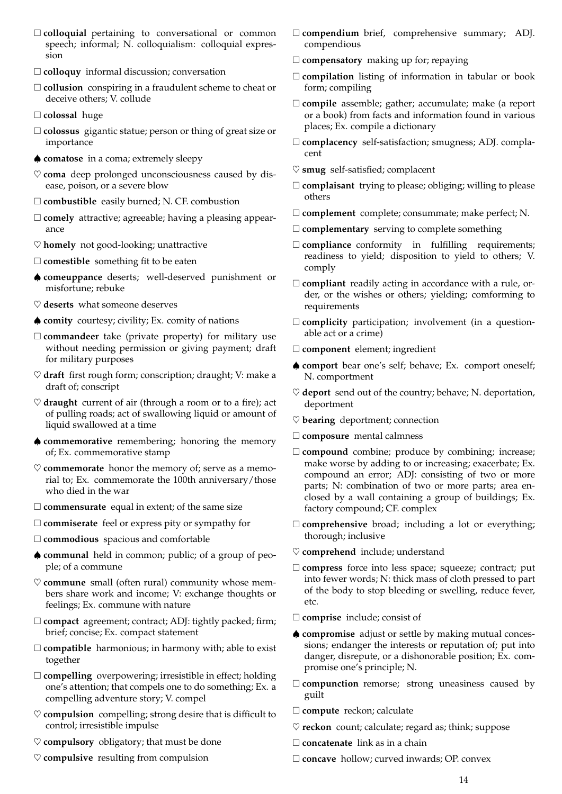- **colloquial** pertaining to conversational or common speech; informal; N. colloquialism: colloquial expression
- **colloquy** informal discussion; conversation
- **collusion** conspiring in a fraudulent scheme to cheat or deceive others; V. collude
- **colossal** huge
- **colossus** gigantic statue; person or thing of great size or importance
- ♠ **comatose** in a coma; extremely sleepy
- $\heartsuit$  **coma** deep prolonged unconsciousness caused by disease, poison, or a severe blow
- □ **combustible** easily burned; N. CF. combustion
- **comely** attractive; agreeable; having a pleasing appearance
- $\heartsuit$  **homely** not good-looking; unattractive
- □ **comestible** something fit to be eaten
- ♠ **comeuppance** deserts; well-deserved punishment or misfortune; rebuke
- ♥ **deserts** what someone deserves
- ♠ **comity** courtesy; civility; Ex. comity of nations
- **commandeer** take (private property) for military use without needing permission or giving payment; draft for military purposes
- ♥ **draft** first rough form; conscription; draught; V: make a draft of; conscript
- $\heartsuit$  **draught** current of air (through a room or to a fire); act of pulling roads; act of swallowing liquid or amount of liquid swallowed at a time
- ♠ **commemorative** remembering; honoring the memory of; Ex. commemorative stamp
- ♥ **commemorate** honor the memory of; serve as a memorial to; Ex. commemorate the 100th anniversary/those who died in the war
- $\square$  **commensurate** equal in extent; of the same size
- **commiserate** feel or express pity or sympathy for
- **commodious** spacious and comfortable
- ♠ **communal** held in common; public; of a group of people; of a commune
- ♥ **commune** small (often rural) community whose members share work and income; V: exchange thoughts or feelings; Ex. commune with nature
- □ **compact** agreement; contract; ADJ: tightly packed; firm; brief; concise; Ex. compact statement
- **compatible** harmonious; in harmony with; able to exist together
- □ **compelling** overpowering; irresistible in effect; holding one's attention; that compels one to do something; Ex. a compelling adventure story; V. compel
- $\heartsuit$  **compulsion** compelling; strong desire that is difficult to control; irresistible impulse
- $\heartsuit$  **compulsory** obligatory; that must be done
- ♥ **compulsive** resulting from compulsion
- **compendium** brief, comprehensive summary; ADJ. compendious
- **compensatory** making up for; repaying
- **compilation** listing of information in tabular or book form; compiling
- **compile** assemble; gather; accumulate; make (a report or a book) from facts and information found in various places; Ex. compile a dictionary
- □ **complacency** self-satisfaction; smugness; ADJ. complacent
- ♥ **smug** self-satisfied; complacent
- **complaisant** trying to please; obliging; willing to please others
- □ **complement** complete; consummate; make perfect; N.
- □ **complementary** serving to complete something
- **compliance** conformity in fulfilling requirements; readiness to yield; disposition to yield to others; V. comply
- **compliant** readily acting in accordance with a rule, order, or the wishes or others; yielding; comforming to requirements
- **complicity** participation; involvement (in a questionable act or a crime)
- **component** element; ingredient
- ♠ **comport** bear one's self; behave; Ex. comport oneself; N. comportment
- $\heartsuit$  **deport** send out of the country; behave; N. deportation, deportment
- $\heartsuit$  **bearing** deportment; connection
- **composure** mental calmness
- □ **compound** combine; produce by combining; increase; make worse by adding to or increasing; exacerbate; Ex. compound an error; ADJ: consisting of two or more parts; N: combination of two or more parts; area enclosed by a wall containing a group of buildings; Ex. factory compound; CF. complex
- **comprehensive** broad; including a lot or everything; thorough; inclusive
- ♥ **comprehend** include; understand
- □ **compress** force into less space; squeeze; contract; put into fewer words; N: thick mass of cloth pressed to part of the body to stop bleeding or swelling, reduce fever, etc.
- **comprise** include; consist of
- ♠ **compromise** adjust or settle by making mutual concessions; endanger the interests or reputation of; put into danger, disrepute, or a dishonorable position; Ex. compromise one's principle; N.
- □ **compunction** remorse; strong uneasiness caused by guilt
- **compute** reckon; calculate
- ♥ **reckon** count; calculate; regard as; think; suppose
- **concatenate** link as in a chain
- **concave** hollow; curved inwards; OP. convex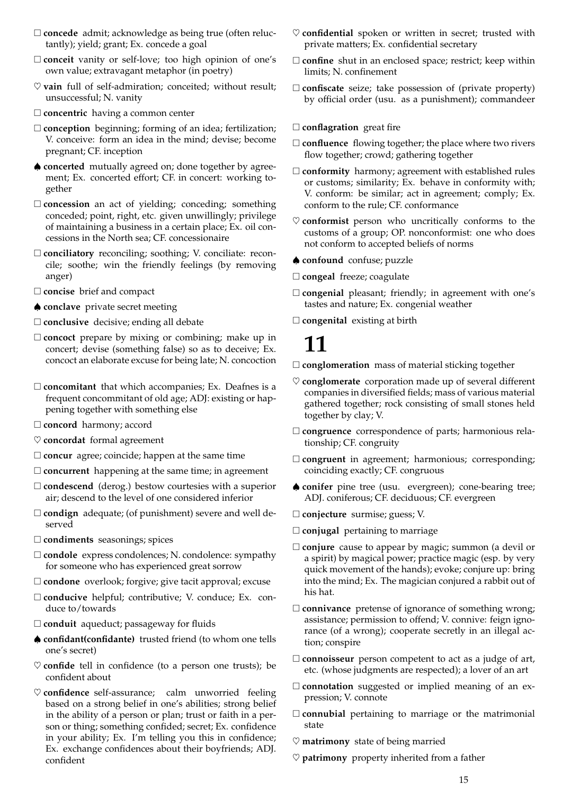- □ **concede** admit; acknowledge as being true (often reluctantly); yield; grant; Ex. concede a goal
- □ **conceit** vanity or self-love; too high opinion of one's own value; extravagant metaphor (in poetry)
- ♥ **vain** full of self-admiration; conceited; without result; unsuccessful; N. vanity
- **concentric** having a common center
- **conception** beginning; forming of an idea; fertilization; V. conceive: form an idea in the mind; devise; become pregnant; CF. inception
- ♠ **concerted** mutually agreed on; done together by agreement; Ex. concerted effort; CF. in concert: working together
- □ **concession** an act of yielding; conceding; something conceded; point, right, etc. given unwillingly; privilege of maintaining a business in a certain place; Ex. oil concessions in the North sea; CF. concessionaire
- □ **conciliatory** reconciling; soothing; V. conciliate: reconcile; soothe; win the friendly feelings (by removing anger)
- **concise** brief and compact
- ♠ **conclave** private secret meeting
- □ **conclusive** decisive; ending all debate
- □ **concoct** prepare by mixing or combining; make up in concert; devise (something false) so as to deceive; Ex. concoct an elaborate excuse for being late; N. concoction
- □ **concomitant** that which accompanies; Ex. Deafnes is a frequent concommitant of old age; ADJ: existing or happening together with something else
- □ **concord** harmony; accord
- ♥ **concordat** formal agreement
- □ **concur** agree; coincide; happen at the same time
- □ **concurrent** happening at the same time; in agreement
- □ **condescend** (derog.) bestow courtesies with a superior air; descend to the level of one considered inferior
- □ **condign** adequate; (of punishment) severe and well deserved
- **condiments** seasonings; spices
- □ **condole** express condolences; N. condolence: sympathy for someone who has experienced great sorrow
- □ **condone** overlook; forgive; give tacit approval; excuse
- □ **conducive** helpful; contributive; V. conduce; Ex. conduce to/towards
- □ **conduit** aqueduct; passageway for fluids
- ♠ **confidant(confidante)** trusted friend (to whom one tells one's secret)
- $\heartsuit$  **confide** tell in confidence (to a person one trusts); be confident about
- ♥ **confidence** self-assurance; calm unworried feeling based on a strong belief in one's abilities; strong belief in the ability of a person or plan; trust or faith in a person or thing; something confided; secret; Ex. confidence in your ability; Ex. I'm telling you this in confidence; Ex. exchange confidences about their boyfriends; ADJ. confident
- ♥ **confidential** spoken or written in secret; trusted with private matters; Ex. confidential secretary
- □ **confine** shut in an enclosed space; restrict; keep within limits; N. confinement
- **confiscate** seize; take possession of (private property) by official order (usu. as a punishment); commandeer
- **conflagration** great fire
- □ **confluence** flowing together; the place where two rivers flow together; crowd; gathering together
- □ **conformity** harmony; agreement with established rules or customs; similarity; Ex. behave in conformity with; V. conform: be similar; act in agreement; comply; Ex. conform to the rule; CF. conformance
- $\heartsuit$  **conformist** person who uncritically conforms to the customs of a group; OP. nonconformist: one who does not conform to accepted beliefs of norms
- ♠ **confound** confuse; puzzle
- **congeal** freeze; coagulate
- □ **congenial** pleasant; friendly; in agreement with one's tastes and nature; Ex. congenial weather
- **congenital** existing at birth

- **conglomeration** mass of material sticking together
- ♥ **conglomerate** corporation made up of several different companies in diversified fields; mass of various material gathered together; rock consisting of small stones held together by clay; V.
- **congruence** correspondence of parts; harmonious relationship; CF. congruity
- **congruent** in agreement; harmonious; corresponding; coinciding exactly; CF. congruous
- ♠ **conifer** pine tree (usu. evergreen); cone-bearing tree; ADJ. coniferous; CF. deciduous; CF. evergreen
- **conjecture** surmise; guess; V.
- **conjugal** pertaining to marriage
- □ **conjure** cause to appear by magic; summon (a devil or a spirit) by magical power; practice magic (esp. by very quick movement of the hands); evoke; conjure up: bring into the mind; Ex. The magician conjured a rabbit out of his hat.
- □ **connivance** pretense of ignorance of something wrong; assistance; permission to offend; V. connive: feign ignorance (of a wrong); cooperate secretly in an illegal action; conspire
- **connoisseur** person competent to act as a judge of art, etc. (whose judgments are respected); a lover of an art
- **connotation** suggested or implied meaning of an expression; V. connote
- **connubial** pertaining to marriage or the matrimonial state
- $\heartsuit$  **matrimony** state of being married
- $\heartsuit$  **patrimony** property inherited from a father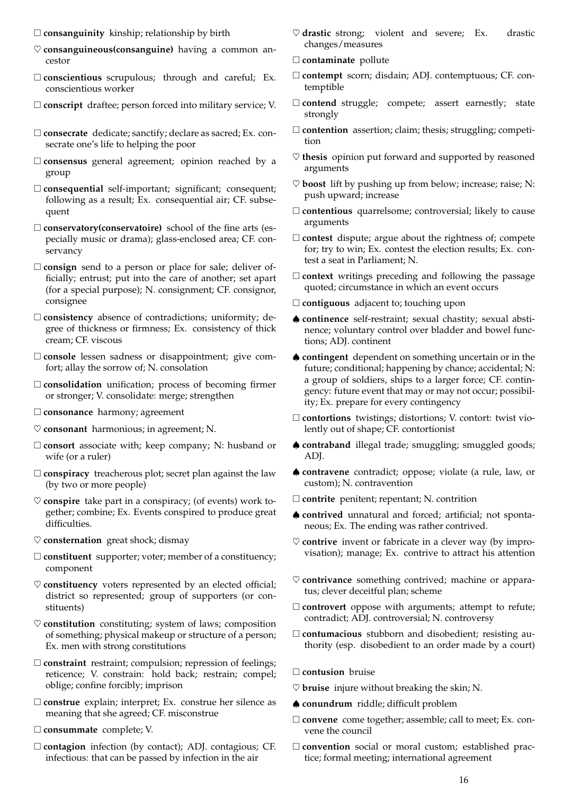- □ **consanguinity** kinship; relationship by birth
- ♥ **consanguineous(consanguine)** having a common ancestor
- **conscientious** scrupulous; through and careful; Ex. conscientious worker
- □ **conscript** draftee; person forced into military service; V.
- □ **consecrate** dedicate; sanctify; declare as sacred; Ex. consecrate one's life to helping the poor
- **consensus** general agreement; opinion reached by a group
- □ **consequential** self-important; significant; consequent; following as a result; Ex. consequential air; CF. subsequent
- **conservatory(conservatoire)** school of the fine arts (especially music or drama); glass-enclosed area; CF. conservancy
- □ **consign** send to a person or place for sale; deliver officially; entrust; put into the care of another; set apart (for a special purpose); N. consignment; CF. consignor, consignee
- □ **consistency** absence of contradictions; uniformity; degree of thickness or firmness; Ex. consistency of thick cream; CF. viscous
- **console** lessen sadness or disappointment; give comfort; allay the sorrow of; N. consolation
- □ **consolidation** unification; process of becoming firmer or stronger; V. consolidate: merge; strengthen
- **consonance** harmony; agreement
- $\heartsuit$  **consonant** harmonious; in agreement; N.
- □ **consort** associate with; keep company; N: husband or wife (or a ruler)
- **conspiracy** treacherous plot; secret plan against the law (by two or more people)
- $\heartsuit$  **conspire** take part in a conspiracy; (of events) work together; combine; Ex. Events conspired to produce great difficulties.
- ♥ **consternation** great shock; dismay
- □ **constituent** supporter; voter; member of a constituency; component
- $\heartsuit$  **constituency** voters represented by an elected official; district so represented; group of supporters (or constituents)
- $\heartsuit$  **constitution** constituting; system of laws; composition of something; physical makeup or structure of a person; Ex. men with strong constitutions
- □ **constraint** restraint; compulsion; repression of feelings; reticence; V. constrain: hold back; restrain; compel; oblige; confine forcibly; imprison
- **construe** explain; interpret; Ex. construe her silence as meaning that she agreed; CF. misconstrue
- **consummate** complete; V.
- □ **contagion** infection (by contact); ADJ. contagious; CF. infectious: that can be passed by infection in the air
- ♥ **drastic** strong; violent and severe; Ex. drastic changes/measures
- **contaminate** pollute
- **contempt** scorn; disdain; ADJ. contemptuous; CF. contemptible
- □ **contend** struggle; compete; assert earnestly; state strongly
- □ **contention** assertion; claim; thesis; struggling; competition
- $\heartsuit$  thesis opinion put forward and supported by reasoned arguments
- $\heartsuit$  **boost** lift by pushing up from below; increase; raise; N: push upward; increase
- **contentious** quarrelsome; controversial; likely to cause arguments
- □ **contest** dispute; argue about the rightness of; compete for; try to win; Ex. contest the election results; Ex. contest a seat in Parliament; N.
- □ **context** writings preceding and following the passage quoted; circumstance in which an event occurs
- **contiguous** adjacent to; touching upon
- ♠ **continence** self-restraint; sexual chastity; sexual abstinence; voluntary control over bladder and bowel functions; ADJ. continent
- ♠ **contingent** dependent on something uncertain or in the future; conditional; happening by chance; accidental; N: a group of soldiers, ships to a larger force; CF. contingency: future event that may or may not occur; possibility; Ex. prepare for every contingency
- □ **contortions** twistings; distortions; V. contort: twist violently out of shape; CF. contortionist
- ♠ **contraband** illegal trade; smuggling; smuggled goods; ADJ.
- ♠ **contravene** contradict; oppose; violate (a rule, law, or custom); N. contravention
- **contrite** penitent; repentant; N. contrition
- ♠ **contrived** unnatural and forced; artificial; not spontaneous; Ex. The ending was rather contrived.
- $\heartsuit$  **contrive** invent or fabricate in a clever way (by improvisation); manage; Ex. contrive to attract his attention
- ♥ **contrivance** something contrived; machine or apparatus; clever deceitful plan; scheme
- □ **controvert** oppose with arguments; attempt to refute; contradict; ADJ. controversial; N. controversy
- **contumacious** stubborn and disobedient; resisting authority (esp. disobedient to an order made by a court)
- **contusion** bruise
- ♥ **bruise** injure without breaking the skin; N.
- ♠ **conundrum** riddle; difficult problem
- □ **convene** come together; assemble; call to meet; Ex. convene the council
- **convention** social or moral custom; established practice; formal meeting; international agreement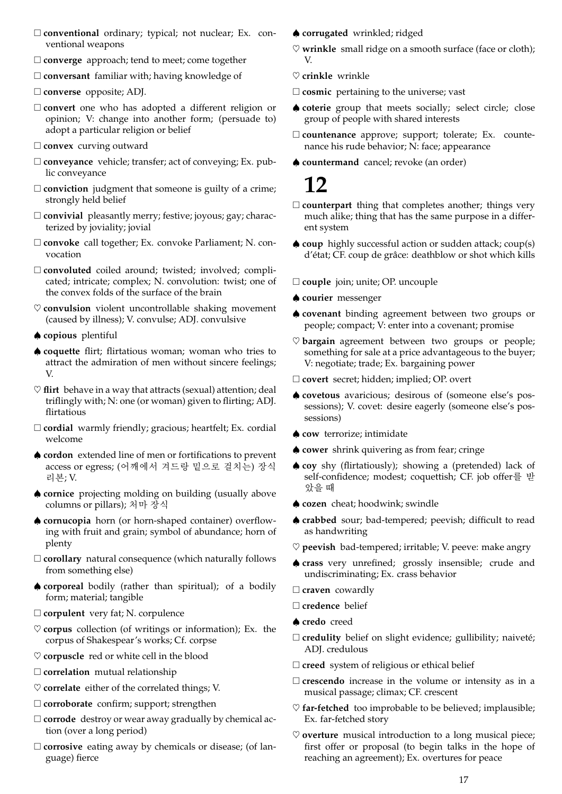- □ **conventional** ordinary; typical; not nuclear; Ex. conventional weapons
- □ **converge** approach; tend to meet; come together
- **conversant** familiar with; having knowledge of
- **converse** opposite; ADJ.
- **convert** one who has adopted a different religion or opinion; V: change into another form; (persuade to) adopt a particular religion or belief
- □ **convex** curving outward
- □ **conveyance** vehicle; transfer; act of conveying; Ex. public conveyance
- $\Box$  **conviction** judgment that someone is guilty of a crime; strongly held belief
- **convivial** pleasantly merry; festive; joyous; gay; characterized by joviality; jovial
- □ **convoke** call together; Ex. convoke Parliament; N. convocation
- □ **convoluted** coiled around; twisted; involved; complicated; intricate; complex; N. convolution: twist; one of the convex folds of the surface of the brain
- ♥ **convulsion** violent uncontrollable shaking movement (caused by illness); V. convulse; ADJ. convulsive
- ♠ **copious** plentiful
- ♠ **coquette** flirt; flirtatious woman; woman who tries to attract the admiration of men without sincere feelings; V.
- $\heartsuit$  **flirt** behave in a way that attracts (sexual) attention; deal triflingly with; N: one (or woman) given to flirting; ADJ. flirtatious
- □ **cordial** warmly friendly; gracious; heartfelt; Ex. cordial welcome
- ♠ **cordon** extended line of men or fortifications to prevent access or egress; (어깨에서 겨드랑 밑으로 걸치는) 장식 리본; V.
- ♠ **cornice** projecting molding on building (usually above columns or pillars); 처마 장식
- ♠ **cornucopia** horn (or horn-shaped container) overflowing with fruit and grain; symbol of abundance; horn of plenty
- □ **corollary** natural consequence (which naturally follows from something else)
- ♠ **corporeal** bodily (rather than spiritual); of a bodily form; material; tangible
- **corpulent** very fat; N. corpulence
- $\heartsuit$  **corpus** collection (of writings or information); Ex. the corpus of Shakespear's works; Cf. corpse
- ♥ **corpuscle** red or white cell in the blood
- **correlation** mutual relationship
- ♥ **correlate** either of the correlated things; V.
- □ **corroborate** confirm; support; strengthen
- □ **corrode** destroy or wear away gradually by chemical action (over a long period)
- **corrosive** eating away by chemicals or disease; (of language) fierce

#### ♠ **corrugated** wrinkled; ridged

- $\heartsuit$  wrinkle small ridge on a smooth surface (face or cloth); V.
- ♥ **crinkle** wrinkle
- □ **cosmic** pertaining to the universe; vast
- ♠ **coterie** group that meets socially; select circle; close group of people with shared interests
- **countenance** approve; support; tolerate; Ex. countenance his rude behavior; N: face; appearance
- ♠ **countermand** cancel; revoke (an order)

- $\Box$  **counterpart** thing that completes another; things very much alike; thing that has the same purpose in a different system
- ♠ **coup** highly successful action or sudden attack; coup(s) d'état; CF. coup de grâce: deathblow or shot which kills
- **couple** join; unite; OP. uncouple
- ♠ **courier** messenger
- ♠ **covenant** binding agreement between two groups or people; compact; V: enter into a covenant; promise
- ♥ **bargain** agreement between two groups or people; something for sale at a price advantageous to the buyer; V: negotiate; trade; Ex. bargaining power
- **covert** secret; hidden; implied; OP. overt
- ♠ **covetous** avaricious; desirous of (someone else's possessions); V. covet: desire eagerly (someone else's possessions)
- ♠ **cow** terrorize; intimidate
- ♠ **cower** shrink quivering as from fear; cringe
- ♠ **coy** shy (flirtatiously); showing a (pretended) lack of self-confidence; modest; coquettish; CF. job offer를 받<br>았을 때
- ♠ **cozen** cheat; hoodwink; swindle
- ♠ **crabbed** sour; bad-tempered; peevish; difficult to read as handwriting
- ♥ **peevish** bad-tempered; irritable; V. peeve: make angry
- ♠ **crass** very unrefined; grossly insensible; crude and undiscriminating; Ex. crass behavior
- □ craven cowardly
- **credence** belief
- ♠ **credo** creed
- $\Box$  credulity belief on slight evidence; gullibility; naiveté; ADJ. credulous
- □ **creed** system of religious or ethical belief
- □ **crescendo** increase in the volume or intensity as in a musical passage; climax; CF. crescent
- $\heartsuit$  far-fetched too improbable to be believed; implausible; Ex. far-fetched story
- ♥ **overture** musical introduction to a long musical piece; first offer or proposal (to begin talks in the hope of reaching an agreement); Ex. overtures for peace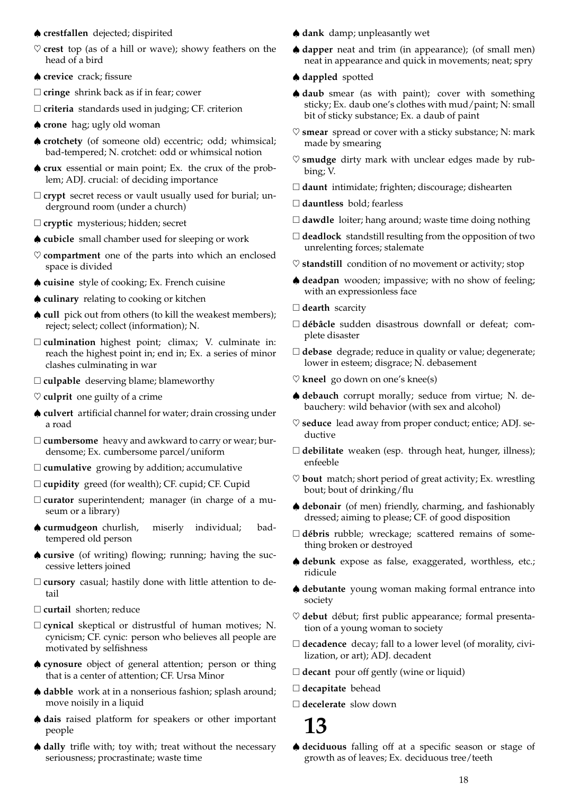- ♠ **crestfallen** dejected; dispirited
- $\heartsuit$  crest top (as of a hill or wave); showy feathers on the head of a bird
- ♠ **crevice** crack; fissure
- **cringe** shrink back as if in fear; cower
- □ **criteria** standards used in judging; CF. criterion
- ♠ **crone** hag; ugly old woman
- ♠ **crotchety** (of someone old) eccentric; odd; whimsical; bad-tempered; N. crotchet: odd or whimsical notion
- ♠ **crux** essential or main point; Ex. the crux of the problem; ADJ. crucial: of deciding importance
- **crypt** secret recess or vault usually used for burial; underground room (under a church)
- **cryptic** mysterious; hidden; secret
- ♠ **cubicle** small chamber used for sleeping or work
- $\heartsuit$  **compartment** one of the parts into which an enclosed space is divided
- ♠ **cuisine** style of cooking; Ex. French cuisine
- ♠ **culinary** relating to cooking or kitchen
- ♠ **cull** pick out from others (to kill the weakest members); reject; select; collect (information); N.
- **culmination** highest point; climax; V. culminate in: reach the highest point in; end in; Ex. a series of minor clashes culminating in war
- □ **culpable** deserving blame; blameworthy
- $\heartsuit$  **culprit** one guilty of a crime
- ♠ **culvert** artificial channel for water; drain crossing under a road
- **cumbersome** heavy and awkward to carry or wear; burdensome; Ex. cumbersome parcel/uniform
- **cumulative** growing by addition; accumulative
- □ **cupidity** greed (for wealth); CF. cupid; CF. Cupid
- **curator** superintendent; manager (in charge of a museum or a library)
- ♠ **curmudgeon** churlish, miserly individual; badtempered old person
- ♠ **cursive** (of writing) flowing; running; having the successive letters joined
- **cursory** casual; hastily done with little attention to detail
- **curtail** shorten; reduce
- **cynical** skeptical or distrustful of human motives; N. cynicism; CF. cynic: person who believes all people are motivated by selfishness
- ♠ **cynosure** object of general attention; person or thing that is a center of attention; CF. Ursa Minor
- ♠ **dabble** work at in a nonserious fashion; splash around; move noisily in a liquid
- ♠ **dais** raised platform for speakers or other important people
- ♠ **dally** trifle with; toy with; treat without the necessary seriousness; procrastinate; waste time
- ♠ **dank** damp; unpleasantly wet
- ♠ **dapper** neat and trim (in appearance); (of small men) neat in appearance and quick in movements; neat; spry
- ♠ **dappled** spotted
- ♠ **daub** smear (as with paint); cover with something sticky; Ex. daub one's clothes with mud/paint; N: small bit of sticky substance; Ex. a daub of paint
- $\heartsuit$  **smear** spread or cover with a sticky substance; N: mark made by smearing
- ♥ **smudge** dirty mark with unclear edges made by rubbing; V.
- **daunt** intimidate; frighten; discourage; dishearten
- **dauntless** bold; fearless
- □ **dawdle** loiter; hang around; waste time doing nothing
- $\Box$  **deadlock** standstill resulting from the opposition of two unrelenting forces; stalemate
- $\heartsuit$  **standstill** condition of no movement or activity; stop
- ♠ **deadpan** wooden; impassive; with no show of feeling; with an expressionless face
- □ **dearth** scarcity
- □ débâcle sudden disastrous downfall or defeat; complete disaster
- □ **debase** degrade; reduce in quality or value; degenerate; lower in esteem; disgrace; N. debasement
- ♥ **kneel** go down on one's knee(s)
- ♠ **debauch** corrupt morally; seduce from virtue; N. debauchery: wild behavior (with sex and alcohol)
- ♥ **seduce** lead away from proper conduct; entice; ADJ. seductive
- □ **debilitate** weaken (esp. through heat, hunger, illness); enfeeble
- ♥ **bout** match; short period of great activity; Ex. wrestling bout; bout of drinking/flu
- ♠ **debonair** (of men) friendly, charming, and fashionably dressed; aiming to please; CF. of good disposition
- □ **débris** rubble; wreckage; scattered remains of something broken or destroyed
- ♠ **debunk** expose as false, exaggerated, worthless, etc.; ridicule
- ♠ **debutante** young woman making formal entrance into society
- $\heartsuit$  debut début; first public appearance; formal presentation of a young woman to society
- □ **decadence** decay; fall to a lower level (of morality, civilization, or art); ADJ. decadent
- □ **decant** pour off gently (wine or liquid)
- **decapitate** behead
- **decelerate** slow down

♠ **deciduous** falling off at a specific season or stage of growth as of leaves; Ex. deciduous tree/teeth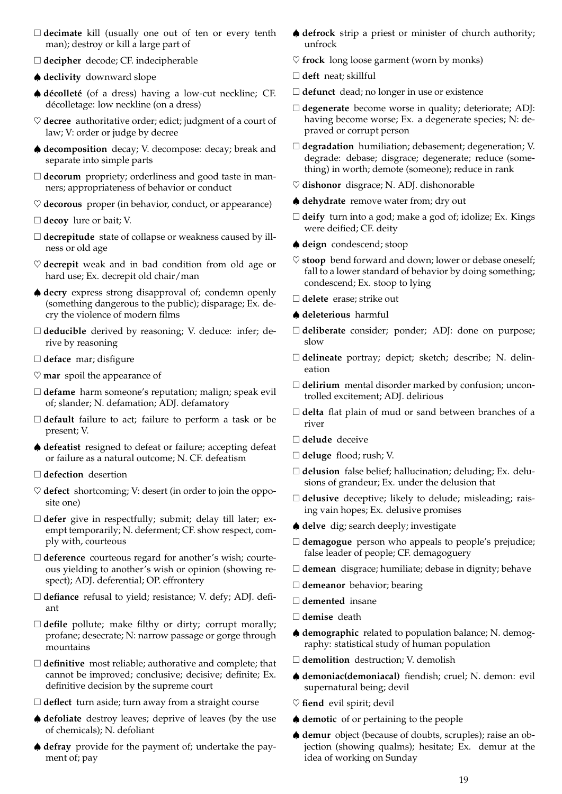- □ **decimate** kill (usually one out of ten or every tenth man); destroy or kill a large part of
- **decipher** decode; CF. indecipherable
- ♠ **declivity** downward slope
- ♠ **d´ecollet´e** (of a dress) having a low-cut neckline; CF. decolletage: low neckline (on a dress) ´
- ♥ **decree** authoritative order; edict; judgment of a court of law; V: order or judge by decree
- ♠ **decomposition** decay; V. decompose: decay; break and separate into simple parts
- □ **decorum** propriety; orderliness and good taste in manners; appropriateness of behavior or conduct
- ♥ **decorous** proper (in behavior, conduct, or appearance)
- **decoy** lure or bait; V.
- **decrepitude** state of collapse or weakness caused by illness or old age
- ♥ **decrepit** weak and in bad condition from old age or hard use; Ex. decrepit old chair/man
- ♠ **decry** express strong disapproval of; condemn openly (something dangerous to the public); disparage; Ex. decry the violence of modern films
- □ **deducible** derived by reasoning; V. deduce: infer; derive by reasoning
- **deface** mar; disfigure
- $\heartsuit$  **mar** spoil the appearance of
- □ defame harm someone's reputation; malign; speak evil of; slander; N. defamation; ADJ. defamatory
- □ **default** failure to act; failure to perform a task or be present; V.
- ♠ **defeatist** resigned to defeat or failure; accepting defeat or failure as a natural outcome; N. CF. defeatism
- **defection** desertion
- $\heartsuit$  **defect** shortcoming; V: desert (in order to join the opposite one)
- **defer** give in respectfully; submit; delay till later; exempt temporarily; N. deferment; CF. show respect, comply with, courteous
- □ **deference** courteous regard for another's wish; courteous yielding to another's wish or opinion (showing respect); ADJ. deferential; OP. effrontery
- □ **defiance** refusal to yield; resistance; V. defy; ADJ. defiant
- □ **defile** pollute; make filthy or dirty; corrupt morally; profane; desecrate; N: narrow passage or gorge through mountains
- □ **definitive** most reliable; authorative and complete; that cannot be improved; conclusive; decisive; definite; Ex. definitive decision by the supreme court
- □ **deflect** turn aside; turn away from a straight course
- ♠ **defoliate** destroy leaves; deprive of leaves (by the use of chemicals); N. defoliant
- ♠ **defray** provide for the payment of; undertake the payment of; pay
- ♠ **defrock** strip a priest or minister of church authority; unfrock
- $\heartsuit$  frock long loose garment (worn by monks)
- **deft** neat; skillful
- □ **defunct** dead; no longer in use or existence
- □ **degenerate** become worse in quality; deteriorate; ADJ: having become worse; Ex. a degenerate species; N: depraved or corrupt person
- **degradation** humiliation; debasement; degeneration; V. degrade: debase; disgrace; degenerate; reduce (something) in worth; demote (someone); reduce in rank
- ♥ **dishonor** disgrace; N. ADJ. dishonorable
- ♠ **dehydrate** remove water from; dry out
- □ **deify** turn into a god; make a god of; idolize; Ex. Kings were deified; CF. deity
- ♠ **deign** condescend; stoop
- $\heartsuit$  **stoop** bend forward and down; lower or debase oneself; fall to a lower standard of behavior by doing something; condescend; Ex. stoop to lying
- **delete** erase; strike out
- ♠ **deleterious** harmful
- **deliberate** consider; ponder; ADJ: done on purpose; slow
- □ **delineate** portray; depict; sketch; describe; N. delineation
- **delirium** mental disorder marked by confusion; uncontrolled excitement; ADJ. delirious
- □ **delta** flat plain of mud or sand between branches of a river
- **delude** deceive
- **deluge** flood; rush; V.
- **delusion** false belief; hallucination; deluding; Ex. delusions of grandeur; Ex. under the delusion that
- **delusive** deceptive; likely to delude; misleading; raising vain hopes; Ex. delusive promises
- ♠ **delve** dig; search deeply; investigate
- □ **demagogue** person who appeals to people's prejudice; false leader of people; CF. demagoguery
- **demean** disgrace; humiliate; debase in dignity; behave
- **demeanor** behavior; bearing
- **demented** insane
- **demise** death
- ♠ **demographic** related to population balance; N. demography: statistical study of human population
- **demolition** destruction; V. demolish
- ♠ **demoniac(demoniacal)** fiendish; cruel; N. demon: evil supernatural being; devil
- $\heartsuit$  **fiend** evil spirit; devil
- ♠ **demotic** of or pertaining to the people
- ♠ **demur** object (because of doubts, scruples); raise an objection (showing qualms); hesitate; Ex. demur at the idea of working on Sunday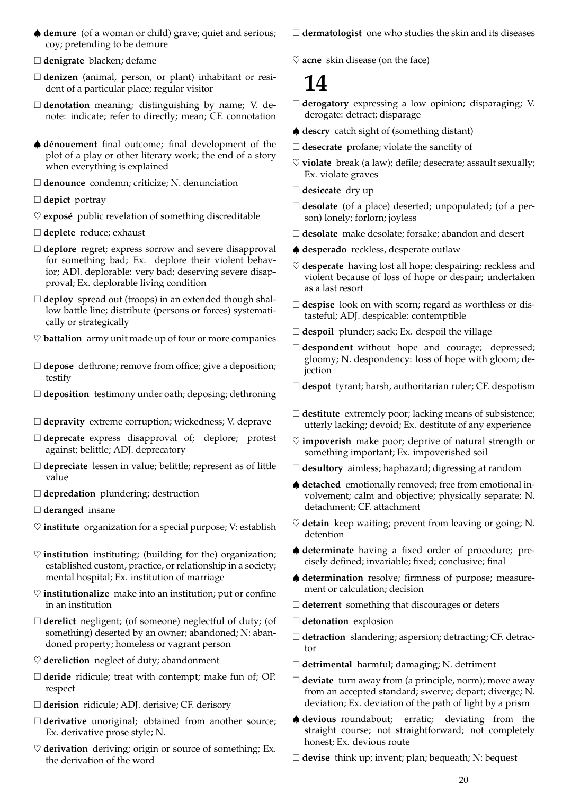- ♠ **demure** (of a woman or child) grave; quiet and serious; coy; pretending to be demure
- **denigrate** blacken; defame
- □ **denizen** (animal, person, or plant) inhabitant or resident of a particular place; regular visitor
- □ **denotation** meaning; distinguishing by name; V. denote: indicate; refer to directly; mean; CF. connotation
- ♠ **d´enouement** final outcome; final development of the plot of a play or other literary work; the end of a story when everything is explained
- **denounce** condemn; criticize; N. denunciation
- **depict** portray
- ♡ **exposé** public revelation of something discreditable
- **deplete** reduce; exhaust
- □ **deplore** regret; express sorrow and severe disapproval for something bad; Ex. deplore their violent behavior; ADJ. deplorable: very bad; deserving severe disapproval; Ex. deplorable living condition
- □ **deploy** spread out (troops) in an extended though shallow battle line; distribute (persons or forces) systematically or strategically
- $\heartsuit$  **battalion** army unit made up of four or more companies
- □ **depose** dethrone; remove from office; give a deposition; testify
- **deposition** testimony under oath; deposing; dethroning
- **depravity** extreme corruption; wickedness; V. deprave
- **deprecate** express disapproval of; deplore; protest against; belittle; ADJ. deprecatory
- **depreciate** lessen in value; belittle; represent as of little value
- □ **depredation** plundering; destruction
- **deranged** insane
- ♥ **institute** organization for a special purpose; V: establish
- $\heartsuit$  **institution** instituting; (building for the) organization; established custom, practice, or relationship in a society; mental hospital; Ex. institution of marriage
- $\heartsuit$  **institutionalize** make into an institution; put or confine in an institution
- **derelict** negligent; (of someone) neglectful of duty; (of something) deserted by an owner; abandoned; N: abandoned property; homeless or vagrant person
- $\heartsuit$  **dereliction** neglect of duty; abandonment
- □ **deride** ridicule; treat with contempt; make fun of; OP. respect
- **derision** ridicule; ADJ. derisive; CF. derisory
- □ **derivative** unoriginal; obtained from another source; Ex. derivative prose style; N.
- $\heartsuit$  **derivation** deriving; origin or source of something; Ex. the derivation of the word
- **dermatologist** one who studies the skin and its diseases
- ♥ **acne** skin disease (on the face)

- **derogatory** expressing a low opinion; disparaging; V. derogate: detract; disparage
- ♠ **descry** catch sight of (something distant)
- □ **desecrate** profane; violate the sanctity of
- ♥ **violate** break (a law); defile; desecrate; assault sexually; Ex. violate graves
- **desiccate** dry up
- **desolate** (of a place) deserted; unpopulated; (of a person) lonely; forlorn; joyless
- **desolate** make desolate; forsake; abandon and desert
- ♠ **desperado** reckless, desperate outlaw
- $\heartsuit$  **desperate** having lost all hope; despairing; reckless and violent because of loss of hope or despair; undertaken as a last resort
- □ **despise** look on with scorn; regard as worthless or distasteful; ADJ. despicable: contemptible
- □ **despoil** plunder; sack; Ex. despoil the village
- □ **despondent** without hope and courage; depressed; gloomy; N. despondency: loss of hope with gloom; dejection
- **despot** tyrant; harsh, authoritarian ruler; CF. despotism
- **destitute** extremely poor; lacking means of subsistence; utterly lacking; devoid; Ex. destitute of any experience
- $\heartsuit$  **impoverish** make poor; deprive of natural strength or something important; Ex. impoverished soil
- **desultory** aimless; haphazard; digressing at random
- ♠ **detached** emotionally removed; free from emotional involvement; calm and objective; physically separate; N. detachment; CF. attachment
- ♥ **detain** keep waiting; prevent from leaving or going; N. detention
- ♠ **determinate** having a fixed order of procedure; precisely defined; invariable; fixed; conclusive; final
- ♠ **determination** resolve; firmness of purpose; measurement or calculation; decision
- □ **deterrent** something that discourages or deters
- **detonation** explosion
- □ **detraction** slandering; aspersion; detracting; CF. detractor
- **detrimental** harmful; damaging; N. detriment
- □ **deviate** turn away from (a principle, norm); move away from an accepted standard; swerve; depart; diverge; N. deviation; Ex. deviation of the path of light by a prism
- ♠ **devious** roundabout; erratic; deviating from the straight course; not straightforward; not completely honest; Ex. devious route
- **devise** think up; invent; plan; bequeath; N: bequest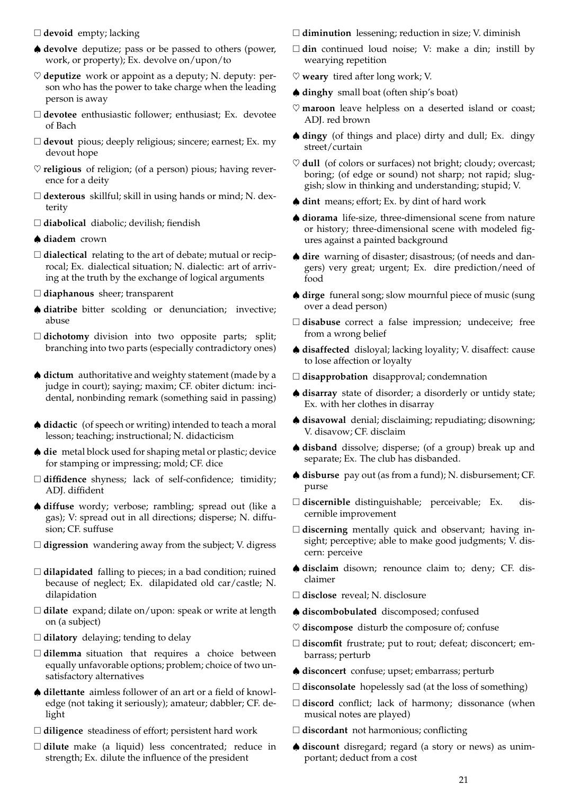- □ **devoid** empty; lacking
- ♠ **devolve** deputize; pass or be passed to others (power, work, or property); Ex. devolve on/upon/to
- ♥ **deputize** work or appoint as a deputy; N. deputy: person who has the power to take charge when the leading person is away
- **devotee** enthusiastic follower; enthusiast; Ex. devotee of Bach
- □ **devout** pious; deeply religious; sincere; earnest; Ex. my devout hope
- $\heartsuit$  **religious** of religion; (of a person) pious; having reverence for a deity
- **dexterous** skillful; skill in using hands or mind; N. dexterity
- **diabolical** diabolic; devilish; fiendish
- ♠ **diadem** crown
- □ **dialectical** relating to the art of debate; mutual or reciprocal; Ex. dialectical situation; N. dialectic: art of arriving at the truth by the exchange of logical arguments
- **diaphanous** sheer; transparent
- ♠ **diatribe** bitter scolding or denunciation; invective; abuse
- $\Box$  **dichotomy** division into two opposite parts; split; branching into two parts (especially contradictory ones)
- ♠ **dictum** authoritative and weighty statement (made by a judge in court); saying; maxim; CF. obiter dictum: incidental, nonbinding remark (something said in passing)
- ♠ **didactic** (of speech or writing) intended to teach a moral lesson; teaching; instructional; N. didacticism
- ♠ **die** metal block used for shaping metal or plastic; device for stamping or impressing; mold; CF. dice
- **diffidence** shyness; lack of self-confidence; timidity; ADJ. diffident
- ♠ **diffuse** wordy; verbose; rambling; spread out (like a gas); V: spread out in all directions; disperse; N. diffusion; CF. suffuse
- □ **digression** wandering away from the subject; V. digress
- $\Box$  **dilapidated** falling to pieces; in a bad condition; ruined because of neglect; Ex. dilapidated old car/castle; N. dilapidation
- **dilate** expand; dilate on/upon: speak or write at length on (a subject)
- □ **dilatory** delaying; tending to delay
- **dilemma** situation that requires a choice between equally unfavorable options; problem; choice of two unsatisfactory alternatives
- ♠ **dilettante** aimless follower of an art or a field of knowledge (not taking it seriously); amateur; dabbler; CF. delight
- **diligence** steadiness of effort; persistent hard work
- □ **dilute** make (a liquid) less concentrated; reduce in strength; Ex. dilute the influence of the president
- □ **diminution** lessening; reduction in size; V. diminish
- $\Box$  **din** continued loud noise; V: make a din; instill by wearying repetition
- ♥ **weary** tired after long work; V.
- ♠ **dinghy** small boat (often ship's boat)
- ♥ **maroon** leave helpless on a deserted island or coast; ADJ. red brown
- ♠ **dingy** (of things and place) dirty and dull; Ex. dingy street/curtain
- ♥ **dull** (of colors or surfaces) not bright; cloudy; overcast; boring; (of edge or sound) not sharp; not rapid; sluggish; slow in thinking and understanding; stupid; V.
- ♠ **dint** means; effort; Ex. by dint of hard work
- ♠ **diorama** life-size, three-dimensional scene from nature or history; three-dimensional scene with modeled figures against a painted background
- ♠ **dire** warning of disaster; disastrous; (of needs and dangers) very great; urgent; Ex. dire prediction/need of food
- ♠ **dirge** funeral song; slow mournful piece of music (sung over a dead person)
- **disabuse** correct a false impression; undeceive; free from a wrong belief
- ♠ **disaffected** disloyal; lacking loyality; V. disaffect: cause to lose affection or loyalty
- □ disapprobation disapproval; condemnation
- ♠ **disarray** state of disorder; a disorderly or untidy state; Ex. with her clothes in disarray
- ♠ **disavowal** denial; disclaiming; repudiating; disowning; V. disavow; CF. disclaim
- ♠ **disband** dissolve; disperse; (of a group) break up and separate; Ex. The club has disbanded.
- ♠ **disburse** pay out (as from a fund); N. disbursement; CF. purse
- □ discernible distinguishable; perceivable; Ex. discernible improvement
- **discerning** mentally quick and observant; having insight; perceptive; able to make good judgments; V. discern: perceive
- ♠ **disclaim** disown; renounce claim to; deny; CF. disclaimer
- **disclose** reveal; N. disclosure
- ♠ **discombobulated** discomposed; confused
- $\heartsuit$  **discompose** disturb the composure of; confuse
- **discomfit** frustrate; put to rout; defeat; disconcert; embarrass; perturb
- ♠ **disconcert** confuse; upset; embarrass; perturb
- □ **disconsolate** hopelessly sad (at the loss of something)
- $\Box$  **discord** conflict; lack of harmony; dissonance (when musical notes are played)
- **discordant** not harmonious; conflicting
- ♠ **discount** disregard; regard (a story or news) as unimportant; deduct from a cost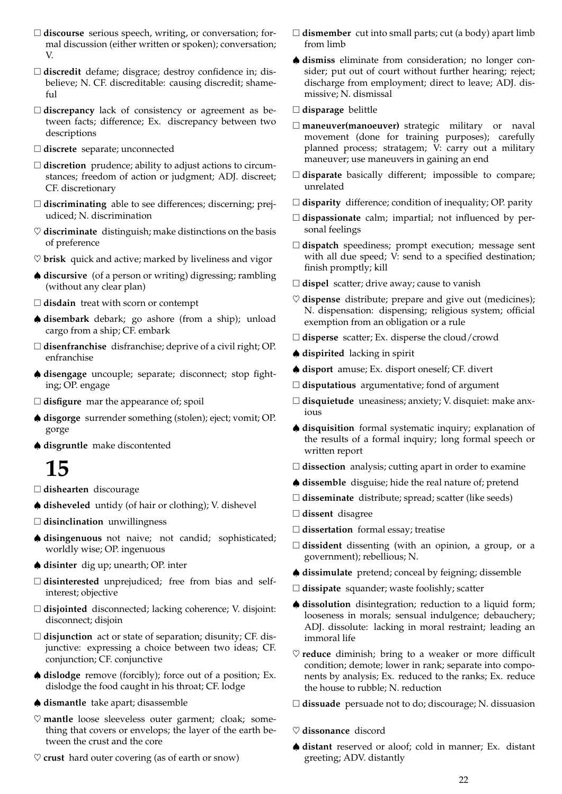- □ **discourse** serious speech, writing, or conversation; formal discussion (either written or spoken); conversation; V.
- □ discredit defame; disgrace; destroy confidence in; disbelieve; N. CF. discreditable: causing discredit; shame $f_{11}$
- □ **discrepancy** lack of consistency or agreement as between facts; difference; Ex. discrepancy between two descriptions
- **discrete** separate; unconnected
- $\Box$  **discretion** prudence; ability to adjust actions to circumstances; freedom of action or judgment; ADJ. discreet; CF. discretionary
- □ **discriminating** able to see differences; discerning; prejudiced; N. discrimination
- ♥ **discriminate** distinguish; make distinctions on the basis of preference
- $\heartsuit$  **brisk** quick and active; marked by liveliness and vigor
- ♠ **discursive** (of a person or writing) digressing; rambling (without any clear plan)
- **disdain** treat with scorn or contempt
- ♠ **disembark** debark; go ashore (from a ship); unload cargo from a ship; CF. embark
- **disenfranchise** disfranchise; deprive of a civil right; OP. enfranchise
- ♠ **disengage** uncouple; separate; disconnect; stop fighting; OP. engage
- □ **disfigure** mar the appearance of; spoil
- ♠ **disgorge** surrender something (stolen); eject; vomit; OP. gorge
- ♠ **disgruntle** make discontented

- **dishearten** discourage
- ♠ **disheveled** untidy (of hair or clothing); V. dishevel
- **disinclination** unwillingness
- ♠ **disingenuous** not naive; not candid; sophisticated; worldly wise; OP. ingenuous
- ♠ **disinter** dig up; unearth; OP. inter
- **disinterested** unprejudiced; free from bias and selfinterest; objective
- □ **disjointed** disconnected; lacking coherence; V. disjoint: disconnect; disjoin
- □ **disjunction** act or state of separation; disunity; CF. disjunctive: expressing a choice between two ideas; CF. conjunction; CF. conjunctive
- ♠ **dislodge** remove (forcibly); force out of a position; Ex. dislodge the food caught in his throat; CF. lodge
- ♠ **dismantle** take apart; disassemble
- ♥ **mantle** loose sleeveless outer garment; cloak; something that covers or envelops; the layer of the earth between the crust and the core
- ♥ **crust** hard outer covering (as of earth or snow)
- $\Box$  **dismember** cut into small parts; cut (a body) apart limb from limb
- ♠ **dismiss** eliminate from consideration; no longer consider; put out of court without further hearing; reject; discharge from employment; direct to leave; ADJ. dismissive; N. dismissal
- **disparage** belittle
- **maneuver(manoeuver)** strategic military or naval movement (done for training purposes); carefully planned process; stratagem; V: carry out a military maneuver; use maneuvers in gaining an end
- □ disparate basically different; impossible to compare; unrelated
- $\Box$  **disparity** difference; condition of inequality; OP. parity
- **dispassionate** calm; impartial; not influenced by personal feelings
- □ dispatch speediness; prompt execution; message sent with all due speed; V: send to a specified destination; finish promptly; kill
- □ dispel scatter; drive away; cause to vanish
- ♥ **dispense** distribute; prepare and give out (medicines); N. dispensation: dispensing; religious system; official exemption from an obligation or a rule
- **disperse** scatter; Ex. disperse the cloud/crowd
- ♠ **dispirited** lacking in spirit
- ♠ **disport** amuse; Ex. disport oneself; CF. divert
- **disputatious** argumentative; fond of argument
- □ **disquietude** uneasiness; anxiety; V. disquiet: make anxious
- ♠ **disquisition** formal systematic inquiry; explanation of the results of a formal inquiry; long formal speech or written report
- □ **dissection** analysis; cutting apart in order to examine
- ♠ **dissemble** disguise; hide the real nature of; pretend
- **disseminate** distribute; spread; scatter (like seeds)
- **dissent** disagree
- **dissertation** formal essay; treatise
- □ **dissident** dissenting (with an opinion, a group, or a government); rebellious; N.
- ♠ **dissimulate** pretend; conceal by feigning; dissemble
- **dissipate** squander; waste foolishly; scatter
- ♠ **dissolution** disintegration; reduction to a liquid form; looseness in morals; sensual indulgence; debauchery; ADJ. dissolute: lacking in moral restraint; leading an immoral life
- ♥ **reduce** diminish; bring to a weaker or more difficult condition; demote; lower in rank; separate into components by analysis; Ex. reduced to the ranks; Ex. reduce the house to rubble; N. reduction
- **dissuade** persuade not to do; discourage; N. dissuasion
- ♥ **dissonance** discord
- ♠ **distant** reserved or aloof; cold in manner; Ex. distant greeting; ADV. distantly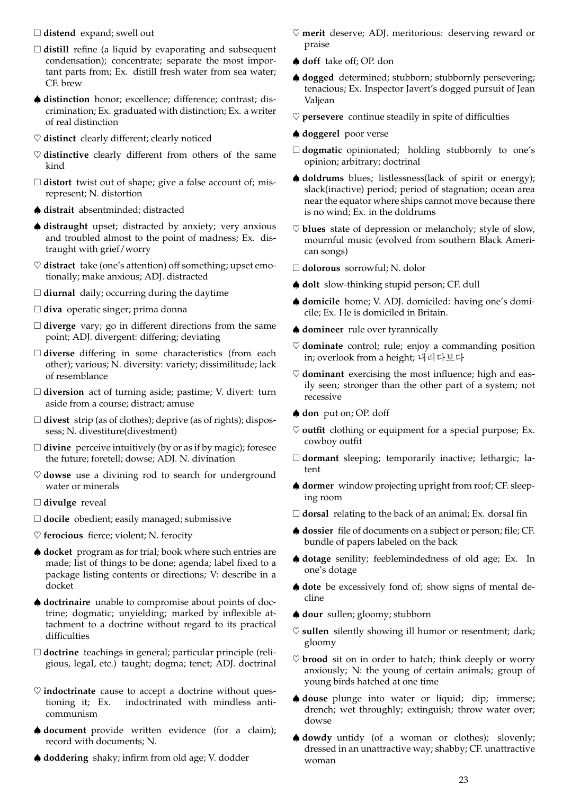- **distend** expand; swell out
- □ **distill** refine (a liquid by evaporating and subsequent condensation); concentrate; separate the most important parts from; Ex. distill fresh water from sea water; CF. brew
- ♠ **distinction** honor; excellence; difference; contrast; discrimination; Ex. graduated with distinction; Ex. a writer of real distinction
- ♥ **distinct** clearly different; clearly noticed
- $\heartsuit$  **distinctive** clearly different from others of the same kind
- □ **distort** twist out of shape; give a false account of; misrepresent; N. distortion
- ♠ **distrait** absentminded; distracted
- ♠ **distraught** upset; distracted by anxiety; very anxious and troubled almost to the point of madness; Ex. distraught with grief/worry
- $\heartsuit$  **distract** take (one's attention) off something; upset emotionally; make anxious; ADJ. distracted
- □ **diurnal** daily; occurring during the daytime
- **diva** operatic singer; prima donna
- **diverge** vary; go in different directions from the same point; ADJ. divergent: differing; deviating
- **diverse** differing in some characteristics (from each other); various; N. diversity: variety; dissimilitude; lack of resemblance
- □ diversion act of turning aside; pastime; V. divert: turn aside from a course; distract; amuse
- □ **divest** strip (as of clothes); deprive (as of rights); dispossess; N. divestiture(divestment)
- □ **divine** perceive intuitively (by or as if by magic); foresee the future; foretell; dowse; ADJ. N. divination
- ♥ **dowse** use a divining rod to search for underground water or minerals
- **divulge** reveal
- **docile** obedient; easily managed; submissive
- ♥ **ferocious** fierce; violent; N. ferocity
- ♠ **docket** program as for trial; book where such entries are made; list of things to be done; agenda; label fixed to a package listing contents or directions; V: describe in a docket
- ♠ **doctrinaire** unable to compromise about points of doctrine; dogmatic; unyielding; marked by inflexible attachment to a doctrine without regard to its practical difficulties
- □ **doctrine** teachings in general; particular principle (religious, legal, etc.) taught; dogma; tenet; ADJ. doctrinal
- $\heartsuit$  **indoctrinate** cause to accept a doctrine without questioning it; Ex. indoctrinated with mindless anticommunism
- ♠ **document** provide written evidence (for a claim); record with documents; N.
- ♠ **doddering** shaky; infirm from old age; V. dodder
- ♥ **merit** deserve; ADJ. meritorious: deserving reward or praise
- ♠ **doff** take off; OP. don
- ♠ **dogged** determined; stubborn; stubbornly persevering; tenacious; Ex. Inspector Javert's dogged pursuit of Jean Valjean
- $\heartsuit$  persevere continue steadily in spite of difficulties
- ♠ **doggerel** poor verse
- **dogmatic** opinionated; holding stubbornly to one's opinion; arbitrary; doctrinal
- ♠ **doldrums** blues; listlessness(lack of spirit or energy); slack(inactive) period; period of stagnation; ocean area near the equator where ships cannot move because there is no wind; Ex. in the doldrums
- ♥ **blues** state of depression or melancholy; style of slow, mournful music (evolved from southern Black American songs)
- **dolorous** sorrowful; N. dolor
- ♠ **dolt** slow-thinking stupid person; CF. dull
- ♠ **domicile** home; V. ADJ. domiciled: having one's domicile; Ex. He is domiciled in Britain.
- ♠ **domineer** rule over tyrannically
- $\heartsuit$  **dominate** control; rule; enjoy a commanding position in; overlook from a height; 내려다보다
- $\heartsuit$  **dominant** exercising the most influence; high and easily seen; stronger than the other part of a system; not recessive
- ♠ **don** put on; OP. doff
- $\heartsuit$  outfit clothing or equipment for a special purpose; Ex. cowboy outfit
- **dormant** sleeping; temporarily inactive; lethargic; latent
- ♠ **dormer** window projecting upright from roof; CF. sleeping room
- **dorsal** relating to the back of an animal; Ex. dorsal fin
- ♠ **dossier** file of documents on a subject or person; file; CF. bundle of papers labeled on the back
- ♠ **dotage** senility; feeblemindedness of old age; Ex. In one's dotage
- ♠ **dote** be excessively fond of; show signs of mental decline
- ♠ **dour** sullen; gloomy; stubborn
- ♥ **sullen** silently showing ill humor or resentment; dark; gloomy
- $\heartsuit$  **brood** sit on in order to hatch; think deeply or worry anxiously; N: the young of certain animals; group of young birds hatched at one time
- ♠ **douse** plunge into water or liquid; dip; immerse; drench; wet throughly; extinguish; throw water over; dowse
- ♠ **dowdy** untidy (of a woman or clothes); slovenly; dressed in an unattractive way; shabby; CF. unattractive woman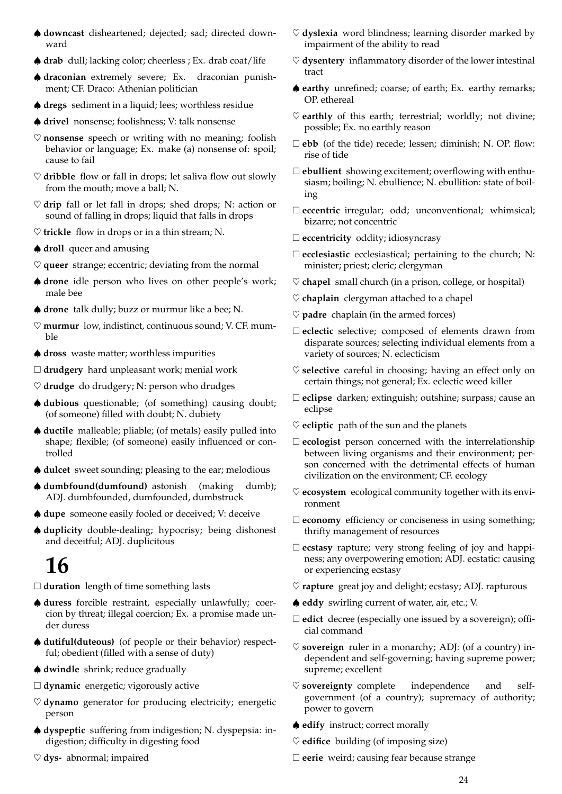- ♠ **downcast** disheartened; dejected; sad; directed downward
- ♠ **drab** dull; lacking color; cheerless ; Ex. drab coat/life
- ♠ **draconian** extremely severe; Ex. draconian punishment; CF. Draco: Athenian politician
- ♠ **dregs** sediment in a liquid; lees; worthless residue
- ♠ **drivel** nonsense; foolishness; V: talk nonsense
- $\heartsuit$  **nonsense** speech or writing with no meaning; foolish behavior or language; Ex. make (a) nonsense of: spoil; cause to fail
- $\heartsuit$  **dribble** flow or fall in drops; let saliva flow out slowly from the mouth; move a ball; N.
- $\heartsuit$  **drip** fall or let fall in drops; shed drops; N: action or sound of falling in drops; liquid that falls in drops
- ♥ **trickle** flow in drops or in a thin stream; N.
- ♠ **droll** queer and amusing
- $\heartsuit$  queer strange; eccentric; deviating from the normal
- ♠ **drone** idle person who lives on other people's work; male bee
- ♠ **drone** talk dully; buzz or murmur like a bee; N.
- ♥ **murmur** low, indistinct, continuous sound; V. CF. mumble
- ♠ **dross** waste matter; worthless impurities
- **drudgery** hard unpleasant work; menial work
- ♥ **drudge** do drudgery; N: person who drudges
- ♠ **dubious** questionable; (of something) causing doubt; (of someone) filled with doubt; N. dubiety
- ♠ **ductile** malleable; pliable; (of metals) easily pulled into shape; flexible; (of someone) easily influenced or controlled
- ♠ **dulcet** sweet sounding; pleasing to the ear; melodious
- ♠ **dumbfound(dumfound)** astonish (making dumb); ADJ. dumbfounded, dumfounded, dumbstruck
- ♠ **dupe** someone easily fooled or deceived; V: deceive
- ♠ **duplicity** double-dealing; hypocrisy; being dishonest and deceitful; ADJ. duplicitous

- **duration** length of time something lasts
- ♠ **duress** forcible restraint, especially unlawfully; coercion by threat; illegal coercion; Ex. a promise made under duress
- ♠ **dutiful(duteous)** (of people or their behavior) respectful; obedient (filled with a sense of duty)
- ♠ **dwindle** shrink; reduce gradually
- □ dynamic energetic; vigorously active
- $\heartsuit$  **dynamo** generator for producing electricity; energetic person
- ♠ **dyspeptic** suffering from indigestion; N. dyspepsia: indigestion; difficulty in digesting food
- ♥ **dys-** abnormal; impaired
- $\heartsuit$  **dyslexia** word blindness; learning disorder marked by impairment of the ability to read
- $\heartsuit$  **dysentery** inflammatory disorder of the lower intestinal tract
- ♠ **earthy** unrefined; coarse; of earth; Ex. earthy remarks; OP. ethereal
- $\heartsuit$  **earthly** of this earth; terrestrial; worldly; not divine; possible; Ex. no earthly reason
- $\square$  **ebb** (of the tide) recede; lessen; diminish; N. OP. flow: rise of tide
- **ebullient** showing excitement; overflowing with enthusiasm; boiling; N. ebullience; N. ebullition: state of boiling
- **eccentric** irregular; odd; unconventional; whimsical; bizarre; not concentric
- **eccentricity** oddity; idiosyncrasy
- **ecclesiastic** ecclesiastical; pertaining to the church; N: minister; priest; cleric; clergyman
- ♥ **chapel** small church (in a prison, college, or hospital)
- $\heartsuit$  **chaplain** clergyman attached to a chapel
- $\heartsuit$  **padre** chaplain (in the armed forces)
- **eclectic** selective; composed of elements drawn from disparate sources; selecting individual elements from a variety of sources; N. eclecticism
- ♥ **selective** careful in choosing; having an effect only on certain things; not general; Ex. eclectic weed killer
- **eclipse** darken; extinguish; outshine; surpass; cause an eclipse
- $\heartsuit$  **ecliptic** path of the sun and the planets
- **ecologist** person concerned with the interrelationship between living organisms and their environment; person concerned with the detrimental effects of human civilization on the environment; CF. ecology
- $\heartsuit$  ecosystem ecological community together with its environment
- □ **economy** efficiency or conciseness in using something; thrifty management of resources
- **ecstasy** rapture; very strong feeling of joy and happiness; any overpowering emotion; ADJ. ecstatic: causing or experiencing ecstasy
- $\heartsuit$  **rapture** great joy and delight; ecstasy; ADJ. rapturous
- ♠ **eddy** swirling current of water, air, etc.; V.
- □ **edict** decree (especially one issued by a sovereign); official command
- ♥ **sovereign** ruler in a monarchy; ADJ: (of a country) independent and self-governing; having supreme power; supreme; excellent
- ♥ **sovereignty** complete independence and selfgovernment (of a country); supremacy of authority; power to govern
- ♠ **edify** instruct; correct morally
- $\heartsuit$  **edifice** building (of imposing size)
- □ **eerie** weird; causing fear because strange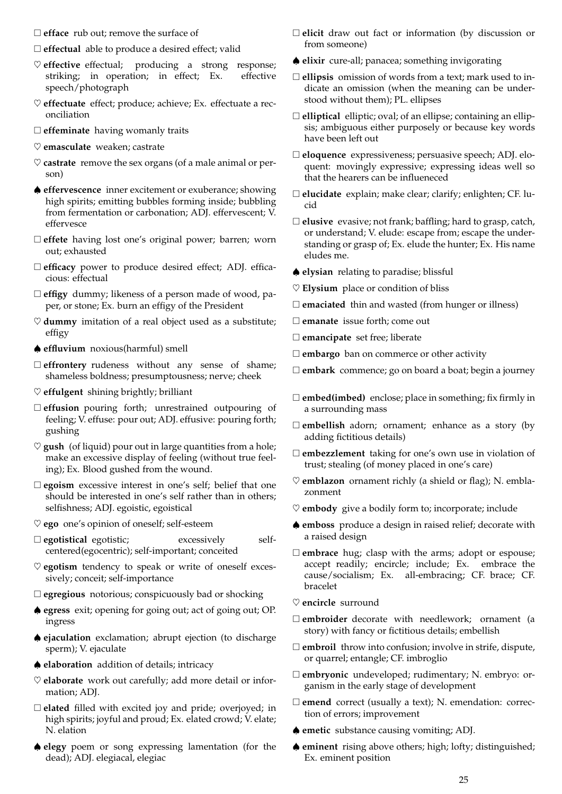- **efface** rub out; remove the surface of
- □ **effectual** able to produce a desired effect; valid
- ♡ **effective** effectual; producing a strong response; striking; in operation; in effect; Ex. effective speech/photograph
- ♥ **effectuate** effect; produce; achieve; Ex. effectuate a reconciliation
- **effeminate** having womanly traits
- ♥ **emasculate** weaken; castrate
- $\heartsuit$  **castrate** remove the sex organs (of a male animal or person)
- ♠ **effervescence** inner excitement or exuberance; showing high spirits; emitting bubbles forming inside; bubbling from fermentation or carbonation; ADJ. effervescent; V. effervesce
- **effete** having lost one's original power; barren; worn out; exhausted
- □ **efficacy** power to produce desired effect; ADJ. efficacious: effectual
- **effigy** dummy; likeness of a person made of wood, paper, or stone; Ex. burn an effigy of the President
- $\heartsuit$  **dummy** imitation of a real object used as a substitute; effigy
- ♠ **effluvium** noxious(harmful) smell
- **Example 1** effrontery rudeness without any sense of shame; shameless boldness; presumptousness; nerve; cheek
- ♥ **effulgent** shining brightly; brilliant
- **effusion** pouring forth; unrestrained outpouring of feeling; V. effuse: pour out; ADJ. effusive: pouring forth; gushing
- $\heartsuit$  gush (of liquid) pour out in large quantities from a hole; make an excessive display of feeling (without true feeling); Ex. Blood gushed from the wound.
- □ **egoism** excessive interest in one's self; belief that one should be interested in one's self rather than in others; selfishness; ADJ. egoistic, egoistical
- ♥ **ego** one's opinion of oneself; self-esteem
- □ **egotistical** egotistic; excessively selfcentered(egocentric); self-important; conceited
- ♥ **egotism** tendency to speak or write of oneself excessively; conceit; self-importance
- **egregious** notorious; conspicuously bad or shocking
- ♠ **egress** exit; opening for going out; act of going out; OP. ingress
- ♠ **ejaculation** exclamation; abrupt ejection (to discharge sperm); V. ejaculate
- ♠ **elaboration** addition of details; intricacy
- ♥ **elaborate** work out carefully; add more detail or information; ADJ.
- □ **elated** filled with excited joy and pride; overjoyed; in high spirits; joyful and proud; Ex. elated crowd; V. elate; N. elation
- ♠ **elegy** poem or song expressing lamentation (for the dead); ADJ. elegiacal, elegiac
- □ **elicit** draw out fact or information (by discussion or from someone)
- ♠ **elixir** cure-all; panacea; something invigorating
- **ellipsis** omission of words from a text; mark used to indicate an omission (when the meaning can be understood without them); PL. ellipses
- **elliptical** elliptic; oval; of an ellipse; containing an ellipsis; ambiguous either purposely or because key words have been left out
- **eloquence** expressiveness; persuasive speech; ADJ. eloquent: movingly expressive; expressing ideas well so that the hearers can be influeneced
- **elucidate** explain; make clear; clarify; enlighten; CF. lucid
- □ **elusive** evasive; not frank; baffling; hard to grasp, catch, or understand; V. elude: escape from; escape the understanding or grasp of; Ex. elude the hunter; Ex. His name eludes me.
- ♠ **elysian** relating to paradise; blissful
- $\heartsuit$  **Elysium** place or condition of bliss
- **emaciated** thin and wasted (from hunger or illness)
- **emanate** issue forth; come out
- **emancipate** set free; liberate
- □ **embargo** ban on commerce or other activity
- **embark** commence; go on board a boat; begin a journey
- $\square$  **embed(imbed)** enclose; place in something; fix firmly in a surrounding mass
- □ **embellish** adorn; ornament; enhance as a story (by adding fictitious details)
- **embezzlement** taking for one's own use in violation of trust; stealing (of money placed in one's care)
- $\heartsuit$  **emblazon** ornament richly (a shield or flag); N. emblazonment
- $\heartsuit$  **embody** give a bodily form to; incorporate; include
- ♠ **emboss** produce a design in raised relief; decorate with a raised design
- □ **embrace** hug; clasp with the arms; adopt or espouse; accept readily; encircle; include; Ex. embrace the cause/socialism; Ex. all-embracing; CF. brace; CF. bracelet
- ♥ **encircle** surround
- **embroider** decorate with needlework; ornament (a story) with fancy or fictitious details; embellish
- **embroil** throw into confusion; involve in strife, dispute, or quarrel; entangle; CF. imbroglio
- **embryonic** undeveloped; rudimentary; N. embryo: organism in the early stage of development
- □ **emend** correct (usually a text); N. emendation: correction of errors; improvement
- ♠ **emetic** substance causing vomiting; ADJ.
- ♠ **eminent** rising above others; high; lofty; distinguished; Ex. eminent position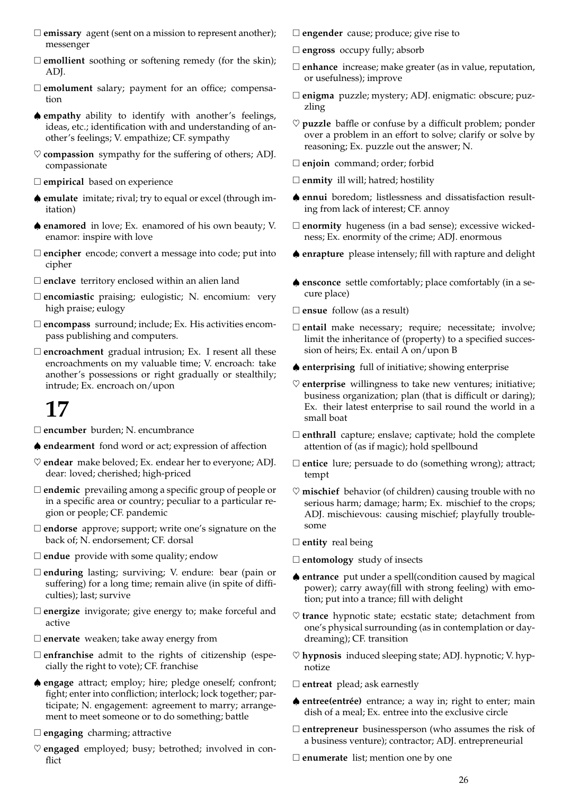- **emissary** agent (sent on a mission to represent another); messenger
- □ **emollient** soothing or softening remedy (for the skin); ADJ.
- **emolument** salary; payment for an office; compensation
- ♠ **empathy** ability to identify with another's feelings, ideas, etc.; identification with and understanding of another's feelings; V. empathize; CF. sympathy
- $\heartsuit$  **compassion** sympathy for the suffering of others; ADJ. compassionate
- **empirical** based on experience
- ♠ **emulate** imitate; rival; try to equal or excel (through imitation)
- ♠ **enamored** in love; Ex. enamored of his own beauty; V. enamor: inspire with love
- □ **encipher** encode; convert a message into code; put into cipher
- □ **enclave** territory enclosed within an alien land
- □ **encomiastic** praising; eulogistic; N. encomium: very high praise; eulogy
- **encompass** surround; include; Ex. His activities encompass publishing and computers.
- □ **encroachment** gradual intrusion; Ex. I resent all these encroachments on my valuable time; V. encroach: take another's possessions or right gradually or stealthily; intrude; Ex. encroach on/upon

- **encumber** burden; N. encumbrance
- ♠ **endearment** fond word or act; expression of affection
- ♥ **endear** make beloved; Ex. endear her to everyone; ADJ. dear: loved; cherished; high-priced
- **endemic** prevailing among a specific group of people or in a specific area or country; peculiar to a particular region or people; CF. pandemic
- □ **endorse** approve; support; write one's signature on the back of; N. endorsement; CF. dorsal
- □ **endue** provide with some quality; endow
- **enduring** lasting; surviving; V. endure: bear (pain or suffering) for a long time; remain alive (in spite of difficulties); last; survive
- **energize** invigorate; give energy to; make forceful and active
- **enervate** weaken; take away energy from
- **enfranchise** admit to the rights of citizenship (especially the right to vote); CF. franchise
- ♠ **engage** attract; employ; hire; pledge oneself; confront; fight; enter into confliction; interlock; lock together; participate; N. engagement: agreement to marry; arrangement to meet someone or to do something; battle
- **engaging** charming; attractive
- ♥ **engaged** employed; busy; betrothed; involved in conflict
- **engender** cause; produce; give rise to
- **engross** occupy fully; absorb
- **enhance** increase; make greater (as in value, reputation, or usefulness); improve
- **enigma** puzzle; mystery; ADJ. enigmatic: obscure; puzzling
- $\heartsuit$  **puzzle** baffle or confuse by a difficult problem; ponder over a problem in an effort to solve; clarify or solve by reasoning; Ex. puzzle out the answer; N.
- **enjoin** command; order; forbid
- **enmity** ill will; hatred; hostility
- ♠ **ennui** boredom; listlessness and dissatisfaction resulting from lack of interest; CF. annoy
- **enormity** hugeness (in a bad sense); excessive wickedness; Ex. enormity of the crime; ADJ. enormous
- ♠ **enrapture** please intensely; fill with rapture and delight
- ♠ **ensconce** settle comfortably; place comfortably (in a secure place)
- **ensue** follow (as a result)
- **entail** make necessary; require; necessitate; involve; limit the inheritance of (property) to a specified succession of heirs; Ex. entail A on/upon B
- ♠ **enterprising** full of initiative; showing enterprise
- $\heartsuit$  **enterprise** willingness to take new ventures; initiative; business organization; plan (that is difficult or daring); Ex. their latest enterprise to sail round the world in a small boat
- □ **enthrall** capture; enslave; captivate; hold the complete attention of (as if magic); hold spellbound
- **entice** lure; persuade to do (something wrong); attract; tempt
- $\heartsuit$  **mischief** behavior (of children) causing trouble with no serious harm; damage; harm; Ex. mischief to the crops; ADJ. mischievous: causing mischief; playfully troublesome
- **entity** real being
- **entomology** study of insects
- ♠ **entrance** put under a spell(condition caused by magical power); carry away(fill with strong feeling) with emotion; put into a trance; fill with delight
- ♥ **trance** hypnotic state; ecstatic state; detachment from one's physical surrounding (as in contemplation or daydreaming); CF. transition
- $\heartsuit$  **hypnosis** induced sleeping state; ADJ. hypnotic; V. hypnotize
- **entreat** plead; ask earnestly
- ◆ entree(entrée) entrance; a way in; right to enter; main dish of a meal; Ex. entree into the exclusive circle
- **entrepreneur** businessperson (who assumes the risk of a business venture); contractor; ADJ. entrepreneurial
- **enumerate** list; mention one by one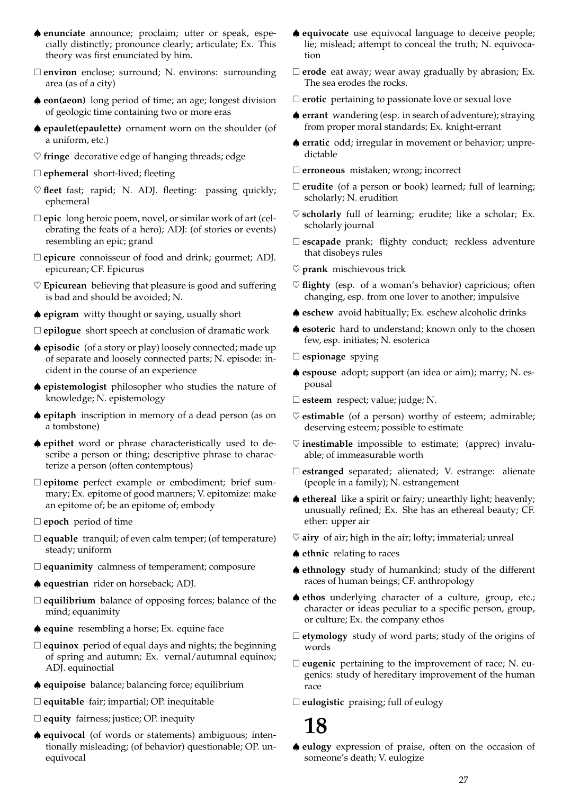- ♠ **enunciate** announce; proclaim; utter or speak, especially distinctly; pronounce clearly; articulate; Ex. This theory was first enunciated by him.
- □ **environ** enclose; surround; N. environs: surrounding area (as of a city)
- ♠ **eon(aeon)** long period of time; an age; longest division of geologic time containing two or more eras
- ♠ **epaulet(epaulette)** ornament worn on the shoulder (of a uniform, etc.)
- ♥ **fringe** decorative edge of hanging threads; edge
- **ephemeral** short-lived; fleeting
- $\heartsuit$  fleet fast; rapid; N. ADJ. fleeting: passing quickly; ephemeral
- **epic** long heroic poem, novel, or similar work of art (celebrating the feats of a hero); ADJ: (of stories or events) resembling an epic; grand
- **epicure** connoisseur of food and drink; gourmet; ADJ. epicurean; CF. Epicurus
- $\heartsuit$  **Epicurean** believing that pleasure is good and suffering is bad and should be avoided; N.
- ♠ **epigram** witty thought or saying, usually short
- □ **epilogue** short speech at conclusion of dramatic work
- ♠ **episodic** (of a story or play) loosely connected; made up of separate and loosely connected parts; N. episode: incident in the course of an experience
- ♠ **epistemologist** philosopher who studies the nature of knowledge; N. epistemology
- ♠ **epitaph** inscription in memory of a dead person (as on a tombstone)
- ♠ **epithet** word or phrase characteristically used to describe a person or thing; descriptive phrase to characterize a person (often contemptous)
- **epitome** perfect example or embodiment; brief summary; Ex. epitome of good manners; V. epitomize: make an epitome of; be an epitome of; embody
- **epoch** period of time
- □ **equable** tranquil; of even calm temper; (of temperature) steady; uniform
- **equanimity** calmness of temperament; composure
- ♠ **equestrian** rider on horseback; ADJ.
- □ **equilibrium** balance of opposing forces; balance of the mind; equanimity
- ♠ **equine** resembling a horse; Ex. equine face
- $\Box$  **equinox** period of equal days and nights; the beginning of spring and autumn; Ex. vernal/autumnal equinox; ADJ. equinoctial
- ♠ **equipoise** balance; balancing force; equilibrium
- **equitable** fair; impartial; OP. inequitable
- **equity** fairness; justice; OP. inequity
- ♠ **equivocal** (of words or statements) ambiguous; intentionally misleading; (of behavior) questionable; OP. unequivocal
- ♠ **equivocate** use equivocal language to deceive people; lie; mislead; attempt to conceal the truth; N. equivocation
- **erode** eat away; wear away gradually by abrasion; Ex. The sea erodes the rocks.
- □ **erotic** pertaining to passionate love or sexual love
- ♠ **errant** wandering (esp. in search of adventure); straying from proper moral standards; Ex. knight-errant
- ♠ **erratic** odd; irregular in movement or behavior; unpredictable
- **erroneous** mistaken; wrong; incorrect
- □ **erudite** (of a person or book) learned; full of learning; scholarly; N. erudition
- ♥ **scholarly** full of learning; erudite; like a scholar; Ex. scholarly journal
- **escapade** prank; flighty conduct; reckless adventure that disobeys rules
- ♥ **prank** mischievous trick
- $\heartsuit$  **flighty** (esp. of a woman's behavior) capricious; often changing, esp. from one lover to another; impulsive
- ♠ **eschew** avoid habitually; Ex. eschew alcoholic drinks
- ♠ **esoteric** hard to understand; known only to the chosen few, esp. initiates; N. esoterica
- **espionage** spying
- ♠ **espouse** adopt; support (an idea or aim); marry; N. espousal
- **esteem** respect; value; judge; N.
- $\heartsuit$  **estimable** (of a person) worthy of esteem; admirable; deserving esteem; possible to estimate
- $\heartsuit$  **inestimable** impossible to estimate; (apprec) invaluable; of immeasurable worth
- **estranged** separated; alienated; V. estrange: alienate (people in a family); N. estrangement
- ♠ **ethereal** like a spirit or fairy; unearthly light; heavenly; unusually refined; Ex. She has an ethereal beauty; CF. ether: upper air
- $\heartsuit$  **airy** of air; high in the air; lofty; immaterial; unreal
- ♠ **ethnic** relating to races
- ♠ **ethnology** study of humankind; study of the different races of human beings; CF. anthropology
- ♠ **ethos** underlying character of a culture, group, etc.; character or ideas peculiar to a specific person, group, or culture; Ex. the company ethos
- **etymology** study of word parts; study of the origins of words
- **eugenic** pertaining to the improvement of race; N. eugenics: study of hereditary improvement of the human race
- **eulogistic** praising; full of eulogy

♠ **eulogy** expression of praise, often on the occasion of someone's death; V. eulogize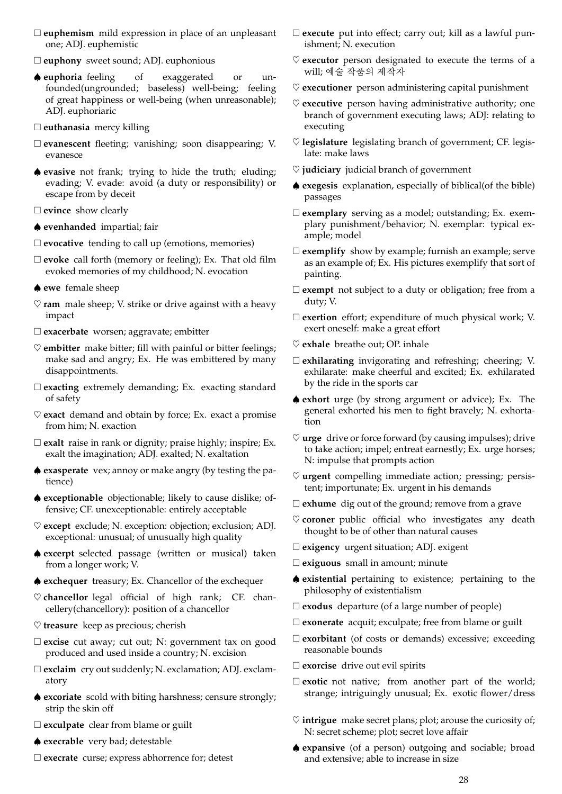- **euphemism** mild expression in place of an unpleasant one; ADJ. euphemistic
- **euphony** sweet sound; ADJ. euphonious
- ♠ **euphoria** feeling of exaggerated or unfounded(ungrounded; baseless) well-being; feeling of great happiness or well-being (when unreasonable); ADJ. euphoriaric
- **euthanasia** mercy killing
- **evanescent** fleeting; vanishing; soon disappearing; V. evanesce
- ♠ **evasive** not frank; trying to hide the truth; eluding; evading; V. evade: avoid (a duty or responsibility) or escape from by deceit
- **evince** show clearly
- ♠ **evenhanded** impartial; fair
- □ **evocative** tending to call up (emotions, memories)
- **evoke** call forth (memory or feeling); Ex. That old film evoked memories of my childhood; N. evocation
- ♠ **ewe** female sheep
- $\heartsuit$  **ram** male sheep; V. strike or drive against with a heavy impact
- **exacerbate** worsen; aggravate; embitter
- $\heartsuit$  **embitter** make bitter; fill with painful or bitter feelings; make sad and angry; Ex. He was embittered by many disappointments.
- **exacting** extremely demanding; Ex. exacting standard of safety
- $\heartsuit$  **exact** demand and obtain by force; Ex. exact a promise from him; N. exaction
- □ **exalt** raise in rank or dignity; praise highly; inspire; Ex. exalt the imagination; ADJ. exalted; N. exaltation
- ♠ **exasperate** vex; annoy or make angry (by testing the patience)
- ♠ **exceptionable** objectionable; likely to cause dislike; offensive; CF. unexceptionable: entirely acceptable
- $\heartsuit$  **except** exclude; N. exception: objection; exclusion; ADJ. exceptional: unusual; of unusually high quality
- ♠ **excerpt** selected passage (written or musical) taken from a longer work; V.
- ♠ **exchequer** treasury; Ex. Chancellor of the exchequer
- ♥ **chancellor** legal official of high rank; CF. chancellery(chancellory): position of a chancellor
- ♥ **treasure** keep as precious; cherish
- **excise** cut away; cut out; N: government tax on good produced and used inside a country; N. excision
- □ **exclaim** cry out suddenly; N. exclamation; ADJ. exclamatory
- ♠ **excoriate** scold with biting harshness; censure strongly; strip the skin off
- **exculpate** clear from blame or guilt
- ♠ **execrable** very bad; detestable
- □ **execrate** curse; express abhorrence for; detest
- **execute** put into effect; carry out; kill as a lawful punishment; N. execution
- ♥ **executor** person designated to execute the terms of a  $will$ ; 예술 작품의 제작자
- ♥ **executioner** person administering capital punishment
- ♥ **executive** person having administrative authority; one branch of government executing laws; ADJ: relating to executing
- ♥ **legislature** legislating branch of government; CF. legislate: make laws
- ♥ **judiciary** judicial branch of government
- ♠ **exegesis** explanation, especially of biblical(of the bible) passages
- **exemplary** serving as a model; outstanding; Ex. exemplary punishment/behavior; N. exemplar: typical example; model
- **exemplify** show by example; furnish an example; serve as an example of; Ex. His pictures exemplify that sort of painting.
- **exempt** not subject to a duty or obligation; free from a duty; V.
- □ **exertion** effort; expenditure of much physical work; V. exert oneself: make a great effort
- $\heartsuit$  **exhale** breathe out; OP. inhale
- **exhilarating** invigorating and refreshing; cheering; V. exhilarate: make cheerful and excited; Ex. exhilarated by the ride in the sports car
- ♠ **exhort** urge (by strong argument or advice); Ex. The general exhorted his men to fight bravely; N. exhortation
- ♥ **urge** drive or force forward (by causing impulses); drive to take action; impel; entreat earnestly; Ex. urge horses; N: impulse that prompts action
- $\heartsuit$  **urgent** compelling immediate action; pressing; persistent; importunate; Ex. urgent in his demands
- **exhume** dig out of the ground; remove from a grave
- ♥ **coroner** public official who investigates any death thought to be of other than natural causes
- **exigency** urgent situation; ADJ. exigent
- **exiguous** small in amount; minute
- ♠ **existential** pertaining to existence; pertaining to the philosophy of existentialism
- **exodus** departure (of a large number of people)
- **exonerate** acquit; exculpate; free from blame or guilt
- □ **exorbitant** (of costs or demands) excessive; exceeding reasonable bounds
- **exorcise** drive out evil spirits
- **exotic** not native; from another part of the world; strange; intriguingly unusual; Ex. exotic flower/dress
- ♥ **intrigue** make secret plans; plot; arouse the curiosity of; N: secret scheme; plot; secret love affair
- ♠ **expansive** (of a person) outgoing and sociable; broad and extensive; able to increase in size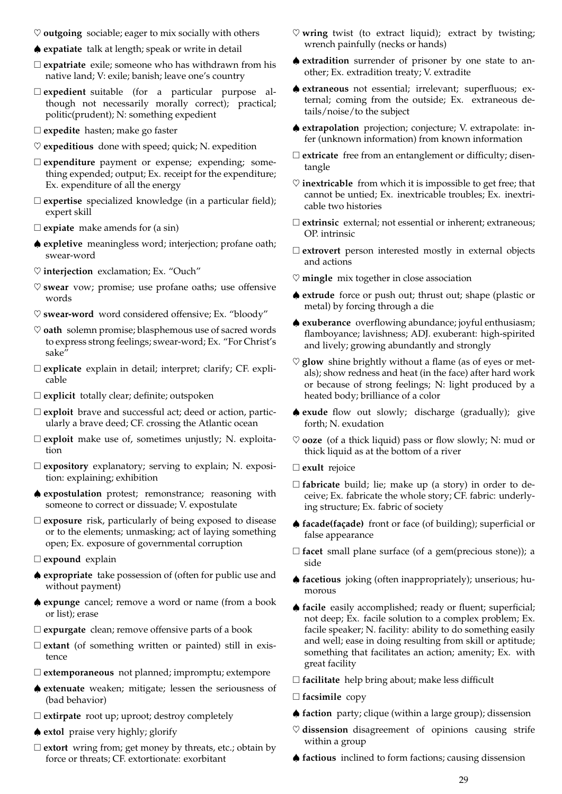- $\heartsuit$  **outgoing** sociable; eager to mix socially with others
- ♠ **expatiate** talk at length; speak or write in detail
- **expatriate** exile; someone who has withdrawn from his native land; V: exile; banish; leave one's country
- **expedient** suitable (for a particular purpose although not necessarily morally correct); practical; politic(prudent); N: something expedient
- **expedite** hasten; make go faster
- $\heartsuit$  **expeditious** done with speed; quick; N. expedition
- **expenditure** payment or expense; expending; something expended; output; Ex. receipt for the expenditure; Ex. expenditure of all the energy
- **expertise** specialized knowledge (in a particular field); expert skill
- **expiate** make amends for (a sin)
- ♠ **expletive** meaningless word; interjection; profane oath; swear-word
- ♥ **interjection** exclamation; Ex. "Ouch"
- $\heartsuit$  **swear** vow; promise; use profane oaths; use offensive words
- ♥ **swear-word** word considered offensive; Ex. "bloody"
- ♥ **oath** solemn promise; blasphemous use of sacred words to express strong feelings; swear-word; Ex. "For Christ's sake"
- **explicate** explain in detail; interpret; clarify; CF. explicable
- **explicit** totally clear; definite; outspoken
- □ **exploit** brave and successful act; deed or action, particularly a brave deed; CF. crossing the Atlantic ocean
- **exploit** make use of, sometimes unjustly; N. exploitation
- **expository** explanatory; serving to explain; N. exposition: explaining; exhibition
- ♠ **expostulation** protest; remonstrance; reasoning with someone to correct or dissuade; V. expostulate
- **exposure** risk, particularly of being exposed to disease or to the elements; unmasking; act of laying something open; Ex. exposure of governmental corruption
- **expound** explain
- ♠ **expropriate** take possession of (often for public use and without payment)
- ♠ **expunge** cancel; remove a word or name (from a book or list); erase
- **expurgate** clean; remove offensive parts of a book
- $\Box$  **extant** (of something written or painted) still in existence
- **extemporaneous** not planned; impromptu; extempore
- ♠ **extenuate** weaken; mitigate; lessen the seriousness of (bad behavior)
- **extirpate** root up; uproot; destroy completely
- ♠ **extol** praise very highly; glorify
- **extort** wring from; get money by threats, etc.; obtain by force or threats; CF. extortionate: exorbitant
- $\heartsuit$  wring twist (to extract liquid); extract by twisting; wrench painfully (necks or hands)
- ♠ **extradition** surrender of prisoner by one state to another; Ex. extradition treaty; V. extradite
- ♠ **extraneous** not essential; irrelevant; superfluous; external; coming from the outside; Ex. extraneous details/noise/to the subject
- ♠ **extrapolation** projection; conjecture; V. extrapolate: infer (unknown information) from known information
- □ **extricate** free from an entanglement or difficulty; disentangle
- $\heartsuit$  **inextricable** from which it is impossible to get free; that cannot be untied; Ex. inextricable troubles; Ex. inextricable two histories
- **extrinsic** external; not essential or inherent; extraneous; OP. intrinsic
- **extrovert** person interested mostly in external objects and actions
- $\heartsuit$  **mingle** mix together in close association
- ♠ **extrude** force or push out; thrust out; shape (plastic or metal) by forcing through a die
- ♠ **exuberance** overflowing abundance; joyful enthusiasm; flamboyance; lavishness; ADJ. exuberant: high-spirited and lively; growing abundantly and strongly
- $\heartsuit$  glow shine brightly without a flame (as of eyes or metals); show redness and heat (in the face) after hard work or because of strong feelings; N: light produced by a heated body; brilliance of a color
- ♠ **exude** flow out slowly; discharge (gradually); give forth; N. exudation
- ♥ **ooze** (of a thick liquid) pass or flow slowly; N: mud or thick liquid as at the bottom of a river
- **exult** rejoice
- **fabricate** build; lie; make up (a story) in order to deceive; Ex. fabricate the whole story; CF. fabric: underlying structure; Ex. fabric of society
- ♠ **facade(fa¸cade)** front or face (of building); superficial or false appearance
- **facet** small plane surface (of a gem(precious stone)); a side
- ♠ **facetious** joking (often inappropriately); unserious; humorous
- ♠ **facile** easily accomplished; ready or fluent; superficial; not deep; Ex. facile solution to a complex problem; Ex. facile speaker; N. facility: ability to do something easily and well; ease in doing resulting from skill or aptitude; something that facilitates an action; amenity; Ex. with great facility
- **facilitate** help bring about; make less difficult
- **facsimile** copy
- ♠ **faction** party; clique (within a large group); dissension
- ♥ **dissension** disagreement of opinions causing strife within a group
- ♠ **factious** inclined to form factions; causing dissension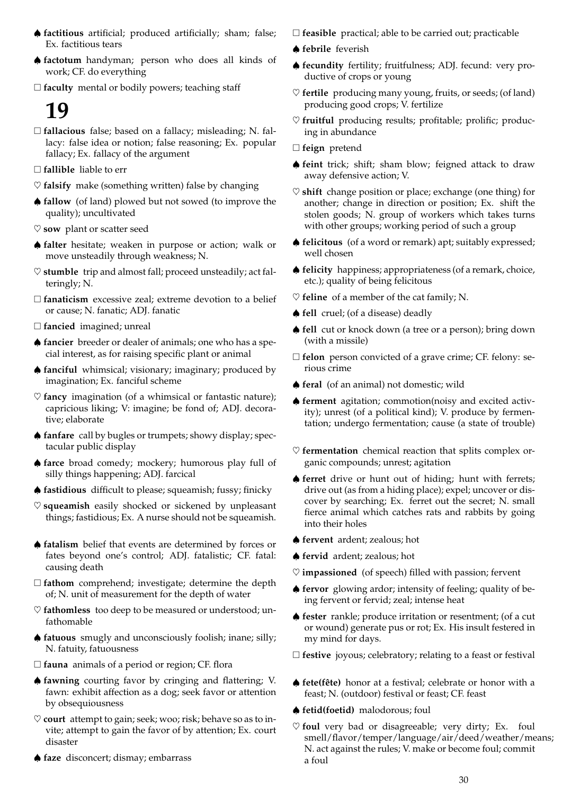- ♠ **factitious** artificial; produced artificially; sham; false; Ex. factitious tears
- ♠ **factotum** handyman; person who does all kinds of work; CF. do everything
- **faculty** mental or bodily powers; teaching staff

- **fallacious** false; based on a fallacy; misleading; N. fallacy: false idea or notion; false reasoning; Ex. popular fallacy; Ex. fallacy of the argument
- **fallible** liable to err
- $\heartsuit$  **falsify** make (something written) false by changing
- ♠ **fallow** (of land) plowed but not sowed (to improve the quality); uncultivated
- $\heartsuit$  **sow** plant or scatter seed
- ♠ **falter** hesitate; weaken in purpose or action; walk or move unsteadily through weakness; N.
- ♥ **stumble** trip and almost fall; proceed unsteadily; act falteringly; N.
- □ fanaticism excessive zeal; extreme devotion to a belief or cause; N. fanatic; ADJ. fanatic
- **fancied** imagined; unreal
- ♠ **fancier** breeder or dealer of animals; one who has a special interest, as for raising specific plant or animal
- ♠ **fanciful** whimsical; visionary; imaginary; produced by imagination; Ex. fanciful scheme
- $\heartsuit$  fancy imagination (of a whimsical or fantastic nature); capricious liking; V: imagine; be fond of; ADJ. decorative; elaborate
- ♠ **fanfare** call by bugles or trumpets; showy display; spectacular public display
- ♠ **farce** broad comedy; mockery; humorous play full of silly things happening; ADJ. farcical
- ♠ **fastidious** difficult to please; squeamish; fussy; finicky
- ♥ **squeamish** easily shocked or sickened by unpleasant things; fastidious; Ex. A nurse should not be squeamish.
- ♠ **fatalism** belief that events are determined by forces or fates beyond one's control; ADJ. fatalistic; CF. fatal: causing death
- $\Box$  fathom comprehend; investigate; determine the depth of; N. unit of measurement for the depth of water
- $\heartsuit$  **fathomless** too deep to be measured or understood; unfathomable
- ♠ **fatuous** smugly and unconsciously foolish; inane; silly; N. fatuity, fatuousness
- □ **fauna** animals of a period or region; CF. flora
- ♠ **fawning** courting favor by cringing and flattering; V. fawn: exhibit affection as a dog; seek favor or attention by obsequiousness
- ♥ **court** attempt to gain; seek; woo; risk; behave so as to invite; attempt to gain the favor of by attention; Ex. court disaster
- ♠ **faze** disconcert; dismay; embarrass
- **feasible** practical; able to be carried out; practicable
- ♠ **febrile** feverish
- ♠ **fecundity** fertility; fruitfulness; ADJ. fecund: very productive of crops or young
- ♥ **fertile** producing many young, fruits, or seeds; (of land) producing good crops; V. fertilize
- ♡ fruitful producing results; profitable; prolific; producing in abundance
- **feign** pretend
- ♠ **feint** trick; shift; sham blow; feigned attack to draw away defensive action; V.
- $\heartsuit$  **shift** change position or place; exchange (one thing) for another; change in direction or position; Ex. shift the stolen goods; N. group of workers which takes turns with other groups; working period of such a group
- ♠ **felicitous** (of a word or remark) apt; suitably expressed; well chosen
- ♠ **felicity** happiness; appropriateness (of a remark, choice, etc.); quality of being felicitous
- $\heartsuit$  **feline** of a member of the cat family; N.
- ♠ **fell** cruel; (of a disease) deadly
- ♠ **fell** cut or knock down (a tree or a person); bring down (with a missile)
- **felon** person convicted of a grave crime; CF. felony: serious crime
- ♠ **feral** (of an animal) not domestic; wild
- ♠ **ferment** agitation; commotion(noisy and excited activity); unrest (of a political kind); V. produce by fermentation; undergo fermentation; cause (a state of trouble)
- $\heartsuit$  **fermentation** chemical reaction that splits complex organic compounds; unrest; agitation
- ♠ **ferret** drive or hunt out of hiding; hunt with ferrets; drive out (as from a hiding place); expel; uncover or discover by searching; Ex. ferret out the secret; N. small fierce animal which catches rats and rabbits by going into their holes
- ♠ **fervent** ardent; zealous; hot
- ♠ **fervid** ardent; zealous; hot
- $\heartsuit$  **impassioned** (of speech) filled with passion; fervent
- ♠ **fervor** glowing ardor; intensity of feeling; quality of being fervent or fervid; zeal; intense heat
- ♠ **fester** rankle; produce irritation or resentment; (of a cut or wound) generate pus or rot; Ex. His insult festered in my mind for days.
- **festive** joyous; celebratory; relating to a feast or festival
- ♠ **fete(fˆete)** honor at a festival; celebrate or honor with a feast; N. (outdoor) festival or feast; CF. feast
- ♠ **fetid(foetid)** malodorous; foul
- ♥ **foul** very bad or disagreeable; very dirty; Ex. foul smell/flavor/temper/language/air/deed/weather/means; N. act against the rules; V. make or become foul; commit a foul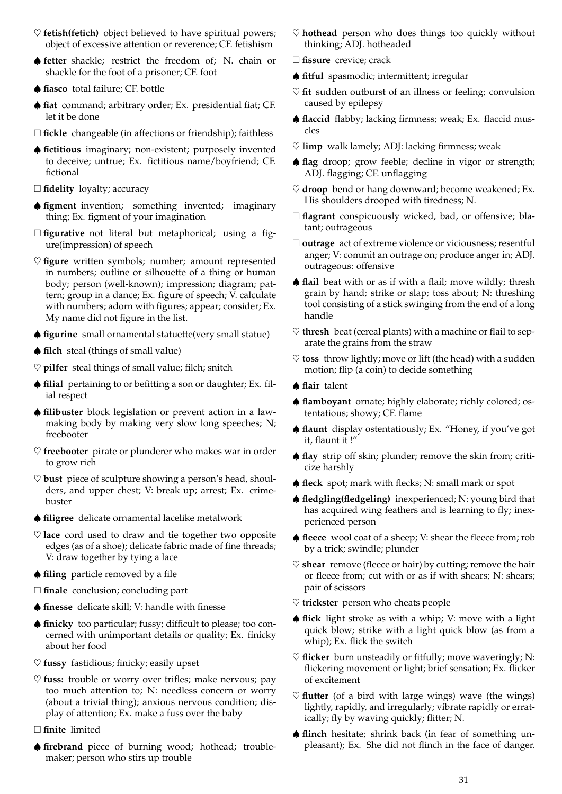- $\heartsuit$  **fetish(fetich)** object believed to have spiritual powers; object of excessive attention or reverence; CF. fetishism
- ♠ **fetter** shackle; restrict the freedom of; N. chain or shackle for the foot of a prisoner; CF. foot
- ♠ **fiasco** total failure; CF. bottle
- ♠ **fiat** command; arbitrary order; Ex. presidential fiat; CF. let it be done
- **fickle** changeable (in affections or friendship); faithless
- ♠ **fictitious** imaginary; non-existent; purposely invented to deceive; untrue; Ex. fictitious name/boyfriend; CF. fictional
- **fidelity** loyalty; accuracy
- ♠ **figment** invention; something invented; imaginary thing; Ex. figment of your imagination
- **figurative** not literal but metaphorical; using a figure(impression) of speech
- $\heartsuit$  **figure** written symbols; number; amount represented in numbers; outline or silhouette of a thing or human body; person (well-known); impression; diagram; pattern; group in a dance; Ex. figure of speech; V. calculate with numbers; adorn with figures; appear; consider; Ex. My name did not figure in the list.
- ♠ **figurine** small ornamental statuette(very small statue)
- ♠ **filch** steal (things of small value)
- ♥ **pilfer** steal things of small value; filch; snitch
- ♠ **filial** pertaining to or befitting a son or daughter; Ex. filial respect
- ♠ **filibuster** block legislation or prevent action in a lawmaking body by making very slow long speeches; N; freebooter
- $\heartsuit$  **freebooter** pirate or plunderer who makes war in order to grow rich
- ♥ **bust** piece of sculpture showing a person's head, shoulders, and upper chest; V: break up; arrest; Ex. crimebuster
- ♠ **filigree** delicate ornamental lacelike metalwork
- ♥ **lace** cord used to draw and tie together two opposite edges (as of a shoe); delicate fabric made of fine threads; V: draw together by tying a lace
- ♠ **filing** particle removed by a file
- **finale** conclusion; concluding part
- ♠ **finesse** delicate skill; V: handle with finesse
- ♠ **finicky** too particular; fussy; difficult to please; too concerned with unimportant details or quality; Ex. finicky about her food
- $\heartsuit$  fussy fastidious; finicky; easily upset
- $\heartsuit$  fuss: trouble or worry over trifles; make nervous; pay too much attention to; N: needless concern or worry (about a trivial thing); anxious nervous condition; display of attention; Ex. make a fuss over the baby
- **finite** limited
- ♠ **firebrand** piece of burning wood; hothead; troublemaker; person who stirs up trouble
- ♥ **hothead** person who does things too quickly without thinking; ADJ. hotheaded
- **fissure** crevice; crack
- ♠ **fitful** spasmodic; intermittent; irregular
- $\heartsuit$  fit sudden outburst of an illness or feeling; convulsion caused by epilepsy
- ♠ **flaccid** flabby; lacking firmness; weak; Ex. flaccid muscles
- ♥ **limp** walk lamely; ADJ: lacking firmness; weak
- ♠ **flag** droop; grow feeble; decline in vigor or strength; ADJ. flagging; CF. unflagging
- ♥ **droop** bend or hang downward; become weakened; Ex. His shoulders drooped with tiredness; N.
- **flagrant** conspicuously wicked, bad, or offensive; blatant; outrageous
- □ **outrage** act of extreme violence or viciousness; resentful anger; V: commit an outrage on; produce anger in; ADJ. outrageous: offensive
- ♠ **flail** beat with or as if with a flail; move wildly; thresh grain by hand; strike or slap; toss about; N: threshing tool consisting of a stick swinging from the end of a long handle
- $\heartsuit$  thresh beat (cereal plants) with a machine or flail to separate the grains from the straw
- $\heartsuit$  **toss** throw lightly; move or lift (the head) with a sudden motion; flip (a coin) to decide something
- ♠ **flair** talent
- ♠ **flamboyant** ornate; highly elaborate; richly colored; ostentatious; showy; CF. flame
- ♠ **flaunt** display ostentatiously; Ex. "Honey, if you've got it, flaunt it !"
- ♠ **flay** strip off skin; plunder; remove the skin from; criticize harshly
- ♠ **fleck** spot; mark with flecks; N: small mark or spot
- ♠ **fledgling(fledgeling)** inexperienced; N: young bird that has acquired wing feathers and is learning to fly; inexperienced person
- ♠ **fleece** wool coat of a sheep; V: shear the fleece from; rob by a trick; swindle; plunder
- $\heartsuit$  **shear** remove (fleece or hair) by cutting; remove the hair or fleece from; cut with or as if with shears; N: shears; pair of scissors
- ♥ **trickster** person who cheats people
- ♠ **flick** light stroke as with a whip; V: move with a light quick blow; strike with a light quick blow (as from a whip); Ex. flick the switch
- $\heartsuit$  **flicker** burn unsteadily or fitfully; move waveringly; N: flickering movement or light; brief sensation; Ex. flicker of excitement
- $\heartsuit$  **flutter** (of a bird with large wings) wave (the wings) lightly, rapidly, and irregularly; vibrate rapidly or erratically; fly by waving quickly; flitter; N.
- ♠ **flinch** hesitate; shrink back (in fear of something unpleasant); Ex. She did not flinch in the face of danger.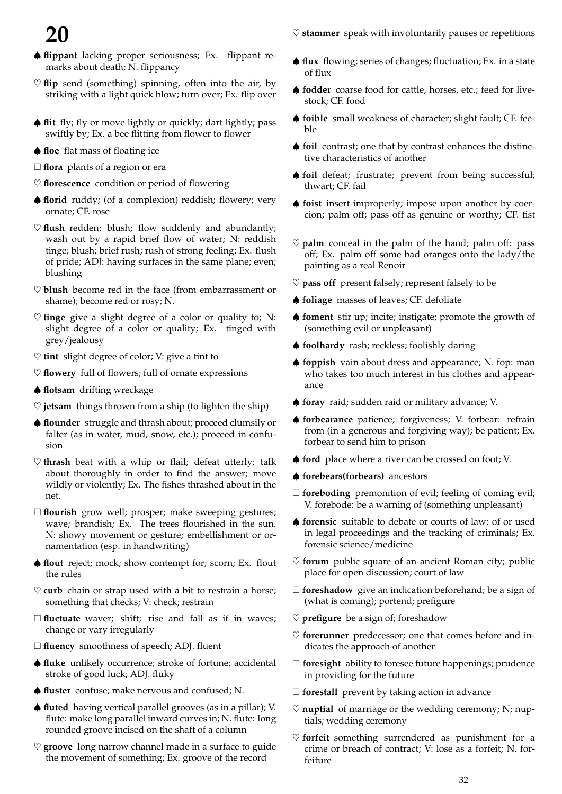$\heartsuit$  **stammer** speak with involuntarily pauses or repetitions

- ♠ **flippant** lacking proper seriousness; Ex. flippant remarks about death; N. flippancy
- $\heartsuit$  flip send (something) spinning, often into the air, by striking with a light quick blow; turn over; Ex. flip over
- ♠ **flit** fly; fly or move lightly or quickly; dart lightly; pass swiftly by; Ex. a bee flitting from flower to flower
- ♠ **floe** flat mass of floating ice
- **flora** plants of a region or era
- ♥ **florescence** condition or period of flowering
- ♠ **florid** ruddy; (of a complexion) reddish; flowery; very ornate; CF. rose
- $\heartsuit$  **flush** redden; blush; flow suddenly and abundantly; wash out by a rapid brief flow of water; N: reddish tinge; blush; brief rush; rush of strong feeling; Ex. flush of pride; ADJ: having surfaces in the same plane; even; blushing
- $\heartsuit$  **blush** become red in the face (from embarrassment or shame); become red or rosy; N.
- $\heartsuit$  **tinge** give a slight degree of a color or quality to; N: slight degree of a color or quality; Ex. tinged with grey/jealousy
- ♥ **tint** slight degree of color; V: give a tint to
- $\heartsuit$  **flowery** full of flowers; full of ornate expressions
- ♠ **flotsam** drifting wreckage
- $\heartsuit$  **jetsam** things thrown from a ship (to lighten the ship)
- ♠ **flounder** struggle and thrash about; proceed clumsily or falter (as in water, mud, snow, etc.); proceed in confusion
- $\heartsuit$  thrash beat with a whip or flail; defeat utterly; talk about thoroughly in order to find the answer; move wildly or violently; Ex. The fishes thrashed about in the net.
- □ **flourish** grow well; prosper; make sweeping gestures; wave; brandish; Ex. The trees flourished in the sun. N: showy movement or gesture; embellishment or ornamentation (esp. in handwriting)
- ♠ **flout** reject; mock; show contempt for; scorn; Ex. flout the rules
- $\heartsuit$  curb chain or strap used with a bit to restrain a horse; something that checks; V: check; restrain
- □ **fluctuate** waver; shift; rise and fall as if in waves; change or vary irregularly
- **fluency** smoothness of speech; ADJ. fluent
- ♠ **fluke** unlikely occurrence; stroke of fortune; accidental stroke of good luck; ADJ. fluky
- ♠ **fluster** confuse; make nervous and confused; N.
- ♠ **fluted** having vertical parallel grooves (as in a pillar); V. flute: make long parallel inward curves in; N. flute: long rounded groove incised on the shaft of a column
- $\heartsuit$  groove long narrow channel made in a surface to guide the movement of something; Ex. groove of the record
- ♠ **flux** flowing; series of changes; fluctuation; Ex. in a state of flux
- ♠ **fodder** coarse food for cattle, horses, etc.; feed for livestock; CF. food
- ♠ **foible** small weakness of character; slight fault; CF. feeble
- ♠ **foil** contrast; one that by contrast enhances the distinctive characteristics of another
- ♠ **foil** defeat; frustrate; prevent from being successful; thwart; CF. fail
- ♠ **foist** insert improperly; impose upon another by coercion; palm off; pass off as genuine or worthy; CF. fist
- $\heartsuit$  **palm** conceal in the palm of the hand; palm off: pass off; Ex. palm off some bad oranges onto the lady/the painting as a real Renoir
- $\heartsuit$  **pass off** present falsely; represent falsely to be
- ♠ **foliage** masses of leaves; CF. defoliate
- ♠ **foment** stir up; incite; instigate; promote the growth of (something evil or unpleasant)
- ♠ **foolhardy** rash; reckless; foolishly daring
- ♠ **foppish** vain about dress and appearance; N. fop: man who takes too much interest in his clothes and appearance
- ♠ **foray** raid; sudden raid or military advance; V.
- ♠ **forbearance** patience; forgiveness; V. forbear: refrain from (in a generous and forgiving way); be patient; Ex. forbear to send him to prison
- ♠ **ford** place where a river can be crossed on foot; V.
- ♠ **forebears(forbears)** ancestors
- $\Box$  **foreboding** premonition of evil; feeling of coming evil; V. forebode: be a warning of (something unpleasant)
- ♠ **forensic** suitable to debate or courts of law; of or used in legal proceedings and the tracking of criminals; Ex. forensic science/medicine
- ♥ **forum** public square of an ancient Roman city; public place for open discussion; court of law
- **foreshadow** give an indication beforehand; be a sign of (what is coming); portend; prefigure
- ♥ **prefigure** be a sign of; foreshadow
- ♥ **forerunner** predecessor; one that comes before and indicates the approach of another
- **foresight** ability to foresee future happenings; prudence in providing for the future
- $\Box$  **forestall** prevent by taking action in advance
- $\heartsuit$  **nuptial** of marriage or the wedding ceremony; N; nuptials; wedding ceremony
- $\heartsuit$  forfeit something surrendered as punishment for a crime or breach of contract; V: lose as a forfeit; N. forfeiture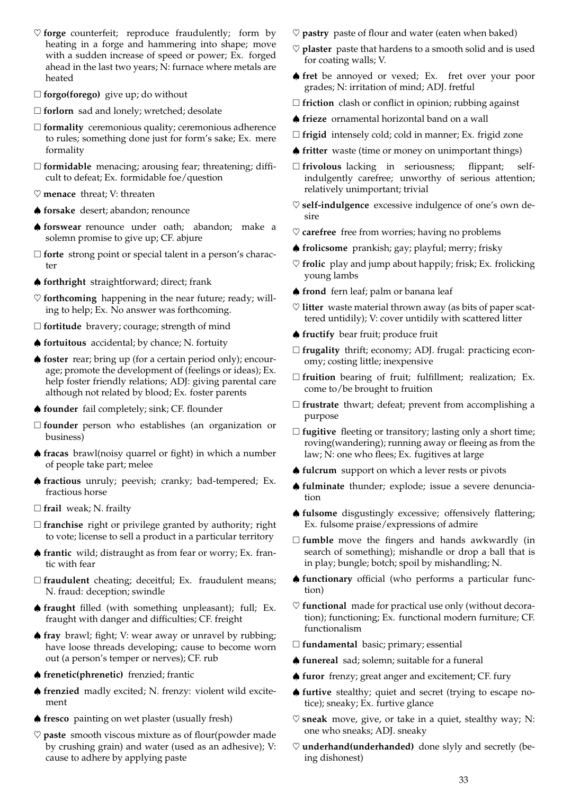- $\heartsuit$  **forge** counterfeit; reproduce fraudulently; form by heating in a forge and hammering into shape; move with a sudden increase of speed or power; Ex. forged ahead in the last two years; N: furnace where metals are heated
- **forgo(forego)** give up; do without
- **forlorn** sad and lonely; wretched; desolate
- $\Box$  **formality** ceremonious quality; ceremonious adherence to rules; something done just for form's sake; Ex. mere formality
- □ **formidable** menacing; arousing fear; threatening; difficult to defeat; Ex. formidable foe/question
- ♥ **menace** threat; V: threaten
- ♠ **forsake** desert; abandon; renounce
- ♠ **forswear** renounce under oath; abandon; make a solemn promise to give up; CF. abjure
- □ **forte** strong point or special talent in a person's character
- ♠ **forthright** straightforward; direct; frank
- $\heartsuit$  **forthcoming** happening in the near future; ready; willing to help; Ex. No answer was forthcoming.
- **fortitude** bravery; courage; strength of mind
- ♠ **fortuitous** accidental; by chance; N. fortuity
- ♠ **foster** rear; bring up (for a certain period only); encourage; promote the development of (feelings or ideas); Ex. help foster friendly relations; ADJ: giving parental care although not related by blood; Ex. foster parents
- ♠ **founder** fail completely; sink; CF. flounder
- **founder** person who establishes (an organization or business)
- ♠ **fracas** brawl(noisy quarrel or fight) in which a number of people take part; melee
- ♠ **fractious** unruly; peevish; cranky; bad-tempered; Ex. fractious horse
- **frail** weak; N. frailty
- **franchise** right or privilege granted by authority; right to vote; license to sell a product in a particular territory
- ♠ **frantic** wild; distraught as from fear or worry; Ex. frantic with fear
- □ fraudulent cheating; deceitful; Ex. fraudulent means; N. fraud: deception; swindle
- ♠ **fraught** filled (with something unpleasant); full; Ex. fraught with danger and difficulties; CF. freight
- ♠ **fray** brawl; fight; V: wear away or unravel by rubbing; have loose threads developing; cause to become worn out (a person's temper or nerves); CF. rub
- ♠ **frenetic(phrenetic)** frenzied; frantic
- ♠ **frenzied** madly excited; N. frenzy: violent wild excitement
- ♠ **fresco** painting on wet plaster (usually fresh)
- ♥ **paste** smooth viscous mixture as of flour(powder made by crushing grain) and water (used as an adhesive); V: cause to adhere by applying paste
- $\heartsuit$  **pastry** paste of flour and water (eaten when baked)
- $\heartsuit$  **plaster** paste that hardens to a smooth solid and is used for coating walls; V.
- ♠ **fret** be annoyed or vexed; Ex. fret over your poor grades; N: irritation of mind; ADJ. fretful
- $\Box$  friction clash or conflict in opinion; rubbing against
- ♠ **frieze** ornamental horizontal band on a wall
- □ frigid intensely cold; cold in manner; Ex. frigid zone
- ♠ **fritter** waste (time or money on unimportant things)
- **frivolous** lacking in seriousness; flippant; selfindulgently carefree; unworthy of serious attention; relatively unimportant; trivial
- ♥ **self-indulgence** excessive indulgence of one's own desire
- ♥ **carefree** free from worries; having no problems
- ♠ **frolicsome** prankish; gay; playful; merry; frisky
- $\heartsuit$  frolic play and jump about happily; frisk; Ex. frolicking young lambs
- ♠ **frond** fern leaf; palm or banana leaf
- $\heartsuit$  **litter** waste material thrown away (as bits of paper scattered untidily); V: cover untidily with scattered litter
- ♠ **fructify** bear fruit; produce fruit
- **frugality** thrift; economy; ADJ. frugal: practicing economy; costing little; inexpensive
- **fruition** bearing of fruit; fulfillment; realization; Ex. come to/be brought to fruition
- **frustrate** thwart; defeat; prevent from accomplishing a purpose
- **fugitive** fleeting or transitory; lasting only a short time; roving(wandering); running away or fleeing as from the law; N: one who flees; Ex. fugitives at large
- ♠ **fulcrum** support on which a lever rests or pivots
- ♠ **fulminate** thunder; explode; issue a severe denunciation
- ♠ **fulsome** disgustingly excessive; offensively flattering; Ex. fulsome praise/expressions of admire
- **fumble** move the fingers and hands awkwardly (in search of something); mishandle or drop a ball that is in play; bungle; botch; spoil by mishandling; N.
- ♠ **functionary** official (who performs a particular function)
- $\heartsuit$  **functional** made for practical use only (without decoration); functioning; Ex. functional modern furniture; CF. functionalism
- **fundamental** basic; primary; essential
- ♠ **funereal** sad; solemn; suitable for a funeral
- ♠ **furor** frenzy; great anger and excitement; CF. fury
- ♠ **furtive** stealthy; quiet and secret (trying to escape notice); sneaky; Ex. furtive glance
- $\heartsuit$  sneak move, give, or take in a quiet, stealthy way; N: one who sneaks; ADJ. sneaky
- ♥ **underhand(underhanded)** done slyly and secretly (being dishonest)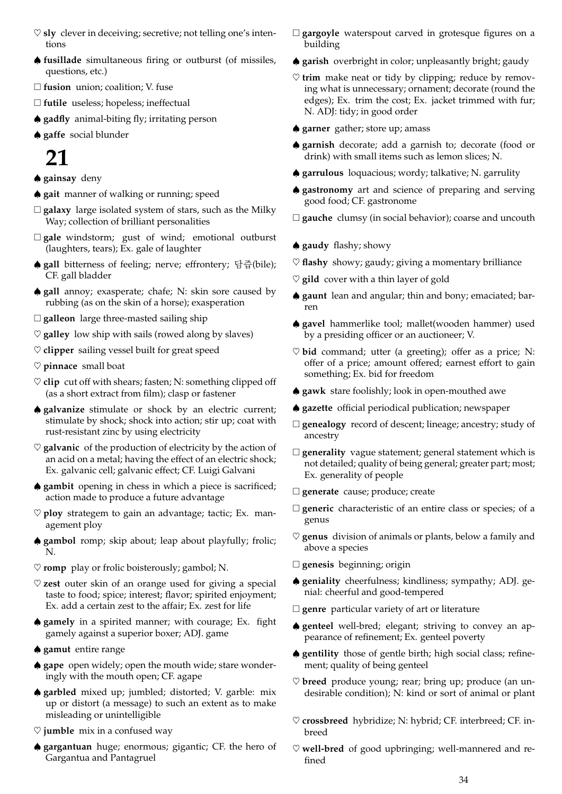- $\heartsuit$  **sly** clever in deceiving; secretive; not telling one's intentions
- ♠ **fusillade** simultaneous firing or outburst (of missiles, questions, etc.)
- **fusion** union; coalition; V. fuse
- **futile** useless; hopeless; ineffectual
- ♠ **gadfly** animal-biting fly; irritating person
- ♠ **gaffe** social blunder

- ♠ **gainsay** deny
- ♠ **gait** manner of walking or running; speed
- □ galaxy large isolated system of stars, such as the Milky Way; collection of brilliant personalities
- □ gale windstorm; gust of wind; emotional outburst (laughters, tears); Ex. gale of laughter
- ♦ gall bitterness of feeling; nerve; effrontery; 담즙(bile); CF. gall bladder
- ♠ **gall** annoy; exasperate; chafe; N: skin sore caused by rubbing (as on the skin of a horse); exasperation
- □ galleon large three-masted sailing ship
- $\heartsuit$  galley low ship with sails (rowed along by slaves)
- $\heartsuit$  **clipper** sailing vessel built for great speed
- ♥ **pinnace** small boat
- $\heartsuit$  **clip** cut off with shears; fasten; N: something clipped off (as a short extract from film); clasp or fastener
- ♠ **galvanize** stimulate or shock by an electric current; stimulate by shock; shock into action; stir up; coat with rust-resistant zinc by using electricity
- ♥ **galvanic** of the production of electricity by the action of an acid on a metal; having the effect of an electric shock; Ex. galvanic cell; galvanic effect; CF. Luigi Galvani
- ♠ **gambit** opening in chess in which a piece is sacrificed; action made to produce a future advantage
- $\heartsuit$  **ploy** strategem to gain an advantage; tactic; Ex. management ploy
- ♠ **gambol** romp; skip about; leap about playfully; frolic; N.
- $\heartsuit$  **romp** play or frolic boisterously; gambol; N.
- $\heartsuit$  **zest** outer skin of an orange used for giving a special taste to food; spice; interest; flavor; spirited enjoyment; Ex. add a certain zest to the affair; Ex. zest for life
- ♠ **gamely** in a spirited manner; with courage; Ex. fight gamely against a superior boxer; ADJ. game
- ♠ **gamut** entire range
- ♠ **gape** open widely; open the mouth wide; stare wonderingly with the mouth open; CF. agape
- ♠ **garbled** mixed up; jumbled; distorted; V. garble: mix up or distort (a message) to such an extent as to make misleading or unintelligible
- $\heartsuit$  **jumble** mix in a confused way
- ♠ **gargantuan** huge; enormous; gigantic; CF. the hero of Gargantua and Pantagruel
- □ gargoyle waterspout carved in grotesque figures on a building
- ♠ **garish** overbright in color; unpleasantly bright; gaudy
- $\heartsuit$  **trim** make neat or tidy by clipping; reduce by removing what is unnecessary; ornament; decorate (round the edges); Ex. trim the cost; Ex. jacket trimmed with fur; N. ADJ: tidy; in good order
- ♠ **garner** gather; store up; amass
- ♠ **garnish** decorate; add a garnish to; decorate (food or drink) with small items such as lemon slices; N.
- ♠ **garrulous** loquacious; wordy; talkative; N. garrulity
- ♠ **gastronomy** art and science of preparing and serving good food; CF. gastronome
- □ gauche clumsy (in social behavior); coarse and uncouth
- ♠ **gaudy** flashy; showy
- $\heartsuit$  flashy showy; gaudy; giving a momentary brilliance
- $\heartsuit$  gild cover with a thin layer of gold
- ♠ **gaunt** lean and angular; thin and bony; emaciated; barren
- ♠ **gavel** hammerlike tool; mallet(wooden hammer) used by a presiding officer or an auctioneer; V.
- ♥ **bid** command; utter (a greeting); offer as a price; N: offer of a price; amount offered; earnest effort to gain something; Ex. bid for freedom
- ♠ **gawk** stare foolishly; look in open-mouthed awe
- ♠ **gazette** official periodical publication; newspaper
- **genealogy** record of descent; lineage; ancestry; study of ancestry
- □ **generality** vague statement; general statement which is not detailed; quality of being general; greater part; most; Ex. generality of people
- **generate** cause; produce; create
- □ **generic** characteristic of an entire class or species; of a genus
- $\heartsuit$  genus division of animals or plants, below a family and above a species
- **genesis** beginning; origin
- ♠ **geniality** cheerfulness; kindliness; sympathy; ADJ. genial: cheerful and good-tempered
- **genre** particular variety of art or literature
- ♠ **genteel** well-bred; elegant; striving to convey an appearance of refinement; Ex. genteel poverty
- ♠ **gentility** those of gentle birth; high social class; refinement; quality of being genteel
- ♥ **breed** produce young; rear; bring up; produce (an undesirable condition); N: kind or sort of animal or plant
- ♥ **crossbreed** hybridize; N: hybrid; CF. interbreed; CF. inbreed
- ♥ **well-bred** of good upbringing; well-mannered and refined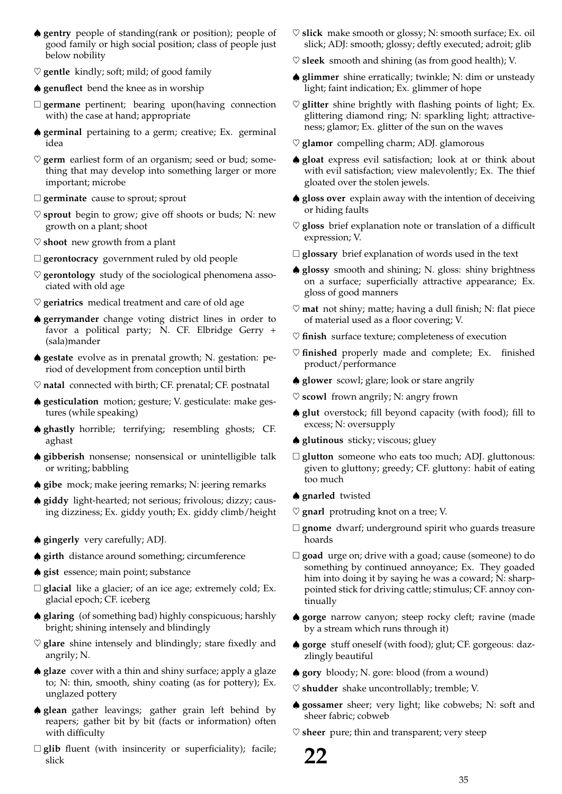- ♠ **gentry** people of standing(rank or position); people of good family or high social position; class of people just below nobility
- $\heartsuit$  gentle kindly; soft; mild; of good family
- ♠ **genuflect** bend the knee as in worship
- **germane** pertinent; bearing upon(having connection with) the case at hand; appropriate
- ♠ **germinal** pertaining to a germ; creative; Ex. germinal idea
- $\heartsuit$  germ earliest form of an organism; seed or bud; something that may develop into something larger or more important; microbe
- □ germinate cause to sprout; sprout
- ♥ **sprout** begin to grow; give off shoots or buds; N: new growth on a plant; shoot
- $\heartsuit$  **shoot** new growth from a plant
- □ **gerontocracy** government ruled by old people
- $\heartsuit$  **gerontology** study of the sociological phenomena associated with old age
- $\heartsuit$  geriatrics medical treatment and care of old age
- ♠ **gerrymander** change voting district lines in order to favor a political party; N. CF. Elbridge Gerry + (sala)mander
- ♠ **gestate** evolve as in prenatal growth; N. gestation: period of development from conception until birth
- ♥ **natal** connected with birth; CF. prenatal; CF. postnatal
- ♠ **gesticulation** motion; gesture; V. gesticulate: make gestures (while speaking)
- ♠ **ghastly** horrible; terrifying; resembling ghosts; CF. aghast
- ♠ **gibberish** nonsense; nonsensical or unintelligible talk or writing; babbling
- ♠ **gibe** mock; make jeering remarks; N: jeering remarks
- ♠ **giddy** light-hearted; not serious; frivolous; dizzy; causing dizziness; Ex. giddy youth; Ex. giddy climb/height
- ♠ **gingerly** very carefully; ADJ.
- ♠ **girth** distance around something; circumference
- ♠ **gist** essence; main point; substance
- □ **glacial** like a glacier; of an ice age; extremely cold; Ex. glacial epoch; CF. iceberg
- ♠ **glaring** (of something bad) highly conspicuous; harshly bright; shining intensely and blindingly
- ♥ **glare** shine intensely and blindingly; stare fixedly and angrily; N.
- ♠ **glaze** cover with a thin and shiny surface; apply a glaze to; N: thin, smooth, shiny coating (as for pottery); Ex. unglazed pottery
- ♠ **glean** gather leavings; gather grain left behind by reapers; gather bit by bit (facts or information) often with difficulty
- $\square$  glib fluent (with insincerity or superficiality); facile; slick
- ♥ **slick** make smooth or glossy; N: smooth surface; Ex. oil slick; ADJ: smooth; glossy; deftly executed; adroit; glib
- $\heartsuit$  **sleek** smooth and shining (as from good health); V.
- ♠ **glimmer** shine erratically; twinkle; N: dim or unsteady light; faint indication; Ex. glimmer of hope
- $\heartsuit$  glitter shine brightly with flashing points of light; Ex. glittering diamond ring; N: sparkling light; attractiveness; glamor; Ex. glitter of the sun on the waves
- ♥ **glamor** compelling charm; ADJ. glamorous
- ♠ **gloat** express evil satisfaction; look at or think about with evil satisfaction; view malevolently; Ex. The thief gloated over the stolen jewels.
- ♠ **gloss over** explain away with the intention of deceiving or hiding faults
- $\heartsuit$  gloss brief explanation note or translation of a difficult expression; V.
- **glossary** brief explanation of words used in the text
- ♠ **glossy** smooth and shining; N. gloss: shiny brightness on a surface; superficially attractive appearance; Ex. gloss of good manners
- $\heartsuit$  **mat** not shiny; matte; having a dull finish; N: flat piece of material used as a floor covering; V.
- ♥ **finish** surface texture; completeness of execution
- ♥ **finished** properly made and complete; Ex. finished product/performance
- ♠ **glower** scowl; glare; look or stare angrily
- ♥ **scowl** frown angrily; N: angry frown
- ♠ **glut** overstock; fill beyond capacity (with food); fill to excess; N: oversupply
- ♠ **glutinous** sticky; viscous; gluey
- □ **glutton** someone who eats too much; ADJ. gluttonous: given to gluttony; greedy; CF. gluttony: habit of eating too much
- ♠ **gnarled** twisted
- ♥ **gnarl** protruding knot on a tree; V.
- □ gnome dwarf; underground spirit who guards treasure hoards
- □ **goad** urge on; drive with a goad; cause (someone) to do something by continued annoyance; Ex. They goaded him into doing it by saying he was a coward; N: sharppointed stick for driving cattle; stimulus; CF. annoy continually
- ♠ **gorge** narrow canyon; steep rocky cleft; ravine (made by a stream which runs through it)
- ♠ **gorge** stuff oneself (with food); glut; CF. gorgeous: dazzlingly beautiful
- ♠ **gory** bloody; N. gore: blood (from a wound)
- ♥ **shudder** shake uncontrollably; tremble; V.
- ♠ **gossamer** sheer; very light; like cobwebs; N: soft and sheer fabric; cobweb
- $\heartsuit$  **sheer** pure; thin and transparent; very steep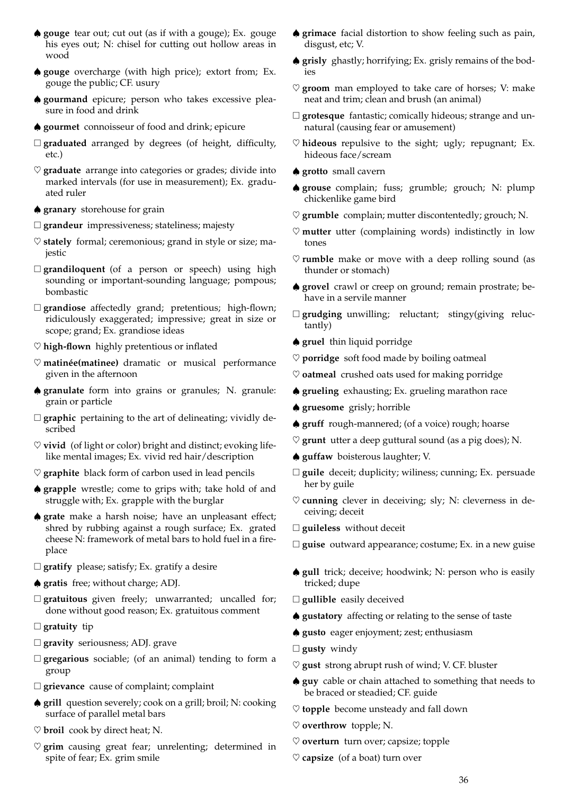- ♠ **gouge** tear out; cut out (as if with a gouge); Ex. gouge his eyes out; N: chisel for cutting out hollow areas in wood
- ♠ **gouge** overcharge (with high price); extort from; Ex. gouge the public; CF. usury
- ♠ **gourmand** epicure; person who takes excessive pleasure in food and drink
- ♠ **gourmet** connoisseur of food and drink; epicure
- □ graduated arranged by degrees (of height, difficulty, etc.)
- $\heartsuit$  graduate arrange into categories or grades; divide into marked intervals (for use in measurement); Ex. graduated ruler
- ♠ **granary** storehouse for grain
- □ grandeur impressiveness; stateliness; majesty
- ♥ **stately** formal; ceremonious; grand in style or size; majestic
- □ grandiloquent (of a person or speech) using high sounding or important-sounding language; pompous; bombastic
- **grandiose** affectedly grand; pretentious; high-flown; ridiculously exaggerated; impressive; great in size or scope; grand; Ex. grandiose ideas
- $\heartsuit$  **high-flown** highly pretentious or inflated
- $\heartsuit$  matinée(matinee) dramatic or musical performance given in the afternoon
- ♠ **granulate** form into grains or granules; N. granule: grain or particle
- $\square$  graphic pertaining to the art of delineating; vividly described
- $\heartsuit$  **vivid** (of light or color) bright and distinct; evoking lifelike mental images; Ex. vivid red hair/description
- $\heartsuit$  graphite black form of carbon used in lead pencils
- ♠ **grapple** wrestle; come to grips with; take hold of and struggle with; Ex. grapple with the burglar
- ♠ **grate** make a harsh noise; have an unpleasant effect; shred by rubbing against a rough surface; Ex. grated cheese N: framework of metal bars to hold fuel in a fireplace
- □ gratify please; satisfy; Ex. gratify a desire
- ♠ **gratis** free; without charge; ADJ.
- **gratuitous** given freely; unwarranted; uncalled for; done without good reason; Ex. gratuitous comment
- **gratuity** tip
- **gravity** seriousness; ADJ. grave
- □ **gregarious** sociable; (of an animal) tending to form a group
- □ grievance cause of complaint; complaint
- ♠ **grill** question severely; cook on a grill; broil; N: cooking surface of parallel metal bars
- $\heartsuit$  **broil** cook by direct heat; N.
- $\heartsuit$  grim causing great fear; unrelenting; determined in spite of fear; Ex. grim smile
- ♠ **grimace** facial distortion to show feeling such as pain, disgust, etc; V.
- ♠ **grisly** ghastly; horrifying; Ex. grisly remains of the bodies
- $\heartsuit$  groom man employed to take care of horses; V: make neat and trim; clean and brush (an animal)
- **grotesque** fantastic; comically hideous; strange and unnatural (causing fear or amusement)
- $\heartsuit$  **hideous** repulsive to the sight; ugly; repugnant; Ex. hideous face/scream
- ♠ **grotto** small cavern
- ♠ **grouse** complain; fuss; grumble; grouch; N: plump chickenlike game bird
- $\heartsuit$  grumble complain; mutter discontentedly; grouch; N.
- ♥ **mutter** utter (complaining words) indistinctly in low tones
- $\heartsuit$  **rumble** make or move with a deep rolling sound (as thunder or stomach)
- ♠ **grovel** crawl or creep on ground; remain prostrate; behave in a servile manner
- **grudging** unwilling; reluctant; stingy(giving reluctantly)
- ♠ **gruel** thin liquid porridge
- $\heartsuit$  **porridge** soft food made by boiling oatmeal
- $\heartsuit$  **oatmeal** crushed oats used for making porridge
- ♠ **grueling** exhausting; Ex. grueling marathon race
- ♠ **gruesome** grisly; horrible
- ♠ **gruff** rough-mannered; (of a voice) rough; hoarse
- $\heartsuit$  grunt utter a deep guttural sound (as a pig does); N.
- ♠ **guffaw** boisterous laughter; V.
- □ guile deceit; duplicity; wiliness; cunning; Ex. persuade her by guile
- $\heartsuit$  **cunning** clever in deceiving; sly; N: cleverness in deceiving; deceit
- **guileless** without deceit
- □ guise outward appearance; costume; Ex. in a new guise
- ♠ **gull** trick; deceive; hoodwink; N: person who is easily tricked; dupe
- **gullible** easily deceived
- ♠ **gustatory** affecting or relating to the sense of taste
- ♠ **gusto** eager enjoyment; zest; enthusiasm
- **gusty** windy
- ♥ **gust** strong abrupt rush of wind; V. CF. bluster
- ♠ **guy** cable or chain attached to something that needs to be braced or steadied; CF. guide
- ♥ **topple** become unsteady and fall down
- $\heartsuit$  **overthrow** topple; N.
- ♥ **overturn** turn over; capsize; topple
- ♥ **capsize** (of a boat) turn over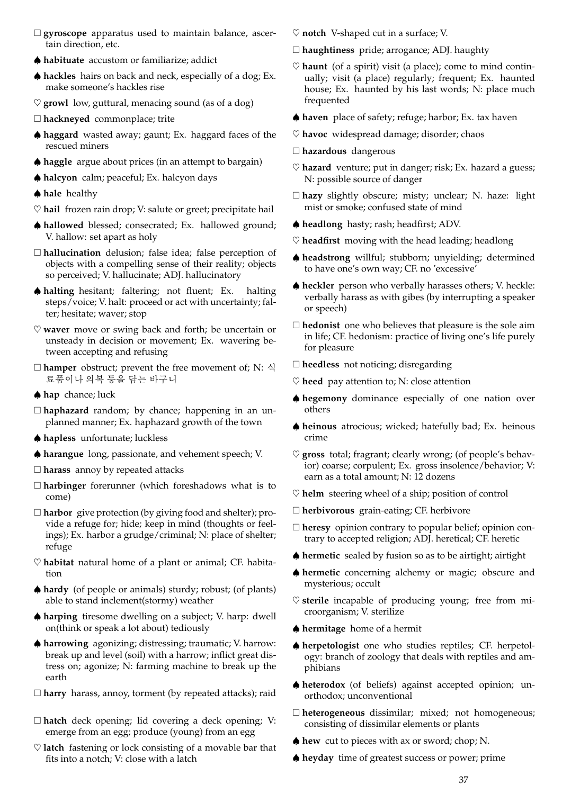- □ gyroscope apparatus used to maintain balance, ascertain direction, etc.
- ♠ **habituate** accustom or familiarize; addict
- ♠ **hackles** hairs on back and neck, especially of a dog; Ex. make someone's hackles rise
- $\heartsuit$  growl low, guttural, menacing sound (as of a dog)
- □ hackneyed commonplace; trite
- ♠ **haggard** wasted away; gaunt; Ex. haggard faces of the rescued miners
- ♠ **haggle** argue about prices (in an attempt to bargain)
- ♠ **halcyon** calm; peaceful; Ex. halcyon days
- ♠ **hale** healthy
- ♥ **hail** frozen rain drop; V: salute or greet; precipitate hail
- ♠ **hallowed** blessed; consecrated; Ex. hallowed ground; V. hallow: set apart as holy
- □ **hallucination** delusion; false idea; false perception of objects with a compelling sense of their reality; objects so perceived; V. hallucinate; ADJ. hallucinatory
- ♠ **halting** hesitant; faltering; not fluent; Ex. halting steps/voice; V. halt: proceed or act with uncertainty; falter; hesitate; waver; stop
- ♥ **waver** move or swing back and forth; be uncertain or unsteady in decision or movement; Ex. wavering between accepting and refusing
- □ **hamper** obstruct; prevent the free movement of; N: 식 료품이나 의복 등을 담는 바구니
- ♠ **hap** chance; luck
- **haphazard** random; by chance; happening in an unplanned manner; Ex. haphazard growth of the town
- ♠ **hapless** unfortunate; luckless
- ♠ **harangue** long, passionate, and vehement speech; V.
- **harass** annoy by repeated attacks
- □ **harbinger** forerunner (which foreshadows what is to come)
- □ **harbor** give protection (by giving food and shelter); provide a refuge for; hide; keep in mind (thoughts or feelings); Ex. harbor a grudge/criminal; N: place of shelter; refuge
- $\heartsuit$  **habitat** natural home of a plant or animal; CF. habitation
- ♠ **hardy** (of people or animals) sturdy; robust; (of plants) able to stand inclement(stormy) weather
- ♠ **harping** tiresome dwelling on a subject; V. harp: dwell on(think or speak a lot about) tediously
- ♠ **harrowing** agonizing; distressing; traumatic; V. harrow: break up and level (soil) with a harrow; inflict great distress on; agonize; N: farming machine to break up the earth
- **harry** harass, annoy, torment (by repeated attacks); raid
- □ **hatch** deck opening; lid covering a deck opening; V: emerge from an egg; produce (young) from an egg
- ♥ **latch** fastening or lock consisting of a movable bar that fits into a notch; V: close with a latch
- ♥ **notch** V-shaped cut in a surface; V.
- **haughtiness** pride; arrogance; ADJ. haughty
- $\heartsuit$  **haunt** (of a spirit) visit (a place); come to mind continually; visit (a place) regularly; frequent; Ex. haunted house; Ex. haunted by his last words; N: place much frequented
- ♠ **haven** place of safety; refuge; harbor; Ex. tax haven
- ♥ **havoc** widespread damage; disorder; chaos
- **hazardous** dangerous
- $\heartsuit$  **hazard** venture; put in danger; risk; Ex. hazard a guess; N: possible source of danger
- **hazy** slightly obscure; misty; unclear; N. haze: light mist or smoke; confused state of mind
- ♠ **headlong** hasty; rash; headfirst; ADV.
- $\heartsuit$  **headfirst** moving with the head leading; headlong
- ♠ **headstrong** willful; stubborn; unyielding; determined to have one's own way; CF. no 'excessive'
- ♠ **heckler** person who verbally harasses others; V. heckle: verbally harass as with gibes (by interrupting a speaker or speech)
- **hedonist** one who believes that pleasure is the sole aim in life; CF. hedonism: practice of living one's life purely for pleasure
- **heedless** not noticing; disregarding
- $\heartsuit$  **heed** pay attention to; N: close attention
- ♠ **hegemony** dominance especially of one nation over others
- ♠ **heinous** atrocious; wicked; hatefully bad; Ex. heinous crime
- ♥ **gross** total; fragrant; clearly wrong; (of people's behavior) coarse; corpulent; Ex. gross insolence/behavior; V: earn as a total amount; N: 12 dozens
- $\heartsuit$  **helm** steering wheel of a ship; position of control
- **herbivorous** grain-eating; CF. herbivore
- □ **heresy** opinion contrary to popular belief; opinion contrary to accepted religion; ADJ. heretical; CF. heretic
- ♠ **hermetic** sealed by fusion so as to be airtight; airtight
- ♠ **hermetic** concerning alchemy or magic; obscure and mysterious; occult
- ♥ **sterile** incapable of producing young; free from microorganism; V. sterilize
- ♠ **hermitage** home of a hermit
- ♠ **herpetologist** one who studies reptiles; CF. herpetology: branch of zoology that deals with reptiles and amphibians
- ♠ **heterodox** (of beliefs) against accepted opinion; unorthodox; unconventional
- **heterogeneous** dissimilar; mixed; not homogeneous; consisting of dissimilar elements or plants
- ♠ **hew** cut to pieces with ax or sword; chop; N.
- ♠ **heyday** time of greatest success or power; prime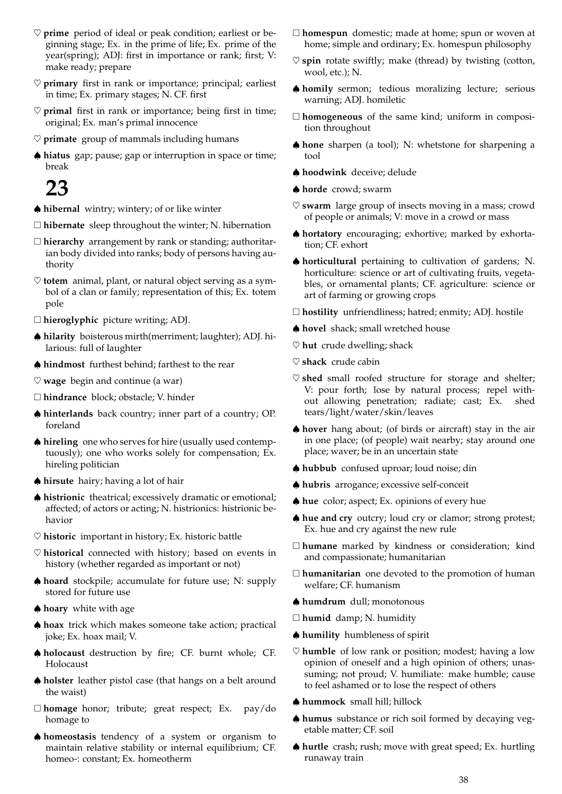- $\heartsuit$  **prime** period of ideal or peak condition; earliest or beginning stage; Ex. in the prime of life; Ex. prime of the year(spring); ADJ: first in importance or rank; first; V: make ready; prepare
- $\heartsuit$  **primary** first in rank or importance; principal; earliest in time; Ex. primary stages; N. CF. first
- $\heartsuit$  **primal** first in rank or importance; being first in time; original; Ex. man's primal innocence
- $\heartsuit$  **primate** group of mammals including humans
- ♠ **hiatus** gap; pause; gap or interruption in space or time; break

- ♠ **hibernal** wintry; wintery; of or like winter
- □ **hibernate** sleep throughout the winter; N. hibernation
- **hierarchy** arrangement by rank or standing; authoritarian body divided into ranks; body of persons having authority
- $\heartsuit$  **totem** animal, plant, or natural object serving as a symbol of a clan or family; representation of this; Ex. totem pole
- **hieroglyphic** picture writing; ADJ.
- ♠ **hilarity** boisterous mirth(merriment; laughter); ADJ. hilarious: full of laughter
- ♠ **hindmost** furthest behind; farthest to the rear
- ♥ **wage** begin and continue (a war)
- **hindrance** block; obstacle; V. hinder
- ♠ **hinterlands** back country; inner part of a country; OP. foreland
- ♠ **hireling** one who serves for hire (usually used contemptuously); one who works solely for compensation; Ex. hireling politician
- ♠ **hirsute** hairy; having a lot of hair
- ♠ **histrionic** theatrical; excessively dramatic or emotional; affected; of actors or acting; N. histrionics: histrionic behavior
- $\heartsuit$  **historic** important in history; Ex. historic battle
- $\heartsuit$  **historical** connected with history; based on events in history (whether regarded as important or not)
- ♠ **hoard** stockpile; accumulate for future use; N: supply stored for future use
- ♠ **hoary** white with age
- ♠ **hoax** trick which makes someone take action; practical joke; Ex. hoax mail; V.
- ♠ **holocaust** destruction by fire; CF. burnt whole; CF. Holocaust
- ♠ **holster** leather pistol case (that hangs on a belt around the waist)
- **homage** honor; tribute; great respect; Ex. pay/do homage to
- ♠ **homeostasis** tendency of a system or organism to maintain relative stability or internal equilibrium; CF. homeo-: constant; Ex. homeotherm
- □ **homespun** domestic; made at home; spun or woven at home; simple and ordinary; Ex. homespun philosophy
- $\heartsuit$  spin rotate swiftly; make (thread) by twisting (cotton, wool, etc.); N.
- ♠ **homily** sermon; tedious moralizing lecture; serious warning; ADJ. homiletic
- **homogeneous** of the same kind; uniform in composition throughout
- ♠ **hone** sharpen (a tool); N: whetstone for sharpening a tool
- ♠ **hoodwink** deceive; delude
- ♠ **horde** crowd; swarm
- $\heartsuit$  **swarm** large group of insects moving in a mass; crowd of people or animals; V: move in a crowd or mass
- ♠ **hortatory** encouraging; exhortive; marked by exhortation; CF. exhort
- ♠ **horticultural** pertaining to cultivation of gardens; N. horticulture: science or art of cultivating fruits, vegetables, or ornamental plants; CF. agriculture: science or art of farming or growing crops
- □ **hostility** unfriendliness; hatred; enmity; ADJ. hostile
- ♠ **hovel** shack; small wretched house
- $\heartsuit$  **hut** crude dwelling; shack
- ♥ **shack** crude cabin
- $\heartsuit$  shed small roofed structure for storage and shelter; V: pour forth; lose by natural process; repel without allowing penetration; radiate; cast; Ex. shed tears/light/water/skin/leaves
- ♠ **hover** hang about; (of birds or aircraft) stay in the air in one place; (of people) wait nearby; stay around one place; waver; be in an uncertain state
- ♠ **hubbub** confused uproar; loud noise; din
- ♠ **hubris** arrogance; excessive self-conceit
- ♠ **hue** color; aspect; Ex. opinions of every hue
- ♠ **hue and cry** outcry; loud cry or clamor; strong protest; Ex. hue and cry against the new rule
- **humane** marked by kindness or consideration; kind and compassionate; humanitarian
- **humanitarian** one devoted to the promotion of human welfare; CF. humanism
- ♠ **humdrum** dull; monotonous
- **humid** damp; N. humidity
- ♠ **humility** humbleness of spirit
- ♥ **humble** of low rank or position; modest; having a low opinion of oneself and a high opinion of others; unassuming; not proud; V. humiliate: make humble; cause to feel ashamed or to lose the respect of others
- ♠ **hummock** small hill; hillock
- ♠ **humus** substance or rich soil formed by decaying vegetable matter; CF. soil
- ♠ **hurtle** crash; rush; move with great speed; Ex. hurtling runaway train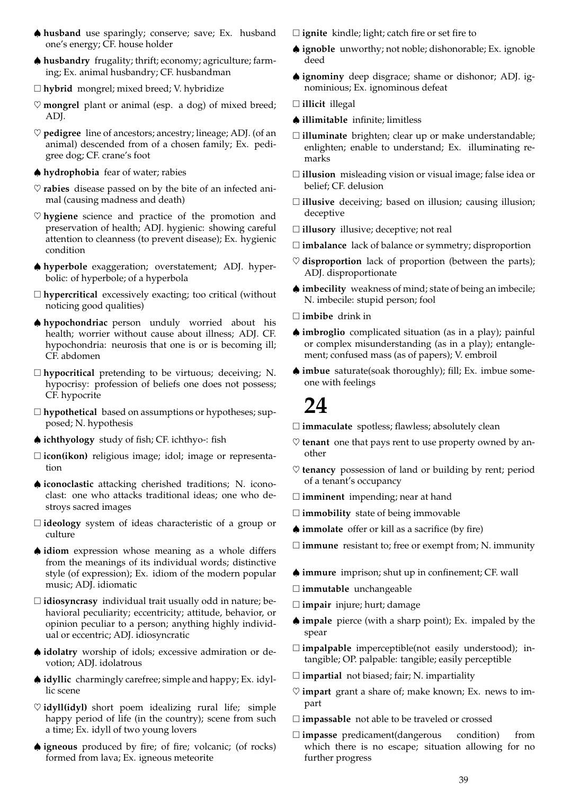- ♠ **husband** use sparingly; conserve; save; Ex. husband one's energy; CF. house holder
- ♠ **husbandry** frugality; thrift; economy; agriculture; farming; Ex. animal husbandry; CF. husbandman
- □ hybrid mongrel; mixed breed; V. hybridize
- $\heartsuit$  **mongrel** plant or animal (esp. a dog) of mixed breed; ADJ.
- ♥ **pedigree** line of ancestors; ancestry; lineage; ADJ. (of an animal) descended from of a chosen family; Ex. pedigree dog; CF. crane's foot
- ♠ **hydrophobia** fear of water; rabies
- $\heartsuit$  **rabies** disease passed on by the bite of an infected animal (causing madness and death)
- ♥ **hygiene** science and practice of the promotion and preservation of health; ADJ. hygienic: showing careful attention to cleanness (to prevent disease); Ex. hygienic condition
- ♠ **hyperbole** exaggeration; overstatement; ADJ. hyperbolic: of hyperbole; of a hyperbola
- □ **hypercritical** excessively exacting; too critical (without noticing good qualities)
- ♠ **hypochondriac** person unduly worried about his health; worrier without cause about illness; ADJ. CF. hypochondria: neurosis that one is or is becoming ill; CF. abdomen
- **hypocritical** pretending to be virtuous; deceiving; N. hypocrisy: profession of beliefs one does not possess; CF. hypocrite
- □ **hypothetical** based on assumptions or hypotheses; supposed; N. hypothesis
- ♠ **ichthyology** study of fish; CF. ichthyo-: fish
- □ **icon(ikon)** religious image; idol; image or representation
- ♠ **iconoclastic** attacking cherished traditions; N. iconoclast: one who attacks traditional ideas; one who destroys sacred images
- □ **ideology** system of ideas characteristic of a group or culture
- ♠ **idiom** expression whose meaning as a whole differs from the meanings of its individual words; distinctive style (of expression); Ex. idiom of the modern popular music; ADJ. idiomatic
- **idiosyncrasy** individual trait usually odd in nature; behavioral peculiarity; eccentricity; attitude, behavior, or opinion peculiar to a person; anything highly individual or eccentric; ADJ. idiosyncratic
- ♠ **idolatry** worship of idols; excessive admiration or devotion; ADJ. idolatrous
- ♠ **idyllic** charmingly carefree; simple and happy; Ex. idyllic scene
- ♥ **idyll(idyl)** short poem idealizing rural life; simple happy period of life (in the country); scene from such a time; Ex. idyll of two young lovers
- ♠ **igneous** produced by fire; of fire; volcanic; (of rocks) formed from lava; Ex. igneous meteorite
- □ **ignite** kindle; light; catch fire or set fire to
- ♠ **ignoble** unworthy; not noble; dishonorable; Ex. ignoble deed
- ♠ **ignominy** deep disgrace; shame or dishonor; ADJ. ignominious; Ex. ignominous defeat
- **illicit** illegal
- ♠ **illimitable** infinite; limitless
- **illuminate** brighten; clear up or make understandable; enlighten; enable to understand; Ex. illuminating remarks
- **illusion** misleading vision or visual image; false idea or belief; CF. delusion
- □ **illusive** deceiving; based on illusion; causing illusion; deceptive
- **illusory** illusive; deceptive; not real
- **imbalance** lack of balance or symmetry; disproportion
- $\heartsuit$  **disproportion** lack of proportion (between the parts); ADJ. disproportionate
- ♠ **imbecility** weakness of mind; state of being an imbecile; N. imbecile: stupid person; fool
- **imbibe** drink in
- ♠ **imbroglio** complicated situation (as in a play); painful or complex misunderstanding (as in a play); entanglement; confused mass (as of papers); V. embroil
- ♠ **imbue** saturate(soak thoroughly); fill; Ex. imbue someone with feelings

- □ **immaculate** spotless; flawless; absolutely clean
- $\heartsuit$  **tenant** one that pays rent to use property owned by another
- $\heartsuit$  **tenancy** possession of land or building by rent; period of a tenant's occupancy
- **imminent** impending; near at hand
- **immobility** state of being immovable
- ♠ **immolate** offer or kill as a sacrifice (by fire)
- **immune** resistant to; free or exempt from; N. immunity
- ♠ **immure** imprison; shut up in confinement; CF. wall
- **immutable** unchangeable
- **impair** injure; hurt; damage
- ♠ **impale** pierce (with a sharp point); Ex. impaled by the spear
- **impalpable** imperceptible(not easily understood); intangible; OP. palpable: tangible; easily perceptible
- **impartial** not biased; fair; N. impartiality
- $\heartsuit$  **impart** grant a share of; make known; Ex. news to impart
- □ **impassable** not able to be traveled or crossed
- **impasse** predicament(dangerous condition) from which there is no escape; situation allowing for no further progress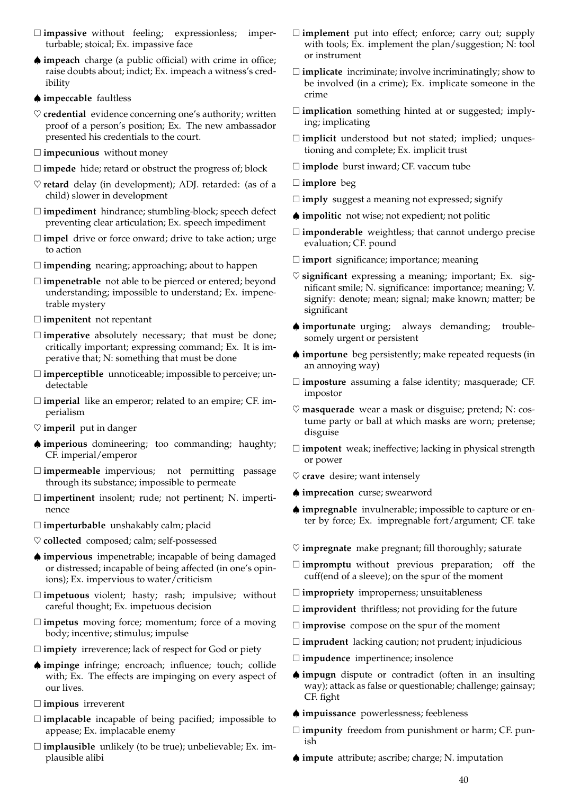- **impassive** without feeling; expressionless; imperturbable; stoical; Ex. impassive face
- ♠ **impeach** charge (a public official) with crime in office; raise doubts about; indict; Ex. impeach a witness's credibility
- ♠ **impeccable** faultless
- ♥ **credential** evidence concerning one's authority; written proof of a person's position; Ex. The new ambassador presented his credentials to the court.
- **impecunious** without money
- **impede** hide; retard or obstruct the progress of; block
- ♥ **retard** delay (in development); ADJ. retarded: (as of a child) slower in development
- **impediment** hindrance; stumbling-block; speech defect preventing clear articulation; Ex. speech impediment
- **impel** drive or force onward; drive to take action; urge to action
- □ **impending** nearing; approaching; about to happen
- **impenetrable** not able to be pierced or entered; beyond understanding; impossible to understand; Ex. impenetrable mystery
- **impenitent** not repentant
- **imperative** absolutely necessary; that must be done; critically important; expressing command; Ex. It is imperative that; N: something that must be done
- □ **imperceptible** unnoticeable; impossible to perceive; undetectable
- **imperial** like an emperor; related to an empire; CF. imperialism
- $\heartsuit$  **imperil** put in danger
- ♠ **imperious** domineering; too commanding; haughty; CF. imperial/emperor
- **impermeable** impervious; not permitting passage through its substance; impossible to permeate
- **impertinent** insolent; rude; not pertinent; N. impertinence
- **imperturbable** unshakably calm; placid
- ♥ **collected** composed; calm; self-possessed
- ♠ **impervious** impenetrable; incapable of being damaged or distressed; incapable of being affected (in one's opinions); Ex. impervious to water/criticism
- **impetuous** violent; hasty; rash; impulsive; without careful thought; Ex. impetuous decision
- □ **impetus** moving force; momentum; force of a moving body; incentive; stimulus; impulse
- □ **impiety** irreverence; lack of respect for God or piety
- ♠ **impinge** infringe; encroach; influence; touch; collide with; Ex. The effects are impinging on every aspect of our lives.
- **impious** irreverent
- □ **implacable** incapable of being pacified; impossible to appease; Ex. implacable enemy
- **implausible** unlikely (to be true); unbelievable; Ex. implausible alibi
- □ **implement** put into effect; enforce; carry out; supply with tools; Ex. implement the plan/suggestion; N: tool or instrument
- **implicate** incriminate; involve incriminatingly; show to be involved (in a crime); Ex. implicate someone in the crime
- □ **implication** something hinted at or suggested; implying; implicating
- **implicit** understood but not stated; implied; unquestioning and complete; Ex. implicit trust
- **implode** burst inward; CF. vaccum tube
- **implore** beg
- □ **imply** suggest a meaning not expressed; signify
- ♠ **impolitic** not wise; not expedient; not politic
- □ **imponderable** weightless; that cannot undergo precise evaluation; CF. pound
- **import** significance; importance; meaning
- $\heartsuit$  **significant** expressing a meaning; important; Ex. significant smile; N. significance: importance; meaning; V. signify: denote; mean; signal; make known; matter; be significant
- ♠ **importunate** urging; always demanding; troublesomely urgent or persistent
- ♠ **importune** beg persistently; make repeated requests (in an annoying way)
- **imposture** assuming a false identity; masquerade; CF. impostor
- ♥ **masquerade** wear a mask or disguise; pretend; N: costume party or ball at which masks are worn; pretense; disguise
- **impotent** weak; ineffective; lacking in physical strength or power
- ♥ **crave** desire; want intensely
- ♠ **imprecation** curse; swearword
- ♠ **impregnable** invulnerable; impossible to capture or enter by force; Ex. impregnable fort/argument; CF. take
- $\heartsuit$  **impregnate** make pregnant; fill thoroughly; saturate
- **impromptu** without previous preparation; off the cuff(end of a sleeve); on the spur of the moment
- **impropriety** improperness; unsuitableness
- **improvident** thriftless; not providing for the future
- **improvise** compose on the spur of the moment
- **imprudent** lacking caution; not prudent; injudicious
- **impudence** impertinence; insolence
- ♠ **impugn** dispute or contradict (often in an insulting way); attack as false or questionable; challenge; gainsay; CF. fight
- ♠ **impuissance** powerlessness; feebleness
- **impunity** freedom from punishment or harm; CF. punish
- ♠ **impute** attribute; ascribe; charge; N. imputation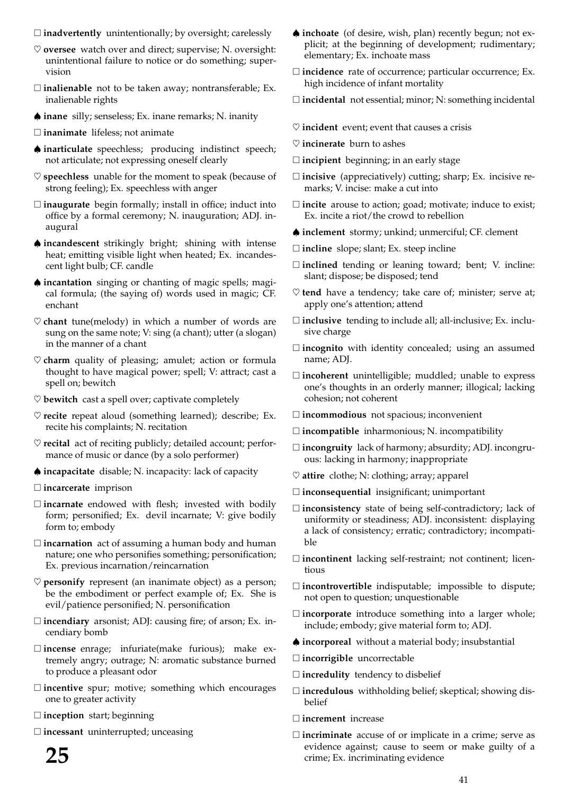- □ **inadvertently** unintentionally; by oversight; carelessly
- ♥ **oversee** watch over and direct; supervise; N. oversight: unintentional failure to notice or do something; supervision
- **inalienable** not to be taken away; nontransferable; Ex. inalienable rights
- ♠ **inane** silly; senseless; Ex. inane remarks; N. inanity
- **inanimate** lifeless; not animate
- ♠ **inarticulate** speechless; producing indistinct speech; not articulate; not expressing oneself clearly
- $\heartsuit$  **speechless** unable for the moment to speak (because of strong feeling); Ex. speechless with anger
- □ **inaugurate** begin formally; install in office; induct into office by a formal ceremony; N. inauguration; ADJ. inaugural
- ♠ **incandescent** strikingly bright; shining with intense heat; emitting visible light when heated; Ex. incandescent light bulb; CF. candle
- ♠ **incantation** singing or chanting of magic spells; magical formula; (the saying of) words used in magic; CF. enchant
- $\heartsuit$  **chant** tune(melody) in which a number of words are sung on the same note; V: sing (a chant); utter (a slogan) in the manner of a chant
- ♥ **charm** quality of pleasing; amulet; action or formula thought to have magical power; spell; V: attract; cast a spell on; bewitch
- $\heartsuit$  **bewitch** cast a spell over; captivate completely
- ♥ **recite** repeat aloud (something learned); describe; Ex. recite his complaints; N. recitation
- $\heartsuit$  **recital** act of reciting publicly; detailed account; performance of music or dance (by a solo performer)
- ♠ **incapacitate** disable; N. incapacity: lack of capacity
- **incarcerate** imprison
- □ **incarnate** endowed with flesh; invested with bodily form; personified; Ex. devil incarnate; V: give bodily form to; embody
- **incarnation** act of assuming a human body and human nature; one who personifies something; personification; Ex. previous incarnation/reincarnation
- $\heartsuit$  **personify** represent (an inanimate object) as a person; be the embodiment or perfect example of; Ex. She is evil/patience personified; N. personification
- □ **incendiary** arsonist; ADJ: causing fire; of arson; Ex. incendiary bomb
- **incense** enrage; infuriate(make furious); make extremely angry; outrage; N: aromatic substance burned to produce a pleasant odor
- □ **incentive** spur; motive; something which encourages one to greater activity
- **inception** start; beginning
- □ **incessant** uninterrupted; unceasing
	- **25**
- ♠ **inchoate** (of desire, wish, plan) recently begun; not explicit; at the beginning of development; rudimentary; elementary; Ex. inchoate mass
- □ **incidence** rate of occurrence; particular occurrence; Ex. high incidence of infant mortality
- □ **incidental** not essential; minor; N: something incidental
- $\heartsuit$  incident event; event that causes a crisis
- ♥ **incinerate** burn to ashes
- **incipient** beginning; in an early stage
- □ **incisive** (appreciatively) cutting; sharp; Ex. incisive remarks; V. incise: make a cut into
- □ **incite** arouse to action; goad; motivate; induce to exist; Ex. incite a riot/the crowd to rebellion
- ♠ **inclement** stormy; unkind; unmerciful; CF. clement
- **incline** slope; slant; Ex. steep incline
- □ **inclined** tending or leaning toward; bent; V. incline: slant; dispose; be disposed; tend
- $\heartsuit$  **tend** have a tendency; take care of; minister; serve at; apply one's attention; attend
- **inclusive** tending to include all; all-inclusive; Ex. inclusive charge
- □ **incognito** with identity concealed; using an assumed name; ADJ.
- **incoherent** unintelligible; muddled; unable to express one's thoughts in an orderly manner; illogical; lacking cohesion; not coherent
- **incommodious** not spacious; inconvenient
- **incompatible** inharmonious; N. incompatibility
- **incongruity** lack of harmony; absurdity; ADJ. incongruous: lacking in harmony; inappropriate
- ♥ **attire** clothe; N: clothing; array; apparel
- **inconsequential** insignificant; unimportant
- **inconsistency** state of being self-contradictory; lack of uniformity or steadiness; ADJ. inconsistent: displaying a lack of consistency; erratic; contradictory; incompatible
- **incontinent** lacking self-restraint; not continent; licentious
- □ **incontrovertible** indisputable; impossible to dispute; not open to question; unquestionable
- □ **incorporate** introduce something into a larger whole; include; embody; give material form to; ADJ.
- ♠ **incorporeal** without a material body; insubstantial
- **incorrigible** uncorrectable
- **incredulity** tendency to disbelief
- **incredulous** withholding belief; skeptical; showing disbelief
- **increment** increase
- □ **incriminate** accuse of or implicate in a crime; serve as evidence against; cause to seem or make guilty of a crime; Ex. incriminating evidence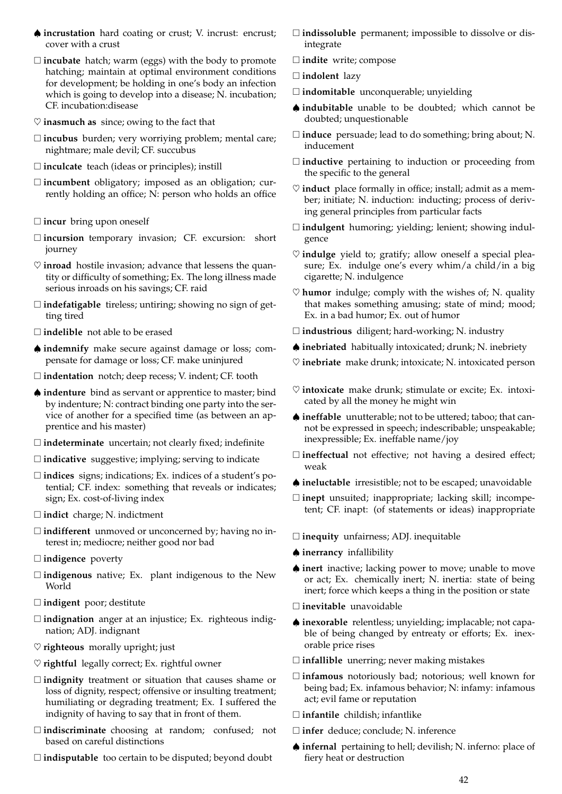- ♠ **incrustation** hard coating or crust; V. incrust: encrust; cover with a crust
- □ **incubate** hatch; warm (eggs) with the body to promote hatching; maintain at optimal environment conditions for development; be holding in one's body an infection which is going to develop into a disease; N. incubation; CF. incubation:disease
- $\heartsuit$  **inasmuch as** since; owing to the fact that
- **incubus** burden; very worriying problem; mental care; nightmare; male devil; CF. succubus
- **inculcate** teach (ideas or principles); instill
- **incumbent** obligatory; imposed as an obligation; currently holding an office; N: person who holds an office
- **incur** bring upon oneself
- **incursion** temporary invasion; CF. excursion: short journey
- $\heartsuit$  **inroad** hostile invasion; advance that lessens the quantity or difficulty of something; Ex. The long illness made serious inroads on his savings; CF. raid
- □ **indefatigable** tireless; untiring; showing no sign of getting tired
- □ **indelible** not able to be erased
- ♠ **indemnify** make secure against damage or loss; compensate for damage or loss; CF. make uninjured
- □ **indentation** notch; deep recess; V. indent; CF. tooth
- ♠ **indenture** bind as servant or apprentice to master; bind by indenture; N: contract binding one party into the service of another for a specified time (as between an apprentice and his master)
- **indeterminate** uncertain; not clearly fixed; indefinite
- □ **indicative** suggestive; implying; serving to indicate
- □ **indices** signs; indications; Ex. indices of a student's potential; CF. index: something that reveals or indicates; sign; Ex. cost-of-living index
- **indict** charge; N. indictment
- □ **indifferent** unmoved or unconcerned by; having no interest in; mediocre; neither good nor bad
- **indigence** poverty
- **indigenous** native; Ex. plant indigenous to the New World
- **indigent** poor; destitute
- **indignation** anger at an injustice; Ex. righteous indignation; ADJ. indignant
- $\heartsuit$  **righteous** morally upright; just
- ♥ **rightful** legally correct; Ex. rightful owner
- **indignity** treatment or situation that causes shame or loss of dignity, respect; offensive or insulting treatment; humiliating or degrading treatment; Ex. I suffered the indignity of having to say that in front of them.
- **indiscriminate** choosing at random; confused; not based on careful distinctions
- □ **indisputable** too certain to be disputed; beyond doubt
- □ **indissoluble** permanent; impossible to dissolve or disintegrate
- **indite** write; compose
- **indolent** lazy
- **indomitable** unconquerable; unyielding
- ♠ **indubitable** unable to be doubted; which cannot be doubted; unquestionable
- **induce** persuade; lead to do something; bring about; N. inducement
- □ **inductive** pertaining to induction or proceeding from the specific to the general
- $\heartsuit$  **induct** place formally in office; install; admit as a member; initiate; N. induction: inducting; process of deriving general principles from particular facts
- **indulgent** humoring; yielding; lenient; showing indulgence
- $\heartsuit$  **indulge** yield to; gratify; allow oneself a special pleasure; Ex. indulge one's every whim/a child/in a big cigarette; N. indulgence
- $\heartsuit$  **humor** indulge; comply with the wishes of; N. quality that makes something amusing; state of mind; mood; Ex. in a bad humor; Ex. out of humor
- **industrious** diligent; hard-working; N. industry
- ♠ **inebriated** habitually intoxicated; drunk; N. inebriety
- $\heartsuit$  inebriate make drunk; intoxicate; N. intoxicated person
- $\heartsuit$  **intoxicate** make drunk; stimulate or excite; Ex. intoxicated by all the money he might win
- ♠ **ineffable** unutterable; not to be uttered; taboo; that cannot be expressed in speech; indescribable; unspeakable; inexpressible; Ex. ineffable name/joy
- **ineffectual** not effective; not having a desired effect; weak
- ♠ **ineluctable** irresistible; not to be escaped; unavoidable
- **inept** unsuited; inappropriate; lacking skill; incompetent; CF. inapt: (of statements or ideas) inappropriate
- **inequity** unfairness; ADJ. inequitable
- ♠ **inerrancy** infallibility
- ♠ **inert** inactive; lacking power to move; unable to move or act; Ex. chemically inert; N. inertia: state of being inert; force which keeps a thing in the position or state
- **inevitable** unavoidable
- ♠ **inexorable** relentless; unyielding; implacable; not capable of being changed by entreaty or efforts; Ex. inexorable price rises
- **infallible** unerring; never making mistakes
- **infamous** notoriously bad; notorious; well known for being bad; Ex. infamous behavior; N: infamy: infamous act; evil fame or reputation
- **infantile** childish; infantlike
- **infer** deduce; conclude; N. inference
- ♠ **infernal** pertaining to hell; devilish; N. inferno: place of fiery heat or destruction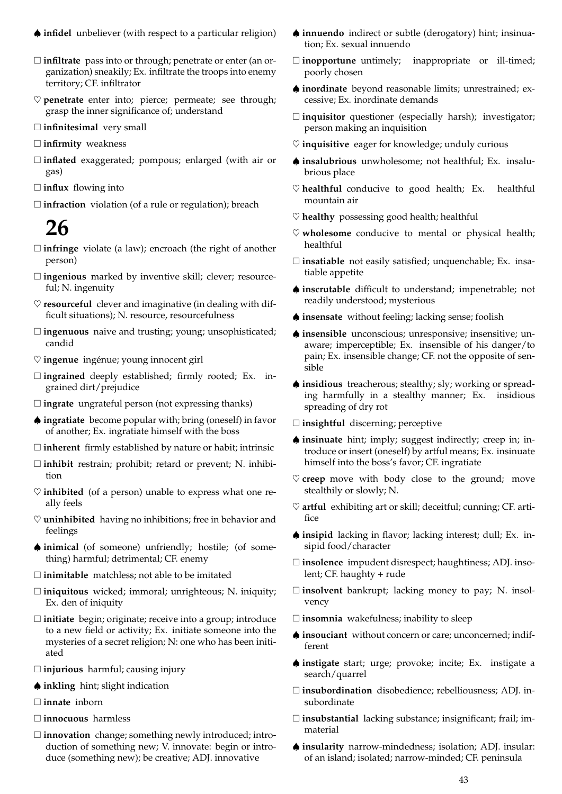- ♠ **infidel** unbeliever (with respect to a particular religion)
- **infiltrate** pass into or through; penetrate or enter (an organization) sneakily; Ex. infiltrate the troops into enemy territory; CF. infiltrator
- ♥ **penetrate** enter into; pierce; permeate; see through; grasp the inner significance of; understand
- **infinitesimal** very small
- **infirmity** weakness
- □ **inflated** exaggerated; pompous; enlarged (with air or gas)
- **influx** flowing into
- □ **infraction** violation (of a rule or regulation); breach

- □ **infringe** violate (a law); encroach (the right of another person)
- **ingenious** marked by inventive skill; clever; resourceful; N. ingenuity
- $\heartsuit$  **resourceful** clever and imaginative (in dealing with difficult situations); N. resource, resourcefulness
- □ **ingenuous** naive and trusting; young; unsophisticated; candid
- ♥ **ingenue** ingenue; young innocent girl ´
- **ingrained** deeply established; firmly rooted; Ex. ingrained dirt/prejudice
- **ingrate** ungrateful person (not expressing thanks)
- ♠ **ingratiate** become popular with; bring (oneself) in favor of another; Ex. ingratiate himself with the boss
- **inherent** firmly established by nature or habit; intrinsic
- **inhibit** restrain; prohibit; retard or prevent; N. inhibition
- $\heartsuit$  **inhibited** (of a person) unable to express what one really feels
- $\heartsuit$  **uninhibited** having no inhibitions; free in behavior and feelings
- ♠ **inimical** (of someone) unfriendly; hostile; (of something) harmful; detrimental; CF. enemy
- **inimitable** matchless; not able to be imitated
- **iniquitous** wicked; immoral; unrighteous; N. iniquity; Ex. den of iniquity
- **initiate** begin; originate; receive into a group; introduce to a new field or activity; Ex. initiate someone into the mysteries of a secret religion; N: one who has been initiated
- **injurious** harmful; causing injury
- ♠ **inkling** hint; slight indication
- **innate** inborn
- **innocuous** harmless
- □ **innovation** change; something newly introduced; introduction of something new; V. innovate: begin or introduce (something new); be creative; ADJ. innovative
- ♠ **innuendo** indirect or subtle (derogatory) hint; insinuation; Ex. sexual innuendo
- □ **inopportune** untimely; inappropriate or ill-timed; poorly chosen
- ♠ **inordinate** beyond reasonable limits; unrestrained; excessive; Ex. inordinate demands
- **inquisitor** questioner (especially harsh); investigator; person making an inquisition
- $\heartsuit$  **inquisitive** eager for knowledge; unduly curious
- ♠ **insalubrious** unwholesome; not healthful; Ex. insalubrious place
- ♥ **healthful** conducive to good health; Ex. healthful mountain air
- ♥ **healthy** possessing good health; healthful
- ♥ **wholesome** conducive to mental or physical health; healthful
- **insatiable** not easily satisfied; unquenchable; Ex. insatiable appetite
- ♠ **inscrutable** difficult to understand; impenetrable; not readily understood; mysterious
- ♠ **insensate** without feeling; lacking sense; foolish
- ♠ **insensible** unconscious; unresponsive; insensitive; unaware; imperceptible; Ex. insensible of his danger/to pain; Ex. insensible change; CF. not the opposite of sensible
- ♠ **insidious** treacherous; stealthy; sly; working or spreading harmfully in a stealthy manner; Ex. insidious spreading of dry rot
- □ insightful discerning; perceptive
- ♠ **insinuate** hint; imply; suggest indirectly; creep in; introduce or insert (oneself) by artful means; Ex. insinuate himself into the boss's favor; CF. ingratiate
- ♥ **creep** move with body close to the ground; move stealthily or slowly; N.
- ♥ **artful** exhibiting art or skill; deceitful; cunning; CF. artifice
- ♠ **insipid** lacking in flavor; lacking interest; dull; Ex. insipid food/character
- **insolence** impudent disrespect; haughtiness; ADJ. insolent; CF. haughty + rude
- **insolvent** bankrupt; lacking money to pay; N. insolvency
- $\square$  **insomnia** wakefulness; inability to sleep
- ♠ **insouciant** without concern or care; unconcerned; indifferent
- ♠ **instigate** start; urge; provoke; incite; Ex. instigate a search/quarrel
- **insubordination** disobedience; rebelliousness; ADJ. insubordinate
- □ **insubstantial** lacking substance; insignificant; frail; immaterial
- ♠ **insularity** narrow-mindedness; isolation; ADJ. insular: of an island; isolated; narrow-minded; CF. peninsula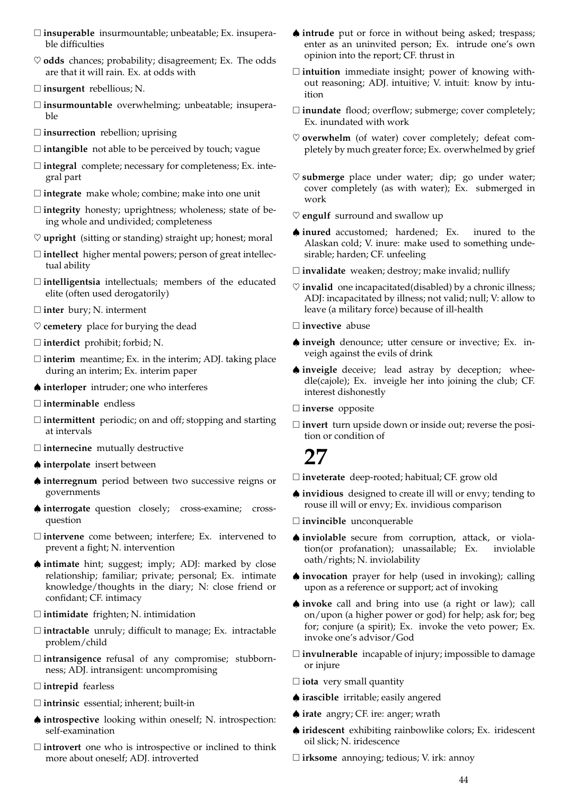- **insuperable** insurmountable; unbeatable; Ex. insuperable difficulties
- $\heartsuit$  **odds** chances; probability; disagreement; Ex. The odds are that it will rain. Ex. at odds with
- **insurgent** rebellious; N.
- **insurmountable** overwhelming; unbeatable; insuperable
- □ **insurrection** rebellion; uprising
- □ **intangible** not able to be perceived by touch; vague
- □ **integral** complete; necessary for completeness; Ex. integral part
- **integrate** make whole; combine; make into one unit
- **integrity** honesty; uprightness; wholeness; state of being whole and undivided; completeness
- $\heartsuit$  **upright** (sitting or standing) straight up; honest; moral
- **intellect** higher mental powers; person of great intellectual ability
- **intelligentsia** intellectuals; members of the educated elite (often used derogatorily)
- **inter** bury; N. interment
- $\heartsuit$  **cemetery** place for burying the dead
- **interdict** prohibit; forbid; N.
- $\square$  **interim** meantime; Ex. in the interim; ADJ. taking place during an interim; Ex. interim paper
- ♠ **interloper** intruder; one who interferes
- **interminable** endless
- □ **intermittent** periodic; on and off; stopping and starting at intervals
- □ **internecine** mutually destructive
- ♠ **interpolate** insert between
- ♠ **interregnum** period between two successive reigns or governments
- ♠ **interrogate** question closely; cross-examine; crossquestion
- □ **intervene** come between; interfere; Ex. intervened to prevent a fight; N. intervention
- ♠ **intimate** hint; suggest; imply; ADJ: marked by close relationship; familiar; private; personal; Ex. intimate knowledge/thoughts in the diary; N: close friend or confidant; CF. intimacy
- **intimidate** frighten; N. intimidation
- **intractable** unruly; difficult to manage; Ex. intractable problem/child
- **intransigence** refusal of any compromise; stubbornness; ADJ. intransigent: uncompromising
- **intrepid** fearless
- **intrinsic** essential; inherent; built-in
- ♠ **introspective** looking within oneself; N. introspection: self-examination
- **introvert** one who is introspective or inclined to think more about oneself; ADJ. introverted
- ♠ **intrude** put or force in without being asked; trespass; enter as an uninvited person; Ex. intrude one's own opinion into the report; CF. thrust in
- **intuition** immediate insight; power of knowing without reasoning; ADJ. intuitive; V. intuit: know by intuition
- □ **inundate** flood; overflow; submerge; cover completely; Ex. inundated with work
- ♥ **overwhelm** (of water) cover completely; defeat completely by much greater force; Ex. overwhelmed by grief
- ♥ **submerge** place under water; dip; go under water; cover completely (as with water); Ex. submerged in work
- $\heartsuit$  **engulf** surround and swallow up
- ♠ **inured** accustomed; hardened; Ex. inured to the Alaskan cold; V. inure: make used to something undesirable; harden; CF. unfeeling
- **invalidate** weaken; destroy; make invalid; nullify
- $\heartsuit$  **invalid** one incapacitated(disabled) by a chronic illness; ADJ: incapacitated by illness; not valid; null; V: allow to leave (a military force) because of ill-health
- **invective** abuse
- ♠ **inveigh** denounce; utter censure or invective; Ex. inveigh against the evils of drink
- ♠ **inveigle** deceive; lead astray by deception; wheedle(cajole); Ex. inveigle her into joining the club; CF. interest dishonestly
- **inverse** opposite
- □ **invert** turn upside down or inside out; reverse the position or condition of

- **inveterate** deep-rooted; habitual; CF. grow old
- ♠ **invidious** designed to create ill will or envy; tending to rouse ill will or envy; Ex. invidious comparison
- **invincible** unconquerable
- ♠ **inviolable** secure from corruption, attack, or violation(or profanation); unassailable; Ex. inviolable oath/rights; N. inviolability
- ♠ **invocation** prayer for help (used in invoking); calling upon as a reference or support; act of invoking
- ♠ **invoke** call and bring into use (a right or law); call on/upon (a higher power or god) for help; ask for; beg for; conjure (a spirit); Ex. invoke the veto power; Ex. invoke one's advisor/God
- **invulnerable** incapable of injury; impossible to damage or injure
- $\Box$  **iota** very small quantity
- ♠ **irascible** irritable; easily angered
- ♠ **irate** angry; CF. ire: anger; wrath
- ♠ **iridescent** exhibiting rainbowlike colors; Ex. iridescent oil slick; N. iridescence
- **irksome** annoying; tedious; V. irk: annoy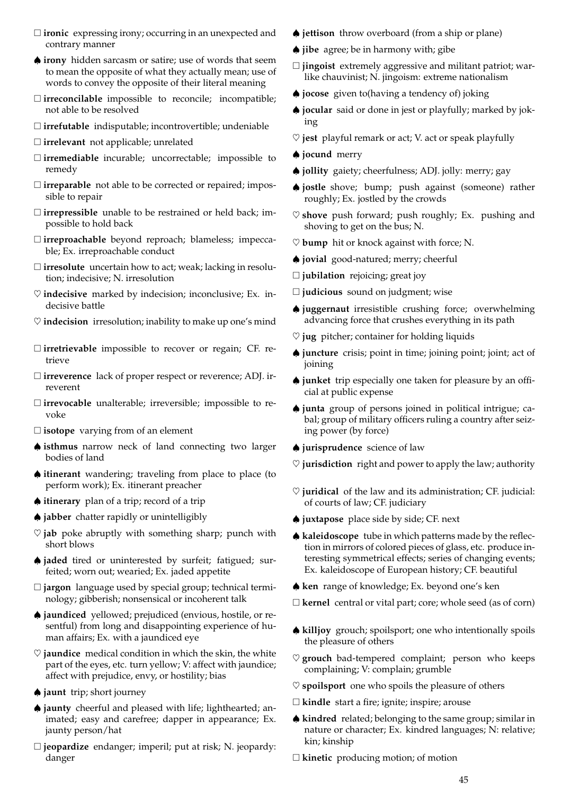- □ **ironic** expressing irony; occurring in an unexpected and contrary manner
- ♠ **irony** hidden sarcasm or satire; use of words that seem to mean the opposite of what they actually mean; use of words to convey the opposite of their literal meaning
- □ **irreconcilable** impossible to reconcile; incompatible; not able to be resolved
- **irrefutable** indisputable; incontrovertible; undeniable
- **irrelevant** not applicable; unrelated
- □ **irremediable** incurable; uncorrectable; impossible to remedy
- □ **irreparable** not able to be corrected or repaired; impossible to repair
- $\Box$  **irrepressible** unable to be restrained or held back; impossible to hold back
- **irreproachable** beyond reproach; blameless; impeccable; Ex. irreproachable conduct
- $\square$  **irresolute** uncertain how to act; weak; lacking in resolution; indecisive; N. irresolution
- ♥ **indecisive** marked by indecision; inconclusive; Ex. indecisive battle
- $\heartsuit$  **indecision** irresolution; inability to make up one's mind
- □ **irretrievable** impossible to recover or regain; CF. retrieve
- □ **irreverence** lack of proper respect or reverence; ADJ. irreverent
- $\Box$  **irrevocable** unalterable; irreversible; impossible to revoke
- **isotope** varying from of an element
- ♠ **isthmus** narrow neck of land connecting two larger bodies of land
- ♠ **itinerant** wandering; traveling from place to place (to perform work); Ex. itinerant preacher
- ♠ **itinerary** plan of a trip; record of a trip
- ♠ **jabber** chatter rapidly or unintelligibly
- $\heartsuit$  **jab** poke abruptly with something sharp; punch with short blows
- ♠ **jaded** tired or uninterested by surfeit; fatigued; surfeited; worn out; wearied; Ex. jaded appetite
- **jargon** language used by special group; technical terminology; gibberish; nonsensical or incoherent talk
- ♠ **jaundiced** yellowed; prejudiced (envious, hostile, or resentful) from long and disappointing experience of human affairs; Ex. with a jaundiced eye
- $\heartsuit$  **jaundice** medical condition in which the skin, the white part of the eyes, etc. turn yellow; V: affect with jaundice; affect with prejudice, envy, or hostility; bias
- ♠ **jaunt** trip; short journey
- ♠ **jaunty** cheerful and pleased with life; lighthearted; animated; easy and carefree; dapper in appearance; Ex. jaunty person/hat
- **jeopardize** endanger; imperil; put at risk; N. jeopardy: danger
- ♠ **jettison** throw overboard (from a ship or plane)
- ♠ **jibe** agree; be in harmony with; gibe
- □ **jingoist** extremely aggressive and militant patriot; warlike chauvinist; N. jingoism: extreme nationalism
- ♠ **jocose** given to(having a tendency of) joking
- ♠ **jocular** said or done in jest or playfully; marked by joking
- ♥ **jest** playful remark or act; V. act or speak playfully
- ♠ **jocund** merry
- ♠ **jollity** gaiety; cheerfulness; ADJ. jolly: merry; gay
- ♠ **jostle** shove; bump; push against (someone) rather roughly; Ex. jostled by the crowds
- $\heartsuit$  **shove** push forward; push roughly; Ex. pushing and shoving to get on the bus; N.
- $\heartsuit$  **bump** hit or knock against with force; N.
- ♠ **jovial** good-natured; merry; cheerful
- □ **jubilation** rejoicing; great joy
- **judicious** sound on judgment; wise
- ♠ **juggernaut** irresistible crushing force; overwhelming advancing force that crushes everything in its path
- $\heartsuit$  **jug** pitcher; container for holding liquids
- ♠ **juncture** crisis; point in time; joining point; joint; act of joining
- ♠ **junket** trip especially one taken for pleasure by an official at public expense
- ♠ **junta** group of persons joined in political intrigue; cabal; group of military officers ruling a country after seizing power (by force)
- ♠ **jurisprudence** science of law
- $\heartsuit$  **jurisdiction** right and power to apply the law; authority
- $\heartsuit$  **juridical** of the law and its administration; CF. judicial: of courts of law; CF. judiciary
- ♠ **juxtapose** place side by side; CF. next
- ♠ **kaleidoscope** tube in which patterns made by the reflection in mirrors of colored pieces of glass, etc. produce interesting symmetrical effects; series of changing events; Ex. kaleidoscope of European history; CF. beautiful
- ♠ **ken** range of knowledge; Ex. beyond one's ken
- □ **kernel** central or vital part; core; whole seed (as of corn)
- ♠ **killjoy** grouch; spoilsport; one who intentionally spoils the pleasure of others
- $\heartsuit$  grouch bad-tempered complaint; person who keeps complaining; V: complain; grumble
- $\heartsuit$  spoilsport one who spoils the pleasure of others
- **kindle** start a fire; ignite; inspire; arouse
- ♠ **kindred** related; belonging to the same group; similar in nature or character; Ex. kindred languages; N: relative; kin; kinship
- □ **kinetic** producing motion; of motion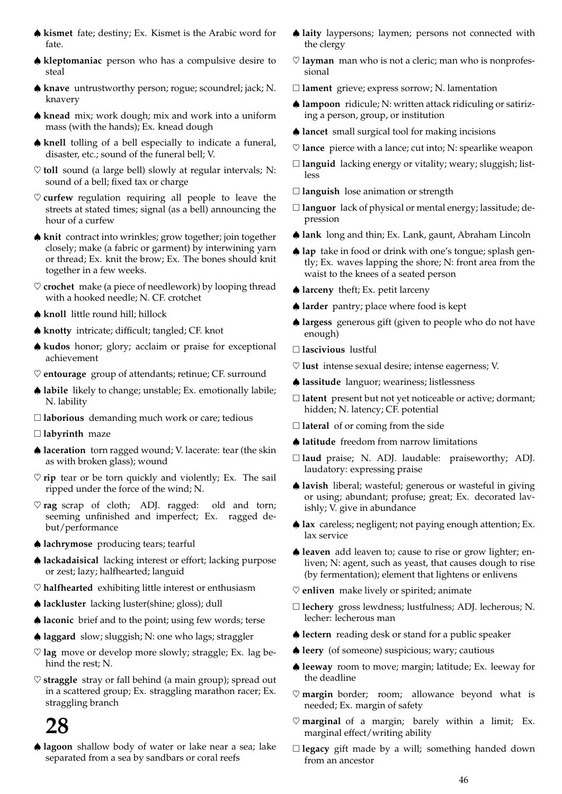- ♠ **kismet** fate; destiny; Ex. Kismet is the Arabic word for fate.
- ♠ **kleptomaniac** person who has a compulsive desire to steal
- ♠ **knave** untrustworthy person; rogue; scoundrel; jack; N. knavery
- ♠ **knead** mix; work dough; mix and work into a uniform mass (with the hands); Ex. knead dough
- ♠ **knell** tolling of a bell especially to indicate a funeral, disaster, etc.; sound of the funeral bell; V.
- $\heartsuit$  **toll** sound (a large bell) slowly at regular intervals; N: sound of a bell; fixed tax or charge
- $\heartsuit$  curfew regulation requiring all people to leave the streets at stated times; signal (as a bell) announcing the hour of a curfew
- ♠ **knit** contract into wrinkles; grow together; join together closely; make (a fabric or garment) by interwining yarn or thread; Ex. knit the brow; Ex. The bones should knit together in a few weeks.
- $\heartsuit$  **crochet** make (a piece of needlework) by looping thread with a hooked needle; N. CF. crotchet
- ♠ **knoll** little round hill; hillock
- ♠ **knotty** intricate; difficult; tangled; CF. knot
- ♠ **kudos** honor; glory; acclaim or praise for exceptional achievement
- ♥ **entourage** group of attendants; retinue; CF. surround
- ♠ **labile** likely to change; unstable; Ex. emotionally labile; N. lability
- □ **laborious** demanding much work or care; tedious
- **labyrinth** maze
- ♠ **laceration** torn ragged wound; V. lacerate: tear (the skin as with broken glass); wound
- $\heartsuit$  **rip** tear or be torn quickly and violently; Ex. The sail ripped under the force of the wind; N.
- ♥ **rag** scrap of cloth; ADJ. ragged: old and torn; seeming unfinished and imperfect; Ex. ragged debut/performance
- ♠ **lachrymose** producing tears; tearful
- ♠ **lackadaisical** lacking interest or effort; lacking purpose or zest; lazy; halfhearted; languid
- $\heartsuit$  **halfhearted** exhibiting little interest or enthusiasm
- ♠ **lackluster** lacking luster(shine; gloss); dull
- ♠ **laconic** brief and to the point; using few words; terse
- ♠ **laggard** slow; sluggish; N: one who lags; straggler
- ♥ **lag** move or develop more slowly; straggle; Ex. lag behind the rest; N.
- $\heartsuit$  **straggle** stray or fall behind (a main group); spread out in a scattered group; Ex. straggling marathon racer; Ex. straggling branch

♠ **lagoon** shallow body of water or lake near a sea; lake separated from a sea by sandbars or coral reefs

- ♠ **laity** laypersons; laymen; persons not connected with the clergy
- $\heartsuit$  **layman** man who is not a cleric; man who is nonprofessional
- **lament** grieve; express sorrow; N. lamentation
- ♠ **lampoon** ridicule; N: written attack ridiculing or satirizing a person, group, or institution
- ♠ **lancet** small surgical tool for making incisions
- $\heartsuit$  **lance** pierce with a lance; cut into; N: spearlike weapon
- $\Box$  **languid** lacking energy or vitality; weary; sluggish; listless
- □ **languish** lose animation or strength
- **languor** lack of physical or mental energy; lassitude; depression
- ♠ **lank** long and thin; Ex. Lank, gaunt, Abraham Lincoln
- ♠ **lap** take in food or drink with one's tongue; splash gently; Ex. waves lapping the shore; N: front area from the waist to the knees of a seated person
- ♠ **larceny** theft; Ex. petit larceny
- ♠ **larder** pantry; place where food is kept
- ♠ **largess** generous gift (given to people who do not have enough)
- **lascivious** lustful
- ♥ **lust** intense sexual desire; intense eagerness; V.
- ♠ **lassitude** languor; weariness; listlessness
- □ **latent** present but not yet noticeable or active; dormant; hidden; N. latency; CF. potential
- □ **lateral** of or coming from the side
- ♠ **latitude** freedom from narrow limitations
- **laud** praise; N. ADJ. laudable: praiseworthy; ADJ. laudatory: expressing praise
- ♠ **lavish** liberal; wasteful; generous or wasteful in giving or using; abundant; profuse; great; Ex. decorated lavishly; V. give in abundance
- ♠ **lax** careless; negligent; not paying enough attention; Ex. lax service
- ♠ **leaven** add leaven to; cause to rise or grow lighter; enliven; N: agent, such as yeast, that causes dough to rise (by fermentation); element that lightens or enlivens
- $\heartsuit$  **enliven** make lively or spirited; animate
- **lechery** gross lewdness; lustfulness; ADJ. lecherous; N. lecher: lecherous man
- ♠ **lectern** reading desk or stand for a public speaker
- ♠ **leery** (of someone) suspicious; wary; cautious
- ♠ **leeway** room to move; margin; latitude; Ex. leeway for the deadline
- ♥ **margin** border; room; allowance beyond what is needed; Ex. margin of safety
- $\heartsuit$  **marginal** of a margin; barely within a limit; Ex. marginal effect/writing ability
- $\square$  **legacy** gift made by a will; something handed down from an ancestor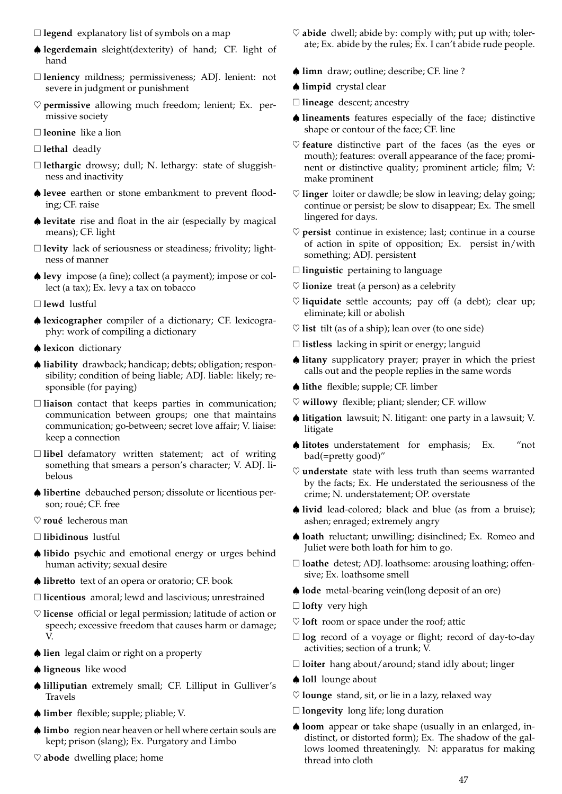- $\Box$  **legend** explanatory list of symbols on a map
- ♠ **legerdemain** sleight(dexterity) of hand; CF. light of hand
- □ **leniency** mildness; permissiveness; ADJ. lenient: not severe in judgment or punishment
- ♥ **permissive** allowing much freedom; lenient; Ex. permissive society
- **leonine** like a lion
- □ lethal deadly
- **lethargic** drowsy; dull; N. lethargy: state of sluggishness and inactivity
- ♠ **levee** earthen or stone embankment to prevent flooding; CF. raise
- ♠ **levitate** rise and float in the air (especially by magical means); CF. light
- □ levity lack of seriousness or steadiness; frivolity; lightness of manner
- ♠ **levy** impose (a fine); collect (a payment); impose or collect (a tax); Ex. levy a tax on tobacco
- **lewd** lustful
- ♠ **lexicographer** compiler of a dictionary; CF. lexicography: work of compiling a dictionary
- ♠ **lexicon** dictionary
- ♠ **liability** drawback; handicap; debts; obligation; responsibility; condition of being liable; ADJ. liable: likely; responsible (for paying)
- **liaison** contact that keeps parties in communication; communication between groups; one that maintains communication; go-between; secret love affair; V. liaise: keep a connection
- □ **libel** defamatory written statement; act of writing something that smears a person's character; V. ADJ. libelous
- ♠ **libertine** debauched person; dissolute or licentious person; roué; CF. free
- **♡** roué lecherous man
- **libidinous** lustful
- ♠ **libido** psychic and emotional energy or urges behind human activity; sexual desire
- ♠ **libretto** text of an opera or oratorio; CF. book
- □ **licentious** amoral; lewd and lascivious; unrestrained
- ♥ **license** official or legal permission; latitude of action or speech; excessive freedom that causes harm or damage; V.
- ♠ **lien** legal claim or right on a property
- ♠ **ligneous** like wood
- ♠ **lilliputian** extremely small; CF. Lilliput in Gulliver's Travels
- ♠ **limber** flexible; supple; pliable; V.
- ♠ **limbo** region near heaven or hell where certain souls are kept; prison (slang); Ex. Purgatory and Limbo
- $\heartsuit$  **abode** dwelling place; home
- ♥ **abide** dwell; abide by: comply with; put up with; tolerate; Ex. abide by the rules; Ex. I can't abide rude people.
- ♠ **limn** draw; outline; describe; CF. line ?
- ♠ **limpid** crystal clear
- **lineage** descent; ancestry
- ♠ **lineaments** features especially of the face; distinctive shape or contour of the face; CF. line
- $\heartsuit$  **feature** distinctive part of the faces (as the eyes or mouth); features: overall appearance of the face; prominent or distinctive quality; prominent article; film; V: make prominent
- $\heartsuit$  **linger** loiter or dawdle; be slow in leaving; delay going; continue or persist; be slow to disappear; Ex. The smell lingered for days.
- $\heartsuit$  **persist** continue in existence; last; continue in a course of action in spite of opposition; Ex. persist in/with something; ADJ. persistent
- **linguistic** pertaining to language
- $\heartsuit$  **lionize** treat (a person) as a celebrity
- $\heartsuit$  **liquidate** settle accounts; pay off (a debt); clear up; eliminate; kill or abolish
- $\heartsuit$  **list** tilt (as of a ship); lean over (to one side)
- □ **listless** lacking in spirit or energy; languid
- ♠ **litany** supplicatory prayer; prayer in which the priest calls out and the people replies in the same words
- ♠ **lithe** flexible; supple; CF. limber
- ♥ **willowy** flexible; pliant; slender; CF. willow
- ♠ **litigation** lawsuit; N. litigant: one party in a lawsuit; V. litigate
- ♠ **litotes** understatement for emphasis; Ex. "not bad(=pretty good)"
- ♥ **understate** state with less truth than seems warranted by the facts; Ex. He understated the seriousness of the crime; N. understatement; OP. overstate
- ♠ **livid** lead-colored; black and blue (as from a bruise); ashen; enraged; extremely angry
- ♠ **loath** reluctant; unwilling; disinclined; Ex. Romeo and Juliet were both loath for him to go.
- □ **loathe** detest; ADJ. loathsome: arousing loathing; offensive; Ex. loathsome smell
- ♠ **lode** metal-bearing vein(long deposit of an ore)
- **lofty** very high
- $\heartsuit$  **loft** room or space under the roof; attic
- □ log record of a voyage or flight; record of day-to-day activities; section of a trunk; V.
- □ **loiter** hang about/around; stand idly about; linger
- ♠ **loll** lounge about
- ♥ **lounge** stand, sit, or lie in a lazy, relaxed way
- □ **longevity** long life; long duration
- ♠ **loom** appear or take shape (usually in an enlarged, indistinct, or distorted form); Ex. The shadow of the gallows loomed threateningly. N: apparatus for making thread into cloth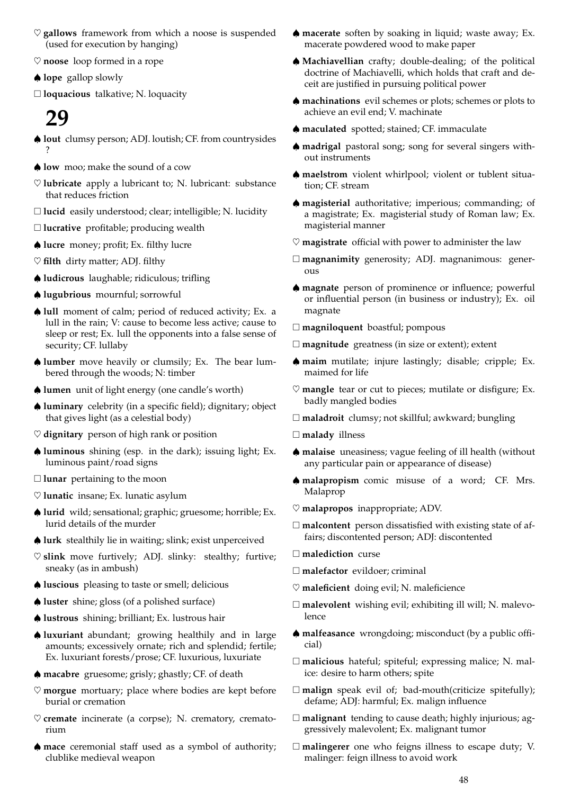- $\heartsuit$  gallows framework from which a noose is suspended (used for execution by hanging)
- ♥ **noose** loop formed in a rope
- ♠ **lope** gallop slowly
- □ **loquacious** talkative; N. loquacity

- ♠ **lout** clumsy person; ADJ. loutish; CF. from countrysides ?
- ♠ **low** moo; make the sound of a cow
- ♥ **lubricate** apply a lubricant to; N. lubricant: substance that reduces friction
- □ **lucid** easily understood; clear; intelligible; N. lucidity
- **lucrative** profitable; producing wealth
- ♠ **lucre** money; profit; Ex. filthy lucre
- $\heartsuit$  **filth** dirty matter; ADJ. filthy
- ♠ **ludicrous** laughable; ridiculous; trifling
- ♠ **lugubrious** mournful; sorrowful
- ♠ **lull** moment of calm; period of reduced activity; Ex. a lull in the rain; V: cause to become less active; cause to sleep or rest; Ex. lull the opponents into a false sense of security; CF. lullaby
- ♠ **lumber** move heavily or clumsily; Ex. The bear lumbered through the woods; N: timber
- ♠ **lumen** unit of light energy (one candle's worth)
- ♠ **luminary** celebrity (in a specific field); dignitary; object that gives light (as a celestial body)
- ♥ **dignitary** person of high rank or position
- ♠ **luminous** shining (esp. in the dark); issuing light; Ex. luminous paint/road signs
- $\Box$  **lunar** pertaining to the moon
- ♥ **lunatic** insane; Ex. lunatic asylum
- ♠ **lurid** wild; sensational; graphic; gruesome; horrible; Ex. lurid details of the murder
- ♠ **lurk** stealthily lie in waiting; slink; exist unperceived
- ♥ **slink** move furtively; ADJ. slinky: stealthy; furtive; sneaky (as in ambush)
- ♠ **luscious** pleasing to taste or smell; delicious
- ♠ **luster** shine; gloss (of a polished surface)
- ♠ **lustrous** shining; brilliant; Ex. lustrous hair
- ♠ **luxuriant** abundant; growing healthily and in large amounts; excessively ornate; rich and splendid; fertile; Ex. luxuriant forests/prose; CF. luxurious, luxuriate
- ♠ **macabre** gruesome; grisly; ghastly; CF. of death
- $\heartsuit$  **morgue** mortuary; place where bodies are kept before burial or cremation
- ♥ **cremate** incinerate (a corpse); N. crematory, crematorium
- ♠ **mace** ceremonial staff used as a symbol of authority; clublike medieval weapon
- ♠ **macerate** soften by soaking in liquid; waste away; Ex. macerate powdered wood to make paper
- ♠ **Machiavellian** crafty; double-dealing; of the political doctrine of Machiavelli, which holds that craft and deceit are justified in pursuing political power
- ♠ **machinations** evil schemes or plots; schemes or plots to achieve an evil end; V. machinate
- ♠ **maculated** spotted; stained; CF. immaculate
- ♠ **madrigal** pastoral song; song for several singers without instruments
- ♠ **maelstrom** violent whirlpool; violent or tublent situation; CF. stream
- ♠ **magisterial** authoritative; imperious; commanding; of a magistrate; Ex. magisterial study of Roman law; Ex. magisterial manner
- $\heartsuit$  **magistrate** official with power to administer the law
- **magnanimity** generosity; ADJ. magnanimous: gener- $011S$
- ♠ **magnate** person of prominence or influence; powerful or influential person (in business or industry); Ex. oil magnate
- **magniloquent** boastful; pompous
- □ **magnitude** greatness (in size or extent); extent
- ♠ **maim** mutilate; injure lastingly; disable; cripple; Ex. maimed for life
- ♥ **mangle** tear or cut to pieces; mutilate or disfigure; Ex. badly mangled bodies
- **maladroit** clumsy; not skillful; awkward; bungling
- **malady** illness
- ♠ **malaise** uneasiness; vague feeling of ill health (without any particular pain or appearance of disease)
- ♠ **malapropism** comic misuse of a word; CF. Mrs. Malaprop
- $\heartsuit$  **malapropos** inappropriate; ADV.
- □ **malcontent** person dissatisfied with existing state of affairs; discontented person; ADJ: discontented
- **malediction** curse
- **malefactor** evildoer; criminal
- ♥ **maleficient** doing evil; N. maleficience
- □ **malevolent** wishing evil; exhibiting ill will; N. malevolence
- ♠ **malfeasance** wrongdoing; misconduct (by a public official)
- **malicious** hateful; spiteful; expressing malice; N. malice: desire to harm others; spite
- □ **malign** speak evil of; bad-mouth(criticize spitefully); defame; ADJ: harmful; Ex. malign influence
- **malignant** tending to cause death; highly injurious; aggressively malevolent; Ex. malignant tumor
- **malingerer** one who feigns illness to escape duty; V. malinger: feign illness to avoid work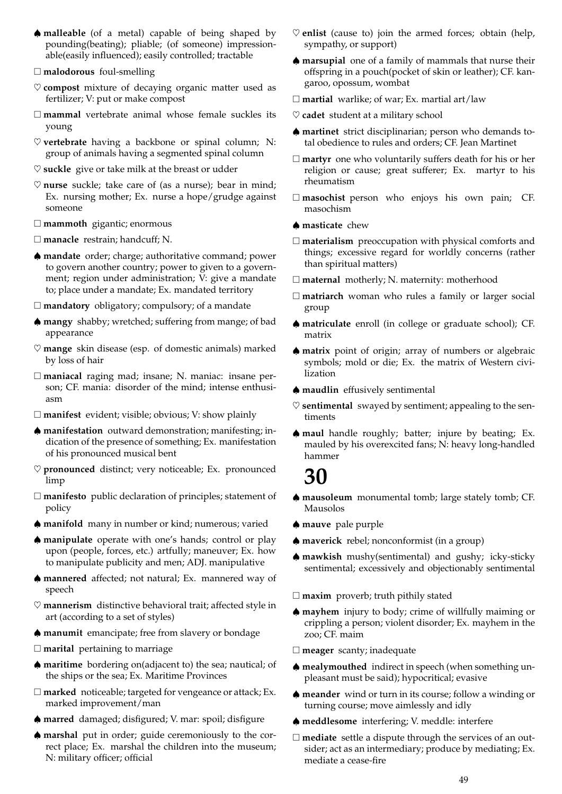- ♠ **malleable** (of a metal) capable of being shaped by pounding(beating); pliable; (of someone) impressionable(easily influenced); easily controlled; tractable
- **malodorous** foul-smelling
- ♥ **compost** mixture of decaying organic matter used as fertilizer; V: put or make compost
- **mammal** vertebrate animal whose female suckles its young
- ♥ **vertebrate** having a backbone or spinal column; N: group of animals having a segmented spinal column
- ♥ **suckle** give or take milk at the breast or udder
- ♥ **nurse** suckle; take care of (as a nurse); bear in mind; Ex. nursing mother; Ex. nurse a hope/grudge against someone
- **mammoth** gigantic; enormous
- **manacle** restrain; handcuff; N.
- ♠ **mandate** order; charge; authoritative command; power to govern another country; power to given to a government; region under administration; V: give a mandate to; place under a mandate; Ex. mandated territory
- **mandatory** obligatory; compulsory; of a mandate
- ♠ **mangy** shabby; wretched; suffering from mange; of bad appearance
- $\heartsuit$  **mange** skin disease (esp. of domestic animals) marked by loss of hair
- **maniacal** raging mad; insane; N. maniac: insane person; CF. mania: disorder of the mind; intense enthusiasm
- □ **manifest** evident; visible; obvious; V: show plainly
- ♠ **manifestation** outward demonstration; manifesting; indication of the presence of something; Ex. manifestation of his pronounced musical bent
- ♥ **pronounced** distinct; very noticeable; Ex. pronounced limp
- **manifesto** public declaration of principles; statement of policy
- ♠ **manifold** many in number or kind; numerous; varied
- ♠ **manipulate** operate with one's hands; control or play upon (people, forces, etc.) artfully; maneuver; Ex. how to manipulate publicity and men; ADJ. manipulative
- ♠ **mannered** affected; not natural; Ex. mannered way of speech
- $\heartsuit$  **mannerism** distinctive behavioral trait; affected style in art (according to a set of styles)
- ♠ **manumit** emancipate; free from slavery or bondage
- **marital** pertaining to marriage
- ♠ **maritime** bordering on(adjacent to) the sea; nautical; of the ships or the sea; Ex. Maritime Provinces
- □ **marked** noticeable; targeted for vengeance or attack; Ex. marked improvement/man
- ♠ **marred** damaged; disfigured; V. mar: spoil; disfigure
- ♠ **marshal** put in order; guide ceremoniously to the correct place; Ex. marshal the children into the museum; N: military officer; official
- $\heartsuit$  **enlist** (cause to) join the armed forces; obtain (help, sympathy, or support)
- ♠ **marsupial** one of a family of mammals that nurse their offspring in a pouch(pocket of skin or leather); CF. kangaroo, opossum, wombat
- **martial** warlike; of war; Ex. martial art/law
- ♥ **cadet** student at a military school
- ♠ **martinet** strict disciplinarian; person who demands total obedience to rules and orders; CF. Jean Martinet
- **martyr** one who voluntarily suffers death for his or her religion or cause; great sufferer; Ex. martyr to his rheumatism
- **masochist** person who enjoys his own pain; CF. masochism
- ♠ **masticate** chew
- **materialism** preoccupation with physical comforts and things; excessive regard for worldly concerns (rather than spiritual matters)
- **maternal** motherly; N. maternity: motherhood
- **matriarch** woman who rules a family or larger social group
- ♠ **matriculate** enroll (in college or graduate school); CF. matrix
- ♠ **matrix** point of origin; array of numbers or algebraic symbols; mold or die; Ex. the matrix of Western civilization
- ♠ **maudlin** effusively sentimental
- $\heartsuit$  **sentimental** swayed by sentiment; appealing to the sentiments
- ♠ **maul** handle roughly; batter; injure by beating; Ex. mauled by his overexcited fans; N: heavy long-handled hammer

- ♠ **mausoleum** monumental tomb; large stately tomb; CF. Mausolos
- ♠ **mauve** pale purple
- ♠ **maverick** rebel; nonconformist (in a group)
- ♠ **mawkish** mushy(sentimental) and gushy; icky-sticky sentimental; excessively and objectionably sentimental
- □ **maxim** proverb; truth pithily stated
- ♠ **mayhem** injury to body; crime of willfully maiming or crippling a person; violent disorder; Ex. mayhem in the zoo; CF. maim
- **meager** scanty; inadequate
- ♠ **mealymouthed** indirect in speech (when something unpleasant must be said); hypocritical; evasive
- ♠ **meander** wind or turn in its course; follow a winding or turning course; move aimlessly and idly
- ♠ **meddlesome** interfering; V. meddle: interfere
- **mediate** settle a dispute through the services of an outsider; act as an intermediary; produce by mediating; Ex. mediate a cease-fire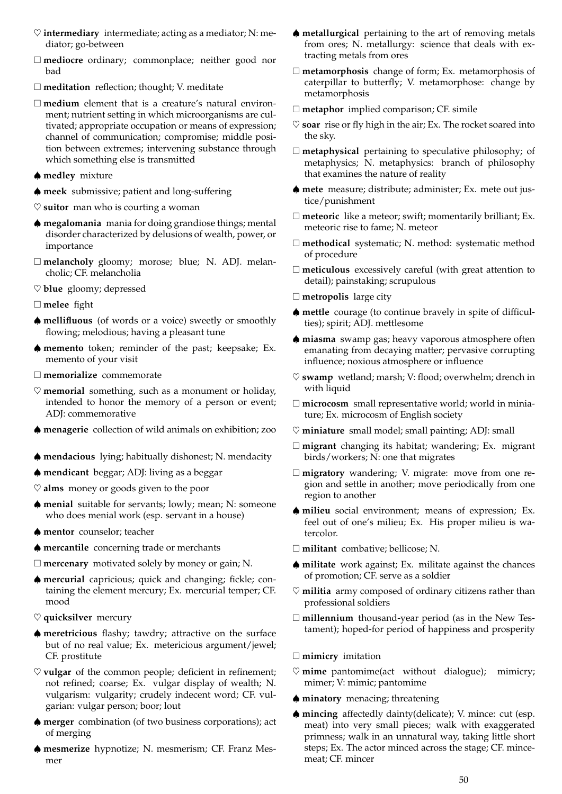- $\heartsuit$  **intermediary** intermediate; acting as a mediator; N: mediator; go-between
- □ **mediocre** ordinary; commonplace; neither good nor bad
- **meditation** reflection; thought; V. meditate
- **medium** element that is a creature's natural environment; nutrient setting in which microorganisms are cultivated; appropriate occupation or means of expression; channel of communication; compromise; middle position between extremes; intervening substance through which something else is transmitted
- ♠ **medley** mixture
- ♠ **meek** submissive; patient and long-suffering
- $\heartsuit$  **suitor** man who is courting a woman
- ♠ **megalomania** mania for doing grandiose things; mental disorder characterized by delusions of wealth, power, or importance
- **melancholy** gloomy; morose; blue; N. ADJ. melancholic; CF. melancholia
- ♥ **blue** gloomy; depressed
- **melee** fight
- ♠ **mellifluous** (of words or a voice) sweetly or smoothly flowing; melodious; having a pleasant tune
- ♠ **memento** token; reminder of the past; keepsake; Ex. memento of your visit
- **memorialize** commemorate
- $\heartsuit$  **memorial** something, such as a monument or holiday, intended to honor the memory of a person or event; ADJ: commemorative
- ♠ **menagerie** collection of wild animals on exhibition; zoo
- ♠ **mendacious** lying; habitually dishonest; N. mendacity
- ♠ **mendicant** beggar; ADJ: living as a beggar
- ♥ **alms** money or goods given to the poor
- ♠ **menial** suitable for servants; lowly; mean; N: someone who does menial work (esp. servant in a house)
- ♠ **mentor** counselor; teacher
- ♠ **mercantile** concerning trade or merchants
- □ **mercenary** motivated solely by money or gain; N.
- ♠ **mercurial** capricious; quick and changing; fickle; containing the element mercury; Ex. mercurial temper; CF. mood
- ♥ **quicksilver** mercury
- ♠ **meretricious** flashy; tawdry; attractive on the surface but of no real value; Ex. metericious argument/jewel; CF. prostitute
- $\heartsuit$  **vulgar** of the common people; deficient in refinement; not refined; coarse; Ex. vulgar display of wealth; N. vulgarism: vulgarity; crudely indecent word; CF. vulgarian: vulgar person; boor; lout
- ♠ **merger** combination (of two business corporations); act of merging
- ♠ **mesmerize** hypnotize; N. mesmerism; CF. Franz Mesmer
- ♠ **metallurgical** pertaining to the art of removing metals from ores; N. metallurgy: science that deals with extracting metals from ores
- **metamorphosis** change of form; Ex. metamorphosis of caterpillar to butterfly; V. metamorphose: change by metamorphosis
- □ **metaphor** implied comparison; CF. simile
- $\heartsuit$  **soar** rise or fly high in the air; Ex. The rocket soared into the sky.
- **metaphysical** pertaining to speculative philosophy; of metaphysics; N. metaphysics: branch of philosophy that examines the nature of reality
- ♠ **mete** measure; distribute; administer; Ex. mete out justice/punishment
- **meteoric** like a meteor; swift; momentarily brilliant; Ex. meteoric rise to fame; N. meteor
- □ **methodical** systematic; N. method: systematic method of procedure
- **meticulous** excessively careful (with great attention to detail); painstaking; scrupulous
- **metropolis** large city
- ♠ **mettle** courage (to continue bravely in spite of difficulties); spirit; ADJ. mettlesome
- ♠ **miasma** swamp gas; heavy vaporous atmosphere often emanating from decaying matter; pervasive corrupting influence; noxious atmosphere or influence
- ♥ **swamp** wetland; marsh; V: flood; overwhelm; drench in with liquid
- $\Box$  microcosm small representative world; world in miniature; Ex. microcosm of English society
- $\heartsuit$  **miniature** small model; small painting; ADJ: small
- □ **migrant** changing its habitat; wandering; Ex. migrant birds/workers; N: one that migrates
- **migratory** wandering; V. migrate: move from one region and settle in another; move periodically from one region to another
- ♠ **milieu** social environment; means of expression; Ex. feel out of one's milieu; Ex. His proper milieu is watercolor.
- **militant** combative; bellicose; N.
- ♠ **militate** work against; Ex. militate against the chances of promotion; CF. serve as a soldier
- $\heartsuit$  **militia** army composed of ordinary citizens rather than professional soldiers
- **millennium** thousand-year period (as in the New Testament); hoped-for period of happiness and prosperity
- **mimicry** imitation
- $\heartsuit$  **mime** pantomime(act without dialogue); mimicry; mimer; V: mimic; pantomime
- ♠ **minatory** menacing; threatening
- ♠ **mincing** affectedly dainty(delicate); V. mince: cut (esp. meat) into very small pieces; walk with exaggerated primness; walk in an unnatural way, taking little short steps; Ex. The actor minced across the stage; CF. mincemeat; CF. mincer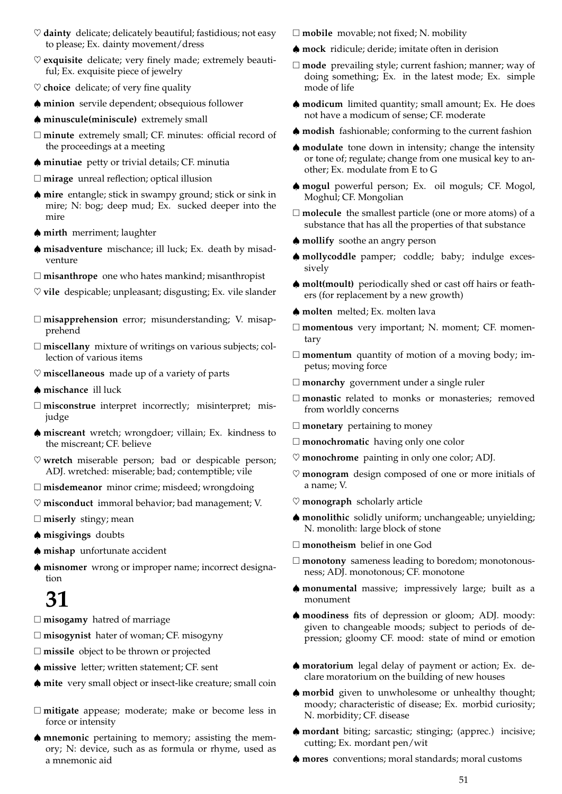- ♥ **dainty** delicate; delicately beautiful; fastidious; not easy to please; Ex. dainty movement/dress
- $\heartsuit$  **exquisite** delicate; very finely made; extremely beautiful; Ex. exquisite piece of jewelry
- ♥ **choice** delicate; of very fine quality
- ♠ **minion** servile dependent; obsequious follower
- ♠ **minuscule(miniscule)** extremely small
- □ **minute** extremely small; CF. minutes: official record of the proceedings at a meeting
- ♠ **minutiae** petty or trivial details; CF. minutia
- **mirage** unreal reflection; optical illusion
- ♠ **mire** entangle; stick in swampy ground; stick or sink in mire; N: bog; deep mud; Ex. sucked deeper into the mire
- ♠ **mirth** merriment; laughter
- ♠ **misadventure** mischance; ill luck; Ex. death by misadventure
- **misanthrope** one who hates mankind; misanthropist
- ♥ **vile** despicable; unpleasant; disgusting; Ex. vile slander
- **misapprehension** error; misunderstanding; V. misapprehend
- □ **miscellany** mixture of writings on various subjects; collection of various items
- $\heartsuit$  **miscellaneous** made up of a variety of parts
- ♠ **mischance** ill luck
- **misconstrue** interpret incorrectly; misinterpret; misjudge
- ♠ **miscreant** wretch; wrongdoer; villain; Ex. kindness to the miscreant; CF. believe
- ♥ **wretch** miserable person; bad or despicable person; ADJ. wretched: miserable; bad; contemptible; vile
- **misdemeanor** minor crime; misdeed; wrongdoing
- ♥ **misconduct** immoral behavior; bad management; V.
- **miserly** stingy; mean
- ♠ **misgivings** doubts
- ♠ **mishap** unfortunate accident
- ♠ **misnomer** wrong or improper name; incorrect designation

- **misogamy** hatred of marriage
- **misogynist** hater of woman; CF. misogyny
- **missile** object to be thrown or projected
- ♠ **missive** letter; written statement; CF. sent
- ♠ **mite** very small object or insect-like creature; small coin
- **mitigate** appease; moderate; make or become less in force or intensity
- ♠ **mnemonic** pertaining to memory; assisting the memory; N: device, such as as formula or rhyme, used as a mnemonic aid
- $\square$  mobile movable; not fixed; N. mobility
- ♠ **mock** ridicule; deride; imitate often in derision
- **mode** prevailing style; current fashion; manner; way of doing something; Ex. in the latest mode; Ex. simple mode of life
- ♠ **modicum** limited quantity; small amount; Ex. He does not have a modicum of sense; CF. moderate
- ♠ **modish** fashionable; conforming to the current fashion
- ♠ **modulate** tone down in intensity; change the intensity or tone of; regulate; change from one musical key to another; Ex. modulate from E to G
- ♠ **mogul** powerful person; Ex. oil moguls; CF. Mogol, Moghul; CF. Mongolian
- □ **molecule** the smallest particle (one or more atoms) of a substance that has all the properties of that substance
- ♠ **mollify** soothe an angry person
- ♠ **mollycoddle** pamper; coddle; baby; indulge excessively
- ♠ **molt(moult)** periodically shed or cast off hairs or feathers (for replacement by a new growth)
- ♠ **molten** melted; Ex. molten lava
- □ **momentous** very important; N. moment; CF. momentary
- **momentum** quantity of motion of a moving body; impetus; moving force
- **monarchy** government under a single ruler
- □ **monastic** related to monks or monasteries; removed from worldly concerns
- **monetary** pertaining to money
- □ **monochromatic** having only one color
- ♥ **monochrome** painting in only one color; ADJ.
- ♥ **monogram** design composed of one or more initials of a name; V.
- ♥ **monograph** scholarly article
- ♠ **monolithic** solidly uniform; unchangeable; unyielding; N. monolith: large block of stone
- **monotheism** belief in one God
- □ **monotony** sameness leading to boredom; monotonousness; ADJ. monotonous; CF. monotone
- ♠ **monumental** massive; impressively large; built as a monument
- ♠ **moodiness** fits of depression or gloom; ADJ. moody: given to changeable moods; subject to periods of depression; gloomy CF. mood: state of mind or emotion
- ♠ **moratorium** legal delay of payment or action; Ex. declare moratorium on the building of new houses
- ♠ **morbid** given to unwholesome or unhealthy thought; moody; characteristic of disease; Ex. morbid curiosity; N. morbidity; CF. disease
- ♠ **mordant** biting; sarcastic; stinging; (apprec.) incisive; cutting; Ex. mordant pen/wit
- ♠ **mores** conventions; moral standards; moral customs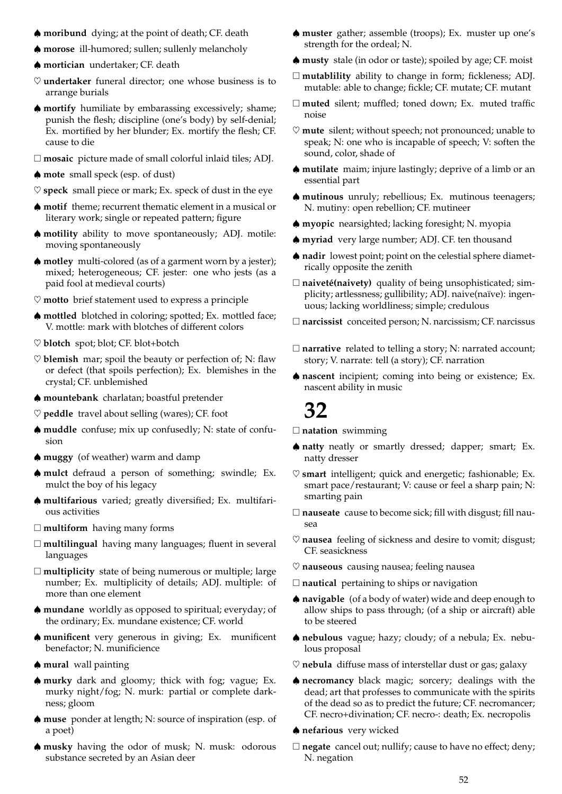- ♠ **moribund** dying; at the point of death; CF. death
- ♠ **morose** ill-humored; sullen; sullenly melancholy
- ♠ **mortician** undertaker; CF. death
- ♥ **undertaker** funeral director; one whose business is to arrange burials
- ♠ **mortify** humiliate by embarassing excessively; shame; punish the flesh; discipline (one's body) by self-denial; Ex. mortified by her blunder; Ex. mortify the flesh; CF. cause to die
- **mosaic** picture made of small colorful inlaid tiles; ADJ.
- ♠ **mote** small speck (esp. of dust)
- $\heartsuit$  speck small piece or mark; Ex. speck of dust in the eye
- ♠ **motif** theme; recurrent thematic element in a musical or literary work; single or repeated pattern; figure
- ♠ **motility** ability to move spontaneously; ADJ. motile: moving spontaneously
- ♠ **motley** multi-colored (as of a garment worn by a jester); mixed; heterogeneous; CF. jester: one who jests (as a paid fool at medieval courts)
- $\heartsuit$  **motto** brief statement used to express a principle
- ♠ **mottled** blotched in coloring; spotted; Ex. mottled face; V. mottle: mark with blotches of different colors
- ♥ **blotch** spot; blot; CF. blot+botch
- $\heartsuit$  **blemish** mar; spoil the beauty or perfection of; N: flaw or defect (that spoils perfection); Ex. blemishes in the crystal; CF. unblemished
- ♠ **mountebank** charlatan; boastful pretender
- ♥ **peddle** travel about selling (wares); CF. foot
- ♠ **muddle** confuse; mix up confusedly; N: state of confusion
- ♠ **muggy** (of weather) warm and damp
- ♠ **mulct** defraud a person of something; swindle; Ex. mulct the boy of his legacy
- ♠ **multifarious** varied; greatly diversified; Ex. multifarious activities
- **multiform** having many forms
- **multilingual** having many languages; fluent in several languages
- □ **multiplicity** state of being numerous or multiple; large number; Ex. multiplicity of details; ADJ. multiple: of more than one element
- ♠ **mundane** worldly as opposed to spiritual; everyday; of the ordinary; Ex. mundane existence; CF. world
- ♠ **munificent** very generous in giving; Ex. munificent benefactor; N. munificience
- ♠ **mural** wall painting
- ♠ **murky** dark and gloomy; thick with fog; vague; Ex. murky night/fog; N. murk: partial or complete darkness; gloom
- ♠ **muse** ponder at length; N: source of inspiration (esp. of a poet)
- ♠ **musky** having the odor of musk; N. musk: odorous substance secreted by an Asian deer
- ♠ **muster** gather; assemble (troops); Ex. muster up one's strength for the ordeal; N.
- ♠ **musty** stale (in odor or taste); spoiled by age; CF. moist
- **mutablility** ability to change in form; fickleness; ADJ. mutable: able to change; fickle; CF. mutate; CF. mutant
- □ **muted** silent; muffled; toned down; Ex. muted traffic noise
- $\heartsuit$  **mute** silent; without speech; not pronounced; unable to speak; N: one who is incapable of speech; V: soften the sound, color, shade of
- ♠ **mutilate** maim; injure lastingly; deprive of a limb or an essential part
- ♠ **mutinous** unruly; rebellious; Ex. mutinous teenagers; N. mutiny: open rebellion; CF. mutineer
- ♠ **myopic** nearsighted; lacking foresight; N. myopia
- ♠ **myriad** very large number; ADJ. CF. ten thousand
- ♠ **nadir** lowest point; point on the celestial sphere diametrically opposite the zenith
- $\Box$  naiveté(naivety) quality of being unsophisticated; simplicity; artlessness; gullibility; ADJ. naive(naïve): ingenuous; lacking worldliness; simple; credulous
- **narcissist** conceited person; N. narcissism; CF. narcissus
- □ **narrative** related to telling a story; N: narrated account; story; V. narrate: tell (a story); CF. narration
- ♠ **nascent** incipient; coming into being or existence; Ex. nascent ability in music

- **natation** swimming
- ♠ **natty** neatly or smartly dressed; dapper; smart; Ex. natty dresser
- ♥ **smart** intelligent; quick and energetic; fashionable; Ex. smart pace/restaurant; V: cause or feel a sharp pain; N: smarting pain
- □ **nauseate** cause to become sick; fill with disgust; fill nausea
- ♥ **nausea** feeling of sickness and desire to vomit; disgust; CF. seasickness
- ♥ **nauseous** causing nausea; feeling nausea
- □ **nautical** pertaining to ships or navigation
- ♠ **navigable** (of a body of water) wide and deep enough to allow ships to pass through; (of a ship or aircraft) able to be steered
- ♠ **nebulous** vague; hazy; cloudy; of a nebula; Ex. nebulous proposal
- $\heartsuit$  **nebula** diffuse mass of interstellar dust or gas; galaxy
- ♠ **necromancy** black magic; sorcery; dealings with the dead; art that professes to communicate with the spirits of the dead so as to predict the future; CF. necromancer; CF. necro+divination; CF. necro-: death; Ex. necropolis
- ♠ **nefarious** very wicked
- □ **negate** cancel out; nullify; cause to have no effect; deny; N. negation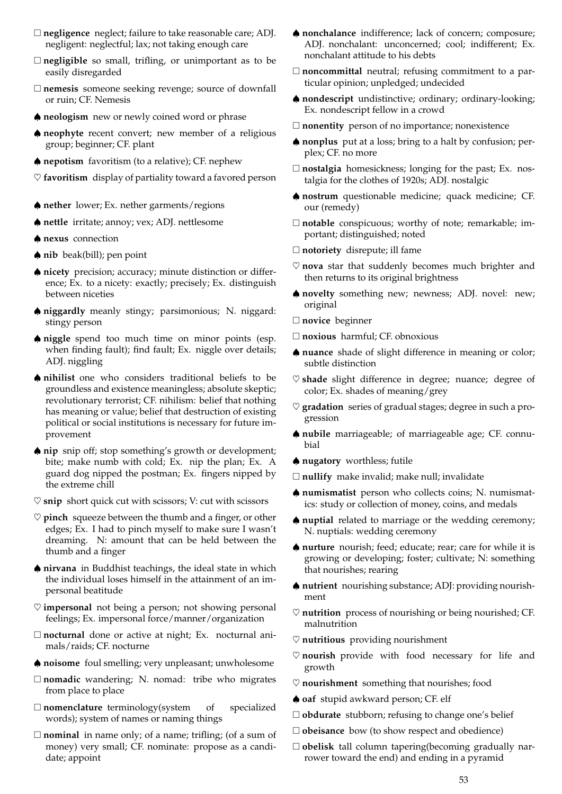- □ **negligence** neglect; failure to take reasonable care; ADJ. negligent: neglectful; lax; not taking enough care
- □ **negligible** so small, trifling, or unimportant as to be easily disregarded
- **nemesis** someone seeking revenge; source of downfall or ruin; CF. Nemesis
- ♠ **neologism** new or newly coined word or phrase
- ♠ **neophyte** recent convert; new member of a religious group; beginner; CF. plant
- ♠ **nepotism** favoritism (to a relative); CF. nephew
- ♥ **favoritism** display of partiality toward a favored person
- ♠ **nether** lower; Ex. nether garments/regions
- ♠ **nettle** irritate; annoy; vex; ADJ. nettlesome
- ♠ **nexus** connection
- ♠ **nib** beak(bill); pen point
- ♠ **nicety** precision; accuracy; minute distinction or difference; Ex. to a nicety: exactly; precisely; Ex. distinguish between niceties
- ♠ **niggardly** meanly stingy; parsimonious; N. niggard: stingy person
- ♠ **niggle** spend too much time on minor points (esp. when finding fault); find fault; Ex. niggle over details; ADJ. niggling
- ♠ **nihilist** one who considers traditional beliefs to be groundless and existence meaningless; absolute skeptic; revolutionary terrorist; CF. nihilism: belief that nothing has meaning or value; belief that destruction of existing political or social institutions is necessary for future improvement
- ♠ **nip** snip off; stop something's growth or development; bite; make numb with cold; Ex. nip the plan; Ex. A guard dog nipped the postman; Ex. fingers nipped by the extreme chill
- $\heartsuit$  snip short quick cut with scissors; V: cut with scissors
- $\heartsuit$  **pinch** squeeze between the thumb and a finger, or other edges; Ex. I had to pinch myself to make sure I wasn't dreaming. N: amount that can be held between the thumb and a finger
- ♠ **nirvana** in Buddhist teachings, the ideal state in which the individual loses himself in the attainment of an impersonal beatitude
- $\heartsuit$  **impersonal** not being a person; not showing personal feelings; Ex. impersonal force/manner/organization
- □ **nocturnal** done or active at night; Ex. nocturnal animals/raids; CF. nocturne
- ♠ **noisome** foul smelling; very unpleasant; unwholesome
- **nomadic** wandering; N. nomad: tribe who migrates from place to place
- □ **nomenclature** terminology(system of specialized words); system of names or naming things
- □ **nominal** in name only; of a name; trifling; (of a sum of money) very small; CF. nominate: propose as a candidate; appoint
- ♠ **nonchalance** indifference; lack of concern; composure; ADJ. nonchalant: unconcerned; cool; indifferent; Ex. nonchalant attitude to his debts
- □ **noncommittal** neutral; refusing commitment to a particular opinion; unpledged; undecided
- ♠ **nondescript** undistinctive; ordinary; ordinary-looking; Ex. nondescript fellow in a crowd
- □ **nonentity** person of no importance; nonexistence
- ♠ **nonplus** put at a loss; bring to a halt by confusion; perplex; CF. no more
- □ **nostalgia** homesickness; longing for the past; Ex. nostalgia for the clothes of 1920s; ADJ. nostalgic
- ♠ **nostrum** questionable medicine; quack medicine; CF. our (remedy)
- □ **notable** conspicuous; worthy of note; remarkable; important; distinguished; noted
- **notoriety** disrepute; ill fame
- $\heartsuit$  **nova** star that suddenly becomes much brighter and then returns to its original brightness
- ♠ **novelty** something new; newness; ADJ. novel: new; original
- **novice** beginner
- **noxious** harmful; CF. obnoxious
- ♠ **nuance** shade of slight difference in meaning or color; subtle distinction
- $\heartsuit$  shade slight difference in degree; nuance; degree of color; Ex. shades of meaning/grey
- ♥ **gradation** series of gradual stages; degree in such a progression
- ♠ **nubile** marriageable; of marriageable age; CF. connubial
- ♠ **nugatory** worthless; futile
- □ **nullify** make invalid; make null; invalidate
- ♠ **numismatist** person who collects coins; N. numismatics: study or collection of money, coins, and medals
- ♠ **nuptial** related to marriage or the wedding ceremony; N. nuptials: wedding ceremony
- ♠ **nurture** nourish; feed; educate; rear; care for while it is growing or developing; foster; cultivate; N: something that nourishes; rearing
- ♠ **nutrient** nourishing substance; ADJ: providing nourishment
- ♥ **nutrition** process of nourishing or being nourished; CF. malnutrition
- $\heartsuit$  **nutritious** providing nourishment
- ♥ **nourish** provide with food necessary for life and growth
- ♥ **nourishment** something that nourishes; food
- ♠ **oaf** stupid awkward person; CF. elf
- □ **obdurate** stubborn; refusing to change one's belief
- □ **obeisance** bow (to show respect and obedience)
- **obelisk** tall column tapering(becoming gradually narrower toward the end) and ending in a pyramid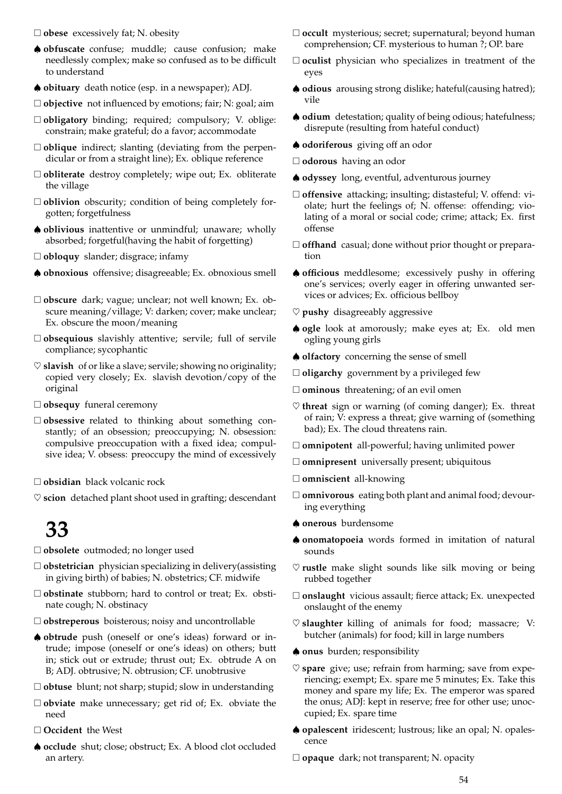- **obese** excessively fat; N. obesity
- ♠ **obfuscate** confuse; muddle; cause confusion; make needlessly complex; make so confused as to be difficult to understand
- ♠ **obituary** death notice (esp. in a newspaper); ADJ.
- □ **objective** not influenced by emotions; fair; N: goal; aim
- □ **obligatory** binding; required; compulsory; V. oblige: constrain; make grateful; do a favor; accommodate
- □ **oblique** indirect; slanting (deviating from the perpendicular or from a straight line); Ex. oblique reference
- □ **obliterate** destroy completely; wipe out; Ex. obliterate the village
- □ **oblivion** obscurity; condition of being completely forgotten; forgetfulness
- ♠ **oblivious** inattentive or unmindful; unaware; wholly absorbed; forgetful(having the habit of forgetting)
- **obloquy** slander; disgrace; infamy
- ♠ **obnoxious** offensive; disagreeable; Ex. obnoxious smell
- □ **obscure** dark; vague; unclear; not well known; Ex. obscure meaning/village; V: darken; cover; make unclear; Ex. obscure the moon/meaning
- **obsequious** slavishly attentive; servile; full of servile compliance; sycophantic
- $\heartsuit$  **slavish** of or like a slave; servile; showing no originality; copied very closely; Ex. slavish devotion/copy of the original
- **obsequy** funeral ceremony
- **obsessive** related to thinking about something constantly; of an obsession; preoccupying; N. obsession: compulsive preoccupation with a fixed idea; compulsive idea; V. obsess: preoccupy the mind of excessively
- **obsidian** black volcanic rock
- ♥ **scion** detached plant shoot used in grafting; descendant

- **obsolete** outmoded; no longer used
- **obstetrician** physician specializing in delivery(assisting in giving birth) of babies; N. obstetrics; CF. midwife
- **obstinate** stubborn; hard to control or treat; Ex. obstinate cough; N. obstinacy
- **obstreperous** boisterous; noisy and uncontrollable
- ♠ **obtrude** push (oneself or one's ideas) forward or intrude; impose (oneself or one's ideas) on others; butt in; stick out or extrude; thrust out; Ex. obtrude A on B; ADJ. obtrusive; N. obtrusion; CF. unobtrusive
- □ **obtuse** blunt; not sharp; stupid; slow in understanding
- □ **obviate** make unnecessary; get rid of; Ex. obviate the need
- **Occident** the West
- ♠ **occlude** shut; close; obstruct; Ex. A blood clot occluded an artery.
- **occult** mysterious; secret; supernatural; beyond human comprehension; CF. mysterious to human ?; OP. bare
- **oculist** physician who specializes in treatment of the eyes
- ♠ **odious** arousing strong dislike; hateful(causing hatred); vile
- ♠ **odium** detestation; quality of being odious; hatefulness; disrepute (resulting from hateful conduct)
- ♠ **odoriferous** giving off an odor
- **odorous** having an odor
- ♠ **odyssey** long, eventful, adventurous journey
- □ **offensive** attacking; insulting; distasteful; V. offend: violate; hurt the feelings of; N. offense: offending; violating of a moral or social code; crime; attack; Ex. first offense
- □ **offhand** casual; done without prior thought or preparation
- ♠ **officious** meddlesome; excessively pushy in offering one's services; overly eager in offering unwanted services or advices; Ex. officious bellboy
- $\heartsuit$  **pushy** disagreeably aggressive
- ♠ **ogle** look at amorously; make eyes at; Ex. old men ogling young girls
- ♠ **olfactory** concerning the sense of smell
- **oligarchy** government by a privileged few
- **ominous** threatening; of an evil omen
- $\heartsuit$  threat sign or warning (of coming danger); Ex. threat of rain; V: express a threat; give warning of (something bad); Ex. The cloud threatens rain.
- **omnipotent** all-powerful; having unlimited power
- **omnipresent** universally present; ubiquitous
- **omniscient** all-knowing
- **omnivorous** eating both plant and animal food; devouring everything
- ♠ **onerous** burdensome
- ♠ **onomatopoeia** words formed in imitation of natural sounds
- ♥ **rustle** make slight sounds like silk moving or being rubbed together
- **onslaught** vicious assault; fierce attack; Ex. unexpected onslaught of the enemy
- $\heartsuit$  **slaughter** killing of animals for food; massacre; V: butcher (animals) for food; kill in large numbers
- ♠ **onus** burden; responsibility
- $\heartsuit$  **spare** give; use; refrain from harming; save from experiencing; exempt; Ex. spare me 5 minutes; Ex. Take this money and spare my life; Ex. The emperor was spared the onus; ADJ: kept in reserve; free for other use; unoccupied; Ex. spare time
- ♠ **opalescent** iridescent; lustrous; like an opal; N. opalescence
- □ **opaque** dark; not transparent; N. opacity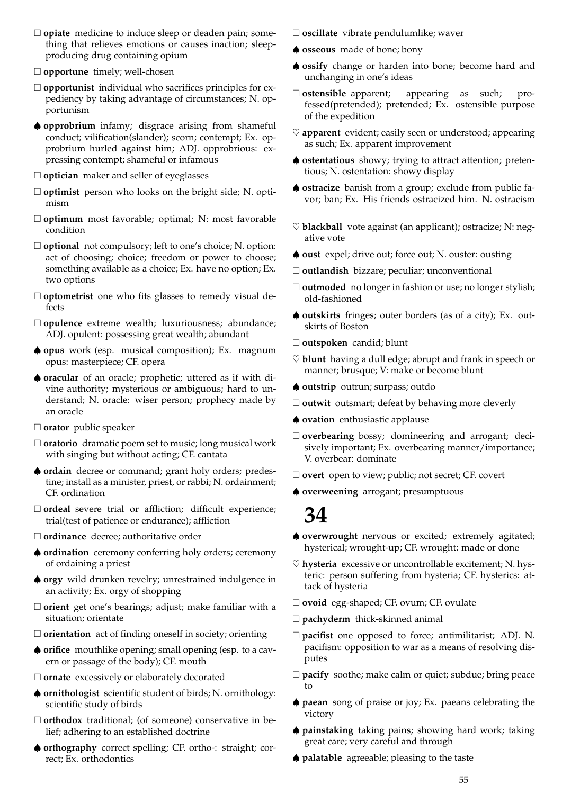- □ **opiate** medicine to induce sleep or deaden pain; something that relieves emotions or causes inaction; sleepproducing drug containing opium
- **opportune** timely; well-chosen
- **opportunist** individual who sacrifices principles for expediency by taking advantage of circumstances; N. opportunism
- ♠ **opprobrium** infamy; disgrace arising from shameful conduct; vilification(slander); scorn; contempt; Ex. opprobrium hurled against him; ADJ. opprobrious: expressing contempt; shameful or infamous
- **optician** maker and seller of eyeglasses
- □ **optimist** person who looks on the bright side; N. optimism
- □ **optimum** most favorable; optimal; N: most favorable condition
- □ **optional** not compulsory; left to one's choice; N. option: act of choosing; choice; freedom or power to choose; something available as a choice; Ex. have no option; Ex. two options
- □ **optometrist** one who fits glasses to remedy visual defects
- **opulence** extreme wealth; luxuriousness; abundance; ADJ. opulent: possessing great wealth; abundant
- ♠ **opus** work (esp. musical composition); Ex. magnum opus: masterpiece; CF. opera
- ♠ **oracular** of an oracle; prophetic; uttered as if with divine authority; mysterious or ambiguous; hard to understand; N. oracle: wiser person; prophecy made by an oracle
- **orator** public speaker
- □ **oratorio** dramatic poem set to music; long musical work with singing but without acting; CF. cantata
- ♠ **ordain** decree or command; grant holy orders; predestine; install as a minister, priest, or rabbi; N. ordainment; CF. ordination
- **ordeal** severe trial or affliction; difficult experience; trial(test of patience or endurance); affliction
- **ordinance** decree; authoritative order
- ♠ **ordination** ceremony conferring holy orders; ceremony of ordaining a priest
- ♠ **orgy** wild drunken revelry; unrestrained indulgence in an activity; Ex. orgy of shopping
- □ **orient** get one's bearings; adjust; make familiar with a situation; orientate
- □ **orientation** act of finding oneself in society; orienting
- ♠ **orifice** mouthlike opening; small opening (esp. to a cavern or passage of the body); CF. mouth
- □ **ornate** excessively or elaborately decorated
- ♠ **ornithologist** scientific student of birds; N. ornithology: scientific study of birds
- □ **orthodox** traditional; (of someone) conservative in belief; adhering to an established doctrine
- ♠ **orthography** correct spelling; CF. ortho-: straight; correct; Ex. orthodontics
- **oscillate** vibrate pendulumlike; waver
- ♠ **osseous** made of bone; bony
- ♠ **ossify** change or harden into bone; become hard and unchanging in one's ideas
- **ostensible** apparent; appearing as such; professed(pretended); pretended; Ex. ostensible purpose of the expedition
- $\heartsuit$  apparent evident; easily seen or understood; appearing as such; Ex. apparent improvement
- ♠ **ostentatious** showy; trying to attract attention; pretentious; N. ostentation: showy display
- ♠ **ostracize** banish from a group; exclude from public favor; ban; Ex. His friends ostracized him. N. ostracism
- ♥ **blackball** vote against (an applicant); ostracize; N: negative vote
- ♠ **oust** expel; drive out; force out; N. ouster: ousting
- **outlandish** bizzare; peculiar; unconventional
- □ **outmoded** no longer in fashion or use; no longer stylish; old-fashioned
- ♠ **outskirts** fringes; outer borders (as of a city); Ex. outskirts of Boston
- **outspoken** candid; blunt
- $\heartsuit$  **blunt** having a dull edge; abrupt and frank in speech or manner; brusque; V: make or become blunt
- ♠ **outstrip** outrun; surpass; outdo
- □ **outwit** outsmart; defeat by behaving more cleverly
- ♠ **ovation** enthusiastic applause
- **overbearing** bossy; domineering and arrogant; decisively important; Ex. overbearing manner/importance; V. overbear: dominate
- □ **overt** open to view; public; not secret; CF. covert
- ♠ **overweening** arrogant; presumptuous

- ♠ **overwrought** nervous or excited; extremely agitated; hysterical; wrought-up; CF. wrought: made or done
- ♥ **hysteria** excessive or uncontrollable excitement; N. hysteric: person suffering from hysteria; CF. hysterics: attack of hysteria
- **ovoid** egg-shaped; CF. ovum; CF. ovulate
- **pachyderm** thick-skinned animal
- **pacifist** one opposed to force; antimilitarist; ADJ. N. pacifism: opposition to war as a means of resolving disputes
- □ **pacify** soothe; make calm or quiet; subdue; bring peace to
- ♠ **paean** song of praise or joy; Ex. paeans celebrating the victory
- ♠ **painstaking** taking pains; showing hard work; taking great care; very careful and through
- ♠ **palatable** agreeable; pleasing to the taste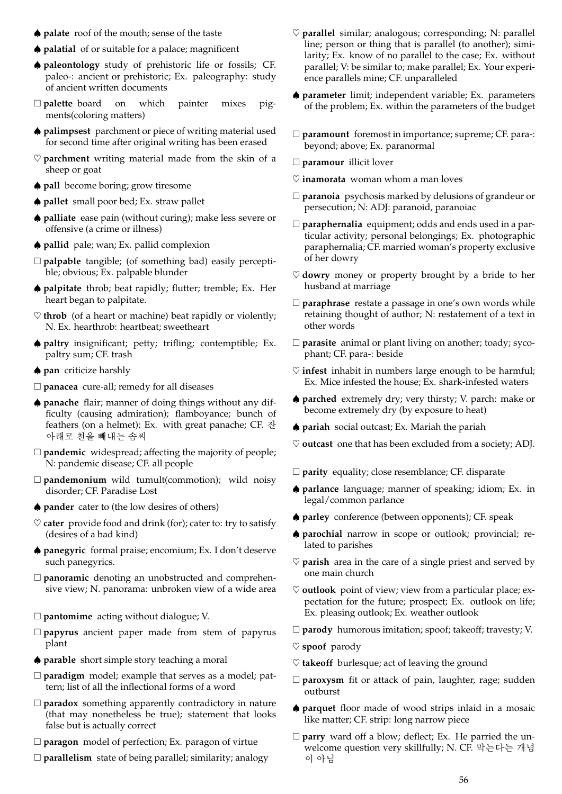- ♠ **palate** roof of the mouth; sense of the taste
- ♠ **palatial** of or suitable for a palace; magnificent
- ♠ **paleontology** study of prehistoric life or fossils; CF. paleo-: ancient or prehistoric; Ex. paleography: study of ancient written documents
- **palette** board on which painter mixes pigments(coloring matters)
- ♠ **palimpsest** parchment or piece of writing material used for second time after original writing has been erased
- $\heartsuit$  **parchment** writing material made from the skin of a sheep or goat
- ♠ **pall** become boring; grow tiresome
- ♠ **pallet** small poor bed; Ex. straw pallet
- ♠ **palliate** ease pain (without curing); make less severe or offensive (a crime or illness)
- ♠ **pallid** pale; wan; Ex. pallid complexion
- □ **palpable** tangible; (of something bad) easily perceptible; obvious; Ex. palpable blunder
- ♠ **palpitate** throb; beat rapidly; flutter; tremble; Ex. Her heart began to palpitate.
- $\heartsuit$  **throb** (of a heart or machine) beat rapidly or violently; N. Ex. hearthrob: heartbeat; sweetheart
- ♠ **paltry** insignificant; petty; trifling; contemptible; Ex. paltry sum; CF. trash
- ♠ **pan** criticize harshly
- □ panacea cure-all; remedy for all diseases
- ♠ **panache** flair; manner of doing things without any difficulty (causing admiration); flamboyance; bunch of feathers (on a helmet); Ex. with great panache; CF.  $\Phi$ 아래로 천을 빼내는 솜씨
- □ **pandemic** widespread; affecting the majority of people; N: pandemic disease; CF. all people
- $\square$  **pandemonium** wild tumult(commotion); wild noisy disorder; CF. Paradise Lost
- ♠ **pander** cater to (the low desires of others)
- $\heartsuit$  **cater** provide food and drink (for); cater to: try to satisfy (desires of a bad kind)
- ♠ **panegyric** formal praise; encomium; Ex. I don't deserve such panegyrics.
- □ **panoramic** denoting an unobstructed and comprehensive view; N. panorama: unbroken view of a wide area
- **pantomime** acting without dialogue; V.
- **papyrus** ancient paper made from stem of papyrus plant
- ♠ **parable** short simple story teaching a moral
- **paradigm** model; example that serves as a model; pattern; list of all the inflectional forms of a word
- $\Box$  **paradox** something apparently contradictory in nature (that may nonetheless be true); statement that looks false but is actually correct
- **paragon** model of perfection; Ex. paragon of virtue
- □ **parallelism** state of being parallel; similarity; analogy
- ♥ **parallel** similar; analogous; corresponding; N: parallel line; person or thing that is parallel (to another); similarity; Ex. know of no parallel to the case; Ex. without parallel; V: be similar to; make parallel; Ex. Your experience parallels mine; CF. unparalleled
- ♠ **parameter** limit; independent variable; Ex. parameters of the problem; Ex. within the parameters of the budget
- **paramount** foremost in importance; supreme; CF. para-: beyond; above; Ex. paranormal
- **paramour** illicit lover
- ♥ **inamorata** woman whom a man loves
- **paranoia** psychosis marked by delusions of grandeur or persecution; N: ADJ: paranoid, paranoiac
- **paraphernalia** equipment; odds and ends used in a particular activity; personal belongings; Ex. photographic paraphernalia; CF. married woman's property exclusive of her dowry
- $\heartsuit$  **dowry** money or property brought by a bride to her husband at marriage
- **paraphrase** restate a passage in one's own words while retaining thought of author; N: restatement of a text in other words
- □ **parasite** animal or plant living on another; toady; sycophant; CF. para-: beside
- $\heartsuit$  infest inhabit in numbers large enough to be harmful; Ex. Mice infested the house; Ex. shark-infested waters
- ♠ **parched** extremely dry; very thirsty; V. parch: make or become extremely dry (by exposure to heat)
- ♠ **pariah** social outcast; Ex. Mariah the pariah
- $\heartsuit$  **outcast** one that has been excluded from a society; ADJ.
- □ **parity** equality; close resemblance; CF. disparate
- ♠ **parlance** language; manner of speaking; idiom; Ex. in legal/common parlance
- ♠ **parley** conference (between opponents); CF. speak
- ♠ **parochial** narrow in scope or outlook; provincial; related to parishes
- $\heartsuit$  **parish** area in the care of a single priest and served by one main church
- ♥ **outlook** point of view; view from a particular place; expectation for the future; prospect; Ex. outlook on life; Ex. pleasing outlook; Ex. weather outlook
- **parody** humorous imitation; spoof; takeoff; travesty; V.
- $\heartsuit$  **spoof** parody
- $\heartsuit$  **takeoff** burlesque; act of leaving the ground
- □ **paroxysm** fit or attack of pain, laughter, rage; sudden outburst
- ♠ **parquet** floor made of wood strips inlaid in a mosaic like matter; CF. strip: long narrow piece
- □ **parry** ward off a blow; deflect; Ex. He parried the unwelcome question very skillfully; N. CF. 막는다는 개념 이 아님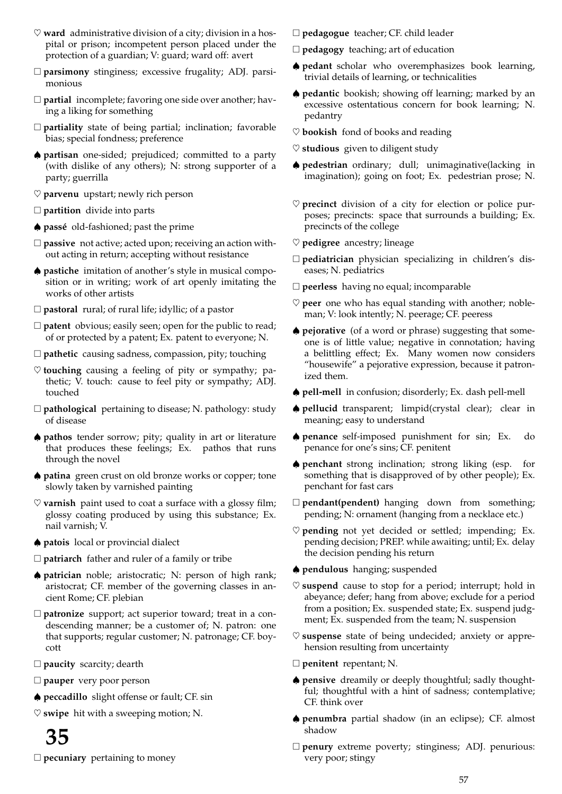- $\heartsuit$  **ward** administrative division of a city; division in a hospital or prison; incompetent person placed under the protection of a guardian; V: guard; ward off: avert
- □ **parsimony** stinginess; excessive frugality; ADJ. parsimonious
- □ **partial** incomplete; favoring one side over another; having a liking for something
- $\Box$  **partiality** state of being partial; inclination; favorable bias; special fondness; preference
- ♠ **partisan** one-sided; prejudiced; committed to a party (with dislike of any others); N: strong supporter of a party; guerrilla
- $\heartsuit$  **parvenu** upstart; newly rich person
- **partition** divide into parts
- ♠ **pass´e** old-fashioned; past the prime
- □ **passive** not active; acted upon; receiving an action without acting in return; accepting without resistance
- ♠ **pastiche** imitation of another's style in musical composition or in writing; work of art openly imitating the works of other artists
- □ **pastoral** rural; of rural life; idyllic; of a pastor
- □ **patent** obvious; easily seen; open for the public to read; of or protected by a patent; Ex. patent to everyone; N.
- □ **pathetic** causing sadness, compassion, pity; touching
- $\heartsuit$  **touching** causing a feeling of pity or sympathy; pathetic; V. touch: cause to feel pity or sympathy; ADJ. touched
- □ **pathological** pertaining to disease; N. pathology: study of disease
- ♠ **pathos** tender sorrow; pity; quality in art or literature that produces these feelings; Ex. pathos that runs through the novel
- ♠ **patina** green crust on old bronze works or copper; tone slowly taken by varnished painting
- $\heartsuit$  **varnish** paint used to coat a surface with a glossy film; glossy coating produced by using this substance; Ex. nail varnish; V.
- ♠ **patois** local or provincial dialect
- **patriarch** father and ruler of a family or tribe
- ♠ **patrician** noble; aristocratic; N: person of high rank; aristocrat; CF. member of the governing classes in ancient Rome; CF. plebian
- □ **patronize** support; act superior toward; treat in a condescending manner; be a customer of; N. patron: one that supports; regular customer; N. patronage; CF. boycott
- **paucity** scarcity; dearth
- **pauper** very poor person
- ♠ **peccadillo** slight offense or fault; CF. sin
- $\heartsuit$  **swipe** hit with a sweeping motion; N.

 $\square$  **pecuniary** pertaining to money

- **pedagogue** teacher; CF. child leader
- **pedagogy** teaching; art of education
- ♠ **pedant** scholar who overemphasizes book learning, trivial details of learning, or technicalities
- ♠ **pedantic** bookish; showing off learning; marked by an excessive ostentatious concern for book learning; N. pedantry
- ♥ **bookish** fond of books and reading
- ♥ **studious** given to diligent study
- ♠ **pedestrian** ordinary; dull; unimaginative(lacking in imagination); going on foot; Ex. pedestrian prose; N.
- $\heartsuit$  **precinct** division of a city for election or police purposes; precincts: space that surrounds a building; Ex. precincts of the college
- ♥ **pedigree** ancestry; lineage
- **pediatrician** physician specializing in children's diseases; N. pediatrics
- **peerless** having no equal; incomparable
- $\heartsuit$  peer one who has equal standing with another; nobleman; V: look intently; N. peerage; CF. peeress
- ♠ **pejorative** (of a word or phrase) suggesting that someone is of little value; negative in connotation; having a belittling effect; Ex. Many women now considers "housewife" a pejorative expression, because it patronized them.
- ♠ **pell-mell** in confusion; disorderly; Ex. dash pell-mell
- ♠ **pellucid** transparent; limpid(crystal clear); clear in meaning; easy to understand
- ♠ **penance** self-imposed punishment for sin; Ex. do penance for one's sins; CF. penitent
- ♠ **penchant** strong inclination; strong liking (esp. for something that is disapproved of by other people); Ex. penchant for fast cars
- **pendant(pendent)** hanging down from something; pending; N: ornament (hanging from a necklace etc.)
- ♥ **pending** not yet decided or settled; impending; Ex. pending decision; PREP. while awaiting; until; Ex. delay the decision pending his return
- ♠ **pendulous** hanging; suspended
- $\heartsuit$  **suspend** cause to stop for a period; interrupt; hold in abeyance; defer; hang from above; exclude for a period from a position; Ex. suspended state; Ex. suspend judgment; Ex. suspended from the team; N. suspension
- ♥ **suspense** state of being undecided; anxiety or apprehension resulting from uncertainty
- **penitent** repentant; N.
- ♠ **pensive** dreamily or deeply thoughtful; sadly thoughtful; thoughtful with a hint of sadness; contemplative; CF. think over
- ♠ **penumbra** partial shadow (in an eclipse); CF. almost shadow
- **penury** extreme poverty; stinginess; ADJ. penurious: very poor; stingy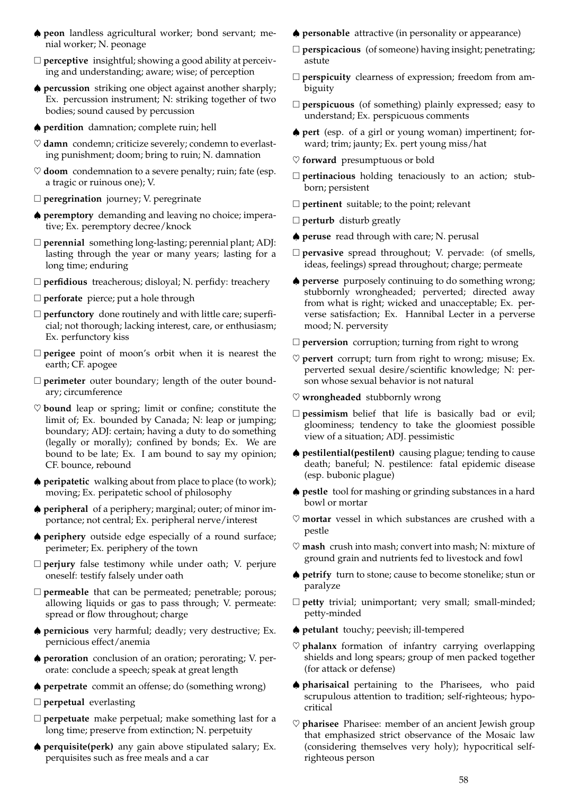- ♠ **peon** landless agricultural worker; bond servant; menial worker; N. peonage
- **perceptive** insightful; showing a good ability at perceiving and understanding; aware; wise; of perception
- ♠ **percussion** striking one object against another sharply; Ex. percussion instrument; N: striking together of two bodies; sound caused by percussion
- ♠ **perdition** damnation; complete ruin; hell
- $\heartsuit$  **damn** condemn; criticize severely; condemn to everlasting punishment; doom; bring to ruin; N. damnation
- $\heartsuit$  **doom** condemnation to a severe penalty; ruin; fate (esp. a tragic or ruinous one); V.
- **peregrination** journey; V. peregrinate
- ♠ **peremptory** demanding and leaving no choice; imperative; Ex. peremptory decree/knock
- **perennial** something long-lasting; perennial plant; ADJ: lasting through the year or many years; lasting for a long time; enduring
- □ **perfidious** treacherous; disloyal; N. perfidy: treachery
- □ **perforate** pierce; put a hole through
- $\Box$  **perfunctory** done routinely and with little care; superficial; not thorough; lacking interest, care, or enthusiasm; Ex. perfunctory kiss
- □ **perigee** point of moon's orbit when it is nearest the earth; CF. apogee
- **perimeter** outer boundary; length of the outer boundary; circumference
- $\heartsuit$  **bound** leap or spring; limit or confine; constitute the limit of; Ex. bounded by Canada; N: leap or jumping; boundary; ADJ: certain; having a duty to do something (legally or morally); confined by bonds; Ex. We are bound to be late; Ex. I am bound to say my opinion; CF. bounce, rebound
- ♠ **peripatetic** walking about from place to place (to work); moving; Ex. peripatetic school of philosophy
- ♠ **peripheral** of a periphery; marginal; outer; of minor importance; not central; Ex. peripheral nerve/interest
- ♠ **periphery** outside edge especially of a round surface; perimeter; Ex. periphery of the town
- □ **perjury** false testimony while under oath; V. perjure oneself: testify falsely under oath
- □ **permeable** that can be permeated; penetrable; porous; allowing liquids or gas to pass through; V. permeate: spread or flow throughout; charge
- ♠ **pernicious** very harmful; deadly; very destructive; Ex. pernicious effect/anemia
- ♠ **peroration** conclusion of an oration; perorating; V. perorate: conclude a speech; speak at great length
- ♠ **perpetrate** commit an offense; do (something wrong)
- **perpetual** everlasting
- **perpetuate** make perpetual; make something last for a long time; preserve from extinction; N. perpetuity
- ♠ **perquisite(perk)** any gain above stipulated salary; Ex. perquisites such as free meals and a car
- ♠ **personable** attractive (in personality or appearance)
- □ **perspicacious** (of someone) having insight; penetrating; astute
- □ **perspicuity** clearness of expression; freedom from ambiguity
- □ **perspicuous** (of something) plainly expressed; easy to understand; Ex. perspicuous comments
- ♠ **pert** (esp. of a girl or young woman) impertinent; forward; trim; jaunty; Ex. pert young miss/hat
- $\heartsuit$  **forward** presumptuous or bold
- **pertinacious** holding tenaciously to an action; stubborn; persistent
- □ **pertinent** suitable; to the point; relevant
- **perturb** disturb greatly
- ♠ **peruse** read through with care; N. perusal
- □ **pervasive** spread throughout; V. pervade: (of smells, ideas, feelings) spread throughout; charge; permeate
- ♠ **perverse** purposely continuing to do something wrong; stubbornly wrongheaded; perverted; directed away from what is right; wicked and unacceptable; Ex. perverse satisfaction; Ex. Hannibal Lecter in a perverse mood; N. perversity
- □ **perversion** corruption; turning from right to wrong
- $\heartsuit$  **pervert** corrupt; turn from right to wrong; misuse; Ex. perverted sexual desire/scientific knowledge; N: person whose sexual behavior is not natural
- ♥ **wrongheaded** stubbornly wrong
- $\Box$  **pessimism** belief that life is basically bad or evil; gloominess; tendency to take the gloomiest possible view of a situation; ADJ. pessimistic
- ♠ **pestilential(pestilent)** causing plague; tending to cause death; baneful; N. pestilence: fatal epidemic disease (esp. bubonic plague)
- ♠ **pestle** tool for mashing or grinding substances in a hard bowl or mortar
- ♥ **mortar** vessel in which substances are crushed with a pestle
- $\heartsuit$  **mash** crush into mash; convert into mash; N: mixture of ground grain and nutrients fed to livestock and fowl
- ♠ **petrify** turn to stone; cause to become stonelike; stun or paralyze
- **petty** trivial; unimportant; very small; small-minded; petty-minded
- ♠ **petulant** touchy; peevish; ill-tempered
- $\heartsuit$  **phalanx** formation of infantry carrying overlapping shields and long spears; group of men packed together (for attack or defense)
- ♠ **pharisaical** pertaining to the Pharisees, who paid scrupulous attention to tradition; self-righteous; hypocritical
- ♥ **pharisee** Pharisee: member of an ancient Jewish group that emphasized strict observance of the Mosaic law (considering themselves very holy); hypocritical selfrighteous person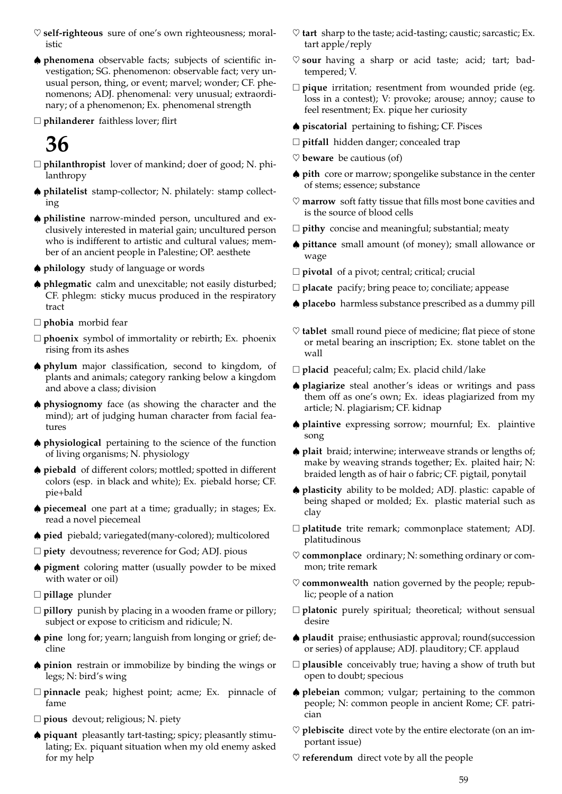- ♥ **self-righteous** sure of one's own righteousness; moralistic
- ♠ **phenomena** observable facts; subjects of scientific investigation; SG. phenomenon: observable fact; very unusual person, thing, or event; marvel; wonder; CF. phenomenons; ADJ. phenomenal: very unusual; extraordinary; of a phenomenon; Ex. phenomenal strength
- **philanderer** faithless lover; flirt

- **philanthropist** lover of mankind; doer of good; N. philanthropy
- ♠ **philatelist** stamp-collector; N. philately: stamp collecting
- ♠ **philistine** narrow-minded person, uncultured and exclusively interested in material gain; uncultured person who is indifferent to artistic and cultural values; member of an ancient people in Palestine; OP. aesthete
- ♠ **philology** study of language or words
- ♠ **phlegmatic** calm and unexcitable; not easily disturbed; CF. phlegm: sticky mucus produced in the respiratory tract
- **phobia** morbid fear
- $\Box$  **phoenix** symbol of immortality or rebirth; Ex. phoenix rising from its ashes
- ♠ **phylum** major classification, second to kingdom, of plants and animals; category ranking below a kingdom and above a class; division
- ♠ **physiognomy** face (as showing the character and the mind); art of judging human character from facial features
- ♠ **physiological** pertaining to the science of the function of living organisms; N. physiology
- ♠ **piebald** of different colors; mottled; spotted in different colors (esp. in black and white); Ex. piebald horse; CF. pie+bald
- ♠ **piecemeal** one part at a time; gradually; in stages; Ex. read a novel piecemeal
- ♠ **pied** piebald; variegated(many-colored); multicolored
- □ piety devoutness; reverence for God; ADJ. pious
- ♠ **pigment** coloring matter (usually powder to be mixed with water or oil)
- **pillage** plunder
- $\Box$  **pillory** punish by placing in a wooden frame or pillory; subject or expose to criticism and ridicule; N.
- ♠ **pine** long for; yearn; languish from longing or grief; decline
- ♠ **pinion** restrain or immobilize by binding the wings or legs; N: bird's wing
- □ **pinnacle** peak; highest point; acme; Ex. pinnacle of fame
- **pious** devout; religious; N. piety
- ♠ **piquant** pleasantly tart-tasting; spicy; pleasantly stimulating; Ex. piquant situation when my old enemy asked for my help
- $\heartsuit$  **tart** sharp to the taste; acid-tasting; caustic; sarcastic; Ex. tart apple/reply
- ♥ **sour** having a sharp or acid taste; acid; tart; badtempered; V.
- **pique** irritation; resentment from wounded pride (eg. loss in a contest); V: provoke; arouse; annoy; cause to feel resentment; Ex. pique her curiosity
- ♠ **piscatorial** pertaining to fishing; CF. Pisces
- □ **pitfall** hidden danger; concealed trap
- ♥ **beware** be cautious (of)
- ♠ **pith** core or marrow; spongelike substance in the center of stems; essence; substance
- $\heartsuit$  **marrow** soft fatty tissue that fills most bone cavities and is the source of blood cells
- □ **pithy** concise and meaningful; substantial; meaty
- ♠ **pittance** small amount (of money); small allowance or wage
- □ pivotal of a pivot; central; critical; crucial
- □ **placate** pacify; bring peace to; conciliate; appease
- ♠ **placebo** harmless substance prescribed as a dummy pill
- $\heartsuit$  **tablet** small round piece of medicine; flat piece of stone or metal bearing an inscription; Ex. stone tablet on the wall
- **placid** peaceful; calm; Ex. placid child/lake
- ♠ **plagiarize** steal another's ideas or writings and pass them off as one's own; Ex. ideas plagiarized from my article; N. plagiarism; CF. kidnap
- ♠ **plaintive** expressing sorrow; mournful; Ex. plaintive song
- ♠ **plait** braid; interwine; interweave strands or lengths of; make by weaving strands together; Ex. plaited hair; N: braided length as of hair o fabric; CF. pigtail, ponytail
- ♠ **plasticity** ability to be molded; ADJ. plastic: capable of being shaped or molded; Ex. plastic material such as clay
- **platitude** trite remark; commonplace statement; ADJ. platitudinous
- $\heartsuit$  **commonplace** ordinary; N: something ordinary or common; trite remark
- $\heartsuit$  **commonwealth** nation governed by the people; republic; people of a nation
- **platonic** purely spiritual; theoretical; without sensual desire
- ♠ **plaudit** praise; enthusiastic approval; round(succession or series) of applause; ADJ. plauditory; CF. applaud
- □ **plausible** conceivably true; having a show of truth but open to doubt; specious
- ♠ **plebeian** common; vulgar; pertaining to the common people; N: common people in ancient Rome; CF. patrician
- ♥ **plebiscite** direct vote by the entire electorate (on an important issue)
- $\heartsuit$  **referendum** direct vote by all the people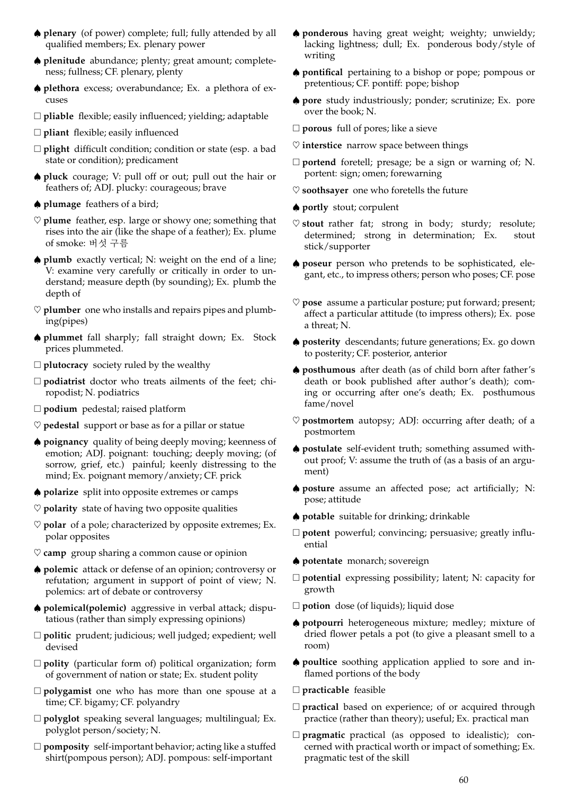- ♠ **plenary** (of power) complete; full; fully attended by all qualified members; Ex. plenary power
- ♠ **plenitude** abundance; plenty; great amount; completeness; fullness; CF. plenary, plenty
- ♠ **plethora** excess; overabundance; Ex. a plethora of excuses
- **pliable** flexible; easily influenced; yielding; adaptable
- **pliant** flexible; easily influenced
- **plight** difficult condition; condition or state (esp. a bad state or condition); predicament
- ♠ **pluck** courage; V: pull off or out; pull out the hair or feathers of; ADJ. plucky: courageous; brave
- ♠ **plumage** feathers of a bird;
- $\heartsuit$  **plume** feather, esp. large or showy one; something that rises into the air (like the shape of a feather); Ex. plume of smoke: 버섯 구름
- ♠ **plumb** exactly vertical; N: weight on the end of a line; V: examine very carefully or critically in order to understand; measure depth (by sounding); Ex. plumb the depth of
- $\heartsuit$  **plumber** one who installs and repairs pipes and plumbing(pipes)
- ♠ **plummet** fall sharply; fall straight down; Ex. Stock prices plummeted.
- □ **plutocracy** society ruled by the wealthy
- **podiatrist** doctor who treats ailments of the feet; chiropodist; N. podiatrics
- □ **podium** pedestal; raised platform
- $\heartsuit$  **pedestal** support or base as for a pillar or statue
- ♠ **poignancy** quality of being deeply moving; keenness of emotion; ADJ. poignant: touching; deeply moving; (of sorrow, grief, etc.) painful; keenly distressing to the mind; Ex. poignant memory/anxiety; CF. prick
- ♠ **polarize** split into opposite extremes or camps
- $\heartsuit$  **polarity** state of having two opposite qualities
- $\heartsuit$  **polar** of a pole; characterized by opposite extremes; Ex. polar opposites
- $\heartsuit$  **camp** group sharing a common cause or opinion
- ♠ **polemic** attack or defense of an opinion; controversy or refutation; argument in support of point of view; N. polemics: art of debate or controversy
- ♠ **polemical(polemic)** aggressive in verbal attack; disputatious (rather than simply expressing opinions)
- **politic** prudent; judicious; well judged; expedient; well devised
- $\Box$  **polity** (particular form of) political organization; form of government of nation or state; Ex. student polity
- **polygamist** one who has more than one spouse at a time; CF. bigamy; CF. polyandry
- □ **polyglot** speaking several languages; multilingual; Ex. polyglot person/society; N.
- $\Box$  **pomposity** self-important behavior; acting like a stuffed shirt(pompous person); ADJ. pompous: self-important
- ♠ **ponderous** having great weight; weighty; unwieldy; lacking lightness; dull; Ex. ponderous body/style of writing
- ♠ **pontifical** pertaining to a bishop or pope; pompous or pretentious; CF. pontiff: pope; bishop
- ♠ **pore** study industriously; ponder; scrutinize; Ex. pore over the book; N.
- **porous** full of pores; like a sieve
- **♡ interstice** narrow space between things
- □ **portend** foretell; presage; be a sign or warning of; N. portent: sign; omen; forewarning
- ♥ **soothsayer** one who foretells the future
- ♠ **portly** stout; corpulent
- $\heartsuit$  **stout** rather fat; strong in body; sturdy; resolute; determined; strong in determination; Ex. stout stick/supporter
- ♠ **poseur** person who pretends to be sophisticated, elegant, etc., to impress others; person who poses; CF. pose
- ♥ **pose** assume a particular posture; put forward; present; affect a particular attitude (to impress others); Ex. pose a threat; N.
- ♠ **posterity** descendants; future generations; Ex. go down to posterity; CF. posterior, anterior
- ♠ **posthumous** after death (as of child born after father's death or book published after author's death); coming or occurring after one's death; Ex. posthumous fame/novel
- $\heartsuit$  **postmortem** autopsy; ADJ: occurring after death; of a postmortem
- ♠ **postulate** self-evident truth; something assumed without proof; V: assume the truth of (as a basis of an argument)
- ♠ **posture** assume an affected pose; act artificially; N: pose; attitude
- ♠ **potable** suitable for drinking; drinkable
- □ **potent** powerful; convincing; persuasive; greatly influential
- ♠ **potentate** monarch; sovereign
- **potential** expressing possibility; latent; N: capacity for growth
- □ **potion** dose (of liquids); liquid dose
- ♠ **potpourri** heterogeneous mixture; medley; mixture of dried flower petals a pot (to give a pleasant smell to a room)
- ♠ **poultice** soothing application applied to sore and inflamed portions of the body
- **practicable** feasible
- □ **practical** based on experience; of or acquired through practice (rather than theory); useful; Ex. practical man
- **pragmatic** practical (as opposed to idealistic); concerned with practical worth or impact of something; Ex. pragmatic test of the skill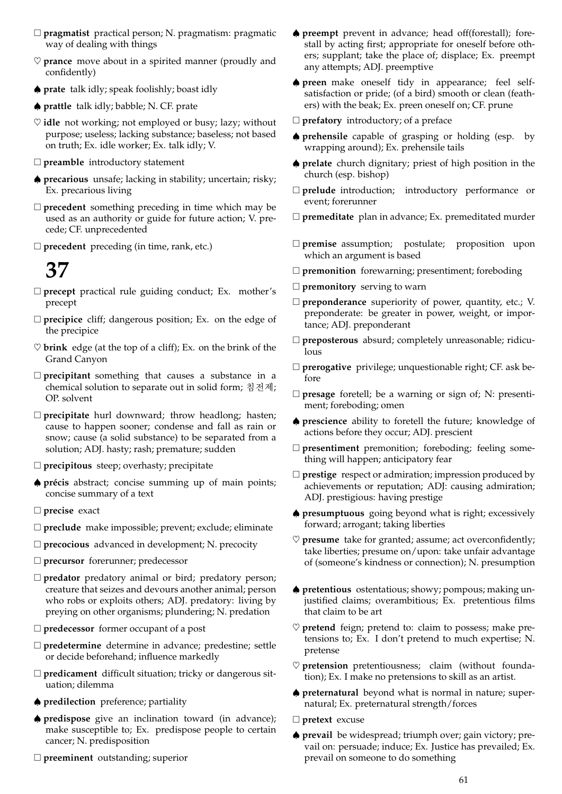- **pragmatist** practical person; N. pragmatism: pragmatic way of dealing with things
- ♥ **prance** move about in a spirited manner (proudly and confidently)
- ♠ **prate** talk idly; speak foolishly; boast idly
- ♠ **prattle** talk idly; babble; N. CF. prate
- $\heartsuit$  **idle** not working; not employed or busy; lazy; without purpose; useless; lacking substance; baseless; not based on truth; Ex. idle worker; Ex. talk idly; V.
- □ **preamble** introductory statement
- ♠ **precarious** unsafe; lacking in stability; uncertain; risky; Ex. precarious living
- □ **precedent** something preceding in time which may be used as an authority or guide for future action; V. precede; CF. unprecedented
- □ **precedent** preceding (in time, rank, etc.)

- **precept** practical rule guiding conduct; Ex. mother's precept
- □ **precipice** cliff; dangerous position; Ex. on the edge of the precipice
- $\heartsuit$  **brink** edge (at the top of a cliff); Ex. on the brink of the Grand Canyon
- **precipitant** something that causes a substance in a chemical solution to separate out in solid form; 침전제; OP. solvent
- **precipitate** hurl downward; throw headlong; hasten; cause to happen sooner; condense and fall as rain or snow; cause (a solid substance) to be separated from a solution; ADJ. hasty; rash; premature; sudden
- **precipitous** steep; overhasty; precipitate
- ♠ **pr´ecis** abstract; concise summing up of main points; concise summary of a text
- **precise** exact
- **preclude** make impossible; prevent; exclude; eliminate
- □ **precocious** advanced in development; N. precocity
- **precursor** forerunner; predecessor
- □ **predator** predatory animal or bird; predatory person; creature that seizes and devours another animal; person who robs or exploits others; ADJ. predatory: living by preying on other organisms; plundering; N. predation
- □ **predecessor** former occupant of a post
- □ **predetermine** determine in advance; predestine; settle or decide beforehand; influence markedly
- **predicament** difficult situation; tricky or dangerous situation; dilemma
- ♠ **predilection** preference; partiality
- ♠ **predispose** give an inclination toward (in advance); make susceptible to; Ex. predispose people to certain cancer; N. predisposition
- **preeminent** outstanding; superior
- ♠ **preempt** prevent in advance; head off(forestall); forestall by acting first; appropriate for oneself before others; supplant; take the place of; displace; Ex. preempt any attempts; ADJ. preemptive
- ♠ **preen** make oneself tidy in appearance; feel selfsatisfaction or pride; (of a bird) smooth or clean (feathers) with the beak; Ex. preen oneself on; CF. prune
- **prefatory** introductory; of a preface
- ♠ **prehensile** capable of grasping or holding (esp. by wrapping around); Ex. prehensile tails
- ♠ **prelate** church dignitary; priest of high position in the church (esp. bishop)
- *prelude* introduction; introductory performance or event; forerunner
- **premeditate** plan in advance; Ex. premeditated murder
- **premise** assumption; postulate; proposition upon which an argument is based
- **premonition** forewarning; presentiment; foreboding
- $\square$  **premonitory** serving to warn
- **preponderance** superiority of power, quantity, etc.; V. preponderate: be greater in power, weight, or importance; ADJ. preponderant
- □ **preposterous** absurd; completely unreasonable; ridiculous
- **prerogative** privilege; unquestionable right; CF. ask before
- □ **presage** foretell; be a warning or sign of; N: presentiment; foreboding; omen
- ♠ **prescience** ability to foretell the future; knowledge of actions before they occur; ADJ. prescient
- **presentiment** premonition; foreboding; feeling something will happen; anticipatory fear
- □ **prestige** respect or admiration; impression produced by achievements or reputation; ADJ: causing admiration; ADJ. prestigious: having prestige
- ♠ **presumptuous** going beyond what is right; excessively forward; arrogant; taking liberties
- ♥ **presume** take for granted; assume; act overconfidently; take liberties; presume on/upon: take unfair advantage of (someone's kindness or connection); N. presumption
- ♠ **pretentious** ostentatious; showy; pompous; making unjustified claims; overambitious; Ex. pretentious films that claim to be art
- ♥ **pretend** feign; pretend to: claim to possess; make pretensions to; Ex. I don't pretend to much expertise; N. pretense
- ♥ **pretension** pretentiousness; claim (without foundation); Ex. I make no pretensions to skill as an artist.
- ♠ **preternatural** beyond what is normal in nature; supernatural; Ex. preternatural strength/forces
- **pretext** excuse
- ♠ **prevail** be widespread; triumph over; gain victory; prevail on: persuade; induce; Ex. Justice has prevailed; Ex. prevail on someone to do something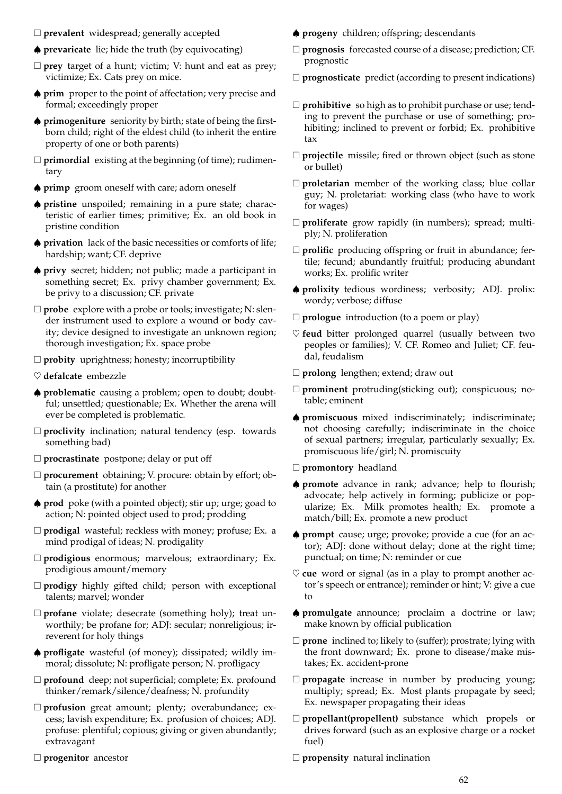- **prevalent** widespread; generally accepted
- ♠ **prevaricate** lie; hide the truth (by equivocating)
- $\Box$  **prey** target of a hunt; victim; V: hunt and eat as prey; victimize; Ex. Cats prey on mice.
- ♠ **prim** proper to the point of affectation; very precise and formal; exceedingly proper
- ♠ **primogeniture** seniority by birth; state of being the firstborn child; right of the eldest child (to inherit the entire property of one or both parents)
- $\Box$  **primordial** existing at the beginning (of time); rudimentary
- ♠ **primp** groom oneself with care; adorn oneself
- ♠ **pristine** unspoiled; remaining in a pure state; characteristic of earlier times; primitive; Ex. an old book in pristine condition
- ♠ **privation** lack of the basic necessities or comforts of life; hardship; want; CF. deprive
- ♠ **privy** secret; hidden; not public; made a participant in something secret; Ex. privy chamber government; Ex. be privy to a discussion; CF. private
- $\square$  **probe** explore with a probe or tools; investigate; N: slender instrument used to explore a wound or body cavity; device designed to investigate an unknown region; thorough investigation; Ex. space probe
- $\Box$  **probity** uprightness; honesty; incorruptibility
- ♥ **defalcate** embezzle
- ♠ **problematic** causing a problem; open to doubt; doubtful; unsettled; questionable; Ex. Whether the arena will ever be completed is problematic.
- □ **proclivity** inclination; natural tendency (esp. towards something bad)
- □ **procrastinate** postpone; delay or put off
- □ **procurement** obtaining; V. procure: obtain by effort; obtain (a prostitute) for another
- ♠ **prod** poke (with a pointed object); stir up; urge; goad to action; N: pointed object used to prod; prodding
- □ **prodigal** wasteful; reckless with money; profuse; Ex. a mind prodigal of ideas; N. prodigality
- **prodigious** enormous; marvelous; extraordinary; Ex. prodigious amount/memory
- □ **prodigy** highly gifted child; person with exceptional talents; marvel; wonder
- □ **profane** violate; desecrate (something holy); treat unworthily; be profane for; ADJ: secular; nonreligious; irreverent for holy things
- ♠ **profligate** wasteful (of money); dissipated; wildly immoral; dissolute; N: profligate person; N. profligacy
- □ **profound** deep; not superficial; complete; Ex. profound thinker/remark/silence/deafness; N. profundity
- □ **profusion** great amount; plenty; overabundance; excess; lavish expenditure; Ex. profusion of choices; ADJ. profuse: plentiful; copious; giving or given abundantly; extravagant
- **progenitor** ancestor
- ♠ **progeny** children; offspring; descendants
- □ **prognosis** forecasted course of a disease; prediction; CF. prognostic
- □ **prognosticate** predict (according to present indications)
- □ **prohibitive** so high as to prohibit purchase or use; tending to prevent the purchase or use of something; prohibiting; inclined to prevent or forbid; Ex. prohibitive tax
- □ **projectile** missile; fired or thrown object (such as stone or bullet)
- □ **proletarian** member of the working class; blue collar guy; N. proletariat: working class (who have to work for wages)
- □ **proliferate** grow rapidly (in numbers); spread; multiply; N. proliferation
- □ **prolific** producing offspring or fruit in abundance; fertile; fecund; abundantly fruitful; producing abundant works; Ex. prolific writer
- ♠ **prolixity** tedious wordiness; verbosity; ADJ. prolix: wordy; verbose; diffuse
- □ **prologue** introduction (to a poem or play)
- ♥ **feud** bitter prolonged quarrel (usually between two peoples or families); V. CF. Romeo and Juliet; CF. feudal, feudalism
- **prolong** lengthen; extend; draw out
- □ **prominent** protruding(sticking out); conspicuous; notable; eminent
- ♠ **promiscuous** mixed indiscriminately; indiscriminate; not choosing carefully; indiscriminate in the choice of sexual partners; irregular, particularly sexually; Ex. promiscuous life/girl; N. promiscuity
- **promontory** headland
- ♠ **promote** advance in rank; advance; help to flourish; advocate; help actively in forming; publicize or popularize; Ex. Milk promotes health; Ex. promote a match/bill; Ex. promote a new product
- ♠ **prompt** cause; urge; provoke; provide a cue (for an actor); ADJ: done without delay; done at the right time; punctual; on time; N: reminder or cue
- ♥ **cue** word or signal (as in a play to prompt another actor's speech or entrance); reminder or hint; V: give a cue to
- ♠ **promulgate** announce; proclaim a doctrine or law; make known by official publication
- □ **prone** inclined to; likely to (suffer); prostrate; lying with the front downward; Ex. prone to disease/make mistakes; Ex. accident-prone
- **propagate** increase in number by producing young; multiply; spread; Ex. Most plants propagate by seed; Ex. newspaper propagating their ideas
- **propellant(propellent)** substance which propels or drives forward (such as an explosive charge or a rocket fuel)
- **propensity** natural inclination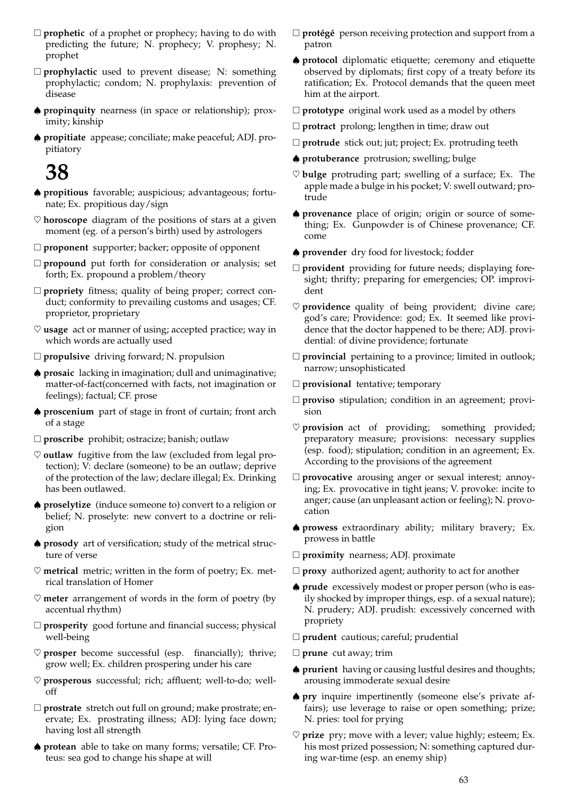- □ **prophetic** of a prophet or prophecy; having to do with predicting the future; N. prophecy; V. prophesy; N. prophet
- **prophylactic** used to prevent disease; N: something prophylactic; condom; N. prophylaxis: prevention of disease
- ♠ **propinquity** nearness (in space or relationship); proximity; kinship
- ♠ **propitiate** appease; conciliate; make peaceful; ADJ. propitiatory

- ♠ **propitious** favorable; auspicious; advantageous; fortunate; Ex. propitious day/sign
- ♥ **horoscope** diagram of the positions of stars at a given moment (eg. of a person's birth) used by astrologers
- □ **proponent** supporter; backer; opposite of opponent
- **propound** put forth for consideration or analysis; set forth; Ex. propound a problem/theory
- □ **propriety** fitness; quality of being proper; correct conduct; conformity to prevailing customs and usages; CF. proprietor, proprietary
- $\heartsuit$  **usage** act or manner of using; accepted practice; way in which words are actually used
- □ **propulsive** driving forward; N. propulsion
- ♠ **prosaic** lacking in imagination; dull and unimaginative; matter-of-fact(concerned with facts, not imagination or feelings); factual; CF. prose
- ♠ **proscenium** part of stage in front of curtain; front arch of a stage
- **proscribe** prohibit; ostracize; banish; outlaw
- $\heartsuit$  outlaw fugitive from the law (excluded from legal protection); V: declare (someone) to be an outlaw; deprive of the protection of the law; declare illegal; Ex. Drinking has been outlawed.
- ♠ **proselytize** (induce someone to) convert to a religion or belief; N. proselyte: new convert to a doctrine or religion
- ♠ **prosody** art of versification; study of the metrical structure of verse
- $\heartsuit$  **metrical** metric; written in the form of poetry; Ex. metrical translation of Homer
- $\heartsuit$  **meter** arrangement of words in the form of poetry (by accentual rhythm)
- **prosperity** good fortune and financial success; physical well-being
- $\heartsuit$  **prosper** become successful (esp. financially); thrive; grow well; Ex. children prospering under his care
- ♥ **prosperous** successful; rich; affluent; well-to-do; welloff
- □ **prostrate** stretch out full on ground; make prostrate; enervate; Ex. prostrating illness; ADJ: lying face down; having lost all strength
- ♠ **protean** able to take on many forms; versatile; CF. Proteus: sea god to change his shape at will
- □ protégé person receiving protection and support from a patron
- ♠ **protocol** diplomatic etiquette; ceremony and etiquette observed by diplomats; first copy of a treaty before its ratification; Ex. Protocol demands that the queen meet him at the airport.
- □ **prototype** original work used as a model by others
- **protract** prolong; lengthen in time; draw out
- □ **protrude** stick out; jut; project; Ex. protruding teeth
- ♠ **protuberance** protrusion; swelling; bulge
- ♥ **bulge** protruding part; swelling of a surface; Ex. The apple made a bulge in his pocket; V: swell outward; protrude
- ♠ **provenance** place of origin; origin or source of something; Ex. Gunpowder is of Chinese provenance; CF. come
- ♠ **provender** dry food for livestock; fodder
- □ **provident** providing for future needs; displaying foresight; thrifty; preparing for emergencies; OP. improvident
- ♥ **providence** quality of being provident; divine care; god's care; Providence: god; Ex. It seemed like providence that the doctor happened to be there; ADJ. providential: of divine providence; fortunate
- □ **provincial** pertaining to a province; limited in outlook; narrow; unsophisticated
- **provisional** tentative; temporary
- □ **proviso** stipulation; condition in an agreement; provision
- ♥ **provision** act of providing; something provided; preparatory measure; provisions: necessary supplies (esp. food); stipulation; condition in an agreement; Ex. According to the provisions of the agreement
- **provocative** arousing anger or sexual interest; annoying; Ex. provocative in tight jeans; V. provoke: incite to anger; cause (an unpleasant action or feeling); N. provocation
- ♠ **prowess** extraordinary ability; military bravery; Ex. prowess in battle
- **proximity** nearness; ADJ. proximate
- □ **proxy** authorized agent; authority to act for another
- ♠ **prude** excessively modest or proper person (who is easily shocked by improper things, esp. of a sexual nature); N. prudery; ADJ. prudish: excessively concerned with propriety
- **prudent** cautious; careful; prudential
- **prune** cut away; trim
- ♠ **prurient** having or causing lustful desires and thoughts; arousing immoderate sexual desire
- ♠ **pry** inquire impertinently (someone else's private affairs); use leverage to raise or open something; prize; N. pries: tool for prying
- $\heartsuit$  **prize** pry; move with a lever; value highly; esteem; Ex. his most prized possession; N: something captured during war-time (esp. an enemy ship)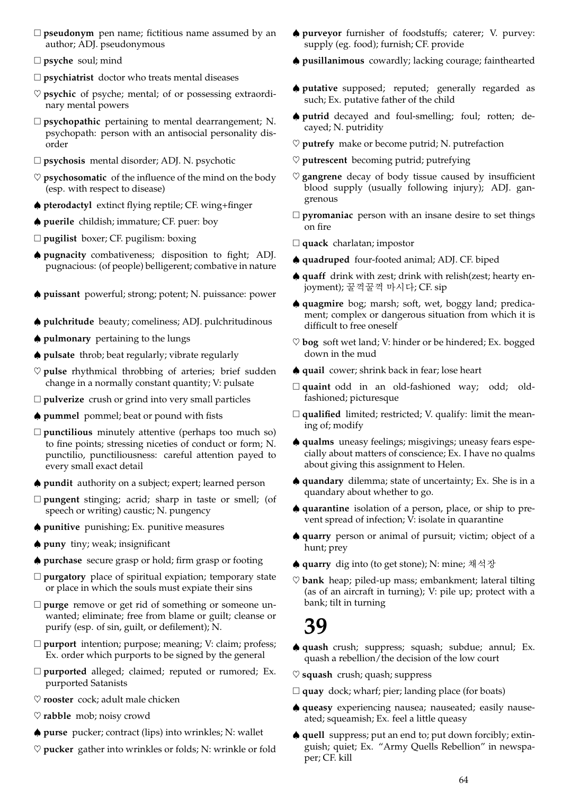- $\square$  **pseudonym** pen name; fictitious name assumed by an author; ADJ. pseudonymous
- **psyche** soul; mind
- □ **psychiatrist** doctor who treats mental diseases
- $\heartsuit$  **psychic** of psyche; mental; of or possessing extraordinary mental powers
- **psychopathic** pertaining to mental dearrangement; N. psychopath: person with an antisocial personality disorder
- **psychosis** mental disorder; ADJ. N. psychotic
- $\heartsuit$  **psychosomatic** of the influence of the mind on the body (esp. with respect to disease)
- ♠ **pterodactyl** extinct flying reptile; CF. wing+finger
- ♠ **puerile** childish; immature; CF. puer: boy
- **pugilist** boxer; CF. pugilism: boxing
- ♠ **pugnacity** combativeness; disposition to fight; ADJ. pugnacious: (of people) belligerent; combative in nature
- ♠ **puissant** powerful; strong; potent; N. puissance: power
- ♠ **pulchritude** beauty; comeliness; ADJ. pulchritudinous
- ♠ **pulmonary** pertaining to the lungs
- ♠ **pulsate** throb; beat regularly; vibrate regularly
- ♥ **pulse** rhythmical throbbing of arteries; brief sudden change in a normally constant quantity; V: pulsate
- □ **pulverize** crush or grind into very small particles
- ♠ **pummel** pommel; beat or pound with fists
- □ **punctilious** minutely attentive (perhaps too much so) to fine points; stressing niceties of conduct or form; N. punctilio, punctiliousness: careful attention payed to every small exact detail
- ♠ **pundit** authority on a subject; expert; learned person
- □ **pungent** stinging; acrid; sharp in taste or smell; (of speech or writing) caustic; N. pungency
- ♠ **punitive** punishing; Ex. punitive measures
- ♠ **puny** tiny; weak; insignificant
- ♠ **purchase** secure grasp or hold; firm grasp or footing
- □ **purgatory** place of spiritual expiation; temporary state or place in which the souls must expiate their sins
- □ **purge** remove or get rid of something or someone unwanted; eliminate; free from blame or guilt; cleanse or purify (esp. of sin, guilt, or defilement); N.
- □ purport intention; purpose; meaning; V: claim; profess; Ex. order which purports to be signed by the general
- □ **purported** alleged; claimed; reputed or rumored; Ex. purported Satanists
- ♥ **rooster** cock; adult male chicken
- ♥ **rabble** mob; noisy crowd
- ♠ **purse** pucker; contract (lips) into wrinkles; N: wallet
- ♥ **pucker** gather into wrinkles or folds; N: wrinkle or fold
- ♠ **purveyor** furnisher of foodstuffs; caterer; V. purvey: supply (eg. food); furnish; CF. provide
- ♠ **pusillanimous** cowardly; lacking courage; fainthearted
- ♠ **putative** supposed; reputed; generally regarded as such; Ex. putative father of the child
- ♠ **putrid** decayed and foul-smelling; foul; rotten; decayed; N. putridity
- $\heartsuit$  **putrefy** make or become putrid; N. putrefaction
- $\heartsuit$  **putrescent** becoming putrid; putrefying
- $\heartsuit$  gangrene decay of body tissue caused by insufficient blood supply (usually following injury); ADJ. gangrenous
- $\Box$  **pyromaniac** person with an insane desire to set things on fire
- **quack** charlatan; impostor
- ♠ **quadruped** four-footed animal; ADJ. CF. biped
- ♠ **quaff** drink with zest; drink with relish(zest; hearty en-.<br>joyment); 꿀꺽꿀꺽 마시다; CF. sip
- ♠ **quagmire** bog; marsh; soft, wet, boggy land; predicament; complex or dangerous situation from which it is difficult to free oneself
- ♥ **bog** soft wet land; V: hinder or be hindered; Ex. bogged down in the mud
- ♠ **quail** cower; shrink back in fear; lose heart
- **quaint** odd in an old-fashioned way; odd; oldfashioned; picturesque
- $\square$  qualified limited; restricted; V. qualify: limit the meaning of; modify
- ♠ **qualms** uneasy feelings; misgivings; uneasy fears especially about matters of conscience; Ex. I have no qualms about giving this assignment to Helen.
- ♠ **quandary** dilemma; state of uncertainty; Ex. She is in a quandary about whether to go.
- ♠ **quarantine** isolation of a person, place, or ship to prevent spread of infection; V: isolate in quarantine
- ♠ **quarry** person or animal of pursuit; victim; object of a hunt; prey
- ♦ quarry dig into (to get stone); N: mine; 채석장
- ♥ **bank** heap; piled-up mass; embankment; lateral tilting (as of an aircraft in turning); V: pile up; protect with a bank; tilt in turning

- ♠ **quash** crush; suppress; squash; subdue; annul; Ex. quash a rebellion/the decision of the low court
- ♥ **squash** crush; quash; suppress
- □ **quay** dock; wharf; pier; landing place (for boats)
- ♠ **queasy** experiencing nausea; nauseated; easily nauseated; squeamish; Ex. feel a little queasy
- ♠ **quell** suppress; put an end to; put down forcibly; extinguish; quiet; Ex. "Army Quells Rebellion" in newspaper; CF. kill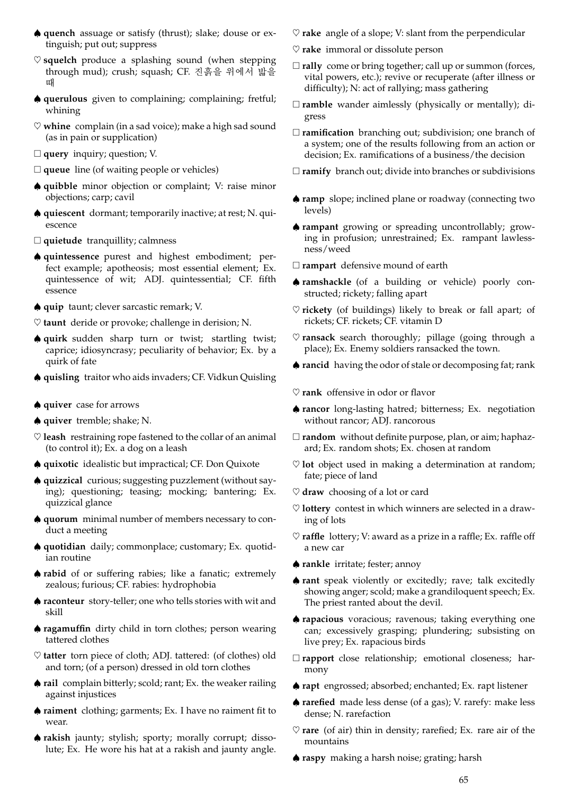- ♠ **quench** assuage or satisfy (thrust); slake; douse or extinguish; put out; suppress
- $\heartsuit$  **squelch** produce a splashing sound (when stepping through mud); crush; squash; CF. 진흙을 위에서 밟을 M:
- ♠ **querulous** given to complaining; complaining; fretful; whining
- $\heartsuit$  whine complain (in a sad voice); make a high sad sound (as in pain or supplication)
- **query** inquiry; question; V.
- □ **queue** line (of waiting people or vehicles)
- ♠ **quibble** minor objection or complaint; V: raise minor objections; carp; cavil
- ♠ **quiescent** dormant; temporarily inactive; at rest; N. quiescence
- **quietude** tranquillity; calmness
- ♠ **quintessence** purest and highest embodiment; perfect example; apotheosis; most essential element; Ex. quintessence of wit; ADJ. quintessential; CF. fifth essence
- ♠ **quip** taunt; clever sarcastic remark; V.
- ♥ **taunt** deride or provoke; challenge in derision; N.
- ♠ **quirk** sudden sharp turn or twist; startling twist; caprice; idiosyncrasy; peculiarity of behavior; Ex. by a quirk of fate
- ♠ **quisling** traitor who aids invaders; CF. Vidkun Quisling
- ♠ **quiver** case for arrows
- ♠ **quiver** tremble; shake; N.
- $\heartsuit$  **leash** restraining rope fastened to the collar of an animal (to control it); Ex. a dog on a leash
- ♠ **quixotic** idealistic but impractical; CF. Don Quixote
- ♠ **quizzical** curious; suggesting puzzlement (without saying); questioning; teasing; mocking; bantering; Ex. quizzical glance
- ♠ **quorum** minimal number of members necessary to conduct a meeting
- ♠ **quotidian** daily; commonplace; customary; Ex. quotidian routine
- ♠ **rabid** of or suffering rabies; like a fanatic; extremely zealous; furious; CF. rabies: hydrophobia
- ♠ **raconteur** story-teller; one who tells stories with wit and skill
- ♠ **ragamuffin** dirty child in torn clothes; person wearing tattered clothes
- ♥ **tatter** torn piece of cloth; ADJ. tattered: (of clothes) old and torn; (of a person) dressed in old torn clothes
- ♠ **rail** complain bitterly; scold; rant; Ex. the weaker railing against injustices
- ♠ **raiment** clothing; garments; Ex. I have no raiment fit to wear.
- ♠ **rakish** jaunty; stylish; sporty; morally corrupt; dissolute; Ex. He wore his hat at a rakish and jaunty angle.
- ♥ **rake** angle of a slope; V: slant from the perpendicular
- ♥ **rake** immoral or dissolute person
- $\Box$  **rally** come or bring together; call up or summon (forces, vital powers, etc.); revive or recuperate (after illness or difficulty); N: act of rallying; mass gathering
- **ramble** wander aimlessly (physically or mentally); digress
- **ramification** branching out; subdivision; one branch of a system; one of the results following from an action or decision; Ex. ramifications of a business/the decision
- □ **ramify** branch out; divide into branches or subdivisions
- ♠ **ramp** slope; inclined plane or roadway (connecting two levels)
- ♠ **rampant** growing or spreading uncontrollably; growing in profusion; unrestrained; Ex. rampant lawlessness/weed
- □ rampart defensive mound of earth
- ♠ **ramshackle** (of a building or vehicle) poorly constructed; rickety; falling apart
- $\heartsuit$  **rickety** (of buildings) likely to break or fall apart; of rickets; CF. rickets; CF. vitamin D
- $\heartsuit$  **ransack** search thoroughly; pillage (going through a place); Ex. Enemy soldiers ransacked the town.
- ♠ **rancid** having the odor of stale or decomposing fat; rank
- $\heartsuit$  **rank** offensive in odor or flavor
- ♠ **rancor** long-lasting hatred; bitterness; Ex. negotiation without rancor; ADJ. rancorous
- **random** without definite purpose, plan, or aim; haphazard; Ex. random shots; Ex. chosen at random
- $\heartsuit$  **lot** object used in making a determination at random; fate; piece of land
- $\heartsuit$  **draw** choosing of a lot or card
- $\heartsuit$  **lottery** contest in which winners are selected in a drawing of lots
- $\heartsuit$  **raffle** lottery; V: award as a prize in a raffle; Ex. raffle off a new car
- ♠ **rankle** irritate; fester; annoy
- ♠ **rant** speak violently or excitedly; rave; talk excitedly showing anger; scold; make a grandiloquent speech; Ex. The priest ranted about the devil.
- ♠ **rapacious** voracious; ravenous; taking everything one can; excessively grasping; plundering; subsisting on live prey; Ex. rapacious birds
- □ **rapport** close relationship; emotional closeness; harmony
- ♠ **rapt** engrossed; absorbed; enchanted; Ex. rapt listener
- ♠ **rarefied** made less dense (of a gas); V. rarefy: make less dense; N. rarefaction
- ♥ **rare** (of air) thin in density; rarefied; Ex. rare air of the mountains
- ♠ **raspy** making a harsh noise; grating; harsh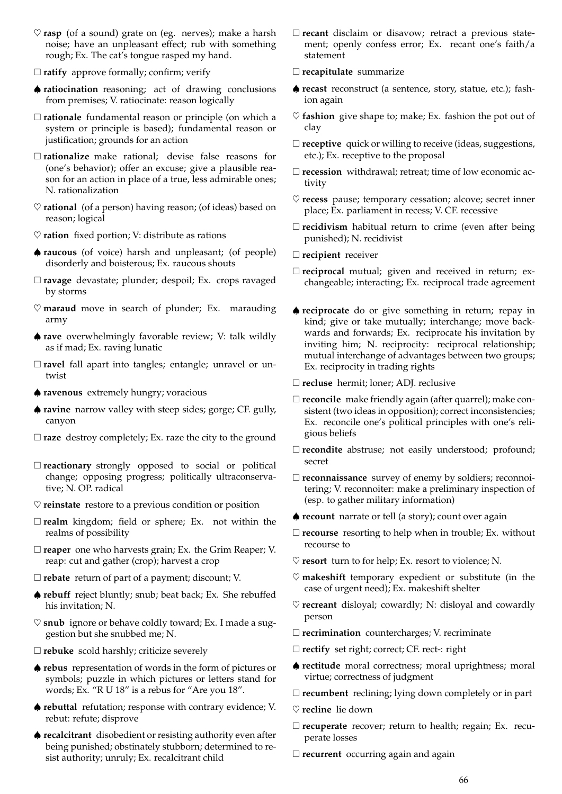- $\heartsuit$  **rasp** (of a sound) grate on (eg. nerves); make a harsh noise; have an unpleasant effect; rub with something rough; Ex. The cat's tongue rasped my hand.
- $\Box$  **ratify** approve formally; confirm; verify
- ♠ **ratiocination** reasoning; act of drawing conclusions from premises; V. ratiocinate: reason logically
- **rationale** fundamental reason or principle (on which a system or principle is based); fundamental reason or justification; grounds for an action
- **rationalize** make rational; devise false reasons for (one's behavior); offer an excuse; give a plausible reason for an action in place of a true, less admirable ones; N. rationalization
- $\heartsuit$  **rational** (of a person) having reason; (of ideas) based on reason; logical
- $\heartsuit$  **ration** fixed portion; V: distribute as rations
- ♠ **raucous** (of voice) harsh and unpleasant; (of people) disorderly and boisterous; Ex. raucous shouts
- **ravage** devastate; plunder; despoil; Ex. crops ravaged by storms
- $\heartsuit$  **maraud** move in search of plunder; Ex. marauding army
- ♠ **rave** overwhelmingly favorable review; V: talk wildly as if mad; Ex. raving lunatic
- **ravel** fall apart into tangles; entangle; unravel or untwist
- ♠ **ravenous** extremely hungry; voracious
- ♠ **ravine** narrow valley with steep sides; gorge; CF. gully, canyon
- **raze** destroy completely; Ex. raze the city to the ground
- **reactionary** strongly opposed to social or political change; opposing progress; politically ultraconservative; N. OP. radical
- ♥ **reinstate** restore to a previous condition or position
- □ **realm** kingdom; field or sphere; Ex. not within the realms of possibility
- **reaper** one who harvests grain; Ex. the Grim Reaper; V. reap: cut and gather (crop); harvest a crop
- □ **rebate** return of part of a payment; discount; V.
- ♠ **rebuff** reject bluntly; snub; beat back; Ex. She rebuffed his invitation; N.
- $\heartsuit$  snub ignore or behave coldly toward; Ex. I made a suggestion but she snubbed me; N.
- □ **rebuke** scold harshly; criticize severely
- ♠ **rebus** representation of words in the form of pictures or symbols; puzzle in which pictures or letters stand for words; Ex. "R U 18" is a rebus for "Are you 18".
- ♠ **rebuttal** refutation; response with contrary evidence; V. rebut: refute; disprove
- ♠ **recalcitrant** disobedient or resisting authority even after being punished; obstinately stubborn; determined to resist authority; unruly; Ex. recalcitrant child
- **recant** disclaim or disavow; retract a previous statement; openly confess error; Ex. recant one's faith/a statement
- **recapitulate** summarize
- ♠ **recast** reconstruct (a sentence, story, statue, etc.); fashion again
- $\heartsuit$  fashion give shape to; make; Ex. fashion the pot out of clay
- □ **receptive** quick or willing to receive (ideas, suggestions, etc.); Ex. receptive to the proposal
- □ **recession** withdrawal; retreat; time of low economic activity
- ♥ **recess** pause; temporary cessation; alcove; secret inner place; Ex. parliament in recess; V. CF. recessive
- $\Box$  **recidivism** habitual return to crime (even after being punished); N. recidivist
- □ **recipient** receiver
- □ **reciprocal** mutual; given and received in return; exchangeable; interacting; Ex. reciprocal trade agreement
- ♠ **reciprocate** do or give something in return; repay in kind; give or take mutually; interchange; move backwards and forwards; Ex. reciprocate his invitation by inviting him; N. reciprocity: reciprocal relationship; mutual interchange of advantages between two groups; Ex. reciprocity in trading rights
- **recluse** hermit; loner; ADJ. reclusive
- **reconcile** make friendly again (after quarrel); make consistent (two ideas in opposition); correct inconsistencies; Ex. reconcile one's political principles with one's religious beliefs
- **recondite** abstruse; not easily understood; profound; secret
- **reconnaissance** survey of enemy by soldiers; reconnoitering; V. reconnoiter: make a preliminary inspection of (esp. to gather military information)
- ♠ **recount** narrate or tell (a story); count over again
- □ **recourse** resorting to help when in trouble; Ex. without recourse to
- ♥ **resort** turn to for help; Ex. resort to violence; N.
- $\heartsuit$  **makeshift** temporary expedient or substitute (in the case of urgent need); Ex. makeshift shelter
- $\heartsuit$  **recreant** disloyal; cowardly; N: disloyal and cowardly person
- □ **recrimination** countercharges; V. recriminate
- **rectify** set right; correct; CF. rect-: right
- ♠ **rectitude** moral correctness; moral uprightness; moral virtue; correctness of judgment
- □ **recumbent** reclining; lying down completely or in part
- ♥ **recline** lie down
- **recuperate** recover; return to health; regain; Ex. recuperate losses
- **recurrent** occurring again and again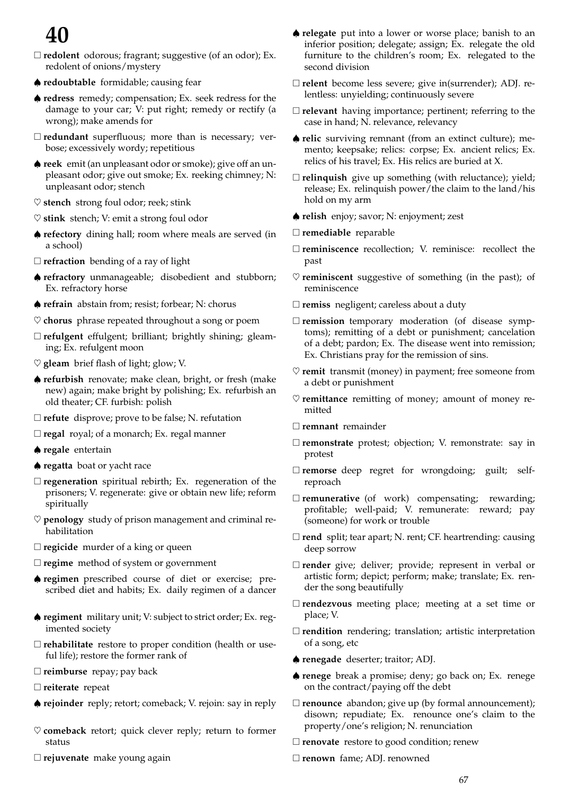- □ **redolent** odorous; fragrant; suggestive (of an odor); Ex. redolent of onions/mystery
- ♠ **redoubtable** formidable; causing fear
- ♠ **redress** remedy; compensation; Ex. seek redress for the damage to your car; V: put right; remedy or rectify (a wrong); make amends for
- □ **redundant** superfluous; more than is necessary; verbose; excessively wordy; repetitious
- ♠ **reek** emit (an unpleasant odor or smoke); give off an unpleasant odor; give out smoke; Ex. reeking chimney; N: unpleasant odor; stench
- $\heartsuit$  **stench** strong foul odor; reek; stink
- $\heartsuit$  **stink** stench; V: emit a strong foul odor
- ♠ **refectory** dining hall; room where meals are served (in a school)
- □ **refraction** bending of a ray of light
- ♠ **refractory** unmanageable; disobedient and stubborn; Ex. refractory horse
- ♠ **refrain** abstain from; resist; forbear; N: chorus
- ♥ **chorus** phrase repeated throughout a song or poem
- **refulgent** effulgent; brilliant; brightly shining; gleaming; Ex. refulgent moon
- ♥ **gleam** brief flash of light; glow; V.
- ♠ **refurbish** renovate; make clean, bright, or fresh (make new) again; make bright by polishing; Ex. refurbish an old theater; CF. furbish: polish
- □ **refute** disprove; prove to be false; N. refutation
- □ **regal** royal; of a monarch; Ex. regal manner
- ♠ **regale** entertain
- ♠ **regatta** boat or yacht race
- □ **regeneration** spiritual rebirth; Ex. regeneration of the prisoners; V. regenerate: give or obtain new life; reform spiritually
- ♥ **penology** study of prison management and criminal rehabilitation
- □ **regicide** murder of a king or queen
- □ **regime** method of system or government
- ♠ **regimen** prescribed course of diet or exercise; prescribed diet and habits; Ex. daily regimen of a dancer
- ♠ **regiment** military unit; V: subject to strict order; Ex. regimented society
- □ **rehabilitate** restore to proper condition (health or useful life); restore the former rank of
- **reimburse** repay; pay back
- **reiterate** repeat
- ♠ **rejoinder** reply; retort; comeback; V. rejoin: say in reply
- $\heartsuit$  **comeback** retort; quick clever reply; return to former status
- **rejuvenate** make young again
- ♠ **relegate** put into a lower or worse place; banish to an inferior position; delegate; assign; Ex. relegate the old furniture to the children's room; Ex. relegated to the second division
- **relent** become less severe; give in(surrender); ADJ. relentless: unyielding; continuously severe
- **relevant** having importance; pertinent; referring to the case in hand; N. relevance, relevancy
- ♠ **relic** surviving remnant (from an extinct culture); memento; keepsake; relics: corpse; Ex. ancient relics; Ex. relics of his travel; Ex. His relics are buried at X.
- □ **relinquish** give up something (with reluctance); yield; release; Ex. relinquish power/the claim to the land/his hold on my arm
- ♠ **relish** enjoy; savor; N: enjoyment; zest
- **remediable** reparable
- □ **reminiscence** recollection; V. reminisce: recollect the past
- $\heartsuit$  **reminiscent** suggestive of something (in the past); of reminiscence
- □ **remiss** negligent; careless about a duty
- **remission** temporary moderation (of disease symptoms); remitting of a debt or punishment; cancelation of a debt; pardon; Ex. The disease went into remission; Ex. Christians pray for the remission of sins.
- $\heartsuit$  **remit** transmit (money) in payment; free someone from a debt or punishment
- ♥ **remittance** remitting of money; amount of money remitted
- **remnant** remainder
- □ **remonstrate** protest; objection; V. remonstrate: say in protest
- **remorse** deep regret for wrongdoing; guilt; selfreproach
- **remunerative** (of work) compensating; rewarding; profitable; well-paid; V. remunerate: reward; pay (someone) for work or trouble
- □ **rend** split; tear apart; N. rent; CF. heartrending: causing deep sorrow
- □ **render** give; deliver; provide; represent in verbal or artistic form; depict; perform; make; translate; Ex. render the song beautifully
- **rendezvous** meeting place; meeting at a set time or place; V.
- □ **rendition** rendering; translation; artistic interpretation of a song, etc
- ♠ **renegade** deserter; traitor; ADJ.
- ♠ **renege** break a promise; deny; go back on; Ex. renege on the contract/paying off the debt
- □ **renounce** abandon; give up (by formal announcement); disown; repudiate; Ex. renounce one's claim to the property/one's religion; N. renunciation
- □ **renovate** restore to good condition; renew
- **renown** fame; ADJ. renowned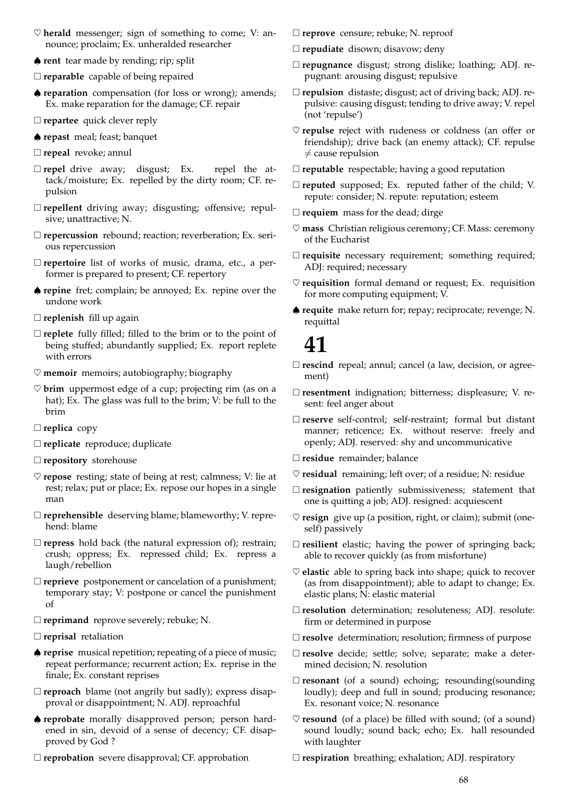- $\heartsuit$  **herald** messenger; sign of something to come; V: announce; proclaim; Ex. unheralded researcher
- ♠ **rent** tear made by rending; rip; split
- **reparable** capable of being repaired
- ♠ **reparation** compensation (for loss or wrong); amends; Ex. make reparation for the damage; CF. repair
- □ **repartee** quick clever reply
- ♠ **repast** meal; feast; banquet
- **repeal** revoke; annul
- **repel** drive away; disgust; Ex. repel the attack/moisture; Ex. repelled by the dirty room; CF. repulsion
- □ **repellent** driving away; disgusting; offensive; repulsive; unattractive; N.
- □ **repercussion** rebound; reaction; reverberation; Ex. serious repercussion
- **repertoire** list of works of music, drama, etc., a performer is prepared to present; CF. repertory
- ♠ **repine** fret; complain; be annoyed; Ex. repine over the undone work
- **replenish** fill up again
- **replete** fully filled; filled to the brim or to the point of being stuffed; abundantly supplied; Ex. report replete with errors
- $\heartsuit$  **memoir** memoirs; autobiography; biography
- ♥ **brim** uppermost edge of a cup; projecting rim (as on a hat); Ex. The glass was full to the brim; V: be full to the brim
- **replica** copy
- **replicate** reproduce; duplicate
- **repository** storehouse
- ♥ **repose** resting; state of being at rest; calmness; V: lie at rest; relax; put or place; Ex. repose our hopes in a single man
- □ **reprehensible** deserving blame; blameworthy; V. reprehend: blame
- □ **repress** hold back (the natural expression of); restrain; crush; oppress; Ex. repressed child; Ex. repress a laugh/rebellion
- **reprieve** postponement or cancelation of a punishment; temporary stay; V: postpone or cancel the punishment of
- **reprimand** reprove severely; rebuke; N.
- **reprisal** retaliation
- ♠ **reprise** musical repetition; repeating of a piece of music; repeat performance; recurrent action; Ex. reprise in the finale; Ex. constant reprises
- □ **reproach** blame (not angrily but sadly); express disapproval or disappointment; N. ADJ. reproachful
- ♠ **reprobate** morally disapproved person; person hardened in sin, devoid of a sense of decency; CF. disapproved by God ?
- □ **reprobation** severe disapproval; CF. approbation
- **reprove** censure; rebuke; N. reproof
- **repudiate** disown; disavow; deny
- □ **repugnance** disgust; strong dislike; loathing; ADJ. repugnant: arousing disgust; repulsive
- □ **repulsion** distaste; disgust; act of driving back; ADJ. repulsive: causing disgust; tending to drive away; V. repel (not 'repulse')
- ♥ **repulse** reject with rudeness or coldness (an offer or friendship); drive back (an enemy attack); CF. repulse  $\neq$  cause repulsion
- □ **reputable** respectable; having a good reputation
- □ **reputed** supposed; Ex. reputed father of the child; V. repute: consider; N. repute: reputation; esteem
- $\square$  **requiem** mass for the dead; dirge
- ♥ **mass** Christian religious ceremony; CF. Mass: ceremony of the Eucharist
- □ **requisite** necessary requirement; something required; ADJ: required; necessary
- $\heartsuit$  **requisition** formal demand or request; Ex. requisition for more computing equipment; V.
- ♠ **requite** make return for; repay; reciprocate; revenge; N. requittal

- □ rescind repeal; annul; cancel (a law, decision, or agreement)
- **resentment** indignation; bitterness; displeasure; V. resent: feel anger about
- **reserve** self-control; self-restraint; formal but distant manner; reticence; Ex. without reserve: freely and openly; ADJ. reserved: shy and uncommunicative
- **residue** remainder; balance
- $\heartsuit$  **residual** remaining; left over; of a residue; N: residue
- **resignation** patiently submissiveness; statement that one is quitting a job; ADJ. resigned: acquiescent
- $\heartsuit$  **resign** give up (a position, right, or claim); submit (oneself) passively
- □ **resilient** elastic; having the power of springing back; able to recover quickly (as from misfortune)
- ♥ **elastic** able to spring back into shape; quick to recover (as from disappointment); able to adapt to change; Ex. elastic plans; N: elastic material
- □ **resolution** determination; resoluteness; ADJ. resolute: firm or determined in purpose
- □ **resolve** determination; resolution; firmness of purpose
- **resolve** decide; settle; solve; separate; make a determined decision; N. resolution
- **resonant** (of a sound) echoing; resounding(sounding loudly); deep and full in sound; producing resonance; Ex. resonant voice; N. resonance
- $\heartsuit$  **resound** (of a place) be filled with sound; (of a sound) sound loudly; sound back; echo; Ex. hall resounded with laughter
- □ **respiration** breathing; exhalation; ADJ. respiratory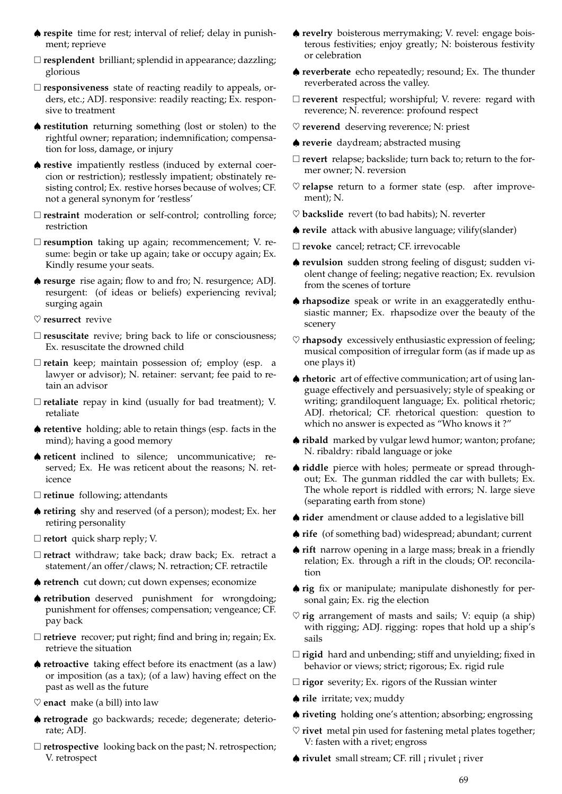- ♠ **respite** time for rest; interval of relief; delay in punishment; reprieve
- □ **resplendent** brilliant; splendid in appearance; dazzling; glorious
- □ **responsiveness** state of reacting readily to appeals, orders, etc.; ADJ. responsive: readily reacting; Ex. responsive to treatment
- ♠ **restitution** returning something (lost or stolen) to the rightful owner; reparation; indemnification; compensation for loss, damage, or injury
- ♠ **restive** impatiently restless (induced by external coercion or restriction); restlessly impatient; obstinately resisting control; Ex. restive horses because of wolves; CF. not a general synonym for 'restless'
- □ restraint moderation or self-control; controlling force; restriction
- □ **resumption** taking up again; recommencement; V. resume: begin or take up again; take or occupy again; Ex. Kindly resume your seats.
- ♠ **resurge** rise again; flow to and fro; N. resurgence; ADJ. resurgent: (of ideas or beliefs) experiencing revival; surging again
- ♥ **resurrect** revive
- □ **resuscitate** revive; bring back to life or consciousness; Ex. resuscitate the drowned child
- **retain** keep; maintain possession of; employ (esp. a lawyer or advisor); N. retainer: servant; fee paid to retain an advisor
- □ **retaliate** repay in kind (usually for bad treatment); V. retaliate
- ♠ **retentive** holding; able to retain things (esp. facts in the mind); having a good memory
- ♠ **reticent** inclined to silence; uncommunicative; reserved; Ex. He was reticent about the reasons; N. reticence
- □ **retinue** following; attendants
- ♠ **retiring** shy and reserved (of a person); modest; Ex. her retiring personality
- □ **retort** quick sharp reply; V.
- □ **retract** withdraw; take back; draw back; Ex. retract a statement/an offer/claws; N. retraction; CF. retractile
- ♠ **retrench** cut down; cut down expenses; economize
- ♠ **retribution** deserved punishment for wrongdoing; punishment for offenses; compensation; vengeance; CF. pay back
- □ **retrieve** recover; put right; find and bring in; regain; Ex. retrieve the situation
- ♠ **retroactive** taking effect before its enactment (as a law) or imposition (as a tax); (of a law) having effect on the past as well as the future
- $\heartsuit$  **enact** make (a bill) into law
- ♠ **retrograde** go backwards; recede; degenerate; deteriorate; ADJ.
- □ **retrospective** looking back on the past; N. retrospection; V. retrospect
- ♠ **revelry** boisterous merrymaking; V. revel: engage boisterous festivities; enjoy greatly; N: boisterous festivity or celebration
- ♠ **reverberate** echo repeatedly; resound; Ex. The thunder reverberated across the valley.
- □ reverent respectful; worshipful; V. revere: regard with reverence; N. reverence: profound respect
- $\heartsuit$  **reverend** deserving reverence; N: priest
- ♠ **reverie** daydream; abstracted musing
- □ **revert** relapse; backslide; turn back to; return to the former owner; N. reversion
- $\heartsuit$  **relapse** return to a former state (esp. after improvement); N.
- ♥ **backslide** revert (to bad habits); N. reverter
- ♠ **revile** attack with abusive language; vilify(slander)
- **revoke** cancel; retract; CF. irrevocable
- ♠ **revulsion** sudden strong feeling of disgust; sudden violent change of feeling; negative reaction; Ex. revulsion from the scenes of torture
- ♠ **rhapsodize** speak or write in an exaggeratedly enthusiastic manner; Ex. rhapsodize over the beauty of the scenery
- $\heartsuit$  **rhapsody** excessively enthusiastic expression of feeling; musical composition of irregular form (as if made up as one plays it)
- ♠ **rhetoric** art of effective communication; art of using language effectively and persuasively; style of speaking or writing; grandiloquent language; Ex. political rhetoric; ADJ. rhetorical; CF. rhetorical question: question to which no answer is expected as "Who knows it ?"
- ♠ **ribald** marked by vulgar lewd humor; wanton; profane; N. ribaldry: ribald language or joke
- ♠ **riddle** pierce with holes; permeate or spread throughout; Ex. The gunman riddled the car with bullets; Ex. The whole report is riddled with errors; N. large sieve (separating earth from stone)
- ♠ **rider** amendment or clause added to a legislative bill
- ♠ **rife** (of something bad) widespread; abundant; current
- ♠ **rift** narrow opening in a large mass; break in a friendly relation; Ex. through a rift in the clouds; OP. reconcilation
- ♠ **rig** fix or manipulate; manipulate dishonestly for personal gain; Ex. rig the election
- $\heartsuit$  **rig** arrangement of masts and sails; V: equip (a ship) with rigging; ADJ. rigging: ropes that hold up a ship's sails
- □ **rigid** hard and unbending; stiff and unyielding; fixed in behavior or views; strict; rigorous; Ex. rigid rule
- □ **rigor** severity; Ex. rigors of the Russian winter
- ♠ **rile** irritate; vex; muddy
- ♠ **riveting** holding one's attention; absorbing; engrossing
- $\heartsuit$  **rivet** metal pin used for fastening metal plates together; V: fasten with a rivet; engross
- ♠ **rivulet** small stream; CF. rill ¡ rivulet ¡ river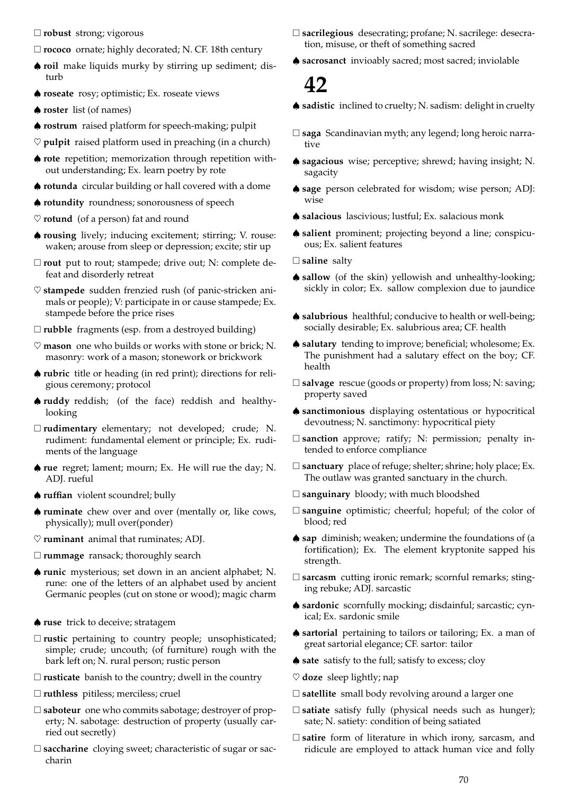- **robust** strong; vigorous
- □ **rococo** ornate; highly decorated; N. CF. 18th century
- ♠ **roil** make liquids murky by stirring up sediment; disturb
- ♠ **roseate** rosy; optimistic; Ex. roseate views
- ♠ **roster** list (of names)
- ♠ **rostrum** raised platform for speech-making; pulpit
- $\heartsuit$  **pulpit** raised platform used in preaching (in a church)
- ♠ **rote** repetition; memorization through repetition without understanding; Ex. learn poetry by rote
- ♠ **rotunda** circular building or hall covered with a dome
- ♠ **rotundity** roundness; sonorousness of speech
- $\heartsuit$  **rotund** (of a person) fat and round
- ♠ **rousing** lively; inducing excitement; stirring; V. rouse: waken; arouse from sleep or depression; excite; stir up
- □ **rout** put to rout; stampede; drive out; N: complete defeat and disorderly retreat
- ♥ **stampede** sudden frenzied rush (of panic-stricken animals or people); V: participate in or cause stampede; Ex. stampede before the price rises
- □ **rubble** fragments (esp. from a destroyed building)
- $\heartsuit$  **mason** one who builds or works with stone or brick; N. masonry: work of a mason; stonework or brickwork
- ♠ **rubric** title or heading (in red print); directions for religious ceremony; protocol
- ♠ **ruddy** reddish; (of the face) reddish and healthylooking
- **rudimentary** elementary; not developed; crude; N. rudiment: fundamental element or principle; Ex. rudiments of the language
- ♠ **rue** regret; lament; mourn; Ex. He will rue the day; N. ADJ. rueful
- ♠ **ruffian** violent scoundrel; bully
- ♠ **ruminate** chew over and over (mentally or, like cows, physically); mull over(ponder)
- $\heartsuit$  **ruminant** animal that ruminates; ADJ.
- □ **rummage** ransack; thoroughly search
- ♠ **runic** mysterious; set down in an ancient alphabet; N. rune: one of the letters of an alphabet used by ancient Germanic peoples (cut on stone or wood); magic charm
- ♠ **ruse** trick to deceive; stratagem
- □ **rustic** pertaining to country people; unsophisticated; simple; crude; uncouth; (of furniture) rough with the bark left on; N. rural person; rustic person
- □ **rusticate** banish to the country; dwell in the country
- **ruthless** pitiless; merciless; cruel
- □ **saboteur** one who commits sabotage; destroyer of property; N. sabotage: destruction of property (usually carried out secretly)
- □ saccharine cloying sweet; characteristic of sugar or saccharin
- **sacrilegious** desecrating; profane; N. sacrilege: desecration, misuse, or theft of something sacred
- ♠ **sacrosanct** invioably sacred; most sacred; inviolable

- ♠ **sadistic** inclined to cruelty; N. sadism: delight in cruelty
- □ saga Scandinavian myth; any legend; long heroic narrative
- ♠ **sagacious** wise; perceptive; shrewd; having insight; N. sagacity
- ♠ **sage** person celebrated for wisdom; wise person; ADJ: wise
- ♠ **salacious** lascivious; lustful; Ex. salacious monk
- ♠ **salient** prominent; projecting beyond a line; conspicuous; Ex. salient features
- **saline** salty
- ♠ **sallow** (of the skin) yellowish and unhealthy-looking; sickly in color; Ex. sallow complexion due to jaundice
- ♠ **salubrious** healthful; conducive to health or well-being; socially desirable; Ex. salubrious area; CF. health
- ♠ **salutary** tending to improve; beneficial; wholesome; Ex. The punishment had a salutary effect on the boy; CF. health
- □ **salvage** rescue (goods or property) from loss; N: saving; property saved
- ♠ **sanctimonious** displaying ostentatious or hypocritical devoutness; N. sanctimony: hypocritical piety
- □ sanction approve; ratify; N: permission; penalty intended to enforce compliance
- □ **sanctuary** place of refuge; shelter; shrine; holy place; Ex. The outlaw was granted sanctuary in the church.
- **sanguinary** bloody; with much bloodshed
- □ sanguine optimistic; cheerful; hopeful; of the color of blood; red
- ♠ **sap** diminish; weaken; undermine the foundations of (a fortification); Ex. The element kryptonite sapped his strength.
- □ sarcasm cutting ironic remark; scornful remarks; stinging rebuke; ADJ. sarcastic
- ♠ **sardonic** scornfully mocking; disdainful; sarcastic; cynical; Ex. sardonic smile
- ♠ **sartorial** pertaining to tailors or tailoring; Ex. a man of great sartorial elegance; CF. sartor: tailor
- ♠ **sate** satisfy to the full; satisfy to excess; cloy
- ♥ **doze** sleep lightly; nap
- □ satellite small body revolving around a larger one
- □ satiate satisfy fully (physical needs such as hunger); sate; N. satiety: condition of being satiated
- □ satire form of literature in which irony, sarcasm, and ridicule are employed to attack human vice and folly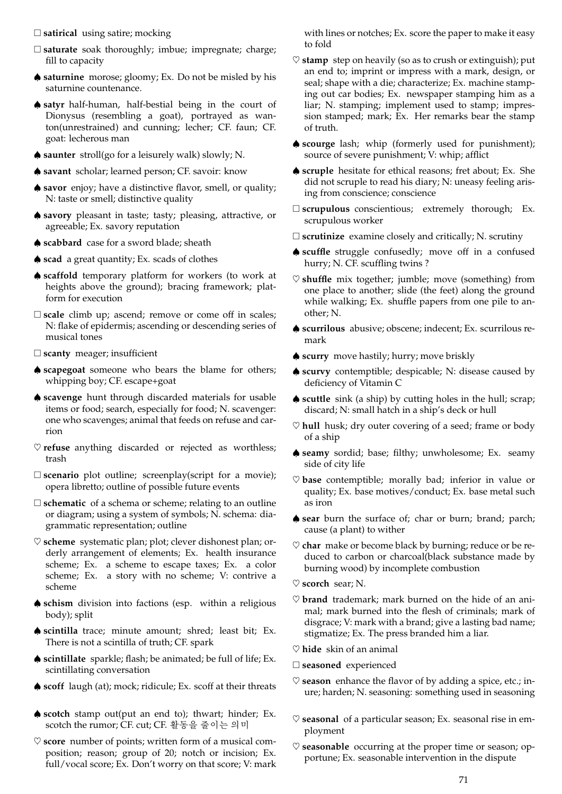- □ satirical using satire; mocking
- □ **saturate** soak thoroughly; imbue; impregnate; charge; fill to capacity
- ♠ **saturnine** morose; gloomy; Ex. Do not be misled by his saturnine countenance.
- ♠ **satyr** half-human, half-bestial being in the court of Dionysus (resembling a goat), portrayed as wanton(unrestrained) and cunning; lecher; CF. faun; CF. goat: lecherous man
- ♠ **saunter** stroll(go for a leisurely walk) slowly; N.
- ♠ **savant** scholar; learned person; CF. savoir: know
- ♠ **savor** enjoy; have a distinctive flavor, smell, or quality; N: taste or smell; distinctive quality
- ♠ **savory** pleasant in taste; tasty; pleasing, attractive, or agreeable; Ex. savory reputation
- ♠ **scabbard** case for a sword blade; sheath
- ♠ **scad** a great quantity; Ex. scads of clothes
- ♠ **scaffold** temporary platform for workers (to work at heights above the ground); bracing framework; platform for execution
- □ scale climb up; ascend; remove or come off in scales; N: flake of epidermis; ascending or descending series of musical tones
- **scanty** meager; insufficient
- ♠ **scapegoat** someone who bears the blame for others; whipping boy; CF. escape+goat
- ♠ **scavenge** hunt through discarded materials for usable items or food; search, especially for food; N. scavenger: one who scavenges; animal that feeds on refuse and carrion
- ♥ **refuse** anything discarded or rejected as worthless; trash
- □ **scenario** plot outline; screenplay(script for a movie); opera libretto; outline of possible future events
- $\square$  schematic of a schema or scheme; relating to an outline or diagram; using a system of symbols; N. schema: diagrammatic representation; outline
- ♥ **scheme** systematic plan; plot; clever dishonest plan; orderly arrangement of elements; Ex. health insurance scheme; Ex. a scheme to escape taxes; Ex. a color scheme; Ex. a story with no scheme; V: contrive a scheme
- ♠ **schism** division into factions (esp. within a religious body); split
- ♠ **scintilla** trace; minute amount; shred; least bit; Ex. There is not a scintilla of truth; CF. spark
- ♠ **scintillate** sparkle; flash; be animated; be full of life; Ex. scintillating conversation
- ♠ **scoff** laugh (at); mock; ridicule; Ex. scoff at their threats
- ♠ **scotch** stamp out(put an end to); thwart; hinder; Ex. scotch the rumor; CF. cut; CF. 활동을 줄이는 의미
- ♥ **score** number of points; written form of a musical composition; reason; group of 20; notch or incision; Ex. full/vocal score; Ex. Don't worry on that score; V: mark

with lines or notches; Ex. score the paper to make it easy to fold

- $\heartsuit$  **stamp** step on heavily (so as to crush or extinguish); put an end to; imprint or impress with a mark, design, or seal; shape with a die; characterize; Ex. machine stamping out car bodies; Ex. newspaper stamping him as a liar; N. stamping; implement used to stamp; impression stamped; mark; Ex. Her remarks bear the stamp of truth.
- ♠ **scourge** lash; whip (formerly used for punishment); source of severe punishment; V: whip; afflict
- ♠ **scruple** hesitate for ethical reasons; fret about; Ex. She did not scruple to read his diary; N: uneasy feeling arising from conscience; conscience
- □ **scrupulous** conscientious; extremely thorough; Ex. scrupulous worker
- □ **scrutinize** examine closely and critically; N. scrutiny
- ♠ **scuffle** struggle confusedly; move off in a confused hurry; N. CF. scuffling twins ?
- $\heartsuit$  **shuffle** mix together; jumble; move (something) from one place to another; slide (the feet) along the ground while walking; Ex. shuffle papers from one pile to another; N.
- ♠ **scurrilous** abusive; obscene; indecent; Ex. scurrilous remark
- ♠ **scurry** move hastily; hurry; move briskly
- ♠ **scurvy** contemptible; despicable; N: disease caused by deficiency of Vitamin C
- ♠ **scuttle** sink (a ship) by cutting holes in the hull; scrap; discard; N: small hatch in a ship's deck or hull
- ♥ **hull** husk; dry outer covering of a seed; frame or body of a ship
- ♠ **seamy** sordid; base; filthy; unwholesome; Ex. seamy side of city life
- ♥ **base** contemptible; morally bad; inferior in value or quality; Ex. base motives/conduct; Ex. base metal such as iron
- ♠ **sear** burn the surface of; char or burn; brand; parch; cause (a plant) to wither
- ♥ **char** make or become black by burning; reduce or be reduced to carbon or charcoal(black substance made by burning wood) by incomplete combustion
- $\heartsuit$  **scorch** sear; N.
- $\heartsuit$  **brand** trademark; mark burned on the hide of an animal; mark burned into the flesh of criminals; mark of disgrace; V: mark with a brand; give a lasting bad name; stigmatize; Ex. The press branded him a liar.
- ♥ **hide** skin of an animal
- **seasoned** experienced
- ♥ **season** enhance the flavor of by adding a spice, etc.; inure; harden; N. seasoning: something used in seasoning
- ♥ **seasonal** of a particular season; Ex. seasonal rise in employment
- ♥ **seasonable** occurring at the proper time or season; opportune; Ex. seasonable intervention in the dispute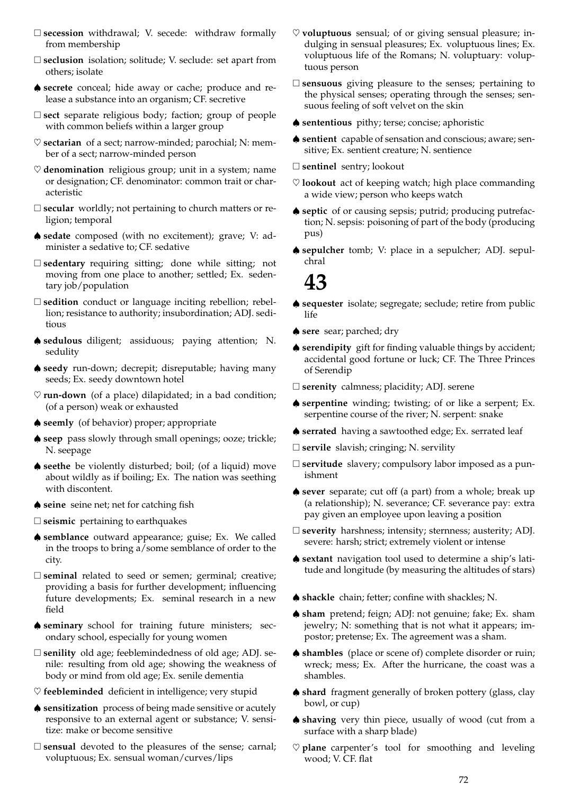- □ secession withdrawal; V. secede: withdraw formally from membership
- □ seclusion isolation; solitude; V. seclude: set apart from others; isolate
- ♠ **secrete** conceal; hide away or cache; produce and release a substance into an organism; CF. secretive
- □ **sect** separate religious body; faction; group of people with common beliefs within a larger group
- ♥ **sectarian** of a sect; narrow-minded; parochial; N: member of a sect; narrow-minded person
- $\heartsuit$  **denomination** religious group; unit in a system; name or designation; CF. denominator: common trait or characteristic
- $\square$  **secular** worldly; not pertaining to church matters or religion; temporal
- ♠ **sedate** composed (with no excitement); grave; V: administer a sedative to; CF. sedative
- □ **sedentary** requiring sitting; done while sitting; not moving from one place to another; settled; Ex. sedentary job/population
- □ **sedition** conduct or language inciting rebellion; rebellion; resistance to authority; insubordination; ADJ. seditious
- ♠ **sedulous** diligent; assiduous; paying attention; N. sedulity
- ♠ **seedy** run-down; decrepit; disreputable; having many seeds; Ex. seedy downtown hotel
- $\heartsuit$  **run-down** (of a place) dilapidated; in a bad condition; (of a person) weak or exhausted
- ♠ **seemly** (of behavior) proper; appropriate
- ♠ **seep** pass slowly through small openings; ooze; trickle; N. seepage
- ♠ **seethe** be violently disturbed; boil; (of a liquid) move about wildly as if boiling; Ex. The nation was seething with discontent.
- ♠ **seine** seine net; net for catching fish
- □ **seismic** pertaining to earthquakes
- ♠ **semblance** outward appearance; guise; Ex. We called in the troops to bring a/some semblance of order to the city.
- □ **seminal** related to seed or semen; germinal; creative; providing a basis for further development; influencing future developments; Ex. seminal research in a new field
- ♠ **seminary** school for training future ministers; secondary school, especially for young women
- □ senility old age; feeblemindedness of old age; ADJ. senile: resulting from old age; showing the weakness of body or mind from old age; Ex. senile dementia
- $\heartsuit$  **feebleminded** deficient in intelligence; very stupid
- ♠ **sensitization** process of being made sensitive or acutely responsive to an external agent or substance; V. sensitize: make or become sensitive
- **sensual** devoted to the pleasures of the sense; carnal; voluptuous; Ex. sensual woman/curves/lips
- ♥ **voluptuous** sensual; of or giving sensual pleasure; indulging in sensual pleasures; Ex. voluptuous lines; Ex. voluptuous life of the Romans; N. voluptuary: voluptuous person
- □ sensuous giving pleasure to the senses; pertaining to the physical senses; operating through the senses; sensuous feeling of soft velvet on the skin
- ♠ **sententious** pithy; terse; concise; aphoristic
- ♠ **sentient** capable of sensation and conscious; aware; sensitive; Ex. sentient creature; N. sentience
- **sentinel** sentry; lookout
- ♥ **lookout** act of keeping watch; high place commanding a wide view; person who keeps watch
- ♠ **septic** of or causing sepsis; putrid; producing putrefaction; N. sepsis: poisoning of part of the body (producing pus)
- ♠ **sepulcher** tomb; V: place in a sepulcher; ADJ. sepulchral

- ♠ **sequester** isolate; segregate; seclude; retire from public life
- ♠ **sere** sear; parched; dry
- ♠ **serendipity** gift for finding valuable things by accident; accidental good fortune or luck; CF. The Three Princes of Serendip
- □ serenity calmness; placidity; ADJ. serene
- ♠ **serpentine** winding; twisting; of or like a serpent; Ex. serpentine course of the river; N. serpent: snake
- ♠ **serrated** having a sawtoothed edge; Ex. serrated leaf
- □ servile slavish; cringing; N. servility
- **servitude** slavery; compulsory labor imposed as a punishment
- ♠ **sever** separate; cut off (a part) from a whole; break up (a relationship); N. severance; CF. severance pay: extra pay given an employee upon leaving a position
- **severity** harshness; intensity; sternness; austerity; ADJ. severe: harsh; strict; extremely violent or intense
- ♠ **sextant** navigation tool used to determine a ship's latitude and longitude (by measuring the altitudes of stars)
- ♠ **shackle** chain; fetter; confine with shackles; N.
- ♠ **sham** pretend; feign; ADJ: not genuine; fake; Ex. sham jewelry; N: something that is not what it appears; impostor; pretense; Ex. The agreement was a sham.
- ♠ **shambles** (place or scene of) complete disorder or ruin; wreck; mess; Ex. After the hurricane, the coast was a shambles.
- ♠ **shard** fragment generally of broken pottery (glass, clay bowl, or cup)
- ♠ **shaving** very thin piece, usually of wood (cut from a surface with a sharp blade)
- $\heartsuit$  **plane** carpenter's tool for smoothing and leveling wood; V. CF. flat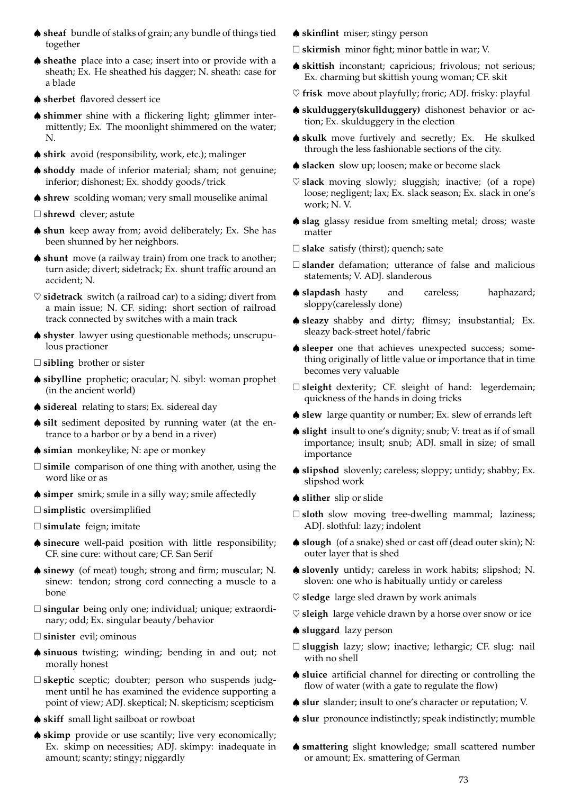- ♠ **sheaf** bundle of stalks of grain; any bundle of things tied together
- ♠ **sheathe** place into a case; insert into or provide with a sheath; Ex. He sheathed his dagger; N. sheath: case for a blade
- ♠ **sherbet** flavored dessert ice
- ♠ **shimmer** shine with a flickering light; glimmer intermittently; Ex. The moonlight shimmered on the water; N.
- ♠ **shirk** avoid (responsibility, work, etc.); malinger
- ♠ **shoddy** made of inferior material; sham; not genuine; inferior; dishonest; Ex. shoddy goods/trick
- ♠ **shrew** scolding woman; very small mouselike animal
- □ shrewd clever: astute
- ♠ **shun** keep away from; avoid deliberately; Ex. She has been shunned by her neighbors.
- ♠ **shunt** move (a railway train) from one track to another; turn aside; divert; sidetrack; Ex. shunt traffic around an accident; N.
- $\heartsuit$  **sidetrack** switch (a railroad car) to a siding; divert from a main issue; N. CF. siding: short section of railroad track connected by switches with a main track
- ♠ **shyster** lawyer using questionable methods; unscrupulous practioner
- **sibling** brother or sister
- ♠ **sibylline** prophetic; oracular; N. sibyl: woman prophet (in the ancient world)
- ♠ **sidereal** relating to stars; Ex. sidereal day
- ♠ **silt** sediment deposited by running water (at the entrance to a harbor or by a bend in a river)
- ♠ **simian** monkeylike; N: ape or monkey
- $\square$  simile comparison of one thing with another, using the word like or as
- ♠ **simper** smirk; smile in a silly way; smile affectedly
- **simplistic** oversimplified
- **simulate** feign; imitate
- ♠ **sinecure** well-paid position with little responsibility; CF. sine cure: without care; CF. San Serif
- ♠ **sinewy** (of meat) tough; strong and firm; muscular; N. sinew: tendon; strong cord connecting a muscle to a bone
- **singular** being only one; individual; unique; extraordinary; odd; Ex. singular beauty/behavior
- **sinister** evil; ominous
- ♠ **sinuous** twisting; winding; bending in and out; not morally honest
- **skeptic** sceptic; doubter; person who suspends judgment until he has examined the evidence supporting a point of view; ADJ. skeptical; N. skepticism; scepticism
- ♠ **skiff** small light sailboat or rowboat
- ♠ **skimp** provide or use scantily; live very economically; Ex. skimp on necessities; ADJ. skimpy: inadequate in amount; scanty; stingy; niggardly
- ♠ **skinflint** miser; stingy person
- **skirmish** minor fight; minor battle in war; V.
- ♠ **skittish** inconstant; capricious; frivolous; not serious; Ex. charming but skittish young woman; CF. skit
- ♥ **frisk** move about playfully; froric; ADJ. frisky: playful
- ♠ **skulduggery(skullduggery)** dishonest behavior or action; Ex. skulduggery in the election
- ♠ **skulk** move furtively and secretly; Ex. He skulked through the less fashionable sections of the city.
- ♠ **slacken** slow up; loosen; make or become slack
- ♥ **slack** moving slowly; sluggish; inactive; (of a rope) loose; negligent; lax; Ex. slack season; Ex. slack in one's work; N. V.
- ♠ **slag** glassy residue from smelting metal; dross; waste matter
- □ **slake** satisfy (thirst); quench; sate
- **slander** defamation; utterance of false and malicious statements; V. ADJ. slanderous
- ♠ **slapdash** hasty and careless; haphazard; sloppy(carelessly done)
- ♠ **sleazy** shabby and dirty; flimsy; insubstantial; Ex. sleazy back-street hotel/fabric
- ♠ **sleeper** one that achieves unexpected success; something originally of little value or importance that in time becomes very valuable
- □ sleight dexterity; CF. sleight of hand: legerdemain; quickness of the hands in doing tricks
- ♠ **slew** large quantity or number; Ex. slew of errands left
- ♠ **slight** insult to one's dignity; snub; V: treat as if of small importance; insult; snub; ADJ. small in size; of small importance
- ♠ **slipshod** slovenly; careless; sloppy; untidy; shabby; Ex. slipshod work
- ♠ **slither** slip or slide
- □ sloth slow moving tree-dwelling mammal; laziness; ADJ. slothful: lazy; indolent
- ♠ **slough** (of a snake) shed or cast off (dead outer skin); N: outer layer that is shed
- ♠ **slovenly** untidy; careless in work habits; slipshod; N. sloven: one who is habitually untidy or careless
- ♥ **sledge** large sled drawn by work animals
- $\heartsuit$  **sleigh** large vehicle drawn by a horse over snow or ice
- ♠ **sluggard** lazy person
- □ **sluggish** lazy; slow; inactive; lethargic; CF. slug: nail with no shell
- ♠ **sluice** artificial channel for directing or controlling the flow of water (with a gate to regulate the flow)
- ♠ **slur** slander; insult to one's character or reputation; V.
- ♠ **slur** pronounce indistinctly; speak indistinctly; mumble
- ♠ **smattering** slight knowledge; small scattered number or amount; Ex. smattering of German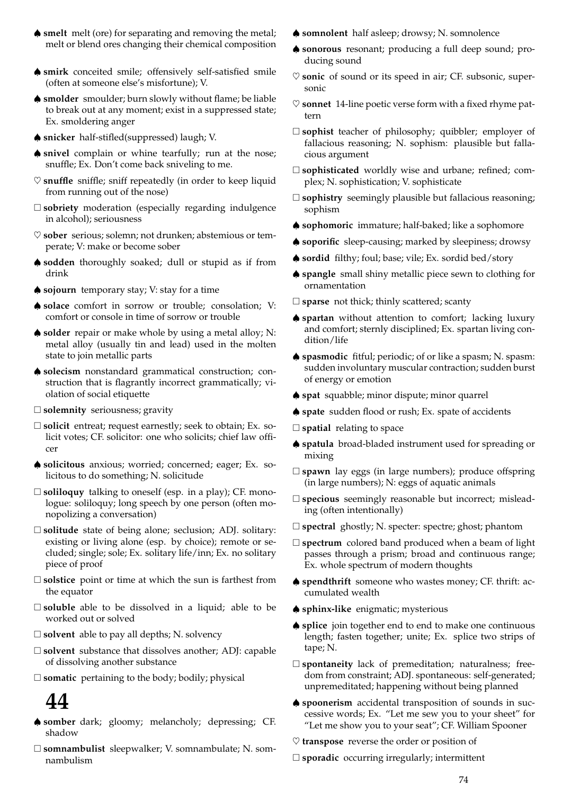- ♠ **smelt** melt (ore) for separating and removing the metal; melt or blend ores changing their chemical composition
- ♠ **smirk** conceited smile; offensively self-satisfied smile (often at someone else's misfortune); V.
- ♠ **smolder** smoulder; burn slowly without flame; be liable to break out at any moment; exist in a suppressed state; Ex. smoldering anger
- ♠ **snicker** half-stifled(suppressed) laugh; V.
- ♠ **snivel** complain or whine tearfully; run at the nose; snuffle; Ex. Don't come back sniveling to me.
- $\heartsuit$  snuffle sniffle; sniff repeatedly (in order to keep liquid from running out of the nose)
- **sobriety** moderation (especially regarding indulgence in alcohol); seriousness
- ♥ **sober** serious; solemn; not drunken; abstemious or temperate; V: make or become sober
- ♠ **sodden** thoroughly soaked; dull or stupid as if from drink
- ♠ **sojourn** temporary stay; V: stay for a time
- ♠ **solace** comfort in sorrow or trouble; consolation; V: comfort or console in time of sorrow or trouble
- ♠ **solder** repair or make whole by using a metal alloy; N: metal alloy (usually tin and lead) used in the molten state to join metallic parts
- ♠ **solecism** nonstandard grammatical construction; construction that is flagrantly incorrect grammatically; violation of social etiquette
- □ **solemnity** seriousness; gravity
- □ **solicit** entreat; request earnestly; seek to obtain; Ex. solicit votes; CF. solicitor: one who solicits; chief law officer
- ♠ **solicitous** anxious; worried; concerned; eager; Ex. solicitous to do something; N. solicitude
- □ **soliloquy** talking to oneself (esp. in a play); CF. monologue: soliloquy; long speech by one person (often monopolizing a conversation)
- □ solitude state of being alone; seclusion; ADJ. solitary: existing or living alone (esp. by choice); remote or secluded; single; sole; Ex. solitary life/inn; Ex. no solitary piece of proof
- □ **solstice** point or time at which the sun is farthest from the equator
- $\square$  **soluble** able to be dissolved in a liquid; able to be worked out or solved
- □ **solvent** able to pay all depths; N. solvency
- □ **solvent** substance that dissolves another; ADJ: capable of dissolving another substance
- $\square$  **somatic** pertaining to the body; bodily; physical

- ♠ **somber** dark; gloomy; melancholy; depressing; CF. shadow
- □ somnambulist sleepwalker; V. somnambulate; N. somnambulism
- ♠ **somnolent** half asleep; drowsy; N. somnolence
- ♠ **sonorous** resonant; producing a full deep sound; producing sound
- ♥ **sonic** of sound or its speed in air; CF. subsonic, supersonic
- $\heartsuit$  **sonnet** 14-line poetic verse form with a fixed rhyme pattern
- □ sophist teacher of philosophy; quibbler; employer of fallacious reasoning; N. sophism: plausible but fallacious argument
- □ sophisticated worldly wise and urbane; refined; complex; N. sophistication; V. sophisticate
- **sophistry** seemingly plausible but fallacious reasoning; sophism
- ♠ **sophomoric** immature; half-baked; like a sophomore
- ♠ **soporific** sleep-causing; marked by sleepiness; drowsy
- ♠ **sordid** filthy; foul; base; vile; Ex. sordid bed/story
- ♠ **spangle** small shiny metallic piece sewn to clothing for ornamentation
- □ **sparse** not thick; thinly scattered; scanty
- ♠ **spartan** without attention to comfort; lacking luxury and comfort; sternly disciplined; Ex. spartan living condition/life
- ♠ **spasmodic** fitful; periodic; of or like a spasm; N. spasm: sudden involuntary muscular contraction; sudden burst of energy or emotion
- ♠ **spat** squabble; minor dispute; minor quarrel
- ♠ **spate** sudden flood or rush; Ex. spate of accidents
- $\square$  **spatial** relating to space
- ♠ **spatula** broad-bladed instrument used for spreading or mixing
- $\square$  spawn lay eggs (in large numbers); produce offspring (in large numbers); N: eggs of aquatic animals
- **specious** seemingly reasonable but incorrect; misleading (often intentionally)
- □ **spectral** ghostly; N. specter: spectre; ghost; phantom
- □ **spectrum** colored band produced when a beam of light passes through a prism; broad and continuous range; Ex. whole spectrum of modern thoughts
- ♠ **spendthrift** someone who wastes money; CF. thrift: accumulated wealth
- ♠ **sphinx-like** enigmatic; mysterious
- ♠ **splice** join together end to end to make one continuous length; fasten together; unite; Ex. splice two strips of tape; N.
- **spontaneity** lack of premeditation; naturalness; freedom from constraint; ADJ. spontaneous: self-generated; unpremeditated; happening without being planned
- ♠ **spoonerism** accidental transposition of sounds in successive words; Ex. "Let me sew you to your sheet" for "Let me show you to your seat"; CF. William Spooner
- $\heartsuit$  **transpose** reverse the order or position of
- □ **sporadic** occurring irregularly; intermittent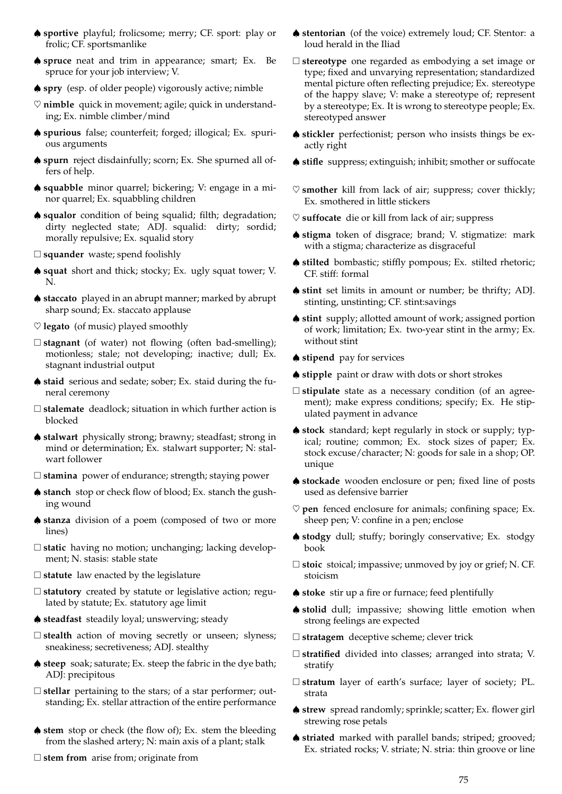- ♠ **sportive** playful; frolicsome; merry; CF. sport: play or frolic; CF. sportsmanlike
- ♠ **spruce** neat and trim in appearance; smart; Ex. Be spruce for your job interview; V.
- ♠ **spry** (esp. of older people) vigorously active; nimble
- $\heartsuit$  **nimble** quick in movement; agile; quick in understanding; Ex. nimble climber/mind
- ♠ **spurious** false; counterfeit; forged; illogical; Ex. spurious arguments
- ♠ **spurn** reject disdainfully; scorn; Ex. She spurned all offers of help.
- ♠ **squabble** minor quarrel; bickering; V: engage in a minor quarrel; Ex. squabbling children
- ♠ **squalor** condition of being squalid; filth; degradation; dirty neglected state; ADJ. squalid: dirty; sordid; morally repulsive; Ex. squalid story
- □ **squander** waste; spend foolishly
- ♠ **squat** short and thick; stocky; Ex. ugly squat tower; V. N.
- ♠ **staccato** played in an abrupt manner; marked by abrupt sharp sound; Ex. staccato applause
- $\heartsuit$  **legato** (of music) played smoothly
- □ **stagnant** (of water) not flowing (often bad-smelling); motionless; stale; not developing; inactive; dull; Ex. stagnant industrial output
- ♠ **staid** serious and sedate; sober; Ex. staid during the funeral ceremony
- □ stalemate deadlock; situation in which further action is blocked
- ♠ **stalwart** physically strong; brawny; steadfast; strong in mind or determination; Ex. stalwart supporter; N: stalwart follower
- □ **stamina** power of endurance; strength; staying power
- ♠ **stanch** stop or check flow of blood; Ex. stanch the gushing wound
- ♠ **stanza** division of a poem (composed of two or more lines)
- □ **static** having no motion; unchanging; lacking development; N. stasis: stable state
- □ **statute** law enacted by the legislature
- □ **statutory** created by statute or legislative action; regulated by statute; Ex. statutory age limit
- ♠ **steadfast** steadily loyal; unswerving; steady
- $\square$  stealth action of moving secretly or unseen; slyness; sneakiness; secretiveness; ADJ. stealthy
- ♠ **steep** soak; saturate; Ex. steep the fabric in the dye bath; ADJ: precipitous
- □ stellar pertaining to the stars; of a star performer; outstanding; Ex. stellar attraction of the entire performance
- ♠ **stem** stop or check (the flow of); Ex. stem the bleeding from the slashed artery; N: main axis of a plant; stalk
- □ stem from arise from; originate from
- ♠ **stentorian** (of the voice) extremely loud; CF. Stentor: a loud herald in the Iliad
- **stereotype** one regarded as embodying a set image or type; fixed and unvarying representation; standardized mental picture often reflecting prejudice; Ex. stereotype of the happy slave; V: make a stereotype of; represent by a stereotype; Ex. It is wrong to stereotype people; Ex. stereotyped answer
- ♠ **stickler** perfectionist; person who insists things be exactly right
- ♠ **stifle** suppress; extinguish; inhibit; smother or suffocate
- $\heartsuit$  **smother** kill from lack of air; suppress; cover thickly; Ex. smothered in little stickers
- $\heartsuit$  **suffocate** die or kill from lack of air; suppress
- ♠ **stigma** token of disgrace; brand; V. stigmatize: mark with a stigma; characterize as disgraceful
- ♠ **stilted** bombastic; stiffly pompous; Ex. stilted rhetoric; CF. stiff: formal
- ♠ **stint** set limits in amount or number; be thrifty; ADJ. stinting, unstinting; CF. stint:savings
- ♠ **stint** supply; allotted amount of work; assigned portion of work; limitation; Ex. two-year stint in the army; Ex. without stint
- ♠ **stipend** pay for services
- ♠ **stipple** paint or draw with dots or short strokes
- □ **stipulate** state as a necessary condition (of an agreement); make express conditions; specify; Ex. He stipulated payment in advance
- ♠ **stock** standard; kept regularly in stock or supply; typical; routine; common; Ex. stock sizes of paper; Ex. stock excuse/character; N: goods for sale in a shop; OP. unique
- ♠ **stockade** wooden enclosure or pen; fixed line of posts used as defensive barrier
- $\heartsuit$  **pen** fenced enclosure for animals; confining space; Ex. sheep pen; V: confine in a pen; enclose
- ♠ **stodgy** dull; stuffy; boringly conservative; Ex. stodgy book
- □ **stoic** stoical; impassive; unmoved by joy or grief; N. CF. stoicism
- ♠ **stoke** stir up a fire or furnace; feed plentifully
- ♠ **stolid** dull; impassive; showing little emotion when strong feelings are expected
- □ stratagem deceptive scheme; clever trick
- **stratified** divided into classes; arranged into strata; V. stratify
- □ **stratum** layer of earth's surface; layer of society; PL. strata
- ♠ **strew** spread randomly; sprinkle; scatter; Ex. flower girl strewing rose petals
- ♠ **striated** marked with parallel bands; striped; grooved; Ex. striated rocks; V. striate; N. stria: thin groove or line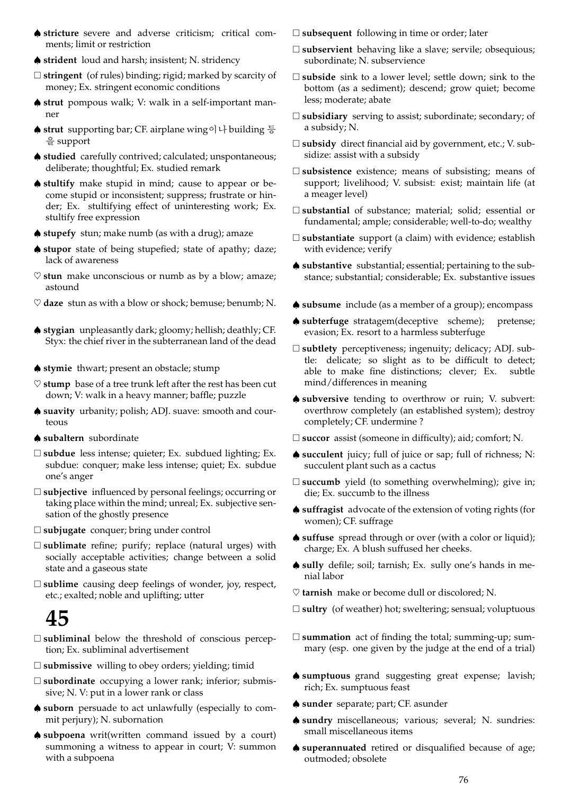- ♠ **stricture** severe and adverse criticism; critical comments; limit or restriction
- ♠ **strident** loud and harsh; insistent; N. stridency
- □ **stringent** (of rules) binding; rigid; marked by scarcity of money; Ex. stringent economic conditions
- ♠ **strut** pompous walk; V: walk in a self-important manner
- **♦ strut** supporting bar; CF. airplane wing  $\circ$  |  $\downarrow$  building  $\frac{1}{\circ}$  $\frac{1}{2}$  support
- ♠ **studied** carefully contrived; calculated; unspontaneous; deliberate; thoughtful; Ex. studied remark
- ♠ **stultify** make stupid in mind; cause to appear or become stupid or inconsistent; suppress; frustrate or hinder; Ex. stultifying effect of uninteresting work; Ex. stultify free expression
- ♠ **stupefy** stun; make numb (as with a drug); amaze
- ♠ **stupor** state of being stupefied; state of apathy; daze; lack of awareness
- $\heartsuit$  **stun** make unconscious or numb as by a blow; amaze; astound
- ♥ **daze** stun as with a blow or shock; bemuse; benumb; N.
- ♠ **stygian** unpleasantly dark; gloomy; hellish; deathly; CF. Styx: the chief river in the subterranean land of the dead
- ♠ **stymie** thwart; present an obstacle; stump
- $\heartsuit$  stump base of a tree trunk left after the rest has been cut down; V: walk in a heavy manner; baffle; puzzle
- ♠ **suavity** urbanity; polish; ADJ. suave: smooth and courteous
- ♠ **subaltern** subordinate
- □ **subdue** less intense; quieter; Ex. subdued lighting; Ex. subdue: conquer; make less intense; quiet; Ex. subdue one's anger
- □ **subjective** influenced by personal feelings; occurring or taking place within the mind; unreal; Ex. subjective sensation of the ghostly presence
- **subjugate** conquer; bring under control
- **sublimate** refine; purify; replace (natural urges) with socially acceptable activities; change between a solid state and a gaseous state
- □ **sublime** causing deep feelings of wonder, joy, respect, etc.; exalted; noble and uplifting; utter

- **subliminal** below the threshold of conscious perception; Ex. subliminal advertisement
- □ **submissive** willing to obey orders; yielding; timid
- **subordinate** occupying a lower rank; inferior; submissive; N. V: put in a lower rank or class
- ♠ **suborn** persuade to act unlawfully (especially to commit perjury); N. subornation
- ♠ **subpoena** writ(written command issued by a court) summoning a witness to appear in court; V: summon with a subpoena
- **subsequent** following in time or order; later
- □ **subservient** behaving like a slave; servile; obsequious; subordinate; N. subservience
- □ **subside** sink to a lower level; settle down; sink to the bottom (as a sediment); descend; grow quiet; become less; moderate; abate
- **subsidiary** serving to assist; subordinate; secondary; of a subsidy; N.
- □ **subsidy** direct financial aid by government, etc.; V. subsidize: assist with a subsidy
- □ **subsistence** existence; means of subsisting; means of support; livelihood; V. subsist: exist; maintain life (at a meager level)
- **substantial** of substance; material; solid; essential or fundamental; ample; considerable; well-to-do; wealthy
- **substantiate** support (a claim) with evidence; establish with evidence; verify
- ♠ **substantive** substantial; essential; pertaining to the substance; substantial; considerable; Ex. substantive issues
- ♠ **subsume** include (as a member of a group); encompass
- ♠ **subterfuge** stratagem(deceptive scheme); pretense; evasion; Ex. resort to a harmless subterfuge
- □ **subtlety** perceptiveness; ingenuity; delicacy; ADJ. subtle: delicate; so slight as to be difficult to detect; able to make fine distinctions; clever; Ex. subtle mind/differences in meaning
- ♠ **subversive** tending to overthrow or ruin; V. subvert: overthrow completely (an established system); destroy completely; CF. undermine ?
- □ **succor** assist (someone in difficulty); aid; comfort; N.
- ♠ **succulent** juicy; full of juice or sap; full of richness; N: succulent plant such as a cactus
- $\square$  succumb yield (to something overwhelming); give in; die; Ex. succumb to the illness
- ♠ **suffragist** advocate of the extension of voting rights (for women); CF. suffrage
- ♠ **suffuse** spread through or over (with a color or liquid); charge; Ex. A blush suffused her cheeks.
- ♠ **sully** defile; soil; tarnish; Ex. sully one's hands in menial labor
- $\heartsuit$  **tarnish** make or become dull or discolored; N.
- □ **sultry** (of weather) hot; sweltering; sensual; voluptuous
- $\square$  **summation** act of finding the total; summing-up; summary (esp. one given by the judge at the end of a trial)
- ♠ **sumptuous** grand suggesting great expense; lavish; rich; Ex. sumptuous feast
- ♠ **sunder** separate; part; CF. asunder
- ♠ **sundry** miscellaneous; various; several; N. sundries: small miscellaneous items
- ♠ **superannuated** retired or disqualified because of age; outmoded; obsolete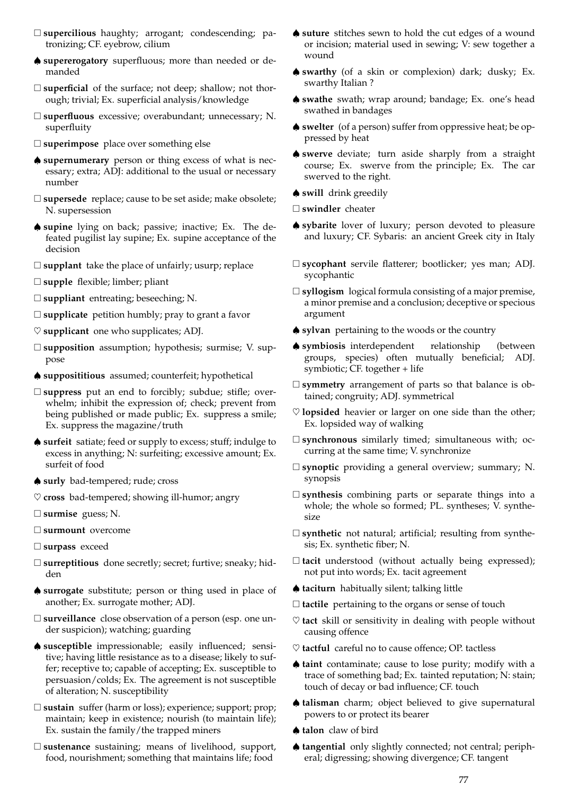- **supercilious** haughty; arrogant; condescending; patronizing; CF. eyebrow, cilium
- ♠ **supererogatory** superfluous; more than needed or demanded
- □ **superficial** of the surface; not deep; shallow; not thorough; trivial; Ex. superficial analysis/knowledge
- **superfluous** excessive; overabundant; unnecessary; N. superfluity
- **superimpose** place over something else
- ♠ **supernumerary** person or thing excess of what is necessary; extra; ADJ: additional to the usual or necessary number
- □ **supersede** replace; cause to be set aside; make obsolete; N. supersession
- ♠ **supine** lying on back; passive; inactive; Ex. The defeated pugilist lay supine; Ex. supine acceptance of the decision
- $\square$  supplant take the place of unfairly; usurp; replace
- **supple** flexible; limber; pliant
- □ suppliant entreating; beseeching; N.
- $\square$  supplicate petition humbly; pray to grant a favor
- ♥ **supplicant** one who supplicates; ADJ.
- □ supposition assumption; hypothesis; surmise; V. suppose
- ♠ **supposititious** assumed; counterfeit; hypothetical
- **suppress** put an end to forcibly; subdue; stifle; overwhelm; inhibit the expression of; check; prevent from being published or made public; Ex. suppress a smile; Ex. suppress the magazine/truth
- ♠ **surfeit** satiate; feed or supply to excess; stuff; indulge to excess in anything; N: surfeiting; excessive amount; Ex. surfeit of food
- ♠ **surly** bad-tempered; rude; cross
- ♥ **cross** bad-tempered; showing ill-humor; angry
- **surmise** guess; N.
- **surmount** overcome
- **surpass** exceed
- □ surreptitious done secretly; secret; furtive; sneaky; hidden
- ♠ **surrogate** substitute; person or thing used in place of another; Ex. surrogate mother; ADJ.
- □ **surveillance** close observation of a person (esp. one under suspicion); watching; guarding
- ♠ **susceptible** impressionable; easily influenced; sensitive; having little resistance as to a disease; likely to suffer; receptive to; capable of accepting; Ex. susceptible to persuasion/colds; Ex. The agreement is not susceptible of alteration; N. susceptibility
- □ **sustain** suffer (harm or loss); experience; support; prop; maintain; keep in existence; nourish (to maintain life); Ex. sustain the family/the trapped miners
- **sustenance** sustaining; means of livelihood, support, food, nourishment; something that maintains life; food
- ♠ **suture** stitches sewn to hold the cut edges of a wound or incision; material used in sewing; V: sew together a wound
- ♠ **swarthy** (of a skin or complexion) dark; dusky; Ex. swarthy Italian ?
- ♠ **swathe** swath; wrap around; bandage; Ex. one's head swathed in bandages
- ♠ **swelter** (of a person) suffer from oppressive heat; be oppressed by heat
- ♠ **swerve** deviate; turn aside sharply from a straight course; Ex. swerve from the principle; Ex. The car swerved to the right.
- ♠ **swill** drink greedily
- □ swindler cheater
- ♠ **sybarite** lover of luxury; person devoted to pleasure and luxury; CF. Sybaris: an ancient Greek city in Italy
- □ sycophant servile flatterer; bootlicker; yes man; ADJ. sycophantic
- $\Box$  **syllogism** logical formula consisting of a major premise, a minor premise and a conclusion; deceptive or specious argument
- ♠ **sylvan** pertaining to the woods or the country
- ♠ **symbiosis** interdependent relationship (between groups, species) often mutually beneficial; ADJ. symbiotic; CF. together + life
- **symmetry** arrangement of parts so that balance is obtained; congruity; ADJ. symmetrical
- $\heartsuit$  **lopsided** heavier or larger on one side than the other; Ex. lopsided way of walking
- **synchronous** similarly timed; simultaneous with; occurring at the same time; V. synchronize
- □ synoptic providing a general overview; summary; N. synopsis
- **synthesis** combining parts or separate things into a whole; the whole so formed; PL. syntheses; V. synthesize
- □ synthetic not natural; artificial; resulting from synthesis; Ex. synthetic fiber; N.
- **tacit** understood (without actually being expressed); not put into words; Ex. tacit agreement
- ♠ **taciturn** habitually silent; talking little
- □ **tactile** pertaining to the organs or sense of touch
- $\heartsuit$  tact skill or sensitivity in dealing with people without causing offence
- ♥ **tactful** careful no to cause offence; OP. tactless
- ♠ **taint** contaminate; cause to lose purity; modify with a trace of something bad; Ex. tainted reputation; N: stain; touch of decay or bad influence; CF. touch
- ♠ **talisman** charm; object believed to give supernatural powers to or protect its bearer
- ♠ **talon** claw of bird
- ♠ **tangential** only slightly connected; not central; peripheral; digressing; showing divergence; CF. tangent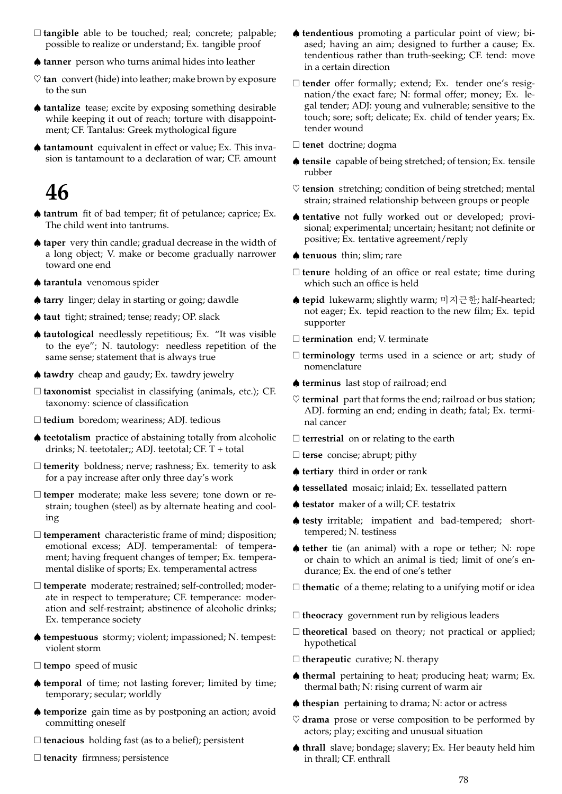- □ **tangible** able to be touched; real; concrete; palpable; possible to realize or understand; Ex. tangible proof
- ♠ **tanner** person who turns animal hides into leather
- $\heartsuit$  **tan** convert (hide) into leather; make brown by exposure to the sun
- ♠ **tantalize** tease; excite by exposing something desirable while keeping it out of reach; torture with disappointment; CF. Tantalus: Greek mythological figure
- ♠ **tantamount** equivalent in effect or value; Ex. This invasion is tantamount to a declaration of war; CF. amount

- ♠ **tantrum** fit of bad temper; fit of petulance; caprice; Ex. The child went into tantrums.
- ♠ **taper** very thin candle; gradual decrease in the width of a long object; V. make or become gradually narrower toward one end
- ♠ **tarantula** venomous spider
- ♠ **tarry** linger; delay in starting or going; dawdle
- ♠ **taut** tight; strained; tense; ready; OP. slack
- ♠ **tautological** needlessly repetitious; Ex. "It was visible to the eye"; N. tautology: needless repetition of the same sense; statement that is always true
- ♠ **tawdry** cheap and gaudy; Ex. tawdry jewelry
- □ **taxonomist** specialist in classifying (animals, etc.); CF. taxonomy: science of classification
- **tedium** boredom; weariness; ADJ. tedious
- ♠ **teetotalism** practice of abstaining totally from alcoholic drinks; N. teetotaler;; ADJ. teetotal; CF. T + total
- □ **temerity** boldness; nerve; rashness; Ex. temerity to ask for a pay increase after only three day's work
- **temper** moderate; make less severe; tone down or restrain; toughen (steel) as by alternate heating and cooling
- □ temperament characteristic frame of mind; disposition; emotional excess; ADJ. temperamental: of temperament; having frequent changes of temper; Ex. temperamental dislike of sports; Ex. temperamental actress
- □ temperate moderate; restrained; self-controlled; moderate in respect to temperature; CF. temperance: moderation and self-restraint; abstinence of alcoholic drinks; Ex. temperance society
- ♠ **tempestuous** stormy; violent; impassioned; N. tempest: violent storm
- □ **tempo** speed of music
- ♠ **temporal** of time; not lasting forever; limited by time; temporary; secular; worldly
- ♠ **temporize** gain time as by postponing an action; avoid committing oneself
- $\Box$  **tenacious** holding fast (as to a belief); persistent
- □ tenacity firmness; persistence
- ♠ **tendentious** promoting a particular point of view; biased; having an aim; designed to further a cause; Ex. tendentious rather than truth-seeking; CF. tend: move in a certain direction
- **tender** offer formally; extend; Ex. tender one's resignation/the exact fare; N: formal offer; money; Ex. legal tender; ADJ: young and vulnerable; sensitive to the touch; sore; soft; delicate; Ex. child of tender years; Ex. tender wound
- **tenet** doctrine; dogma
- ♠ **tensile** capable of being stretched; of tension; Ex. tensile rubber
- $\heartsuit$  **tension** stretching; condition of being stretched; mental strain; strained relationship between groups or people
- ♠ **tentative** not fully worked out or developed; provisional; experimental; uncertain; hesitant; not definite or positive; Ex. tentative agreement/reply
- ♠ **tenuous** thin; slim; rare
- □ **tenure** holding of an office or real estate; time during which such an office is held
- **♦ tepid** lukewarm; slightly warm; 미지근한; half-hearted; not eager; Ex. tepid reaction to the new film; Ex. tepid supporter
- □ **termination** end; V. terminate
- □ terminology terms used in a science or art; study of nomenclature
- ♠ **terminus** last stop of railroad; end
- $\heartsuit$  **terminal** part that forms the end; railroad or bus station; ADJ. forming an end; ending in death; fatal; Ex. terminal cancer
- □ **terrestrial** on or relating to the earth
- □ **terse** concise; abrupt; pithy
- ♠ **tertiary** third in order or rank
- ♠ **tessellated** mosaic; inlaid; Ex. tessellated pattern
- ♠ **testator** maker of a will; CF. testatrix
- ♠ **testy** irritable; impatient and bad-tempered; shorttempered; N. testiness
- ♠ **tether** tie (an animal) with a rope or tether; N: rope or chain to which an animal is tied; limit of one's endurance; Ex. the end of one's tether
- $\Box$  **thematic** of a theme; relating to a unifying motif or idea
- □ **theocracy** government run by religious leaders
- **theoretical** based on theory; not practical or applied; hypothetical
- $\square$  **therapeutic** curative; N. therapy
- ♠ **thermal** pertaining to heat; producing heat; warm; Ex. thermal bath; N: rising current of warm air
- ♠ **thespian** pertaining to drama; N: actor or actress
- $\heartsuit$  **drama** prose or verse composition to be performed by actors; play; exciting and unusual situation
- ♠ **thrall** slave; bondage; slavery; Ex. Her beauty held him in thrall; CF. enthrall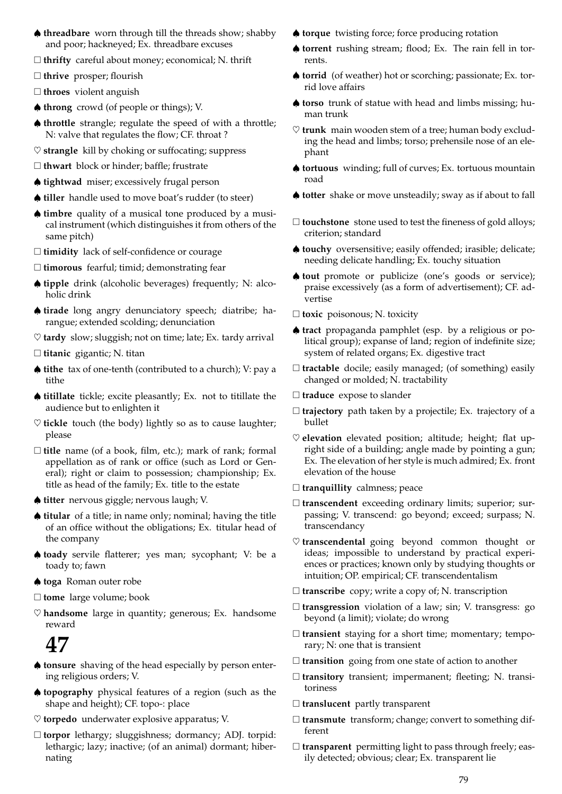- ♠ **threadbare** worn through till the threads show; shabby and poor; hackneyed; Ex. threadbare excuses
- $\Box$  **thrifty** careful about money; economical; N. thrift
- **thrive** prosper; flourish
- **throes** violent anguish
- ♠ **throng** crowd (of people or things); V.
- ♠ **throttle** strangle; regulate the speed of with a throttle; N: valve that regulates the flow; CF. throat ?
- ♥ **strangle** kill by choking or suffocating; suppress
- □ **thwart** block or hinder; baffle; frustrate
- ♠ **tightwad** miser; excessively frugal person
- ♠ **tiller** handle used to move boat's rudder (to steer)
- ♠ **timbre** quality of a musical tone produced by a musical instrument (which distinguishes it from others of the same pitch)
- □ **timidity** lack of self-confidence or courage
- □ **timorous** fearful; timid; demonstrating fear
- ♠ **tipple** drink (alcoholic beverages) frequently; N: alcoholic drink
- ♠ **tirade** long angry denunciatory speech; diatribe; harangue; extended scolding; denunciation
- $\heartsuit$  **tardy** slow; sluggish; not on time; late; Ex. tardy arrival
- **titanic** gigantic; N. titan
- ♠ **tithe** tax of one-tenth (contributed to a church); V: pay a tithe
- ♠ **titillate** tickle; excite pleasantly; Ex. not to titillate the audience but to enlighten it
- ♥ **tickle** touch (the body) lightly so as to cause laughter; please
- □ **title** name (of a book, film, etc.); mark of rank; formal appellation as of rank or office (such as Lord or General); right or claim to possession; championship; Ex. title as head of the family; Ex. title to the estate
- ♠ **titter** nervous giggle; nervous laugh; V.
- ♠ **titular** of a title; in name only; nominal; having the title of an office without the obligations; Ex. titular head of the company
- ♠ **toady** servile flatterer; yes man; sycophant; V: be a toady to; fawn
- ♠ **toga** Roman outer robe
- **tome** large volume; book
- ♥ **handsome** large in quantity; generous; Ex. handsome reward



- ♠ **tonsure** shaving of the head especially by person entering religious orders; V.
- ♠ **topography** physical features of a region (such as the shape and height); CF. topo-: place
- ♥ **torpedo** underwater explosive apparatus; V.
- **torpor** lethargy; sluggishness; dormancy; ADJ. torpid: lethargic; lazy; inactive; (of an animal) dormant; hibernating
- ♠ **torque** twisting force; force producing rotation
- ♠ **torrent** rushing stream; flood; Ex. The rain fell in torrents.
- ♠ **torrid** (of weather) hot or scorching; passionate; Ex. torrid love affairs
- ♠ **torso** trunk of statue with head and limbs missing; human trunk
- $\heartsuit$  **trunk** main wooden stem of a tree; human body excluding the head and limbs; torso; prehensile nose of an elephant
- ♠ **tortuous** winding; full of curves; Ex. tortuous mountain road
- ♠ **totter** shake or move unsteadily; sway as if about to fall
- □ **touchstone** stone used to test the fineness of gold alloys; criterion; standard
- ♠ **touchy** oversensitive; easily offended; irasible; delicate; needing delicate handling; Ex. touchy situation
- ♠ **tout** promote or publicize (one's goods or service); praise excessively (as a form of advertisement); CF. advertise
- □ **toxic** poisonous; N. toxicity
- ♠ **tract** propaganda pamphlet (esp. by a religious or political group); expanse of land; region of indefinite size; system of related organs; Ex. digestive tract
- □ **tractable** docile; easily managed; (of something) easily changed or molded; N. tractability
- **traduce** expose to slander
- □ **trajectory** path taken by a projectile; Ex. trajectory of a bullet
- $\heartsuit$  **elevation** elevated position; altitude; height; flat upright side of a building; angle made by pointing a gun; Ex. The elevation of her style is much admired; Ex. front elevation of the house
- **tranquillity** calmness; peace
- □ **transcendent** exceeding ordinary limits; superior; surpassing; V. transcend: go beyond; exceed; surpass; N. transcendancy
- ♥ **transcendental** going beyond common thought or ideas; impossible to understand by practical experiences or practices; known only by studying thoughts or intuition; OP. empirical; CF. transcendentalism
- **transcribe** copy; write a copy of; N. transcription
- □ **transgression** violation of a law; sin; V. transgress: go beyond (a limit); violate; do wrong
- □ **transient** staying for a short time; momentary; temporary; N: one that is transient
- $\Box$  **transition** going from one state of action to another
- □ **transitory** transient; impermanent; fleeting; N. transitoriness
- **translucent** partly transparent
- □ **transmute** transform; change; convert to something different
- **transparent** permitting light to pass through freely; easily detected; obvious; clear; Ex. transparent lie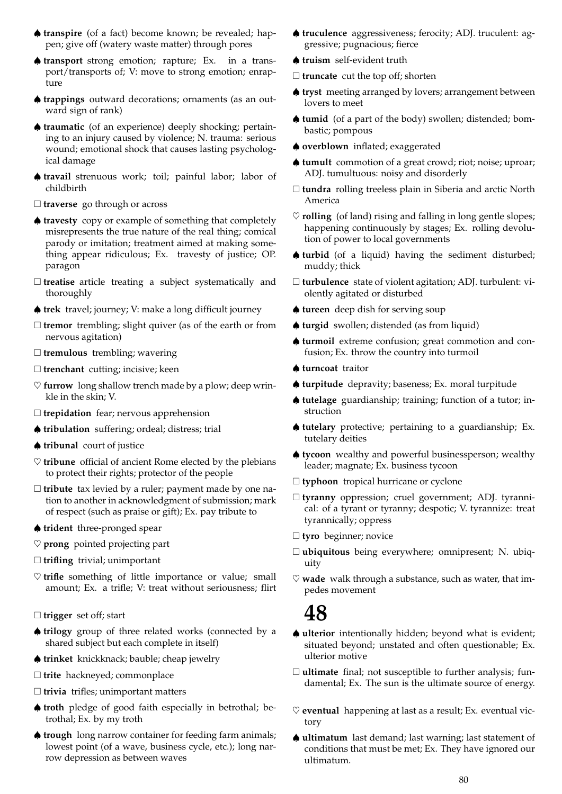- ♠ **transpire** (of a fact) become known; be revealed; happen; give off (watery waste matter) through pores
- ♠ **transport** strong emotion; rapture; Ex. in a transport/transports of; V: move to strong emotion; enrapture
- ♠ **trappings** outward decorations; ornaments (as an outward sign of rank)
- ♠ **traumatic** (of an experience) deeply shocking; pertaining to an injury caused by violence; N. trauma: serious wound; emotional shock that causes lasting psychological damage
- ♠ **travail** strenuous work; toil; painful labor; labor of childbirth
- **traverse** go through or across
- ♠ **travesty** copy or example of something that completely misrepresents the true nature of the real thing; comical parody or imitation; treatment aimed at making something appear ridiculous; Ex. travesty of justice; OP. paragon
- □ **treatise** article treating a subject systematically and thoroughly
- ♠ **trek** travel; journey; V: make a long difficult journey
- □ **tremor** trembling; slight quiver (as of the earth or from nervous agitation)
- □ **tremulous** trembling; wavering
- □ **trenchant** cutting; incisive; keen
- $\heartsuit$  furrow long shallow trench made by a plow; deep wrinkle in the skin; V.
- **trepidation** fear; nervous apprehension
- ♠ **tribulation** suffering; ordeal; distress; trial
- ♠ **tribunal** court of justice
- $\heartsuit$  **tribune** official of ancient Rome elected by the plebians to protect their rights; protector of the people
- □ **tribute** tax levied by a ruler; payment made by one nation to another in acknowledgment of submission; mark of respect (such as praise or gift); Ex. pay tribute to
- ♠ **trident** three-pronged spear
- $\heartsuit$  **prong** pointed projecting part
- **trifling** trivial; unimportant
- $\heartsuit$  **trifle** something of little importance or value; small amount; Ex. a trifle; V: treat without seriousness; flirt
- □ **trigger** set off; start
- ♠ **trilogy** group of three related works (connected by a shared subject but each complete in itself)
- ♠ **trinket** knickknack; bauble; cheap jewelry
- **trite** hackneyed; commonplace
- $\Box$  trivia trifles; unimportant matters
- ♠ **troth** pledge of good faith especially in betrothal; betrothal; Ex. by my troth
- ♠ **trough** long narrow container for feeding farm animals; lowest point (of a wave, business cycle, etc.); long narrow depression as between waves
- ♠ **truculence** aggressiveness; ferocity; ADJ. truculent: aggressive; pugnacious; fierce
- ♠ **truism** self-evident truth
- □ **truncate** cut the top off; shorten
- ♠ **tryst** meeting arranged by lovers; arrangement between lovers to meet
- ♠ **tumid** (of a part of the body) swollen; distended; bombastic; pompous
- ♠ **overblown** inflated; exaggerated
- ♠ **tumult** commotion of a great crowd; riot; noise; uproar; ADJ. tumultuous: noisy and disorderly
- □ **tundra** rolling treeless plain in Siberia and arctic North America
- $\heartsuit$  **rolling** (of land) rising and falling in long gentle slopes; happening continuously by stages; Ex. rolling devolution of power to local governments
- ♠ **turbid** (of a liquid) having the sediment disturbed; muddy; thick
- **turbulence** state of violent agitation; ADJ. turbulent: violently agitated or disturbed
- ♠ **tureen** deep dish for serving soup
- ♠ **turgid** swollen; distended (as from liquid)
- ♠ **turmoil** extreme confusion; great commotion and confusion; Ex. throw the country into turmoil
- ♠ **turncoat** traitor
- ♠ **turpitude** depravity; baseness; Ex. moral turpitude
- ♠ **tutelage** guardianship; training; function of a tutor; instruction
- ♠ **tutelary** protective; pertaining to a guardianship; Ex. tutelary deities
- ♠ **tycoon** wealthy and powerful businessperson; wealthy leader; magnate; Ex. business tycoon
- □ **typhoon** tropical hurricane or cyclone
- **tyranny** oppression; cruel government; ADJ. tyrannical: of a tyrant or tyranny; despotic; V. tyrannize: treat tyrannically; oppress
- **tyro** beginner; novice
- **ubiquitous** being everywhere; omnipresent; N. ubiquity
- ♥ **wade** walk through a substance, such as water, that impedes movement

- ♠ **ulterior** intentionally hidden; beyond what is evident; situated beyond; unstated and often questionable; Ex. ulterior motive
- □ **ultimate** final; not susceptible to further analysis; fundamental; Ex. The sun is the ultimate source of energy.
- ♥ **eventual** happening at last as a result; Ex. eventual victory
- ♠ **ultimatum** last demand; last warning; last statement of conditions that must be met; Ex. They have ignored our ultimatum.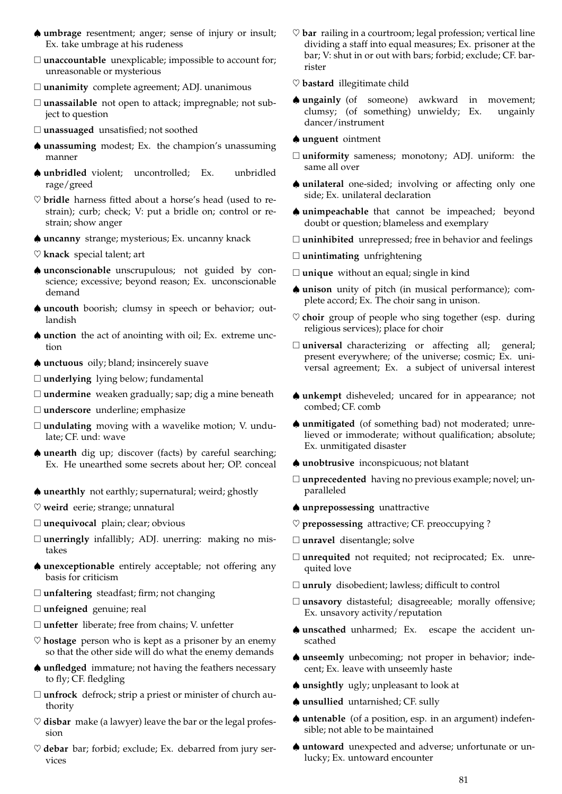- ♠ **umbrage** resentment; anger; sense of injury or insult; Ex. take umbrage at his rudeness
- □ **unaccountable** unexplicable; impossible to account for; unreasonable or mysterious
- **unanimity** complete agreement; ADJ. unanimous
- **unassailable** not open to attack; impregnable; not subject to question
- **unassuaged** unsatisfied; not soothed
- ♠ **unassuming** modest; Ex. the champion's unassuming manner
- ♠ **unbridled** violent; uncontrolled; Ex. unbridled rage/greed
- ♥ **bridle** harness fitted about a horse's head (used to restrain); curb; check; V: put a bridle on; control or restrain; show anger
- ♠ **uncanny** strange; mysterious; Ex. uncanny knack
- ♥ **knack** special talent; art
- ♠ **unconscionable** unscrupulous; not guided by conscience; excessive; beyond reason; Ex. unconscionable demand
- ♠ **uncouth** boorish; clumsy in speech or behavior; outlandish
- ♠ **unction** the act of anointing with oil; Ex. extreme unction
- ♠ **unctuous** oily; bland; insincerely suave
- **underlying** lying below; fundamental
- □ **undermine** weaken gradually; sap; dig a mine beneath
- **underscore** underline; emphasize
- **undulating** moving with a wavelike motion; V. undulate; CF. und: wave
- ♠ **unearth** dig up; discover (facts) by careful searching; Ex. He unearthed some secrets about her; OP. conceal
- ♠ **unearthly** not earthly; supernatural; weird; ghostly
- $\heartsuit$  weird eerie; strange; unnatural
- **unequivocal** plain; clear; obvious
- **unerringly** infallibly; ADJ. unerring: making no mistakes
- ♠ **unexceptionable** entirely acceptable; not offering any basis for criticism
- **unfaltering** steadfast; firm; not changing
- **unfeigned** genuine; real
- □ **unfetter** liberate; free from chains; V. unfetter
- $\heartsuit$  **hostage** person who is kept as a prisoner by an enemy so that the other side will do what the enemy demands
- ♠ **unfledged** immature; not having the feathers necessary to fly; CF. fledgling
- **unfrock** defrock; strip a priest or minister of church authority
- $\heartsuit$  **disbar** make (a lawyer) leave the bar or the legal profession
- ♥ **debar** bar; forbid; exclude; Ex. debarred from jury services
- $\heartsuit$  **bar** railing in a courtroom; legal profession; vertical line dividing a staff into equal measures; Ex. prisoner at the bar; V: shut in or out with bars; forbid; exclude; CF. barrister
- $\heartsuit$  **bastard** illegitimate child
- ♠ **ungainly** (of someone) awkward in movement; clumsy; (of something) unwieldy; Ex. ungainly dancer/instrument
- ♠ **unguent** ointment
- **uniformity** sameness; monotony; ADJ. uniform: the same all over
- ♠ **unilateral** one-sided; involving or affecting only one side; Ex. unilateral declaration
- ♠ **unimpeachable** that cannot be impeached; beyond doubt or question; blameless and exemplary
- **uninhibited** unrepressed; free in behavior and feelings
- **unintimating** unfrightening
- □ **unique** without an equal; single in kind
- ♠ **unison** unity of pitch (in musical performance); complete accord; Ex. The choir sang in unison.
- $\heartsuit$  choir group of people who sing together (esp. during religious services); place for choir
- □ **universal** characterizing or affecting all; general; present everywhere; of the universe; cosmic; Ex. universal agreement; Ex. a subject of universal interest
- ♠ **unkempt** disheveled; uncared for in appearance; not combed; CF. comb
- ♠ **unmitigated** (of something bad) not moderated; unrelieved or immoderate; without qualification; absolute; Ex. unmitigated disaster
- ♠ **unobtrusive** inconspicuous; not blatant
- **unprecedented** having no previous example; novel; unparalleled
- ♠ **unprepossessing** unattractive
- ♥ **prepossessing** attractive; CF. preoccupying ?
- **unravel** disentangle; solve
- □ **unrequited** not requited; not reciprocated; Ex. unrequited love
- □ **unruly** disobedient; lawless; difficult to control
- **unsavory** distasteful; disagreeable; morally offensive; Ex. unsavory activity/reputation
- ♠ **unscathed** unharmed; Ex. escape the accident unscathed
- ♠ **unseemly** unbecoming; not proper in behavior; indecent; Ex. leave with unseemly haste
- ♠ **unsightly** ugly; unpleasant to look at
- ♠ **unsullied** untarnished; CF. sully
- ♠ **untenable** (of a position, esp. in an argument) indefensible; not able to be maintained
- ♠ **untoward** unexpected and adverse; unfortunate or unlucky; Ex. untoward encounter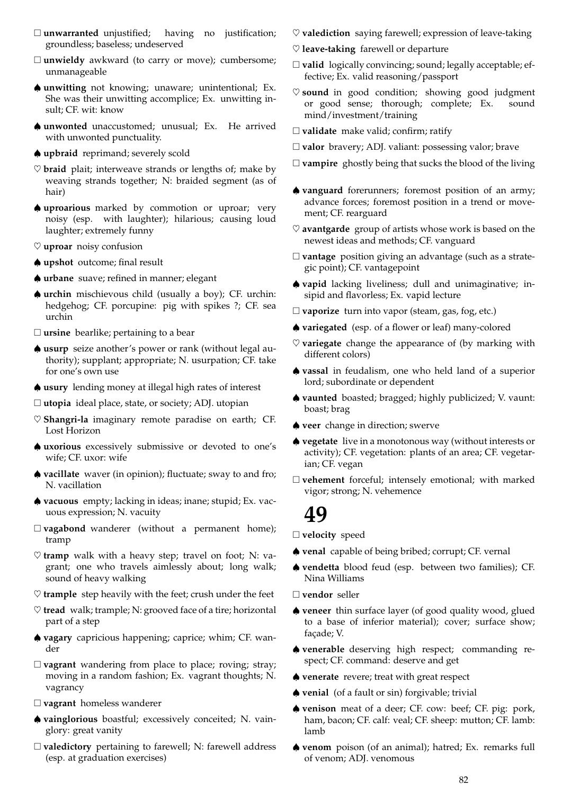- □ **unwarranted** unjustified; having no justification; groundless; baseless; undeserved
- □ **unwieldy** awkward (to carry or move); cumbersome; unmanageable
- ♠ **unwitting** not knowing; unaware; unintentional; Ex. She was their unwitting accomplice; Ex. unwitting insult; CF. wit: know
- ♠ **unwonted** unaccustomed; unusual; Ex. He arrived with unwonted punctuality.
- ♠ **upbraid** reprimand; severely scold
- ♥ **braid** plait; interweave strands or lengths of; make by weaving strands together; N: braided segment (as of hair)
- ♠ **uproarious** marked by commotion or uproar; very noisy (esp. with laughter); hilarious; causing loud laughter; extremely funny
- ♥ **uproar** noisy confusion
- ♠ **upshot** outcome; final result
- ♠ **urbane** suave; refined in manner; elegant
- ♠ **urchin** mischievous child (usually a boy); CF. urchin: hedgehog; CF. porcupine: pig with spikes ?; CF. sea urchin
- **ursine** bearlike; pertaining to a bear
- ♠ **usurp** seize another's power or rank (without legal authority); supplant; appropriate; N. usurpation; CF. take for one's own use
- ♠ **usury** lending money at illegal high rates of interest
- **utopia** ideal place, state, or society; ADJ. utopian
- ♥ **Shangri-la** imaginary remote paradise on earth; CF. Lost Horizon
- ♠ **uxorious** excessively submissive or devoted to one's wife; CF. uxor: wife
- ♠ **vacillate** waver (in opinion); fluctuate; sway to and fro; N. vacillation
- ♠ **vacuous** empty; lacking in ideas; inane; stupid; Ex. vacuous expression; N. vacuity
- **vagabond** wanderer (without a permanent home); tramp
- $\heartsuit$  **tramp** walk with a heavy step; travel on foot; N: vagrant; one who travels aimlessly about; long walk; sound of heavy walking
- $\heartsuit$  **trample** step heavily with the feet; crush under the feet
- $\heartsuit$  **tread** walk; trample; N: grooved face of a tire; horizontal part of a step
- ♠ **vagary** capricious happening; caprice; whim; CF. wander
- □ **vagrant** wandering from place to place; roving; stray; moving in a random fashion; Ex. vagrant thoughts; N. vagrancy
- **vagrant** homeless wanderer
- ♠ **vainglorious** boastful; excessively conceited; N. vainglory: great vanity
- **valedictory** pertaining to farewell; N: farewell address (esp. at graduation exercises)
- ♥ **valediction** saying farewell; expression of leave-taking
- $\heartsuit$  **leave-taking** farewell or departure
- □ **valid** logically convincing; sound; legally acceptable; effective; Ex. valid reasoning/passport
- $\heartsuit$  **sound** in good condition; showing good judgment or good sense; thorough; complete; Ex. sound mind/investment/training
- **validate** make valid; confirm; ratify
- □ **valor** bravery; ADJ. valiant: possessing valor; brave
- □ **vampire** ghostly being that sucks the blood of the living
- ♠ **vanguard** forerunners; foremost position of an army; advance forces; foremost position in a trend or movement; CF. rearguard
- $\heartsuit$  **avantgarde** group of artists whose work is based on the newest ideas and methods; CF. vanguard
- **vantage** position giving an advantage (such as a strategic point); CF. vantagepoint
- ♠ **vapid** lacking liveliness; dull and unimaginative; insipid and flavorless; Ex. vapid lecture
- □ **vaporize** turn into vapor (steam, gas, fog, etc.)
- ♠ **variegated** (esp. of a flower or leaf) many-colored
- $\heartsuit$  **variegate** change the appearance of (by marking with different colors)
- ♠ **vassal** in feudalism, one who held land of a superior lord; subordinate or dependent
- ♠ **vaunted** boasted; bragged; highly publicized; V. vaunt: boast; brag
- ♠ **veer** change in direction; swerve
- ♠ **vegetate** live in a monotonous way (without interests or activity); CF. vegetation: plants of an area; CF. vegetarian; CF. vegan
- **vehement** forceful; intensely emotional; with marked vigor; strong; N. vehemence

- **velocity** speed
- ♠ **venal** capable of being bribed; corrupt; CF. vernal
- ♠ **vendetta** blood feud (esp. between two families); CF. Nina Williams
- **vendor** seller
- ♠ **veneer** thin surface layer (of good quality wood, glued to a base of inferior material); cover; surface show; façade; V.
- ♠ **venerable** deserving high respect; commanding respect; CF. command: deserve and get
- ♠ **venerate** revere; treat with great respect
- ♠ **venial** (of a fault or sin) forgivable; trivial
- ♠ **venison** meat of a deer; CF. cow: beef; CF. pig: pork, ham, bacon; CF. calf: veal; CF. sheep: mutton; CF. lamb: lamb
- ♠ **venom** poison (of an animal); hatred; Ex. remarks full of venom; ADJ. venomous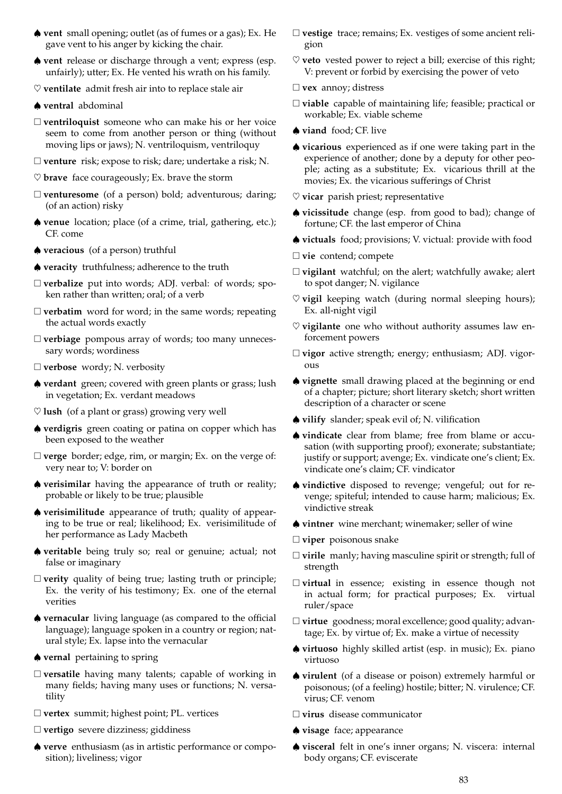- ♠ **vent** small opening; outlet (as of fumes or a gas); Ex. He gave vent to his anger by kicking the chair.
- ♠ **vent** release or discharge through a vent; express (esp. unfairly); utter; Ex. He vented his wrath on his family.
- $\heartsuit$  **ventilate** admit fresh air into to replace stale air
- ♠ **ventral** abdominal
- **ventriloquist** someone who can make his or her voice seem to come from another person or thing (without moving lips or jaws); N. ventriloquism, ventriloquy
- **venture** risk; expose to risk; dare; undertake a risk; N.
- ♥ **brave** face courageously; Ex. brave the storm
- □ **venturesome** (of a person) bold; adventurous; daring; (of an action) risky
- ♠ **venue** location; place (of a crime, trial, gathering, etc.); CF. come
- ♠ **veracious** (of a person) truthful
- ♠ **veracity** truthfulness; adherence to the truth
- □ **verbalize** put into words; ADJ. verbal: of words; spoken rather than written; oral; of a verb
- $\square$  **verbatim** word for word; in the same words; repeating the actual words exactly
- **verbiage** pompous array of words; too many unnecessary words; wordiness
- **verbose** wordy; N. verbosity
- ♠ **verdant** green; covered with green plants or grass; lush in vegetation; Ex. verdant meadows
- $\heartsuit$  **lush** (of a plant or grass) growing very well
- ♠ **verdigris** green coating or patina on copper which has been exposed to the weather
- **verge** border; edge, rim, or margin; Ex. on the verge of: very near to; V: border on
- ♠ **verisimilar** having the appearance of truth or reality; probable or likely to be true; plausible
- ♠ **verisimilitude** appearance of truth; quality of appearing to be true or real; likelihood; Ex. verisimilitude of her performance as Lady Macbeth
- ♠ **veritable** being truly so; real or genuine; actual; not false or imaginary
- $\Box$  **verity** quality of being true; lasting truth or principle; Ex. the verity of his testimony; Ex. one of the eternal verities
- ♠ **vernacular** living language (as compared to the official language); language spoken in a country or region; natural style; Ex. lapse into the vernacular
- ♠ **vernal** pertaining to spring
- □ **versatile** having many talents; capable of working in many fields; having many uses or functions; N. versatility
- **vertex** summit; highest point; PL. vertices
- **vertigo** severe dizziness; giddiness
- ♠ **verve** enthusiasm (as in artistic performance or composition); liveliness; vigor
- □ **vestige** trace; remains; Ex. vestiges of some ancient religion
- $\heartsuit$  **veto** vested power to reject a bill; exercise of this right; V: prevent or forbid by exercising the power of veto
- **vex** annoy; distress
- **viable** capable of maintaining life; feasible; practical or workable; Ex. viable scheme
- ♠ **viand** food; CF. live
- ♠ **vicarious** experienced as if one were taking part in the experience of another; done by a deputy for other people; acting as a substitute; Ex. vicarious thrill at the movies; Ex. the vicarious sufferings of Christ
- ♥ **vicar** parish priest; representative
- ♠ **vicissitude** change (esp. from good to bad); change of fortune; CF. the last emperor of China
- ♠ **victuals** food; provisions; V. victual: provide with food
- **vie** contend; compete
- **vigilant** watchful; on the alert; watchfully awake; alert to spot danger; N. vigilance
- $\heartsuit$  **vigil** keeping watch (during normal sleeping hours); Ex. all-night vigil
- ♥ **vigilante** one who without authority assumes law enforcement powers
- □ **vigor** active strength; energy; enthusiasm; ADJ. vigorous
- ♠ **vignette** small drawing placed at the beginning or end of a chapter; picture; short literary sketch; short written description of a character or scene
- ♠ **vilify** slander; speak evil of; N. vilification
- ♠ **vindicate** clear from blame; free from blame or accusation (with supporting proof); exonerate; substantiate; justify or support; avenge; Ex. vindicate one's client; Ex. vindicate one's claim; CF. vindicator
- ♠ **vindictive** disposed to revenge; vengeful; out for revenge; spiteful; intended to cause harm; malicious; Ex. vindictive streak
- ♠ **vintner** wine merchant; winemaker; seller of wine
- **viper** poisonous snake
- **virile** manly; having masculine spirit or strength; full of strength
- **virtual** in essence; existing in essence though not in actual form; for practical purposes; Ex. virtual ruler/space
- □ **virtue** goodness; moral excellence; good quality; advantage; Ex. by virtue of; Ex. make a virtue of necessity
- ♠ **virtuoso** highly skilled artist (esp. in music); Ex. piano virtuoso
- ♠ **virulent** (of a disease or poison) extremely harmful or poisonous; (of a feeling) hostile; bitter; N. virulence; CF. virus; CF. venom
- **virus** disease communicator
- ♠ **visage** face; appearance
- ♠ **visceral** felt in one's inner organs; N. viscera: internal body organs; CF. eviscerate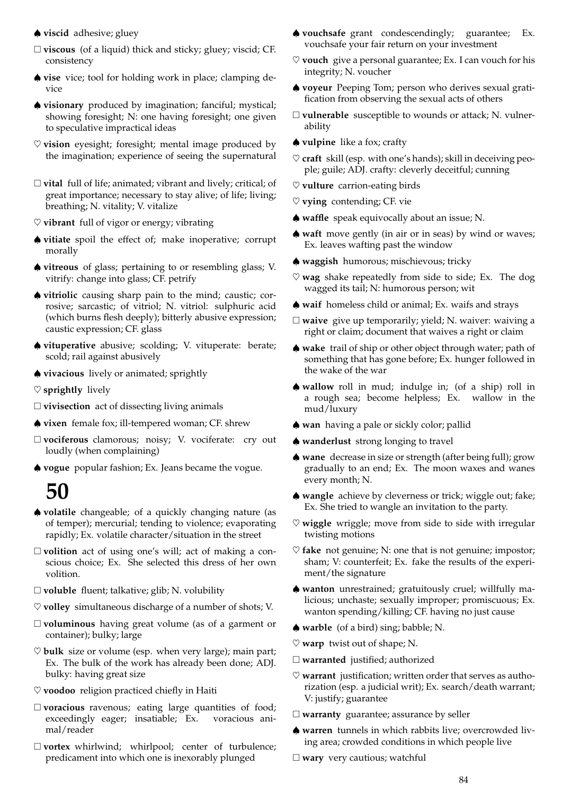- ♠ **viscid** adhesive; gluey
- □ **viscous** (of a liquid) thick and sticky; gluey; viscid; CF. consistency
- ♠ **vise** vice; tool for holding work in place; clamping device
- ♠ **visionary** produced by imagination; fanciful; mystical; showing foresight; N: one having foresight; one given to speculative impractical ideas
- $\heartsuit$  **vision** eyesight; foresight; mental image produced by the imagination; experience of seeing the supernatural
- □ **vital** full of life; animated; vibrant and lively; critical; of great importance; necessary to stay alive; of life; living; breathing; N. vitality; V. vitalize
- $\heartsuit$  **vibrant** full of vigor or energy; vibrating
- ♠ **vitiate** spoil the effect of; make inoperative; corrupt morally
- ♠ **vitreous** of glass; pertaining to or resembling glass; V. vitrify: change into glass; CF. petrify
- ♠ **vitriolic** causing sharp pain to the mind; caustic; corrosive; sarcastic; of vitriol; N. vitriol: sulphuric acid (which burns flesh deeply); bitterly abusive expression; caustic expression; CF. glass
- ♠ **vituperative** abusive; scolding; V. vituperate: berate; scold; rail against abusively
- ♠ **vivacious** lively or animated; sprightly
- ♥ **sprightly** lively
- □ **vivisection** act of dissecting living animals
- ♠ **vixen** female fox; ill-tempered woman; CF. shrew
- **vociferous** clamorous; noisy; V. vociferate: cry out loudly (when complaining)
- ♠ **vogue** popular fashion; Ex. Jeans became the vogue.

- ♠ **volatile** changeable; of a quickly changing nature (as of temper); mercurial; tending to violence; evaporating rapidly; Ex. volatile character/situation in the street
- □ **volition** act of using one's will; act of making a conscious choice; Ex. She selected this dress of her own volition.
- **voluble** fluent; talkative; glib; N. volubility
- $\heartsuit$  **volley** simultaneous discharge of a number of shots; V.
- **voluminous** having great volume (as of a garment or container); bulky; large
- $\heartsuit$  **bulk** size or volume (esp. when very large); main part; Ex. The bulk of the work has already been done; ADJ. bulky: having great size
- ♥ **voodoo** religion practiced chiefly in Haiti
- □ **voracious** ravenous; eating large quantities of food; exceedingly eager; insatiable; Ex. voracious animal/reader
- **vortex** whirlwind; whirlpool; center of turbulence; predicament into which one is inexorably plunged
- ♠ **vouchsafe** grant condescendingly; guarantee; Ex. vouchsafe your fair return on your investment
- $\heartsuit$  **vouch** give a personal guarantee; Ex. I can vouch for his integrity; N. voucher
- ♠ **voyeur** Peeping Tom; person who derives sexual gratification from observing the sexual acts of others
- □ **vulnerable** susceptible to wounds or attack; N. vulnerability
- ♠ **vulpine** like a fox; crafty
- $\heartsuit$  craft skill (esp. with one's hands); skill in deceiving people; guile; ADJ. crafty: cleverly deceitful; cunning
- ♥ **vulture** carrion-eating birds
- ♥ **vying** contending; CF. vie
- ♠ **waffle** speak equivocally about an issue; N.
- ♠ **waft** move gently (in air or in seas) by wind or waves; Ex. leaves wafting past the window
- ♠ **waggish** humorous; mischievous; tricky
- $\heartsuit$  wag shake repeatedly from side to side; Ex. The dog wagged its tail; N: humorous person; wit
- ♠ **waif** homeless child or animal; Ex. waifs and strays
- **waive** give up temporarily; yield; N. waiver: waiving a right or claim; document that waives a right or claim
- ♠ **wake** trail of ship or other object through water; path of something that has gone before; Ex. hunger followed in the wake of the war
- ♠ **wallow** roll in mud; indulge in; (of a ship) roll in a rough sea; become helpless; Ex. wallow in the mud/luxury
- ♠ **wan** having a pale or sickly color; pallid
- ♠ **wanderlust** strong longing to travel
- ♠ **wane** decrease in size or strength (after being full); grow gradually to an end; Ex. The moon waxes and wanes every month; N.
- ♠ **wangle** achieve by cleverness or trick; wiggle out; fake; Ex. She tried to wangle an invitation to the party.
- $\heartsuit$  wiggle wriggle; move from side to side with irregular twisting motions
- ♥ **fake** not genuine; N: one that is not genuine; impostor; sham; V: counterfeit; Ex. fake the results of the experiment/the signature
- ♠ **wanton** unrestrained; gratuitously cruel; willfully malicious; unchaste; sexually improper; promiscuous; Ex. wanton spending/killing; CF. having no just cause
- ♠ **warble** (of a bird) sing; babble; N.
- $\heartsuit$  **warp** twist out of shape; N.
- **warranted** justified; authorized
- $\heartsuit$  warrant justification; written order that serves as authorization (esp. a judicial writ); Ex. search/death warrant; V: justify; guarantee
- **warranty** guarantee; assurance by seller
- ♠ **warren** tunnels in which rabbits live; overcrowded living area; crowded conditions in which people live
- **wary** very cautious; watchful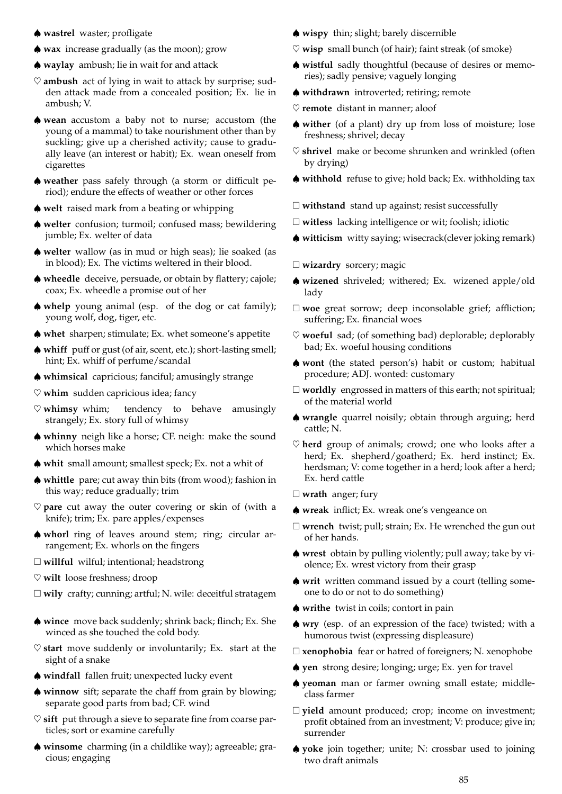- ♠ **wastrel** waster; profligate
- ♠ **wax** increase gradually (as the moon); grow
- ♠ **waylay** ambush; lie in wait for and attack
- ♥ **ambush** act of lying in wait to attack by surprise; sudden attack made from a concealed position; Ex. lie in ambush; V.
- ♠ **wean** accustom a baby not to nurse; accustom (the young of a mammal) to take nourishment other than by suckling; give up a cherished activity; cause to gradually leave (an interest or habit); Ex. wean oneself from cigarettes
- ♠ **weather** pass safely through (a storm or difficult period); endure the effects of weather or other forces
- ♠ **welt** raised mark from a beating or whipping
- ♠ **welter** confusion; turmoil; confused mass; bewildering jumble; Ex. welter of data
- ♠ **welter** wallow (as in mud or high seas); lie soaked (as in blood); Ex. The victims weltered in their blood.
- ♠ **wheedle** deceive, persuade, or obtain by flattery; cajole; coax; Ex. wheedle a promise out of her
- ♠ **whelp** young animal (esp. of the dog or cat family); young wolf, dog, tiger, etc.
- ♠ **whet** sharpen; stimulate; Ex. whet someone's appetite
- ♠ **whiff** puff or gust (of air, scent, etc.); short-lasting smell; hint; Ex. whiff of perfume/scandal
- ♠ **whimsical** capricious; fanciful; amusingly strange
- $\heartsuit$  whim sudden capricious idea; fancy
- $\heartsuit$  whimsy whim; tendency to behave amusingly strangely; Ex. story full of whimsy
- ♠ **whinny** neigh like a horse; CF. neigh: make the sound which horses make
- ♠ **whit** small amount; smallest speck; Ex. not a whit of
- ♠ **whittle** pare; cut away thin bits (from wood); fashion in this way; reduce gradually; trim
- $\heartsuit$  **pare** cut away the outer covering or skin of (with a knife); trim; Ex. pare apples/expenses
- ♠ **whorl** ring of leaves around stem; ring; circular arrangement; Ex. whorls on the fingers
- **willful** wilful; intentional; headstrong
- ♥ **wilt** loose freshness; droop
- □ **wily** crafty; cunning; artful; N. wile: deceitful stratagem
- ♠ **wince** move back suddenly; shrink back; flinch; Ex. She winced as she touched the cold body.
- $\heartsuit$  start move suddenly or involuntarily; Ex. start at the sight of a snake
- ♠ **windfall** fallen fruit; unexpected lucky event
- ♠ **winnow** sift; separate the chaff from grain by blowing; separate good parts from bad; CF. wind
- $\heartsuit$  sift put through a sieve to separate fine from coarse particles; sort or examine carefully
- ♠ **winsome** charming (in a childlike way); agreeable; gracious; engaging
- ♠ **wispy** thin; slight; barely discernible
- $\heartsuit$  **wisp** small bunch (of hair); faint streak (of smoke)
- ♠ **wistful** sadly thoughtful (because of desires or memories); sadly pensive; vaguely longing
- ♠ **withdrawn** introverted; retiring; remote
- ♥ **remote** distant in manner; aloof
- ♠ **wither** (of a plant) dry up from loss of moisture; lose freshness; shrivel; decay
- ♥ **shrivel** make or become shrunken and wrinkled (often by drying)
- ♠ **withhold** refuse to give; hold back; Ex. withholding tax
- **withstand** stand up against; resist successfully
- □ **witless** lacking intelligence or wit; foolish; idiotic
- ♠ **witticism** witty saying; wisecrack(clever joking remark)
- **wizardry** sorcery; magic
- ♠ **wizened** shriveled; withered; Ex. wizened apple/old lady
- **woe** great sorrow; deep inconsolable grief; affliction; suffering; Ex. financial woes
- ♥ **woeful** sad; (of something bad) deplorable; deplorably bad; Ex. woeful housing conditions
- ♠ **wont** (the stated person's) habit or custom; habitual procedure; ADJ. wonted: customary
- $\Box$  **worldly** engrossed in matters of this earth; not spiritual; of the material world
- ♠ **wrangle** quarrel noisily; obtain through arguing; herd cattle; N.
- $\heartsuit$  **herd** group of animals; crowd; one who looks after a herd; Ex. shepherd/goatherd; Ex. herd instinct; Ex. herdsman; V: come together in a herd; look after a herd; Ex. herd cattle
- **wrath** anger; fury
- ♠ **wreak** inflict; Ex. wreak one's vengeance on
- **wrench** twist; pull; strain; Ex. He wrenched the gun out of her hands.
- ♠ **wrest** obtain by pulling violently; pull away; take by violence; Ex. wrest victory from their grasp
- ♠ **writ** written command issued by a court (telling someone to do or not to do something)
- ♠ **writhe** twist in coils; contort in pain
- ♠ **wry** (esp. of an expression of the face) twisted; with a humorous twist (expressing displeasure)
- **xenophobia** fear or hatred of foreigners; N. xenophobe
- ♠ **yen** strong desire; longing; urge; Ex. yen for travel
- ♠ **yeoman** man or farmer owning small estate; middleclass farmer
- □ yield amount produced; crop; income on investment; profit obtained from an investment; V: produce; give in; surrender
- ♠ **yoke** join together; unite; N: crossbar used to joining two draft animals